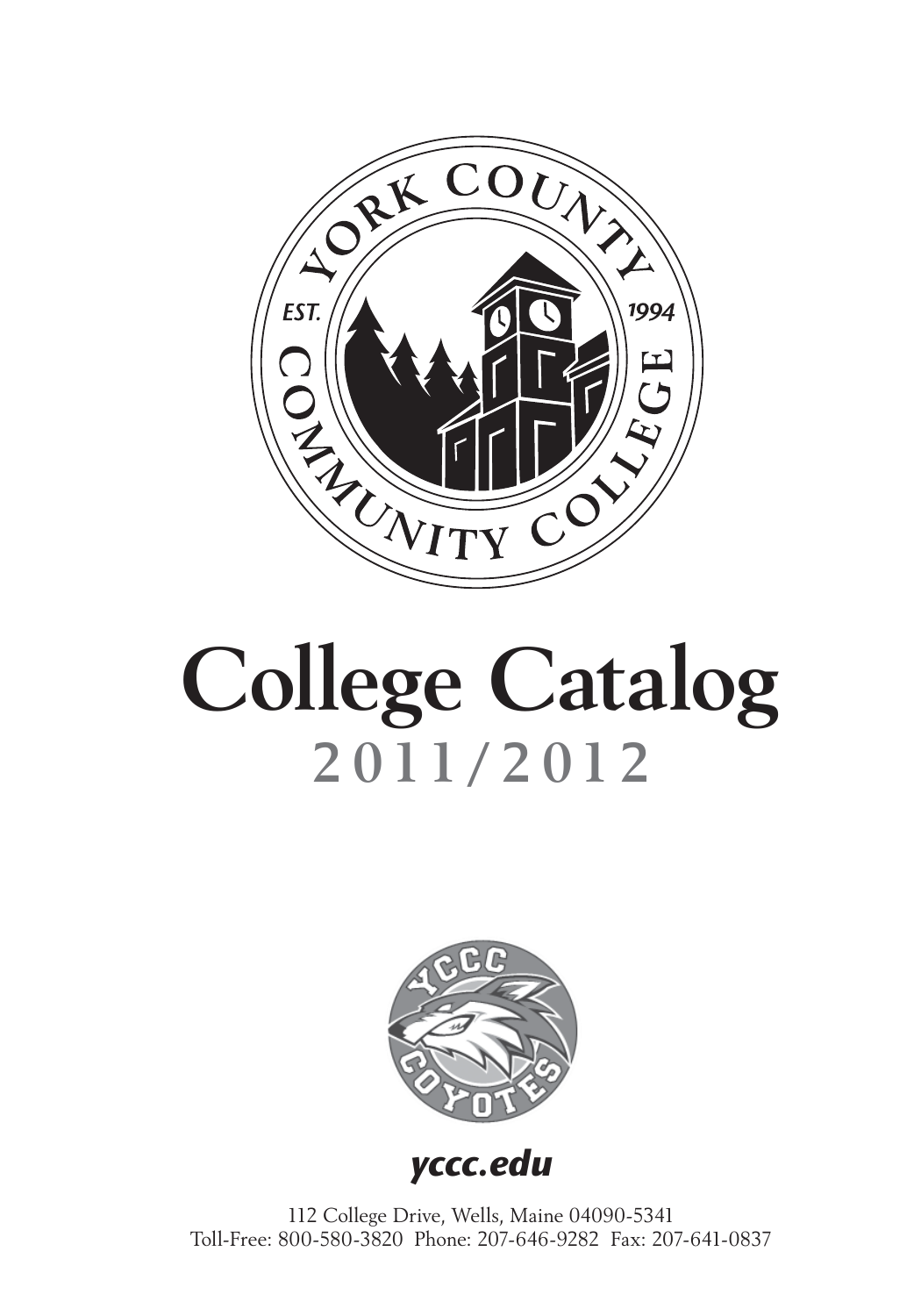

# **College Catalog 2011/2012**



*yccc.edu*

112 College Drive, Wells, Maine 04090-5341 Toll-Free: 800-580-3820 Phone: 207-646-9282 Fax: 207-641-0837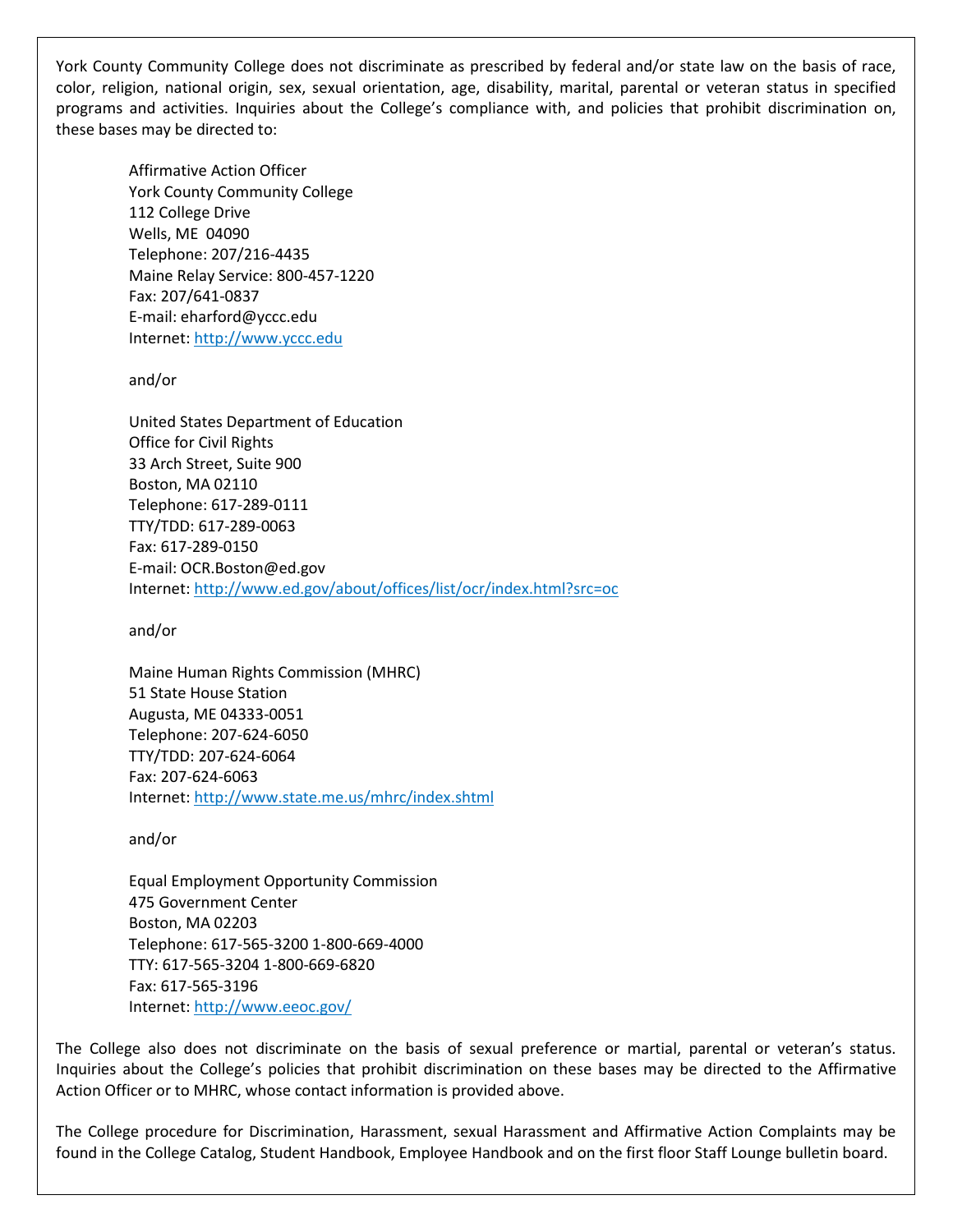York County Community College does not discriminate as prescribed by federal and/or state law on the basis of race, color, religion, national origin, sex, sexual orientation, age, disability, marital, parental or veteran status in specified programs and activities. Inquiries about the College's compliance with, and policies that prohibit discrimination on, these bases may be directed to:

Affirmative Action Officer York County Community College 112 College Drive Wells, ME 04090 Telephone: 207/216-4435 Maine Relay Service: 800-457-1220 Fax: 207/641-0837 E-mail: eharford@yccc.edu Internet: http://www.yccc.edu

and/or

United States Department of Education Office for Civil Rights 33 Arch Street, Suite 900 Boston, MA 02110 Telephone: 617-289-0111 TTY/TDD: 617-289-0063 Fax: 617-289-0150 E-mail: OCR.Boston@ed.gov Internet: http://www.ed.gov/about/offices/list/ocr/index.html?src=oc

and/or

Maine Human Rights Commission (MHRC) 51 State House Station Augusta, ME 04333-0051 Telephone: 207-624-6050 TTY/TDD: 207-624-6064 Fax: 207-624-6063 Internet: http://www.state.me.us/mhrc/index.shtml

and/or

Equal Employment Opportunity Commission 475 Government Center Boston, MA 02203 Telephone: 617-565-3200 1-800-669-4000 TTY: 617-565-3204 1-800-669-6820 Fax: 617-565-3196 Internet: http://www.eeoc.gov/

The College also does not discriminate on the basis of sexual preference or martial, parental or veteran's status. Inquiries about the College's policies that prohibit discrimination on these bases may be directed to the Affirmative Action Officer or to MHRC, whose contact information is provided above.

The College procedure for Discrimination, Harassment, sexual Harassment and Affirmative Action Complaints may be found in the College Catalog, Student Handbook, Employee Handbook and on the first floor Staff Lounge bulletin board.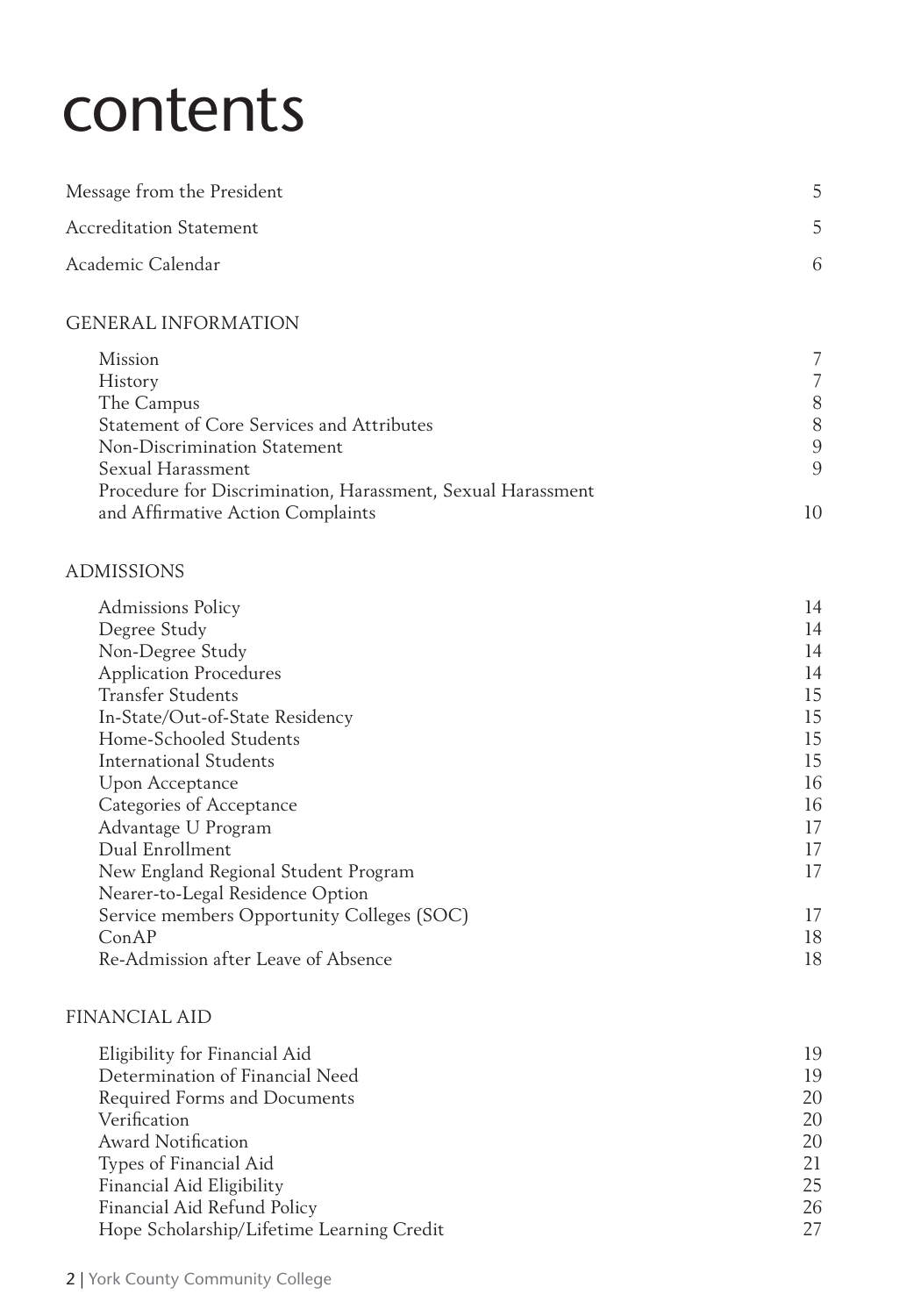# contents

| Message from the President |  |
|----------------------------|--|
| Accreditation Statement    |  |
| Academic Calendar          |  |

#### GENERAL INFORMATION

| Mission                                                     |    |
|-------------------------------------------------------------|----|
| History                                                     |    |
| The Campus                                                  | 8  |
| Statement of Core Services and Attributes                   | 8  |
| Non-Discrimination Statement                                | 9  |
| Sexual Harassment                                           | 9  |
| Procedure for Discrimination, Harassment, Sexual Harassment |    |
| and Affirmative Action Complaints                           | 10 |

#### ADMISSIONS

| <b>Admissions Policy</b>                   | 14 |
|--------------------------------------------|----|
| Degree Study                               | 14 |
| Non-Degree Study                           | 14 |
| <b>Application Procedures</b>              | 14 |
| <b>Transfer Students</b>                   | 15 |
| In-State/Out-of-State Residency            | 15 |
| Home-Schooled Students                     | 15 |
| International Students                     | 15 |
| Upon Acceptance                            | 16 |
| Categories of Acceptance                   | 16 |
| Advantage U Program                        | 17 |
| Dual Enrollment                            | 17 |
| New England Regional Student Program       | 17 |
| Nearer-to-Legal Residence Option           |    |
| Service members Opportunity Colleges (SOC) | 17 |
| ConAP                                      | 18 |
| Re-Admission after Leave of Absence        | 18 |

#### FINANCIAL AID

| Eligibility for Financial Aid             | 19 |
|-------------------------------------------|----|
| Determination of Financial Need           | 19 |
| Required Forms and Documents              | 20 |
| Verification                              | 20 |
| <b>Award Notification</b>                 | 20 |
| Types of Financial Aid                    | 21 |
| Financial Aid Eligibility                 | 25 |
| Financial Aid Refund Policy               | 26 |
| Hope Scholarship/Lifetime Learning Credit | 27 |
|                                           |    |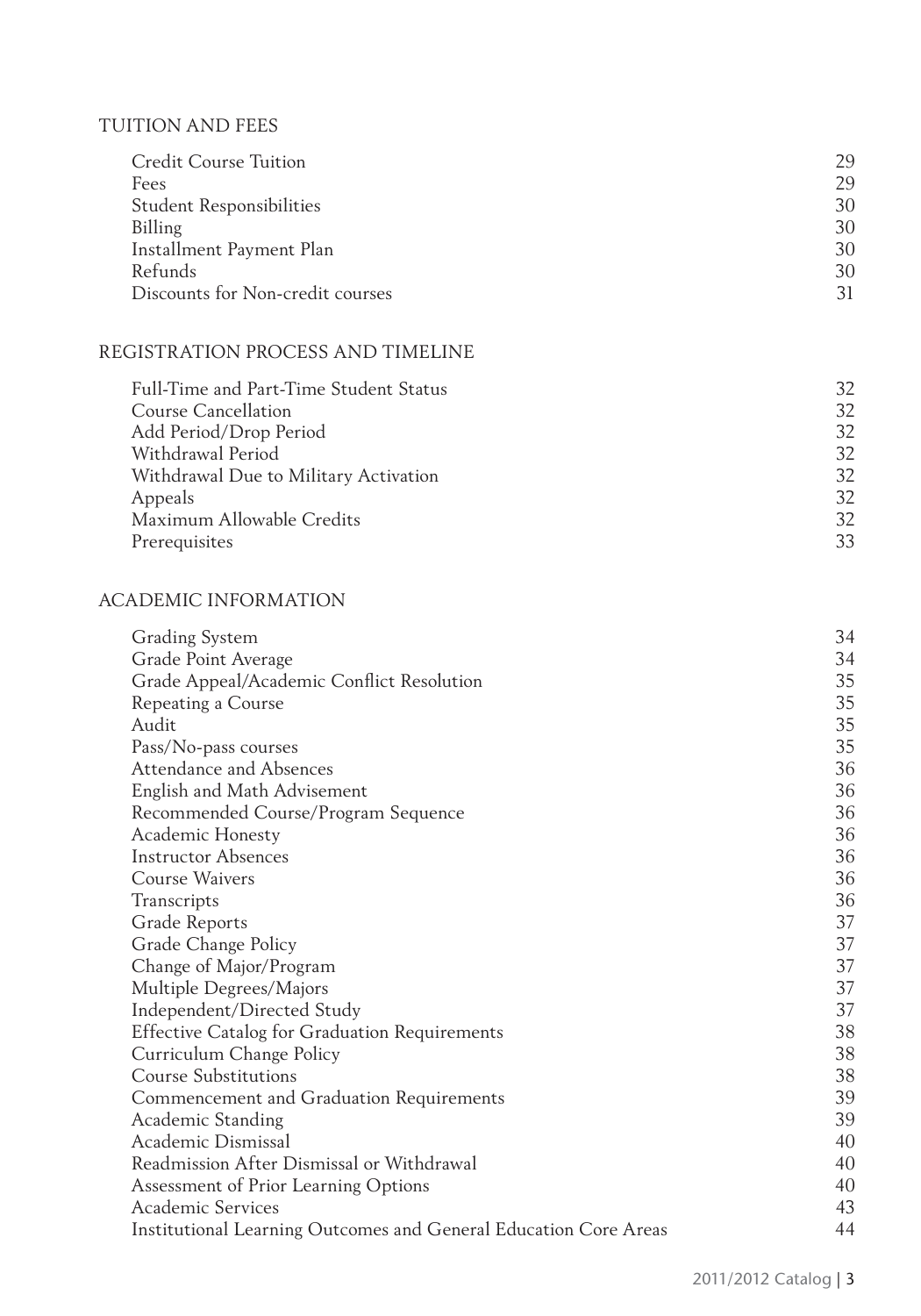#### TUITION AND FEES

| Credit Course Tuition            | 29 |
|----------------------------------|----|
| Fees                             | 29 |
| <b>Student Responsibilities</b>  | 30 |
| Billing                          | 30 |
| Installment Payment Plan         | 30 |
| Refunds                          | 30 |
| Discounts for Non-credit courses | 31 |

### REGISTRATION PROCESS AND TIMELINE

| Full-Time and Part-Time Student Status | 32 |
|----------------------------------------|----|
| Course Cancellation                    | 32 |
| Add Period/Drop Period                 | 32 |
| Withdrawal Period                      | 32 |
| Withdrawal Due to Military Activation  | 32 |
| Appeals                                | 32 |
| Maximum Allowable Credits              | 32 |
| Prerequisites                          | 33 |

#### ACADEMIC INFORMATION

| Grading System                                                   | 34 |
|------------------------------------------------------------------|----|
| Grade Point Average                                              | 34 |
| Grade Appeal/Academic Conflict Resolution                        | 35 |
| Repeating a Course                                               | 35 |
| Audit                                                            | 35 |
| Pass/No-pass courses                                             | 35 |
| Attendance and Absences                                          | 36 |
| English and Math Advisement                                      | 36 |
| Recommended Course/Program Sequence                              | 36 |
| Academic Honesty                                                 | 36 |
| <b>Instructor Absences</b>                                       | 36 |
| Course Waivers                                                   | 36 |
| Transcripts                                                      | 36 |
| Grade Reports                                                    | 37 |
| Grade Change Policy                                              | 37 |
| Change of Major/Program                                          | 37 |
| Multiple Degrees/Majors                                          | 37 |
| Independent/Directed Study                                       | 37 |
| <b>Effective Catalog for Graduation Requirements</b>             | 38 |
| Curriculum Change Policy                                         | 38 |
| <b>Course Substitutions</b>                                      | 38 |
| Commencement and Graduation Requirements                         | 39 |
| Academic Standing                                                | 39 |
| Academic Dismissal                                               | 40 |
| Readmission After Dismissal or Withdrawal                        | 40 |
| Assessment of Prior Learning Options                             | 40 |
| Academic Services                                                | 43 |
| Institutional Learning Outcomes and General Education Core Areas | 44 |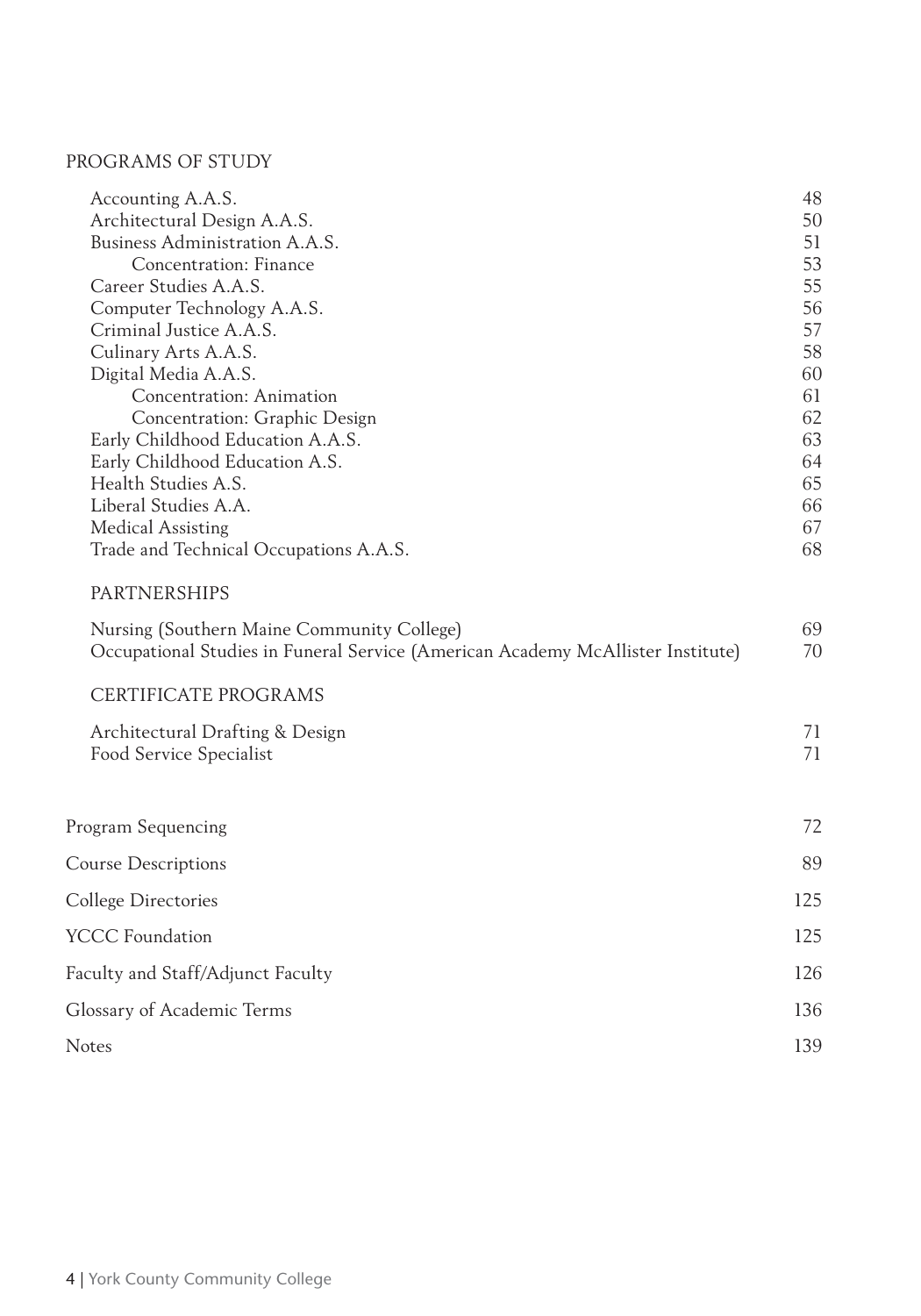### PROGRAMS OF STUDY

| Accounting A.A.S.                                                               | 48  |
|---------------------------------------------------------------------------------|-----|
| Architectural Design A.A.S.                                                     | 50  |
| Business Administration A.A.S.                                                  | 51  |
| Concentration: Finance                                                          | 53  |
| Career Studies A.A.S.                                                           | 55  |
| Computer Technology A.A.S.                                                      | 56  |
| Criminal Justice A.A.S.                                                         | 57  |
| Culinary Arts A.A.S.                                                            | 58  |
| Digital Media A.A.S.                                                            | 60  |
| Concentration: Animation                                                        | 61  |
| Concentration: Graphic Design                                                   | 62  |
| Early Childhood Education A.A.S.                                                | 63  |
| Early Childhood Education A.S.                                                  | 64  |
| Health Studies A.S.                                                             | 65  |
| Liberal Studies A.A.                                                            | 66  |
| <b>Medical Assisting</b>                                                        | 67  |
| Trade and Technical Occupations A.A.S.                                          | 68  |
| <b>PARTNERSHIPS</b>                                                             |     |
| Nursing (Southern Maine Community College)                                      | 69  |
| Occupational Studies in Funeral Service (American Academy McAllister Institute) | 70  |
| CERTIFICATE PROGRAMS                                                            |     |
| Architectural Drafting & Design                                                 | 71  |
| Food Service Specialist                                                         | 71  |
|                                                                                 |     |
| Program Sequencing                                                              | 72  |
| <b>Course Descriptions</b>                                                      | 89  |
| College Directories                                                             | 125 |
| <b>YCCC Foundation</b>                                                          | 125 |
| Faculty and Staff/Adjunct Faculty                                               | 126 |
| Glossary of Academic Terms                                                      | 136 |
|                                                                                 |     |
| Notes                                                                           | 139 |
|                                                                                 |     |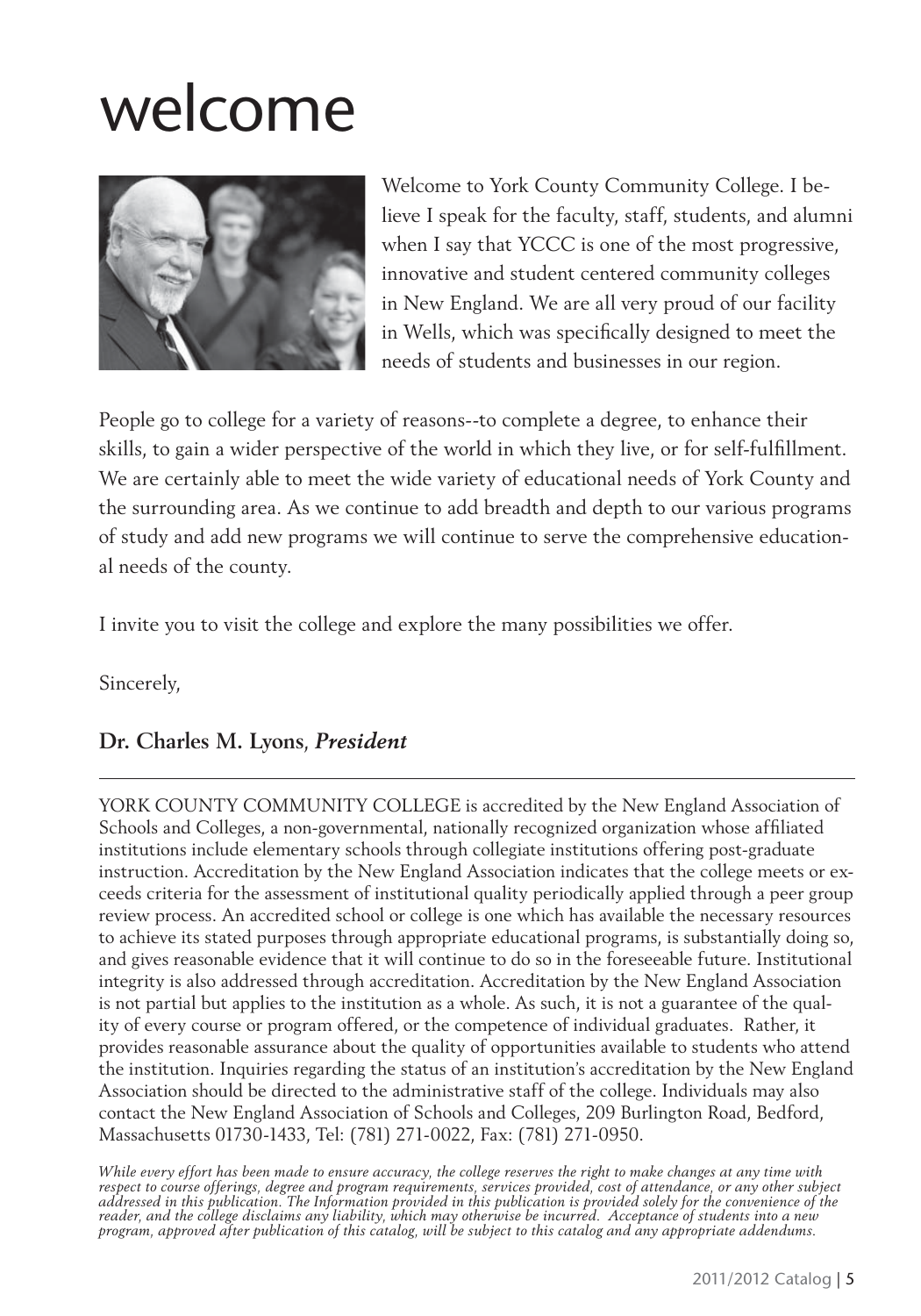# welcome



Welcome to York County Community College. I believe I speak for the faculty, staff, students, and alumni when I say that YCCC is one of the most progressive, innovative and student centered community colleges in New England. We are all very proud of our facility in Wells, which was specifically designed to meet the needs of students and businesses in our region.

People go to college for a variety of reasons--to complete a degree, to enhance their skills, to gain a wider perspective of the world in which they live, or for self-fulfillment. We are certainly able to meet the wide variety of educational needs of York County and the surrounding area. As we continue to add breadth and depth to our various programs of study and add new programs we will continue to serve the comprehensive educational needs of the county.

I invite you to visit the college and explore the many possibilities we offer.

Sincerely,

# **Dr. Charles M. Lyons**, *President*

YORK COUNTY COMMUNITY COLLEGE is accredited by the New England Association of Schools and Colleges, a non-governmental, nationally recognized organization whose affiliated institutions include elementary schools through collegiate institutions offering post-graduate instruction. Accreditation by the New England Association indicates that the college meets or exceeds criteria for the assessment of institutional quality periodically applied through a peer group review process. An accredited school or college is one which has available the necessary resources to achieve its stated purposes through appropriate educational programs, is substantially doing so, and gives reasonable evidence that it will continue to do so in the foreseeable future. Institutional integrity is also addressed through accreditation. Accreditation by the New England Association is not partial but applies to the institution as a whole. As such, it is not a guarantee of the quality of every course or program offered, or the competence of individual graduates. Rather, it provides reasonable assurance about the quality of opportunities available to students who attend the institution. Inquiries regarding the status of an institution's accreditation by the New England Association should be directed to the administrative staff of the college. Individuals may also contact the New England Association of Schools and Colleges, 209 Burlington Road, Bedford, Massachusetts 01730-1433, Tel: (781) 271-0022, Fax: (781) 271-0950.

*While every effort has been made to ensure accuracy, the college reserves the right to make changes at any time with respect to course offerings, degree and program requirements, services provided, cost of attendance, or any other subject addressed in this publication. The Information provided in this publication is provided solely for the convenience of the reader, and the college disclaims any liability, which may otherwise be incurred. Acceptance of students into a new program, approved after publication of this catalog, will be subject to this catalog and any appropriate addendums.*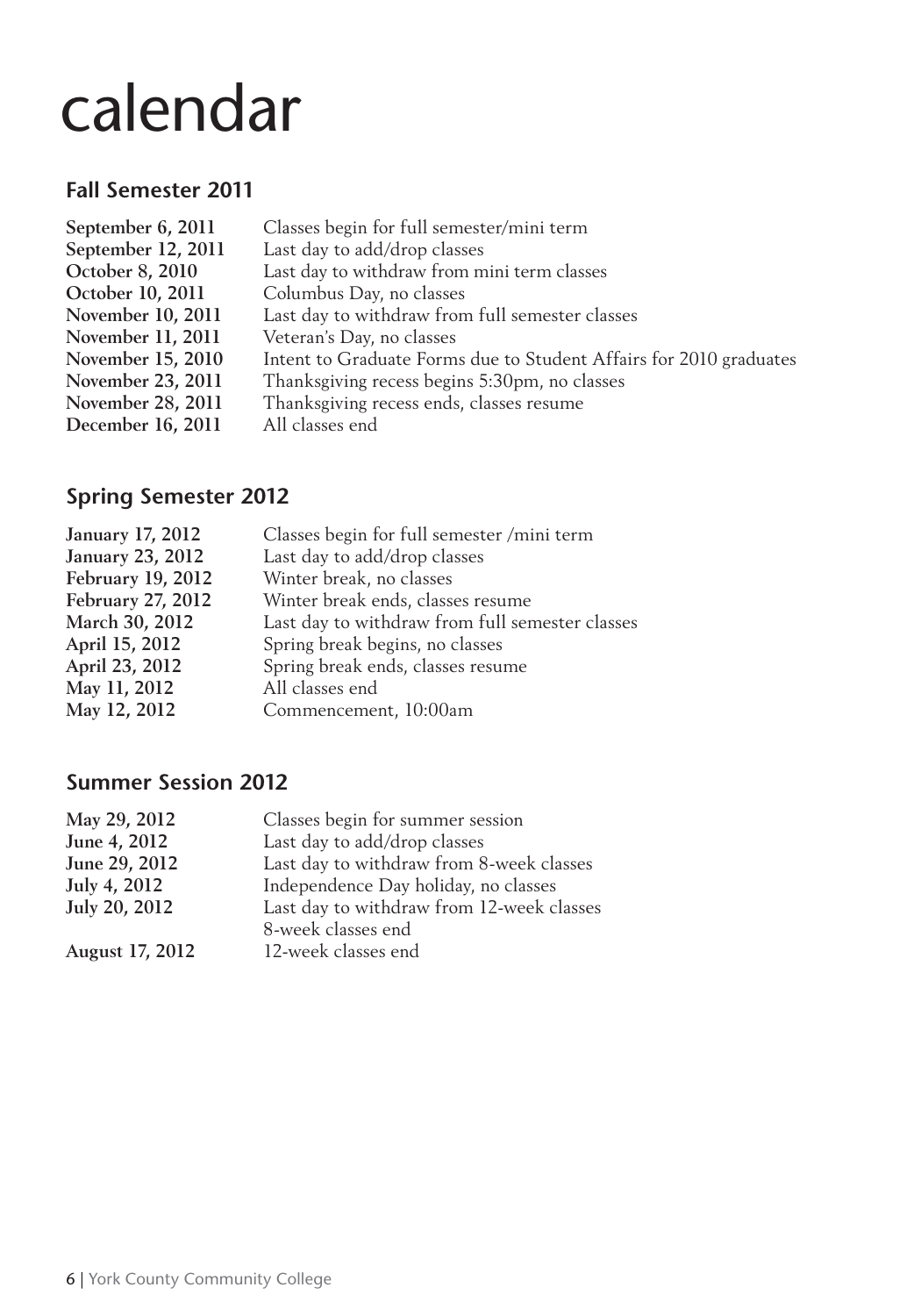# calendar

# **Fall Semester 2011**

| September 6, 2011  | Classes begin for full semester/mini term                          |
|--------------------|--------------------------------------------------------------------|
| September 12, 2011 | Last day to add/drop classes                                       |
| October 8, 2010    | Last day to withdraw from mini term classes                        |
| October 10, 2011   | Columbus Day, no classes                                           |
| November 10, 2011  | Last day to withdraw from full semester classes                    |
| November 11, 2011  | Veteran's Day, no classes                                          |
| November 15, 2010  | Intent to Graduate Forms due to Student Affairs for 2010 graduates |
| November 23, 2011  | Thanksgiving recess begins 5:30pm, no classes                      |
| November 28, 2011  | Thanksgiving recess ends, classes resume                           |
| December 16, 2011  | All classes end                                                    |
|                    |                                                                    |

# **Spring Semester 2012**

| January 17, 2012        | Classes begin for full semester /mini term      |
|-------------------------|-------------------------------------------------|
| <b>January 23, 2012</b> | Last day to add/drop classes                    |
| February 19, 2012       | Winter break, no classes                        |
| February 27, 2012       | Winter break ends, classes resume               |
| March 30, 2012          | Last day to withdraw from full semester classes |
| April 15, 2012          | Spring break begins, no classes                 |
| April 23, 2012          | Spring break ends, classes resume               |
| May 11, 2012            | All classes end                                 |
| May 12, 2012            | Commencement, 10:00am                           |
|                         |                                                 |

# **Summer Session 2012**

| Classes begin for summer session          |
|-------------------------------------------|
| Last day to add/drop classes              |
| Last day to withdraw from 8-week classes  |
| Independence Day holiday, no classes      |
| Last day to withdraw from 12-week classes |
| 8-week classes end                        |
| 12-week classes end                       |
|                                           |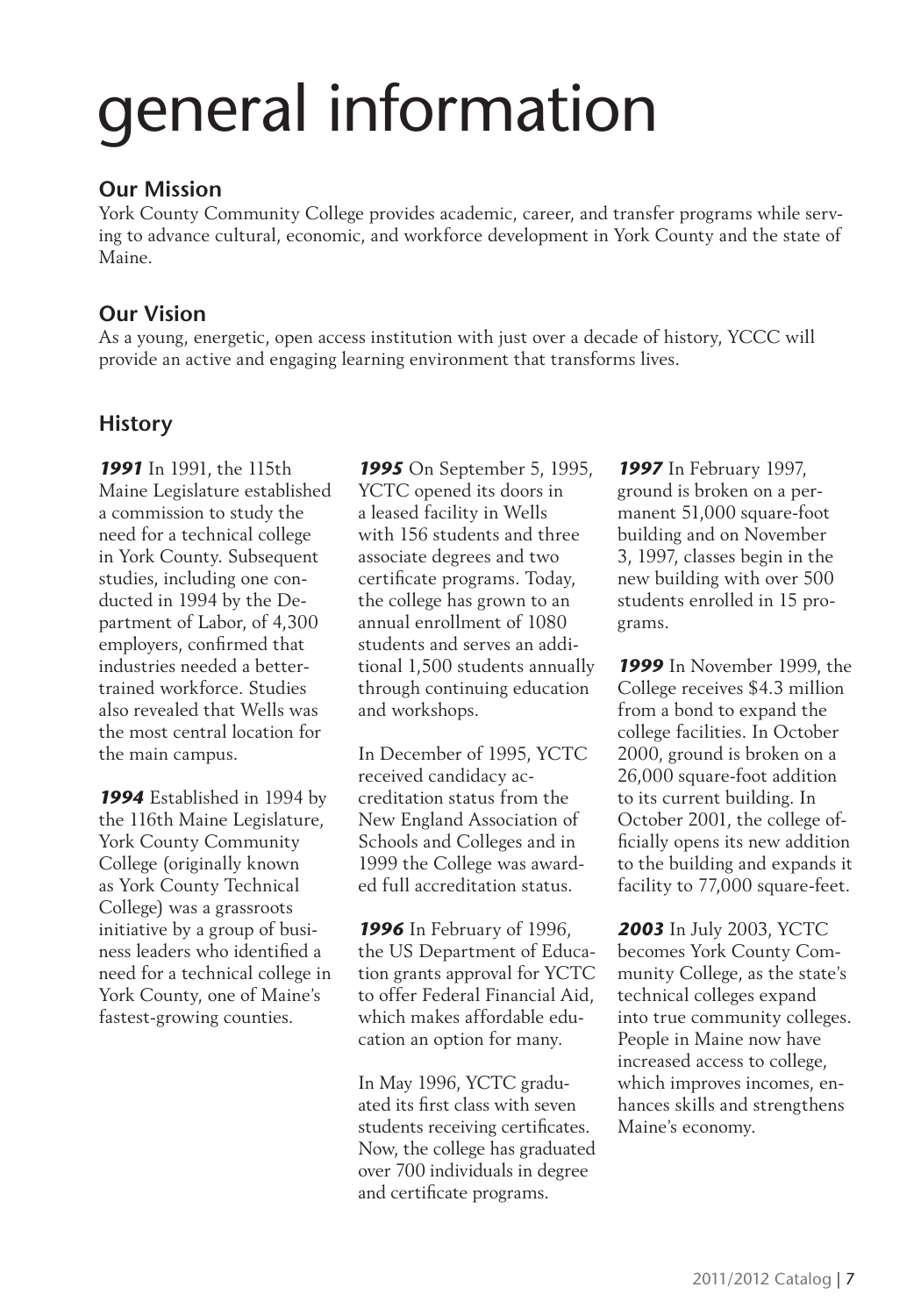# **Our Mission**

York County Community College provides academic, career, and transfer programs while serving to advance cultural, economic, and workforce development in York County and the state of Maine.

# **Our Vision**

As a young, energetic, open access institution with just over a decade of history, YCCC will provide an active and engaging learning environment that transforms lives.

# **History**

*1991* In 1991, the 115th Maine Legislature established a commission to study the need for a technical college in York County. Subsequent studies, including one conducted in 1994 by the Department of Labor, of 4,300 employers, confirmed that industries needed a bettertrained workforce. Studies also revealed that Wells was the most central location for the main campus.

*1994* Established in 1994 by the 116th Maine Legislature, York County Community College (originally known as York County Technical College) was a grassroots initiative by a group of business leaders who identified a need for a technical college in York County, one of Maine's fastest-growing counties.

*1995* On September 5, 1995, YCTC opened its doors in a leased facility in Wells with 156 students and three associate degrees and two certificate programs. Today, the college has grown to an annual enrollment of 1080 students and serves an additional 1,500 students annually through continuing education and workshops.

In December of 1995, YCTC received candidacy accreditation status from the New England Association of Schools and Colleges and in 1999 the College was awarded full accreditation status.

*1996* In February of 1996, the US Department of Education grants approval for YCTC to offer Federal Financial Aid, which makes affordable education an option for many.

In May 1996, YCTC graduated its first class with seven students receiving certificates. Now, the college has graduated over 700 individuals in degree and certificate programs.

*1997* In February 1997, ground is broken on a permanent 51,000 square-foot building and on November 3, 1997, classes begin in the new building with over 500 students enrolled in 15 programs.

*1999* In November 1999, the College receives \$4.3 million from a bond to expand the college facilities. In October 2000, ground is broken on a 26,000 square-foot addition to its current building. In October 2001, the college officially opens its new addition to the building and expands it facility to 77,000 square-feet.

*2003* In July 2003, YCTC becomes York County Community College, as the state's technical colleges expand into true community colleges. People in Maine now have increased access to college, which improves incomes, enhances skills and strengthens Maine's economy.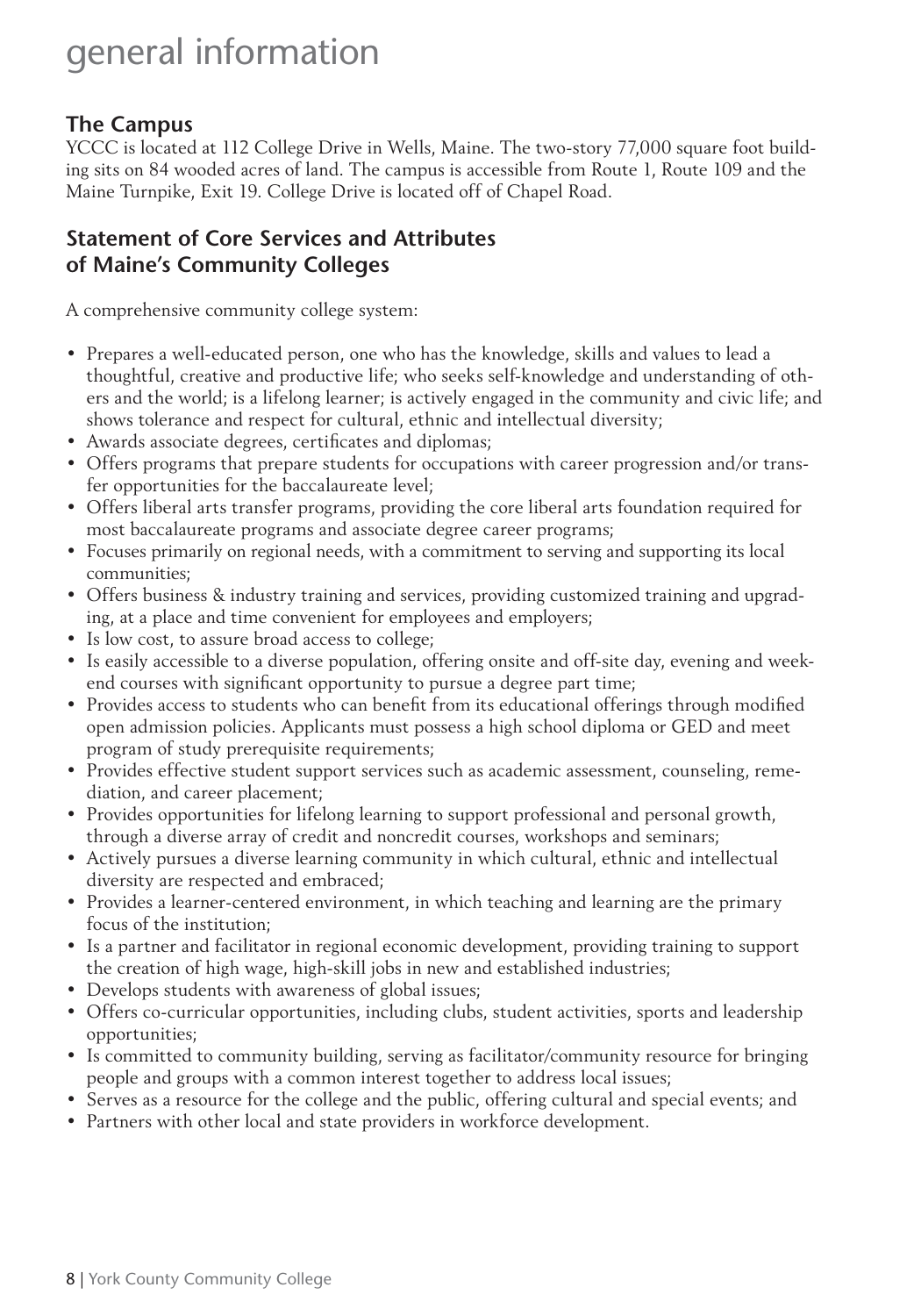# **The Campus**

YCCC is located at 112 College Drive in Wells, Maine. The two-story 77,000 square foot building sits on 84 wooded acres of land. The campus is accessible from Route 1, Route 109 and the Maine Turnpike, Exit 19. College Drive is located off of Chapel Road.

# **Statement of Core Services and Attributes of Maine's Community Colleges**

A comprehensive community college system:

- Prepares a well-educated person, one who has the knowledge, skills and values to lead a thoughtful, creative and productive life; who seeks self-knowledge and understanding of others and the world; is a lifelong learner; is actively engaged in the community and civic life; and shows tolerance and respect for cultural, ethnic and intellectual diversity;
- Awards associate degrees, certificates and diplomas;
- Offers programs that prepare students for occupations with career progression and/or transfer opportunities for the baccalaureate level;
- Offers liberal arts transfer programs, providing the core liberal arts foundation required for most baccalaureate programs and associate degree career programs;
- Focuses primarily on regional needs, with a commitment to serving and supporting its local communities;
- Offers business & industry training and services, providing customized training and upgrading, at a place and time convenient for employees and employers;
- Is low cost, to assure broad access to college;
- Is easily accessible to a diverse population, offering onsite and off-site day, evening and weekend courses with significant opportunity to pursue a degree part time;
- Provides access to students who can benefit from its educational offerings through modified open admission policies. Applicants must possess a high school diploma or GED and meet program of study prerequisite requirements;
- Provides effective student support services such as academic assessment, counseling, remediation, and career placement;
- Provides opportunities for lifelong learning to support professional and personal growth, through a diverse array of credit and noncredit courses, workshops and seminars;
- Actively pursues a diverse learning community in which cultural, ethnic and intellectual diversity are respected and embraced;
- Provides a learner-centered environment, in which teaching and learning are the primary focus of the institution;
- Is a partner and facilitator in regional economic development, providing training to support the creation of high wage, high-skill jobs in new and established industries;
- Develops students with awareness of global issues;
- Offers co-curricular opportunities, including clubs, student activities, sports and leadership opportunities;
- Is committed to community building, serving as facilitator/community resource for bringing people and groups with a common interest together to address local issues;
- Serves as a resource for the college and the public, offering cultural and special events; and
- Partners with other local and state providers in workforce development.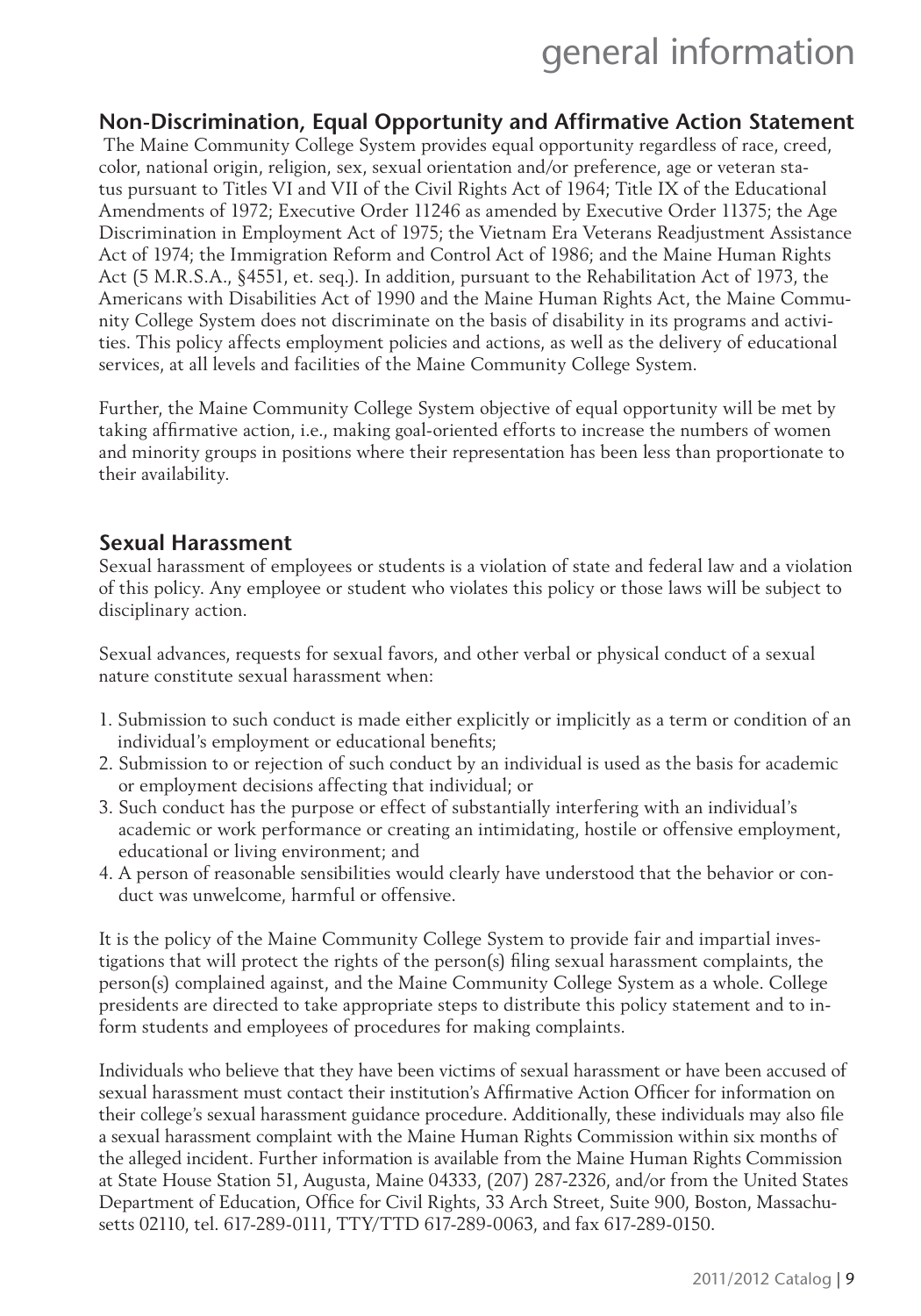# **Non-Discrimination, Equal Opportunity and Affirmative Action Statement**

 The Maine Community College System provides equal opportunity regardless of race, creed, color, national origin, religion, sex, sexual orientation and/or preference, age or veteran status pursuant to Titles VI and VII of the Civil Rights Act of 1964; Title IX of the Educational Amendments of 1972; Executive Order 11246 as amended by Executive Order 11375; the Age Discrimination in Employment Act of 1975; the Vietnam Era Veterans Readjustment Assistance Act of 1974; the Immigration Reform and Control Act of 1986; and the Maine Human Rights Act (5 M.R.S.A., §4551, et. seq.). In addition, pursuant to the Rehabilitation Act of 1973, the Americans with Disabilities Act of 1990 and the Maine Human Rights Act, the Maine Community College System does not discriminate on the basis of disability in its programs and activities. This policy affects employment policies and actions, as well as the delivery of educational services, at all levels and facilities of the Maine Community College System.

Further, the Maine Community College System objective of equal opportunity will be met by taking affirmative action, i.e., making goal-oriented efforts to increase the numbers of women and minority groups in positions where their representation has been less than proportionate to their availability.

#### **Sexual Harassment**

Sexual harassment of employees or students is a violation of state and federal law and a violation of this policy. Any employee or student who violates this policy or those laws will be subject to disciplinary action.

Sexual advances, requests for sexual favors, and other verbal or physical conduct of a sexual nature constitute sexual harassment when:

- 1. Submission to such conduct is made either explicitly or implicitly as a term or condition of an individual's employment or educational benefits;
- 2. Submission to or rejection of such conduct by an individual is used as the basis for academic or employment decisions affecting that individual; or
- 3. Such conduct has the purpose or effect of substantially interfering with an individual's academic or work performance or creating an intimidating, hostile or offensive employment, educational or living environment; and
- 4. A person of reasonable sensibilities would clearly have understood that the behavior or conduct was unwelcome, harmful or offensive.

It is the policy of the Maine Community College System to provide fair and impartial investigations that will protect the rights of the person(s) filing sexual harassment complaints, the person(s) complained against, and the Maine Community College System as a whole. College presidents are directed to take appropriate steps to distribute this policy statement and to inform students and employees of procedures for making complaints.

Individuals who believe that they have been victims of sexual harassment or have been accused of sexual harassment must contact their institution's Affirmative Action Officer for information on their college's sexual harassment guidance procedure. Additionally, these individuals may also file a sexual harassment complaint with the Maine Human Rights Commission within six months of the alleged incident. Further information is available from the Maine Human Rights Commission at State House Station 51, Augusta, Maine 04333, (207) 287-2326, and/or from the United States Department of Education, Office for Civil Rights, 33 Arch Street, Suite 900, Boston, Massachusetts 02110, tel. 617-289-0111, TTY/TTD 617-289-0063, and fax 617-289-0150.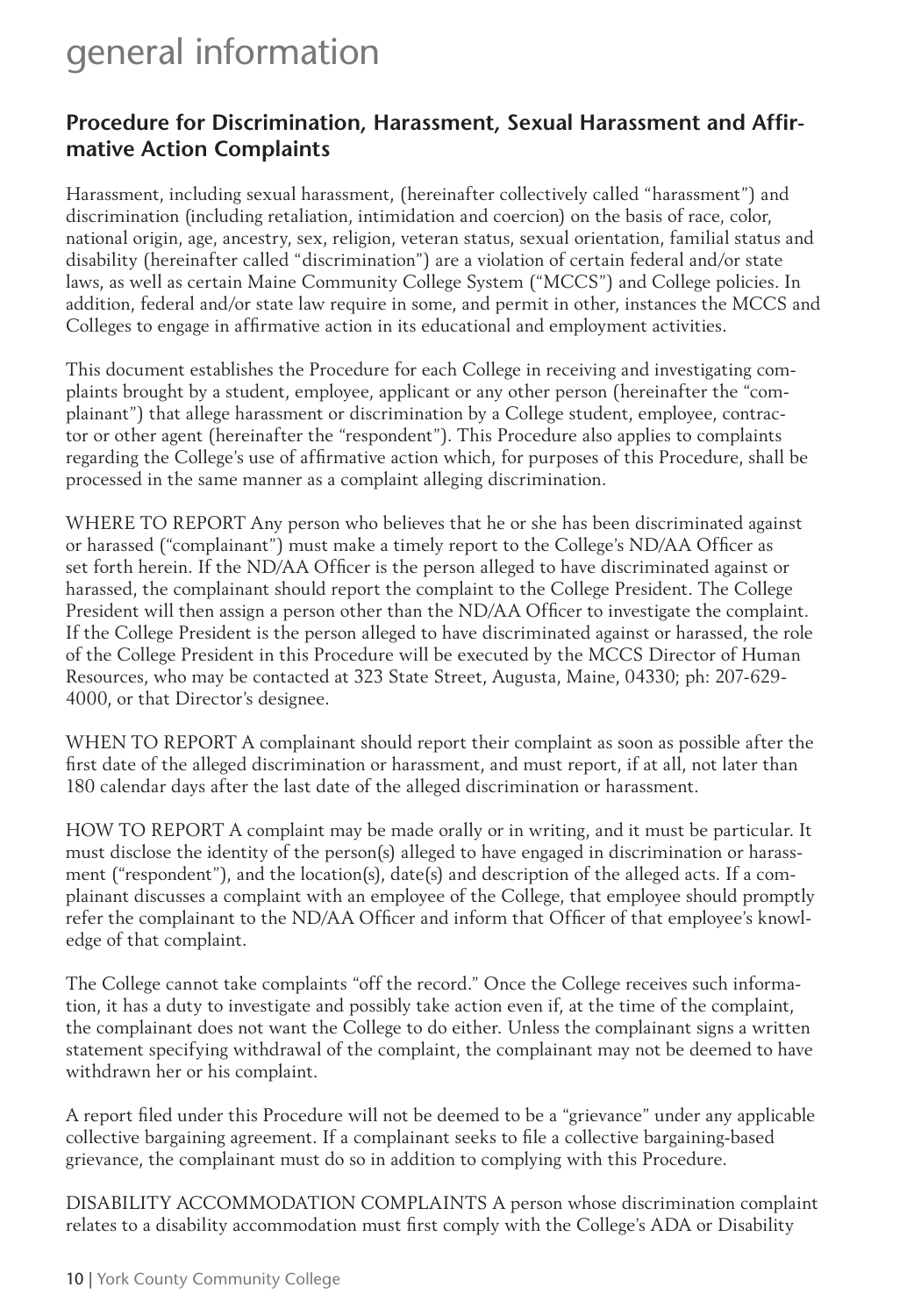# Procedure for Discrimination, Harassment, Sexual Harassment and Affir**mative Action Complaints**

Harassment, including sexual harassment, (hereinafter collectively called "harassment") and discrimination (including retaliation, intimidation and coercion) on the basis of race, color, national origin, age, ancestry, sex, religion, veteran status, sexual orientation, familial status and disability (hereinafter called "discrimination") are a violation of certain federal and/or state laws, as well as certain Maine Community College System ("MCCS") and College policies. In addition, federal and/or state law require in some, and permit in other, instances the MCCS and Colleges to engage in affirmative action in its educational and employment activities.

This document establishes the Procedure for each College in receiving and investigating complaints brought by a student, employee, applicant or any other person (hereinafter the "complainant") that allege harassment or discrimination by a College student, employee, contractor or other agent (hereinafter the "respondent"). This Procedure also applies to complaints regarding the College's use of affirmative action which, for purposes of this Procedure, shall be processed in the same manner as a complaint alleging discrimination.

WHERE TO REPORT Any person who believes that he or she has been discriminated against or harassed ("complainant") must make a timely report to the College's ND/AA Officer as set forth herein. If the ND/AA Officer is the person alleged to have discriminated against or harassed, the complainant should report the complaint to the College President. The College President will then assign a person other than the ND/AA Officer to investigate the complaint. If the College President is the person alleged to have discriminated against or harassed, the role of the College President in this Procedure will be executed by the MCCS Director of Human Resources, who may be contacted at 323 State Street, Augusta, Maine, 04330; ph: 207-629- 4000, or that Director's designee.

WHEN TO REPORT A complainant should report their complaint as soon as possible after the first date of the alleged discrimination or harassment, and must report, if at all, not later than 180 calendar days after the last date of the alleged discrimination or harassment.

HOW TO REPORT A complaint may be made orally or in writing, and it must be particular. It must disclose the identity of the person(s) alleged to have engaged in discrimination or harassment ("respondent"), and the location(s), date(s) and description of the alleged acts. If a complainant discusses a complaint with an employee of the College, that employee should promptly refer the complainant to the ND/AA Officer and inform that Officer of that employee's knowledge of that complaint.

The College cannot take complaints "off the record." Once the College receives such information, it has a duty to investigate and possibly take action even if, at the time of the complaint, the complainant does not want the College to do either. Unless the complainant signs a written statement specifying withdrawal of the complaint, the complainant may not be deemed to have withdrawn her or his complaint.

A report filed under this Procedure will not be deemed to be a "grievance" under any applicable collective bargaining agreement. If a complainant seeks to file a collective bargaining-based grievance, the complainant must do so in addition to complying with this Procedure.

DISABILITY ACCOMMODATION COMPLAINTS A person whose discrimination complaint relates to a disability accommodation must first comply with the College's ADA or Disability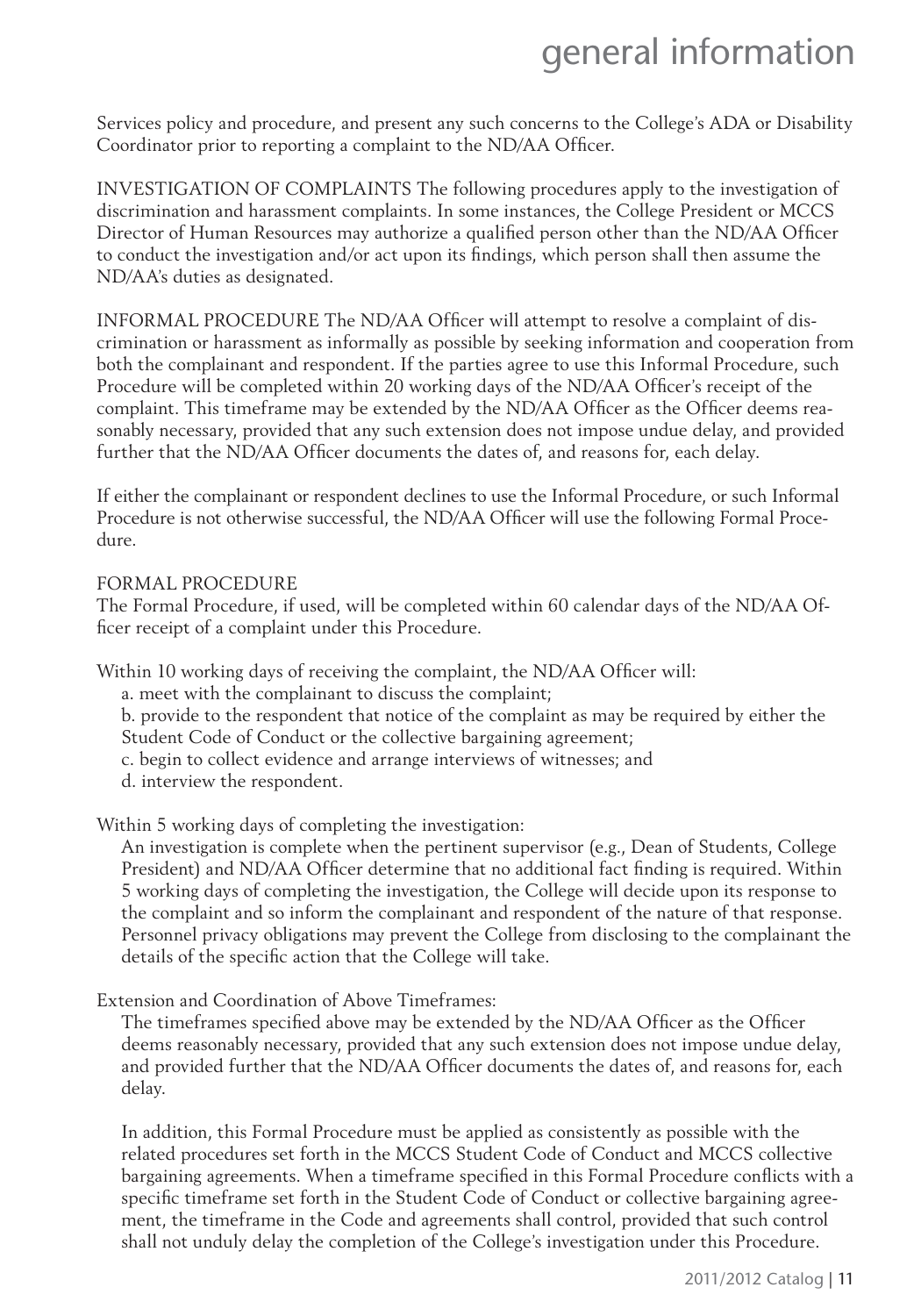Services policy and procedure, and present any such concerns to the College's ADA or Disability Coordinator prior to reporting a complaint to the ND/AA Officer.

INVESTIGATION OF COMPLAINTS The following procedures apply to the investigation of discrimination and harassment complaints. In some instances, the College President or MCCS Director of Human Resources may authorize a qualified person other than the ND/AA Officer to conduct the investigation and/or act upon its findings, which person shall then assume the ND/AA's duties as designated.

INFORMAL PROCEDURE The ND/AA Officer will attempt to resolve a complaint of discrimination or harassment as informally as possible by seeking information and cooperation from both the complainant and respondent. If the parties agree to use this Informal Procedure, such Procedure will be completed within 20 working days of the ND/AA Officer's receipt of the complaint. This timeframe may be extended by the ND/AA Officer as the Officer deems reasonably necessary, provided that any such extension does not impose undue delay, and provided further that the ND/AA Officer documents the dates of, and reasons for, each delay.

If either the complainant or respondent declines to use the Informal Procedure, or such Informal Procedure is not otherwise successful, the ND/AA Officer will use the following Formal Procedure.

#### FORMAL PROCEDURE

The Formal Procedure, if used, will be completed within 60 calendar days of the ND/AA Officer receipt of a complaint under this Procedure.

Within 10 working days of receiving the complaint, the ND/AA Officer will:

- a. meet with the complainant to discuss the complaint;
- b. provide to the respondent that notice of the complaint as may be required by either the Student Code of Conduct or the collective bargaining agreement;
- c. begin to collect evidence and arrange interviews of witnesses; and
- d. interview the respondent.

Within 5 working days of completing the investigation:

An investigation is complete when the pertinent supervisor (e.g., Dean of Students, College President) and ND/AA Officer determine that no additional fact finding is required. Within 5 working days of completing the investigation, the College will decide upon its response to the complaint and so inform the complainant and respondent of the nature of that response. Personnel privacy obligations may prevent the College from disclosing to the complainant the details of the specific action that the College will take.

Extension and Coordination of Above Timeframes:

The timeframes specified above may be extended by the ND/AA Officer as the Officer deems reasonably necessary, provided that any such extension does not impose undue delay, and provided further that the ND/AA Officer documents the dates of, and reasons for, each delay.

In addition, this Formal Procedure must be applied as consistently as possible with the related procedures set forth in the MCCS Student Code of Conduct and MCCS collective bargaining agreements. When a timeframe specified in this Formal Procedure conflicts with a specific timeframe set forth in the Student Code of Conduct or collective bargaining agreement, the timeframe in the Code and agreements shall control, provided that such control shall not unduly delay the completion of the College's investigation under this Procedure.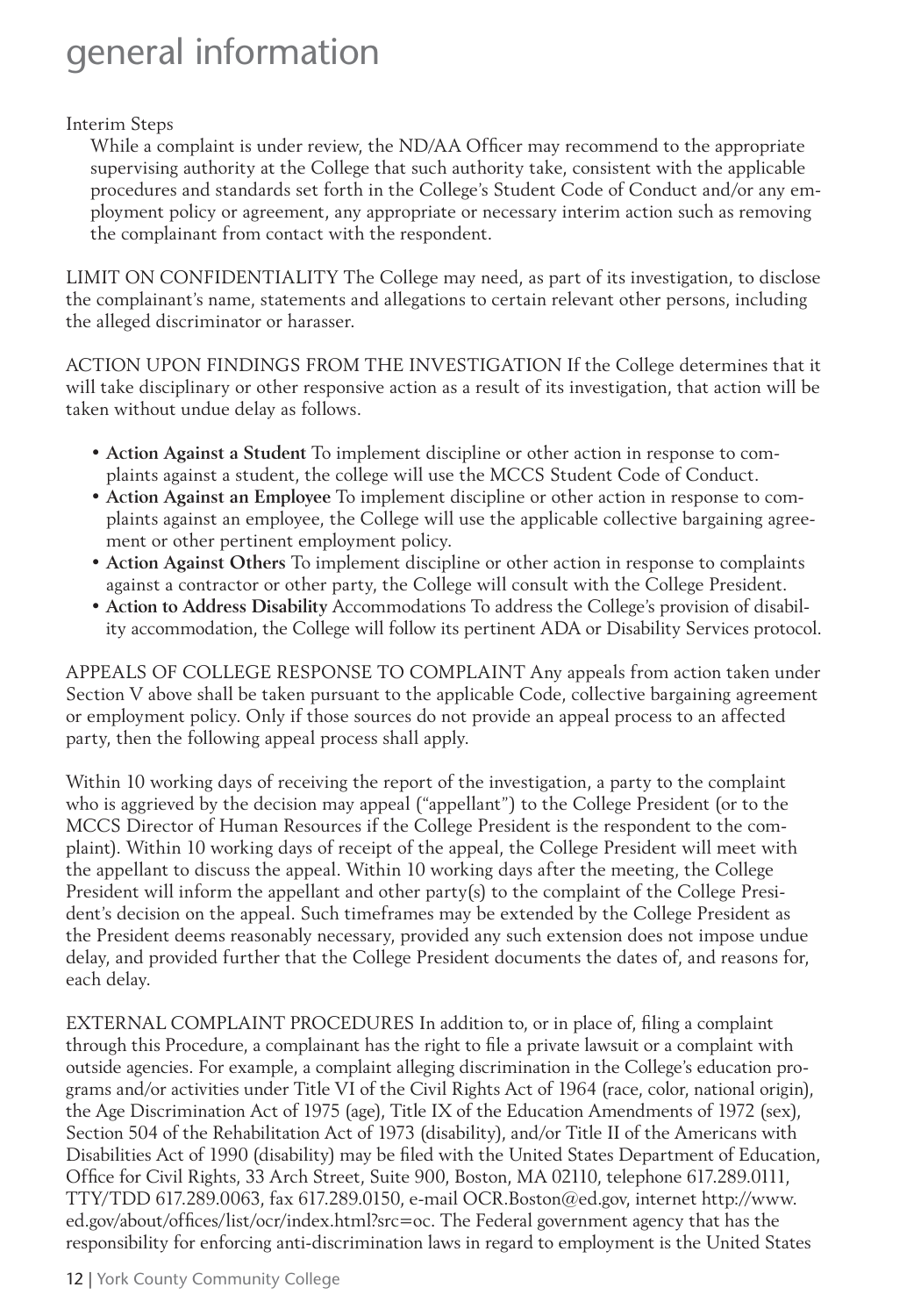#### Interim Steps

While a complaint is under review, the ND/AA Officer may recommend to the appropriate supervising authority at the College that such authority take, consistent with the applicable procedures and standards set forth in the College's Student Code of Conduct and/or any employment policy or agreement, any appropriate or necessary interim action such as removing the complainant from contact with the respondent.

LIMIT ON CONFIDENTIALITY The College may need, as part of its investigation, to disclose the complainant's name, statements and allegations to certain relevant other persons, including the alleged discriminator or harasser.

ACTION UPON FINDINGS FROM THE INVESTIGATION If the College determines that it will take disciplinary or other responsive action as a result of its investigation, that action will be taken without undue delay as follows.

- **Action Against a Student** To implement discipline or other action in response to complaints against a student, the college will use the MCCS Student Code of Conduct.
- **Action Against an Employee** To implement discipline or other action in response to complaints against an employee, the College will use the applicable collective bargaining agreement or other pertinent employment policy.
- **Action Against Others** To implement discipline or other action in response to complaints against a contractor or other party, the College will consult with the College President.
- **Action to Address Disability** Accommodations To address the College's provision of disability accommodation, the College will follow its pertinent ADA or Disability Services protocol.

APPEALS OF COLLEGE RESPONSE TO COMPLAINT Any appeals from action taken under Section V above shall be taken pursuant to the applicable Code, collective bargaining agreement or employment policy. Only if those sources do not provide an appeal process to an affected party, then the following appeal process shall apply.

Within 10 working days of receiving the report of the investigation, a party to the complaint who is aggrieved by the decision may appeal ("appellant") to the College President (or to the MCCS Director of Human Resources if the College President is the respondent to the complaint). Within 10 working days of receipt of the appeal, the College President will meet with the appellant to discuss the appeal. Within 10 working days after the meeting, the College President will inform the appellant and other party(s) to the complaint of the College President's decision on the appeal. Such timeframes may be extended by the College President as the President deems reasonably necessary, provided any such extension does not impose undue delay, and provided further that the College President documents the dates of, and reasons for, each delay.

EXTERNAL COMPLAINT PROCEDURES In addition to, or in place of, filing a complaint through this Procedure, a complainant has the right to file a private lawsuit or a complaint with outside agencies. For example, a complaint alleging discrimination in the College's education programs and/or activities under Title VI of the Civil Rights Act of 1964 (race, color, national origin), the Age Discrimination Act of 1975 (age), Title IX of the Education Amendments of 1972 (sex), Section 504 of the Rehabilitation Act of 1973 (disability), and/or Title II of the Americans with Disabilities Act of 1990 (disability) may be filed with the United States Department of Education, Office for Civil Rights, 33 Arch Street, Suite 900, Boston, MA 02110, telephone 617.289.0111, TTY/TDD 617.289.0063, fax 617.289.0150, e-mail OCR.Boston@ed.gov, internet http://www. ed.gov/about/offices/list/ocr/index.html?src=oc. The Federal government agency that has the responsibility for enforcing anti-discrimination laws in regard to employment is the United States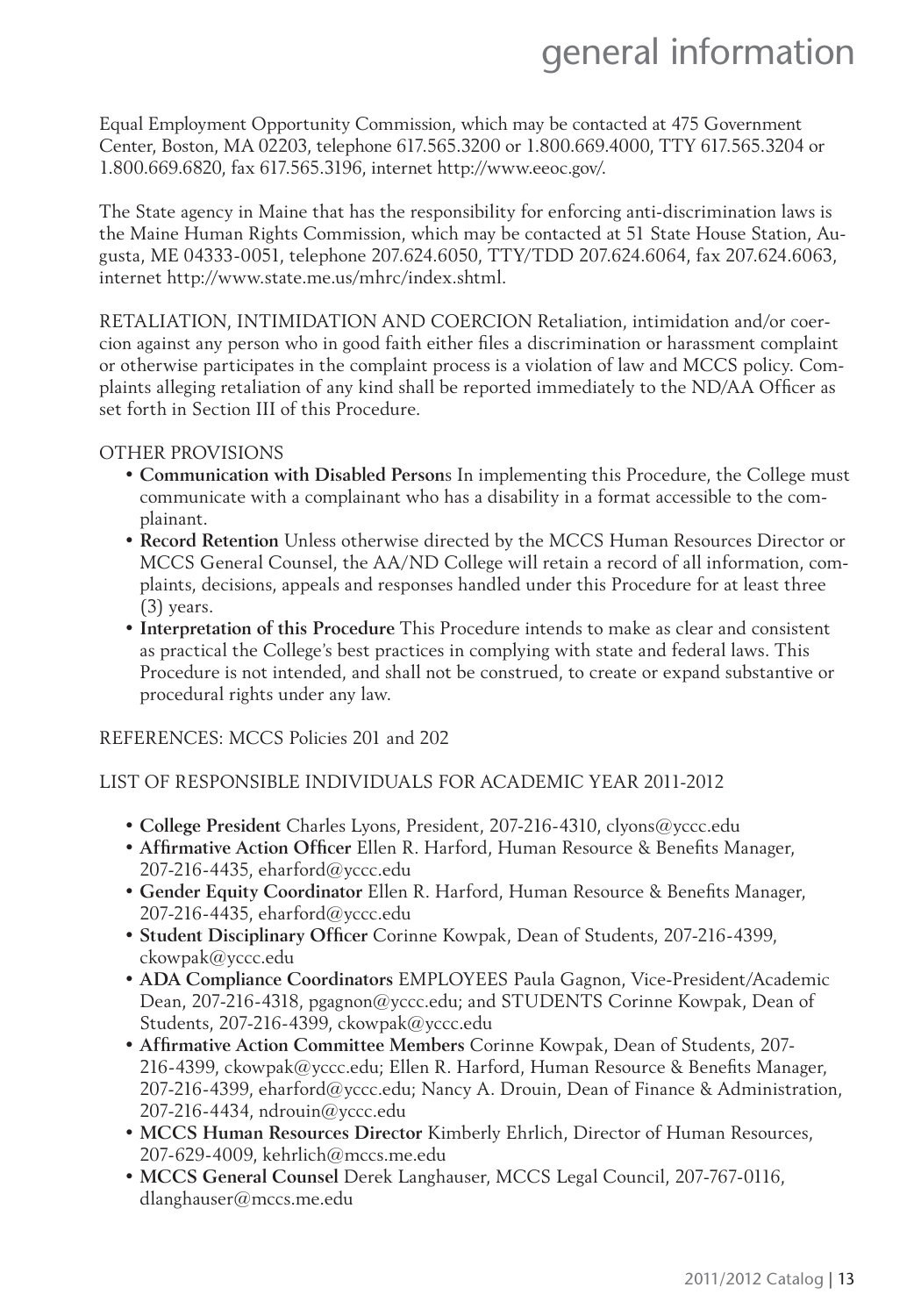Equal Employment Opportunity Commission, which may be contacted at 475 Government Center, Boston, MA 02203, telephone 617.565.3200 or 1.800.669.4000, TTY 617.565.3204 or 1.800.669.6820, fax 617.565.3196, internet http://www.eeoc.gov/.

The State agency in Maine that has the responsibility for enforcing anti-discrimination laws is the Maine Human Rights Commission, which may be contacted at 51 State House Station, Augusta, ME 04333-0051, telephone 207.624.6050, TTY/TDD 207.624.6064, fax 207.624.6063, internet http://www.state.me.us/mhrc/index.shtml.

RETALIATION, INTIMIDATION AND COERCION Retaliation, intimidation and/or coercion against any person who in good faith either files a discrimination or harassment complaint or otherwise participates in the complaint process is a violation of law and MCCS policy. Complaints alleging retaliation of any kind shall be reported immediately to the ND/AA Officer as set forth in Section III of this Procedure.

#### OTHER PROVISIONS

- **Communication with Disabled Person**s In implementing this Procedure, the College must communicate with a complainant who has a disability in a format accessible to the complainant.
- **Record Retention** Unless otherwise directed by the MCCS Human Resources Director or MCCS General Counsel, the AA/ND College will retain a record of all information, complaints, decisions, appeals and responses handled under this Procedure for at least three (3) years.
- **Interpretation of this Procedure** This Procedure intends to make as clear and consistent as practical the College's best practices in complying with state and federal laws. This Procedure is not intended, and shall not be construed, to create or expand substantive or procedural rights under any law.

REFERENCES: MCCS Policies 201 and 202

#### LIST OF RESPONSIBLE INDIVIDUALS FOR ACADEMIC YEAR 2011-2012

- **College President** Charles Lyons, President, 207-216-4310, clyons@yccc.edu
- Affirmative Action Officer Ellen R. Harford, Human Resource & Benefits Manager, 207-216-4435, eharford@yccc.edu
- Gender Equity Coordinator Ellen R. Harford, Human Resource & Benefits Manager, 207-216-4435, eharford@yccc.edu
- Student Disciplinary Officer Corinne Kowpak, Dean of Students, 207-216-4399, ckowpak@yccc.edu
- **ADA Compliance Coordinators** EMPLOYEES Paula Gagnon, Vice-President/Academic Dean, 207-216-4318, pgagnon@yccc.edu; and STUDENTS Corinne Kowpak, Dean of Students, 207-216-4399, ckowpak@yccc.edu
- Affirmative Action Committee Members Corinne Kowpak, Dean of Students, 207-216-4399, ckowpak@yccc.edu; Ellen R. Harford, Human Resource & Benefits Manager, 207-216-4399, eharford@yccc.edu; Nancy A. Drouin, Dean of Finance & Administration, 207-216-4434, ndrouin@yccc.edu
- **MCCS Human Resources Director** Kimberly Ehrlich, Director of Human Resources, 207-629-4009, kehrlich@mccs.me.edu
- **MCCS General Counsel** Derek Langhauser, MCCS Legal Council, 207-767-0116, dlanghauser@mccs.me.edu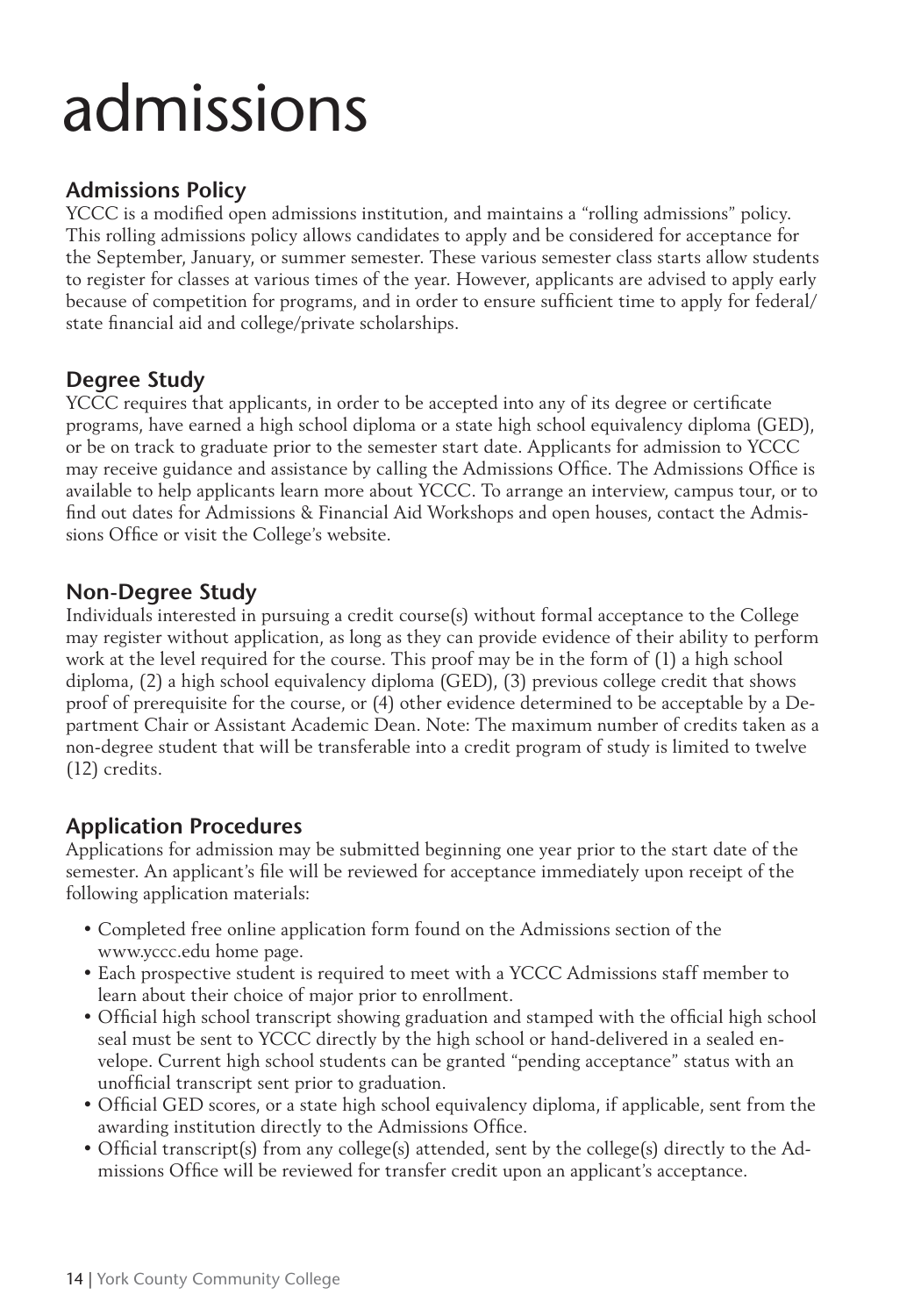# **Admissions Policy**

YCCC is a modified open admissions institution, and maintains a "rolling admissions" policy. This rolling admissions policy allows candidates to apply and be considered for acceptance for the September, January, or summer semester. These various semester class starts allow students to register for classes at various times of the year. However, applicants are advised to apply early because of competition for programs, and in order to ensure sufficient time to apply for federal/ state financial aid and college/private scholarships.

# **Degree Study**

YCCC requires that applicants, in order to be accepted into any of its degree or certificate programs, have earned a high school diploma or a state high school equivalency diploma (GED), or be on track to graduate prior to the semester start date. Applicants for admission to YCCC may receive guidance and assistance by calling the Admissions Office. The Admissions Office is available to help applicants learn more about YCCC. To arrange an interview, campus tour, or to find out dates for Admissions & Financial Aid Workshops and open houses, contact the Admissions Office or visit the College's website.

# **Non-Degree Study**

Individuals interested in pursuing a credit course(s) without formal acceptance to the College may register without application, as long as they can provide evidence of their ability to perform work at the level required for the course. This proof may be in the form of (1) a high school diploma, (2) a high school equivalency diploma (GED), (3) previous college credit that shows proof of prerequisite for the course, or (4) other evidence determined to be acceptable by a Department Chair or Assistant Academic Dean. Note: The maximum number of credits taken as a non-degree student that will be transferable into a credit program of study is limited to twelve (12) credits.

# **Application Procedures**

Applications for admission may be submitted beginning one year prior to the start date of the semester. An applicant's file will be reviewed for acceptance immediately upon receipt of the following application materials:

- Completed free online application form found on the Admissions section of the www.yccc.edu home page.
- Each prospective student is required to meet with a YCCC Admissions staff member to learn about their choice of major prior to enrollment.
- Official high school transcript showing graduation and stamped with the official high school seal must be sent to YCCC directly by the high school or hand-delivered in a sealed envelope. Current high school students can be granted "pending acceptance" status with an unofficial transcript sent prior to graduation.
- Official GED scores, or a state high school equivalency diploma, if applicable, sent from the awarding institution directly to the Admissions Office.
- Official transcript(s) from any college(s) attended, sent by the college(s) directly to the Admissions Office will be reviewed for transfer credit upon an applicant's acceptance.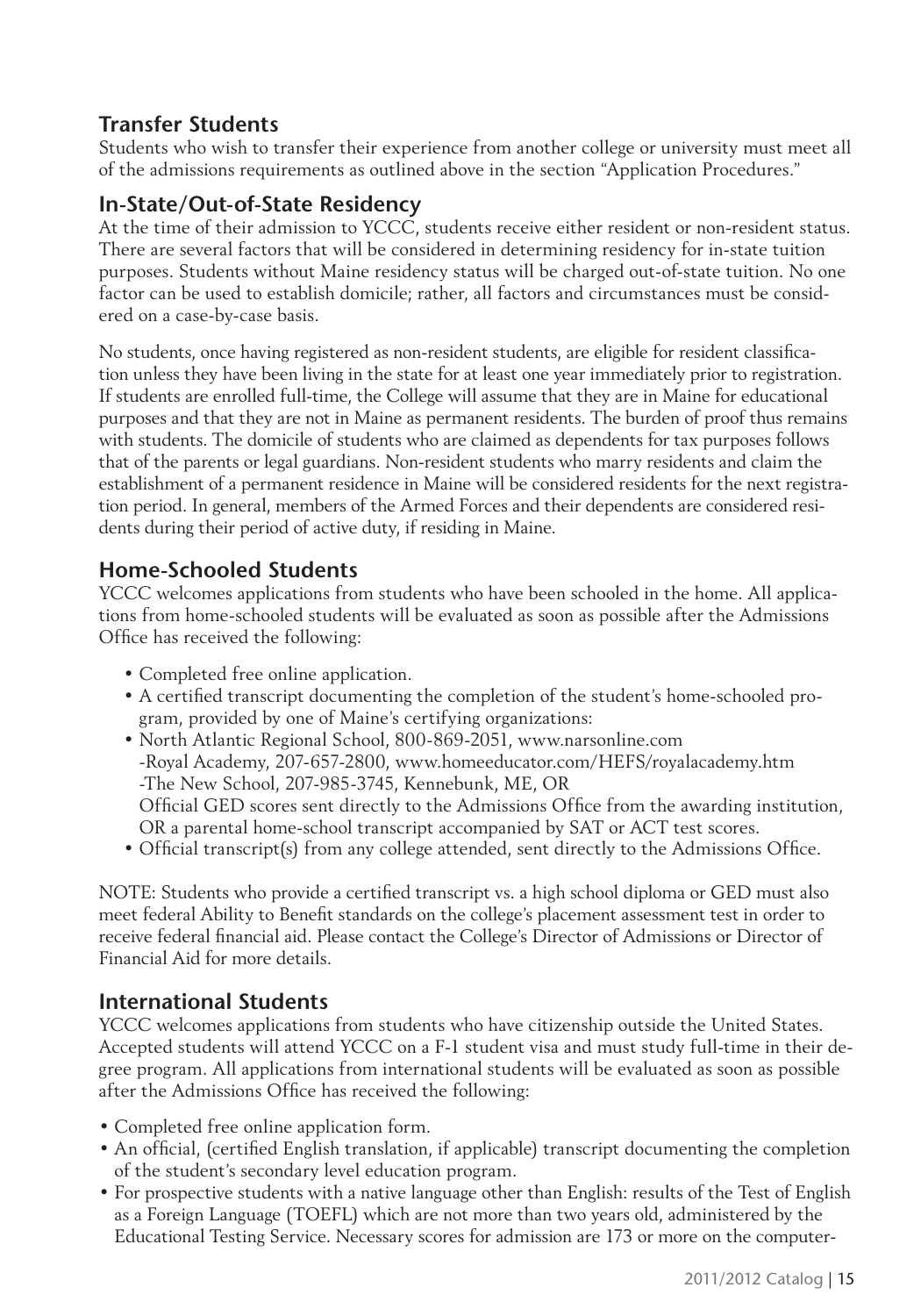# **Transfer Students**

Students who wish to transfer their experience from another college or university must meet all of the admissions requirements as outlined above in the section "Application Procedures."

# **In-State/Out-of-State Residency**

At the time of their admission to YCCC, students receive either resident or non-resident status. There are several factors that will be considered in determining residency for in-state tuition purposes. Students without Maine residency status will be charged out-of-state tuition. No one factor can be used to establish domicile; rather, all factors and circumstances must be considered on a case-by-case basis.

No students, once having registered as non-resident students, are eligible for resident classification unless they have been living in the state for at least one year immediately prior to registration. If students are enrolled full-time, the College will assume that they are in Maine for educational purposes and that they are not in Maine as permanent residents. The burden of proof thus remains with students. The domicile of students who are claimed as dependents for tax purposes follows that of the parents or legal guardians. Non-resident students who marry residents and claim the establishment of a permanent residence in Maine will be considered residents for the next registration period. In general, members of the Armed Forces and their dependents are considered residents during their period of active duty, if residing in Maine.

# **Home-Schooled Students**

YCCC welcomes applications from students who have been schooled in the home. All applications from home-schooled students will be evaluated as soon as possible after the Admissions Office has received the following:

- Completed free online application.
- A certified transcript documenting the completion of the student's home-schooled program, provided by one of Maine's certifying organizations:
- North Atlantic Regional School, 800-869-2051, www.narsonline.com -Royal Academy, 207-657-2800, www.homeeducator.com/HEFS/royalacademy.htm -The New School, 207-985-3745, Kennebunk, ME, OR Official GED scores sent directly to the Admissions Office from the awarding institution, OR a parental home-school transcript accompanied by SAT or ACT test scores.
- Official transcript(s) from any college attended, sent directly to the Admissions Office.

NOTE: Students who provide a certified transcript vs. a high school diploma or GED must also meet federal Ability to Benefi t standards on the college's placement assessment test in order to receive federal financial aid. Please contact the College's Director of Admissions or Director of Financial Aid for more details.

# **International Students**

YCCC welcomes applications from students who have citizenship outside the United States. Accepted students will attend YCCC on a F-1 student visa and must study full-time in their degree program. All applications from international students will be evaluated as soon as possible after the Admissions Office has received the following:

- Completed free online application form.
- An official, (certified English translation, if applicable) transcript documenting the completion of the student's secondary level education program.
- For prospective students with a native language other than English: results of the Test of English as a Foreign Language (TOEFL) which are not more than two years old, administered by the Educational Testing Service. Necessary scores for admission are 173 or more on the computer-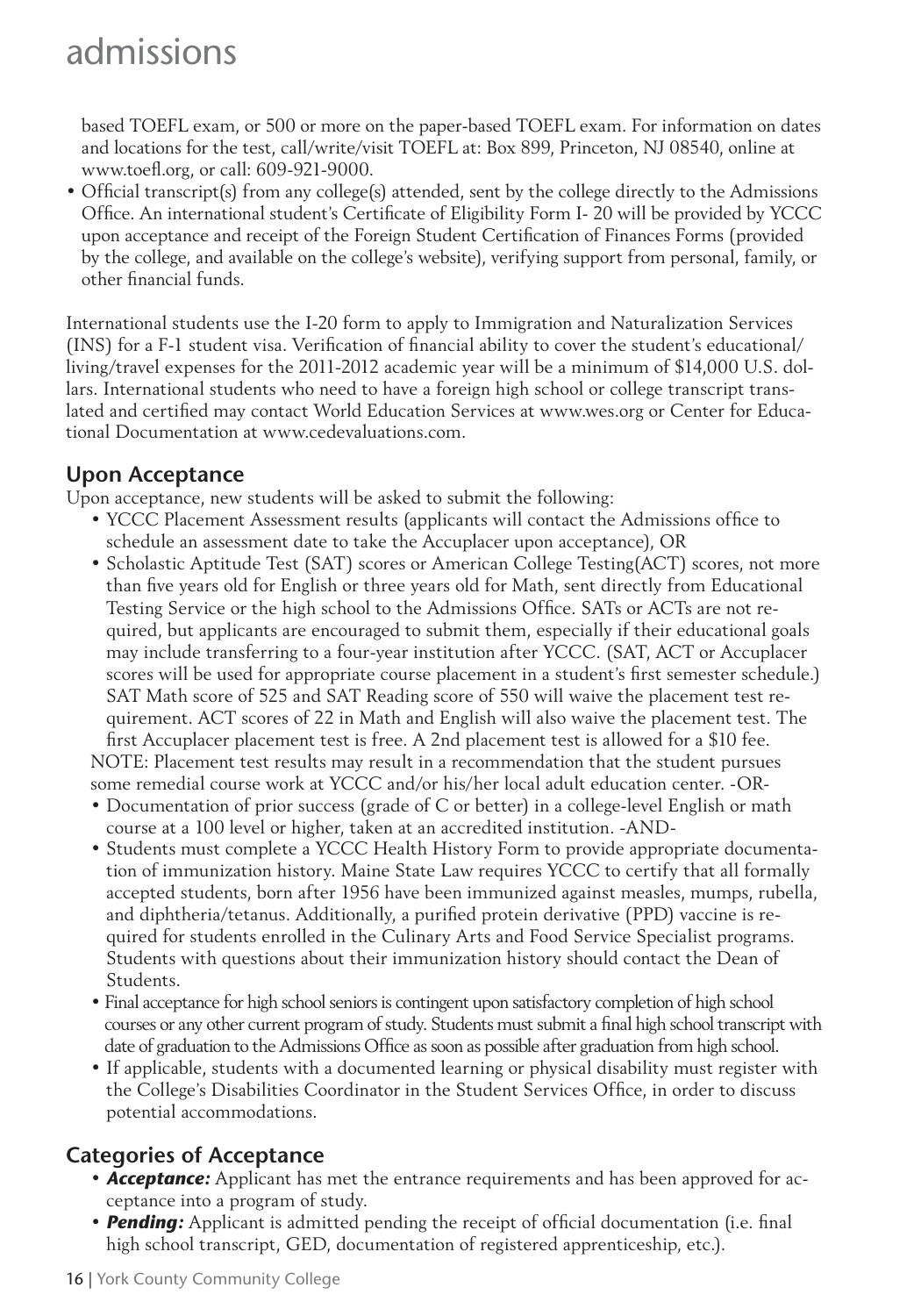based TOEFL exam, or 500 or more on the paper-based TOEFL exam. For information on dates and locations for the test, call/write/visit TOEFL at: Box 899, Princeton, NJ 08540, online at www.toefl .org, or call: 609-921-9000.

• Official transcript(s) from any college(s) attended, sent by the college directly to the Admissions Office. An international student's Certificate of Eligibility Form I-20 will be provided by YCCC upon acceptance and receipt of the Foreign Student Certification of Finances Forms (provided by the college, and available on the college's website), verifying support from personal, family, or other financial funds.

International students use the I-20 form to apply to Immigration and Naturalization Services (INS) for a F-1 student visa. Verification of financial ability to cover the student's educational/ living/travel expenses for the 2011-2012 academic year will be a minimum of \$14,000 U.S. dollars. International students who need to have a foreign high school or college transcript translated and certified may contact World Education Services at www.wes.org or Center for Educational Documentation at www.cedevaluations.com.

# **Upon Acceptance**

Upon acceptance, new students will be asked to submit the following:

- YCCC Placement Assessment results (applicants will contact the Admissions office to schedule an assessment date to take the Accuplacer upon acceptance), OR
- Scholastic Aptitude Test (SAT) scores or American College Testing(ACT) scores, not more than five years old for English or three years old for Math, sent directly from Educational Testing Service or the high school to the Admissions Office. SATs or ACTs are not required, but applicants are encouraged to submit them, especially if their educational goals may include transferring to a four-year institution after YCCC. (SAT, ACT or Accuplacer scores will be used for appropriate course placement in a student's first semester schedule.) SAT Math score of 525 and SAT Reading score of 550 will waive the placement test requirement. ACT scores of 22 in Math and English will also waive the placement test. The first Accuplacer placement test is free. A 2nd placement test is allowed for a \$10 fee.

NOTE: Placement test results may result in a recommendation that the student pursues some remedial course work at YCCC and/or his/her local adult education center. -OR-

- Documentation of prior success (grade of C or better) in a college-level English or math course at a 100 level or higher, taken at an accredited institution. -AND-
- Students must complete a YCCC Health History Form to provide appropriate documentation of immunization history. Maine State Law requires YCCC to certify that all formally accepted students, born after 1956 have been immunized against measles, mumps, rubella, and diphtheria/tetanus. Additionally, a purified protein derivative (PPD) vaccine is required for students enrolled in the Culinary Arts and Food Service Specialist programs. Students with questions about their immunization history should contact the Dean of Students.
- Final acceptance for high school seniors is contingent upon satisfactory completion of high school courses or any other current program of study. Students must submit a final high school transcript with date of graduation to the Admissions Office as soon as possible after graduation from high school.
- If applicable, students with a documented learning or physical disability must register with the College's Disabilities Coordinator in the Student Services Office, in order to discuss potential accommodations.

# **Categories of Acceptance**

- *Acceptance:* Applicant has met the entrance requirements and has been approved for acceptance into a program of study.
- **Pending:** Applicant is admitted pending the receipt of official documentation (i.e. final high school transcript, GED, documentation of registered apprenticeship, etc.).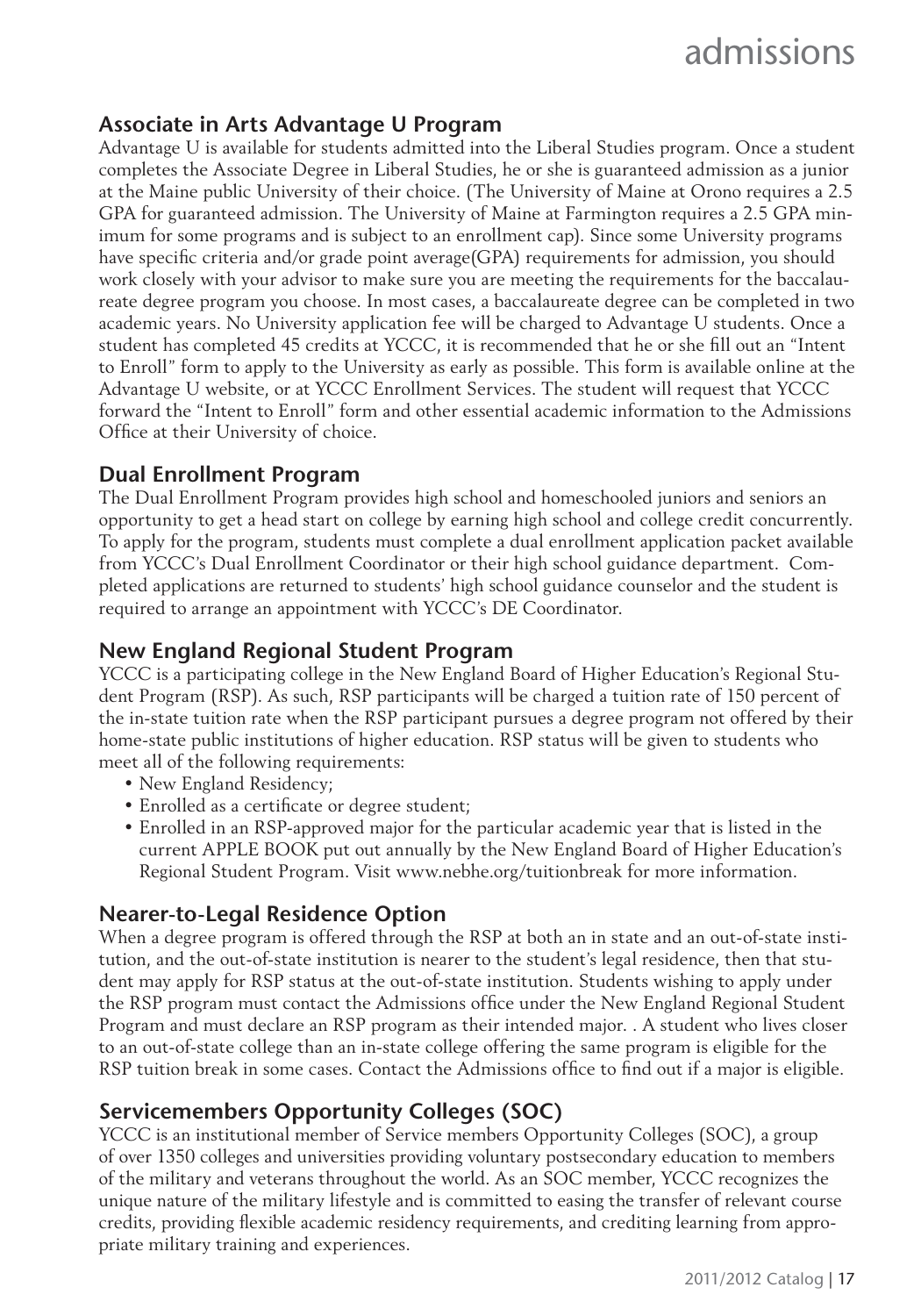# **Associate in Arts Advantage U Program**

Advantage U is available for students admitted into the Liberal Studies program. Once a student completes the Associate Degree in Liberal Studies, he or she is guaranteed admission as a junior at the Maine public University of their choice. (The University of Maine at Orono requires a 2.5 GPA for guaranteed admission. The University of Maine at Farmington requires a 2.5 GPA minimum for some programs and is subject to an enrollment cap). Since some University programs have specific criteria and/or grade point average(GPA) requirements for admission, you should work closely with your advisor to make sure you are meeting the requirements for the baccalaureate degree program you choose. In most cases, a baccalaureate degree can be completed in two academic years. No University application fee will be charged to Advantage U students. Once a student has completed 45 credits at YCCC, it is recommended that he or she fill out an "Intent to Enroll" form to apply to the University as early as possible. This form is available online at the Advantage U website, or at YCCC Enrollment Services. The student will request that YCCC forward the "Intent to Enroll" form and other essential academic information to the Admissions Office at their University of choice.

### **Dual Enrollment Program**

The Dual Enrollment Program provides high school and homeschooled juniors and seniors an opportunity to get a head start on college by earning high school and college credit concurrently. To apply for the program, students must complete a dual enrollment application packet available from YCCC's Dual Enrollment Coordinator or their high school guidance department. Completed applications are returned to students' high school guidance counselor and the student is required to arrange an appointment with YCCC's DE Coordinator.

# **New England Regional Student Program**

YCCC is a participating college in the New England Board of Higher Education's Regional Student Program (RSP). As such, RSP participants will be charged a tuition rate of 150 percent of the in-state tuition rate when the RSP participant pursues a degree program not offered by their home-state public institutions of higher education. RSP status will be given to students who meet all of the following requirements:

- New England Residency;
- Enrolled as a certificate or degree student;
- Enrolled in an RSP-approved major for the particular academic year that is listed in the current APPLE BOOK put out annually by the New England Board of Higher Education's Regional Student Program. Visit www.nebhe.org/tuitionbreak for more information.

# **Nearer-to-Legal Residence Option**

When a degree program is offered through the RSP at both an in state and an out-of-state institution, and the out-of-state institution is nearer to the student's legal residence, then that student may apply for RSP status at the out-of-state institution. Students wishing to apply under the RSP program must contact the Admissions office under the New England Regional Student Program and must declare an RSP program as their intended major. . A student who lives closer to an out-of-state college than an in-state college offering the same program is eligible for the RSP tuition break in some cases. Contact the Admissions office to find out if a major is eligible.

# **Servicemembers Opportunity Colleges (SOC)**

YCCC is an institutional member of Service members Opportunity Colleges (SOC), a group of over 1350 colleges and universities providing voluntary postsecondary education to members of the military and veterans throughout the world. As an SOC member, YCCC recognizes the unique nature of the military lifestyle and is committed to easing the transfer of relevant course credits, providing flexible academic residency requirements, and crediting learning from appropriate military training and experiences.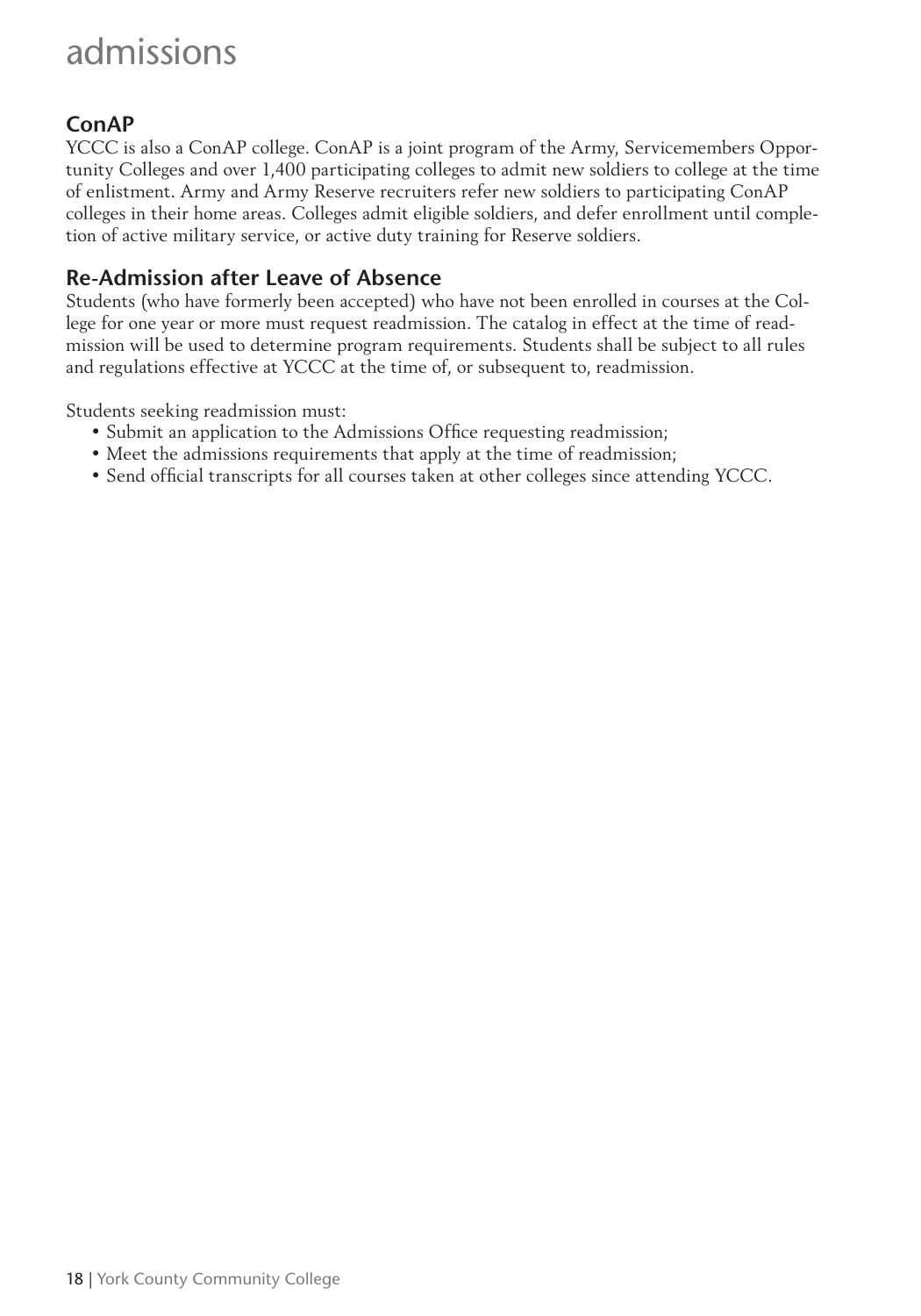# **ConAP**

YCCC is also a ConAP college. ConAP is a joint program of the Army, Servicemembers Opportunity Colleges and over 1,400 participating colleges to admit new soldiers to college at the time of enlistment. Army and Army Reserve recruiters refer new soldiers to participating ConAP colleges in their home areas. Colleges admit eligible soldiers, and defer enrollment until completion of active military service, or active duty training for Reserve soldiers.

# **Re-Admission after Leave of Absence**

Students (who have formerly been accepted) who have not been enrolled in courses at the College for one year or more must request readmission. The catalog in effect at the time of readmission will be used to determine program requirements. Students shall be subject to all rules and regulations effective at YCCC at the time of, or subsequent to, readmission.

Students seeking readmission must:

- Submit an application to the Admissions Office requesting readmission;
- Meet the admissions requirements that apply at the time of readmission;
- Send official transcripts for all courses taken at other colleges since attending YCCC.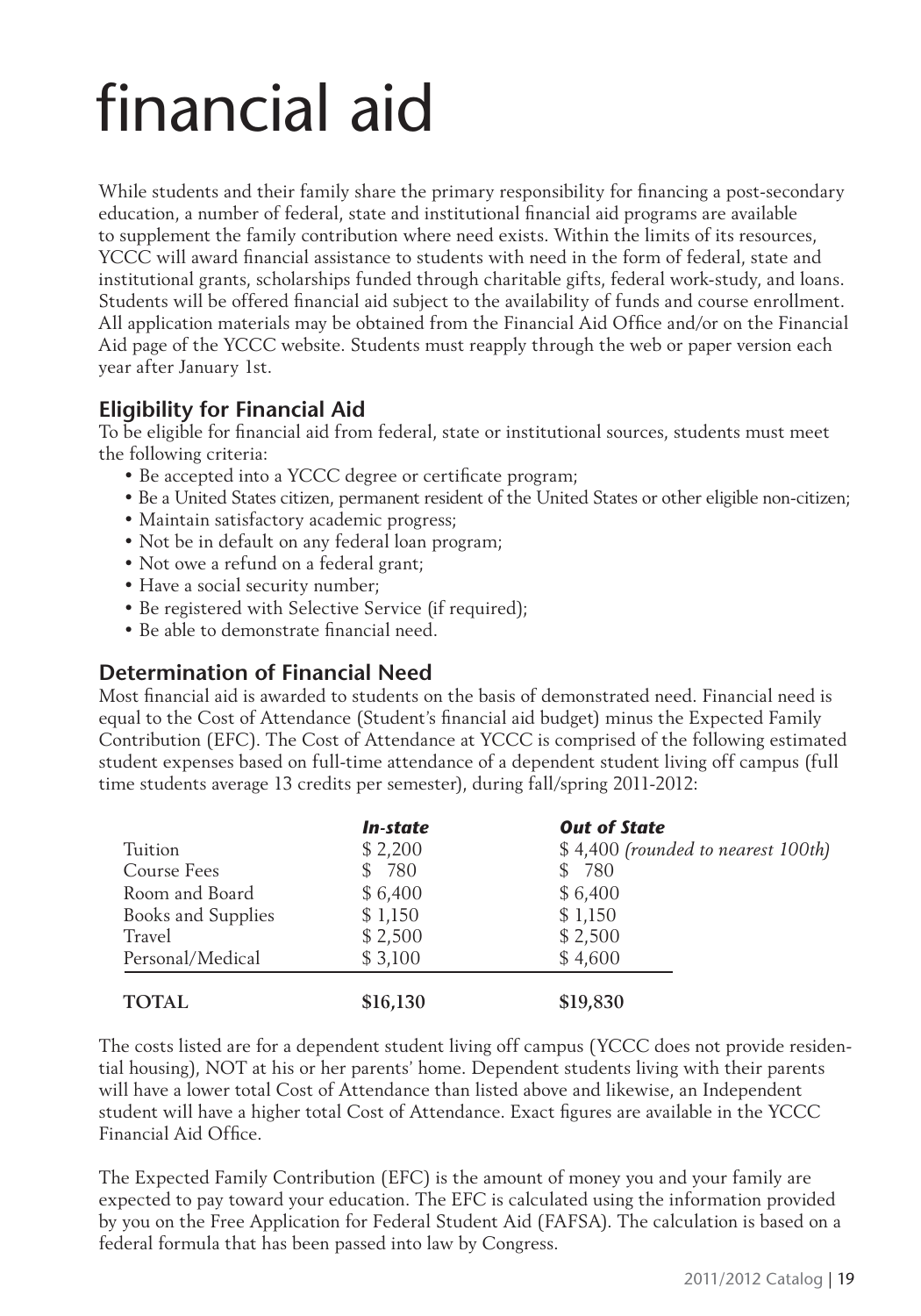# financial aid

While students and their family share the primary responsibility for financing a post-secondary education, a number of federal, state and institutional financial aid programs are available to supplement the family contribution where need exists. Within the limits of its resources, YCCC will award financial assistance to students with need in the form of federal, state and institutional grants, scholarships funded through charitable gifts, federal work-study, and loans. Students will be offered financial aid subject to the availability of funds and course enrollment. All application materials may be obtained from the Financial Aid Office and/or on the Financial Aid page of the YCCC website. Students must reapply through the web or paper version each year after January 1st.

### **Eligibility for Financial Aid**

To be eligible for financial aid from federal, state or institutional sources, students must meet the following criteria:

- Be accepted into a YCCC degree or certificate program;
- Be a United States citizen, permanent resident of the United States or other eligible non-citizen;
- Maintain satisfactory academic progress;
- Not be in default on any federal loan program;
- Not owe a refund on a federal grant;
- Have a social security number;
- Be registered with Selective Service (if required);
- Be able to demonstrate financial need.

# **Determination of Financial Need**

Most financial aid is awarded to students on the basis of demonstrated need. Financial need is equal to the Cost of Attendance (Student's financial aid budget) minus the Expected Family Contribution (EFC). The Cost of Attendance at YCCC is comprised of the following estimated student expenses based on full-time attendance of a dependent student living off campus (full time students average 13 credits per semester), during fall/spring 2011-2012:

|                    | In-state | <b>Out of State</b>                |
|--------------------|----------|------------------------------------|
| Tuition            | \$2,200  | \$4,400 (rounded to nearest 100th) |
| Course Fees        | \$ 780   | \$ 780                             |
| Room and Board     | \$6,400  | \$6,400                            |
| Books and Supplies | \$1,150  | \$1,150                            |
| Travel             | \$2,500  | \$2,500                            |
| Personal/Medical   | \$3,100  | \$4,600                            |
| <b>TOTAL</b>       | \$16,130 | \$19,830                           |

The costs listed are for a dependent student living off campus (YCCC does not provide residential housing), NOT at his or her parents' home. Dependent students living with their parents will have a lower total Cost of Attendance than listed above and likewise, an Independent student will have a higher total Cost of Attendance. Exact figures are available in the YCCC Financial Aid Office.

The Expected Family Contribution (EFC) is the amount of money you and your family are expected to pay toward your education. The EFC is calculated using the information provided by you on the Free Application for Federal Student Aid (FAFSA). The calculation is based on a federal formula that has been passed into law by Congress.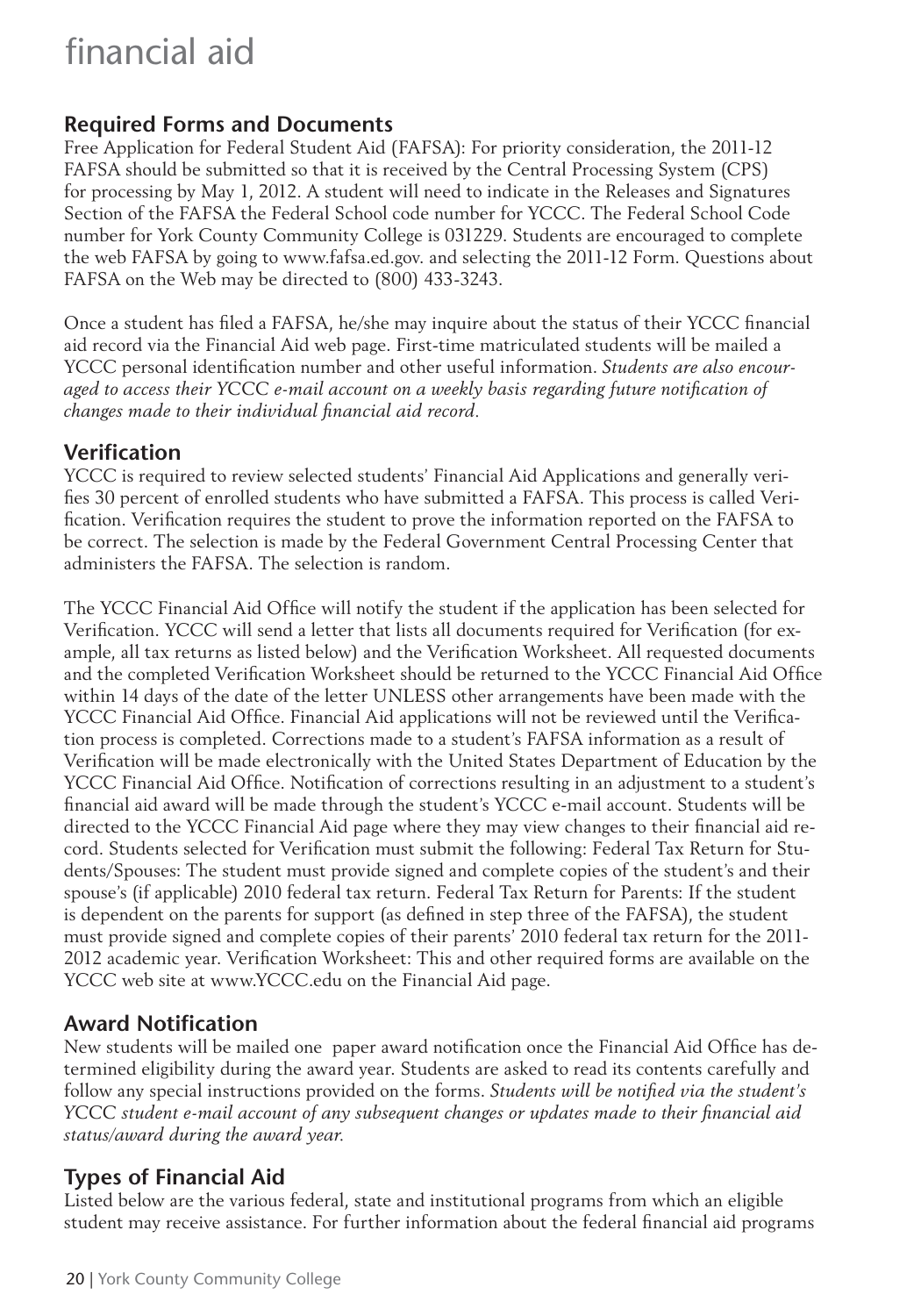# financial aid

# **Required Forms and Documents**

Free Application for Federal Student Aid (FAFSA): For priority consideration, the 2011-12 FAFSA should be submitted so that it is received by the Central Processing System (CPS) for processing by May 1, 2012. A student will need to indicate in the Releases and Signatures Section of the FAFSA the Federal School code number for YCCC. The Federal School Code number for York County Community College is 031229. Students are encouraged to complete the web FAFSA by going to www.fafsa.ed.gov. and selecting the 2011-12 Form. Questions about FAFSA on the Web may be directed to (800) 433-3243.

Once a student has filed a FAFSA, he/she may inquire about the status of their YCCC financial aid record via the Financial Aid web page. First-time matriculated students will be mailed a YCCC personal identification number and other useful information. *Students are also encour*aged to access their YCCC e-mail account on a weekly basis regarding future notification of *changes made to their individual financial aid record.* 

# **Verifi cation**

YCCC is required to review selected students' Financial Aid Applications and generally verifies 30 percent of enrolled students who have submitted a FAFSA. This process is called Verification. Verification requires the student to prove the information reported on the FAFSA to be correct. The selection is made by the Federal Government Central Processing Center that administers the FAFSA. The selection is random.

The YCCC Financial Aid Office will notify the student if the application has been selected for Verification. YCCC will send a letter that lists all documents required for Verification (for example, all tax returns as listed below) and the Verification Worksheet. All requested documents and the completed Verification Worksheet should be returned to the YCCC Financial Aid Office within 14 days of the date of the letter UNLESS other arrangements have been made with the YCCC Financial Aid Office. Financial Aid applications will not be reviewed until the Verification process is completed. Corrections made to a student's FAFSA information as a result of Verification will be made electronically with the United States Department of Education by the YCCC Financial Aid Office. Notification of corrections resulting in an adjustment to a student's financial aid award will be made through the student's YCCC e-mail account. Students will be directed to the YCCC Financial Aid page where they may view changes to their financial aid record. Students selected for Verification must submit the following: Federal Tax Return for Students/Spouses: The student must provide signed and complete copies of the student's and their spouse's (if applicable) 2010 federal tax return. Federal Tax Return for Parents: If the student is dependent on the parents for support (as defined in step three of the FAFSA), the student must provide signed and complete copies of their parents' 2010 federal tax return for the 2011- 2012 academic year. Verification Worksheet: This and other required forms are available on the YCCC web site at www.YCCC.edu on the Financial Aid page.

# **Award Notification**

New students will be mailed one paper award notification once the Financial Aid Office has determined eligibility during the award year. Students are asked to read its contents carefully and follow any special instructions provided on the forms. *Students will be notified via the student's YCCC student e-mail account of any subsequent changes or updates made to their financial aid status/award during the award year.*

# **Types of Financial Aid**

Listed below are the various federal, state and institutional programs from which an eligible student may receive assistance. For further information about the federal financial aid programs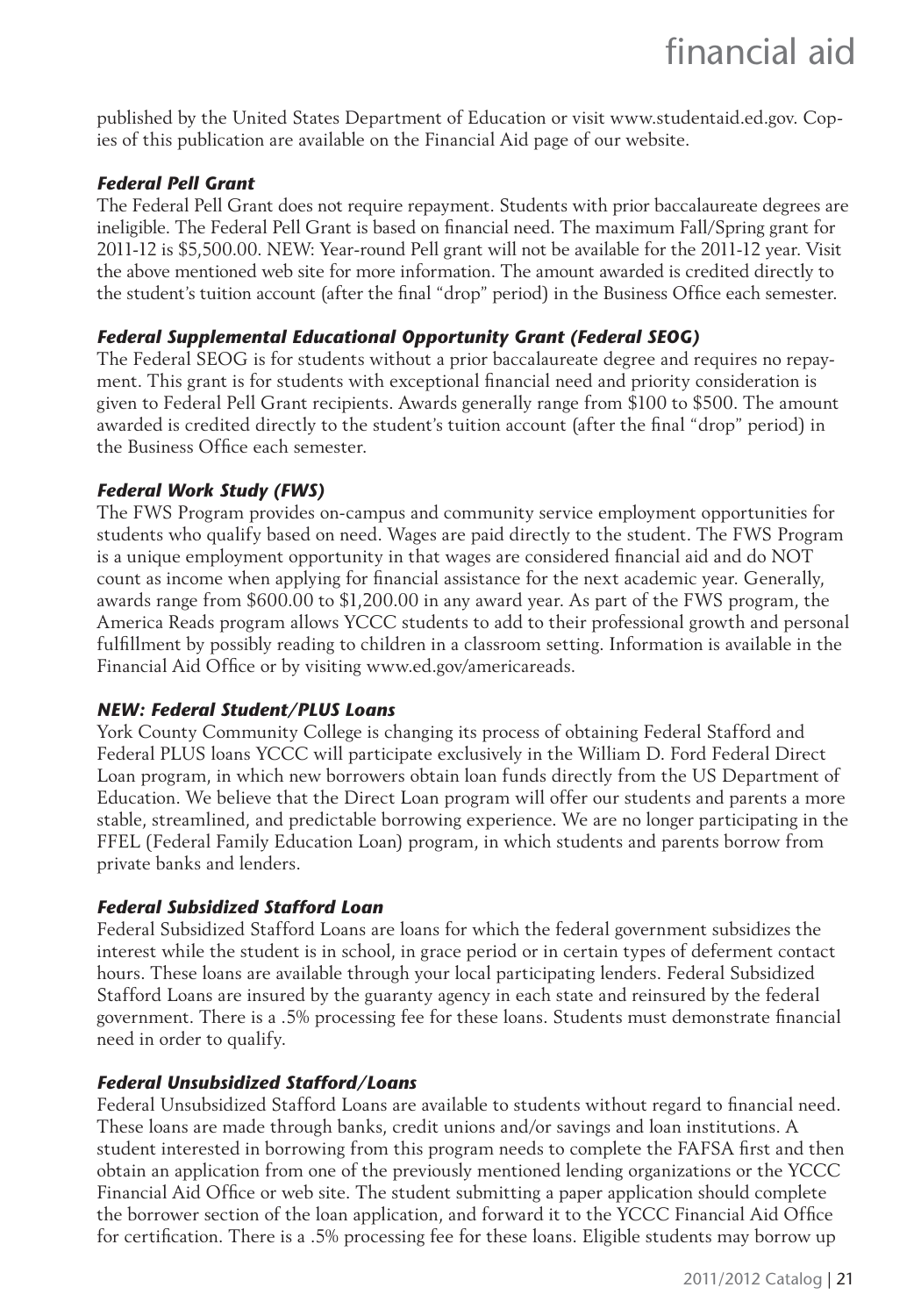published by the United States Department of Education or visit www.studentaid.ed.gov. Copies of this publication are available on the Financial Aid page of our website.

#### *Federal Pell Grant*

The Federal Pell Grant does not require repayment. Students with prior baccalaureate degrees are ineligible. The Federal Pell Grant is based on financial need. The maximum Fall/Spring grant for 2011-12 is \$5,500.00. NEW: Year-round Pell grant will not be available for the 2011-12 year. Visit the above mentioned web site for more information. The amount awarded is credited directly to the student's tuition account (after the final "drop" period) in the Business Office each semester.

#### *Federal Supplemental Educational Opportunity Grant (Federal SEOG)*

The Federal SEOG is for students without a prior baccalaureate degree and requires no repayment. This grant is for students with exceptional financial need and priority consideration is given to Federal Pell Grant recipients. Awards generally range from \$100 to \$500. The amount awarded is credited directly to the student's tuition account (after the final "drop" period) in the Business Office each semester.

#### *Federal Work Study (FWS)*

The FWS Program provides on-campus and community service employment opportunities for students who qualify based on need. Wages are paid directly to the student. The FWS Program is a unique employment opportunity in that wages are considered financial aid and do NOT count as income when applying for financial assistance for the next academic year. Generally, awards range from \$600.00 to \$1,200.00 in any award year. As part of the FWS program, the America Reads program allows YCCC students to add to their professional growth and personal fulfillment by possibly reading to children in a classroom setting. Information is available in the Financial Aid Office or by visiting www.ed.gov/americareads.

#### *NEW: Federal Student/PLUS Loans*

York County Community College is changing its process of obtaining Federal Stafford and Federal PLUS loans YCCC will participate exclusively in the William D. Ford Federal Direct Loan program, in which new borrowers obtain loan funds directly from the US Department of Education. We believe that the Direct Loan program will offer our students and parents a more stable, streamlined, and predictable borrowing experience. We are no longer participating in the FFEL (Federal Family Education Loan) program, in which students and parents borrow from private banks and lenders.

#### *Federal Subsidized Stafford Loan*

Federal Subsidized Stafford Loans are loans for which the federal government subsidizes the interest while the student is in school, in grace period or in certain types of deferment contact hours. These loans are available through your local participating lenders. Federal Subsidized Stafford Loans are insured by the guaranty agency in each state and reinsured by the federal government. There is a .5% processing fee for these loans. Students must demonstrate financial need in order to qualify.

#### *Federal Unsubsidized Stafford/Loans*

Federal Unsubsidized Stafford Loans are available to students without regard to financial need. These loans are made through banks, credit unions and/or savings and loan institutions. A student interested in borrowing from this program needs to complete the FAFSA first and then obtain an application from one of the previously mentioned lending organizations or the YCCC Financial Aid Office or web site. The student submitting a paper application should complete the borrower section of the loan application, and forward it to the YCCC Financial Aid Office for certification. There is a .5% processing fee for these loans. Eligible students may borrow up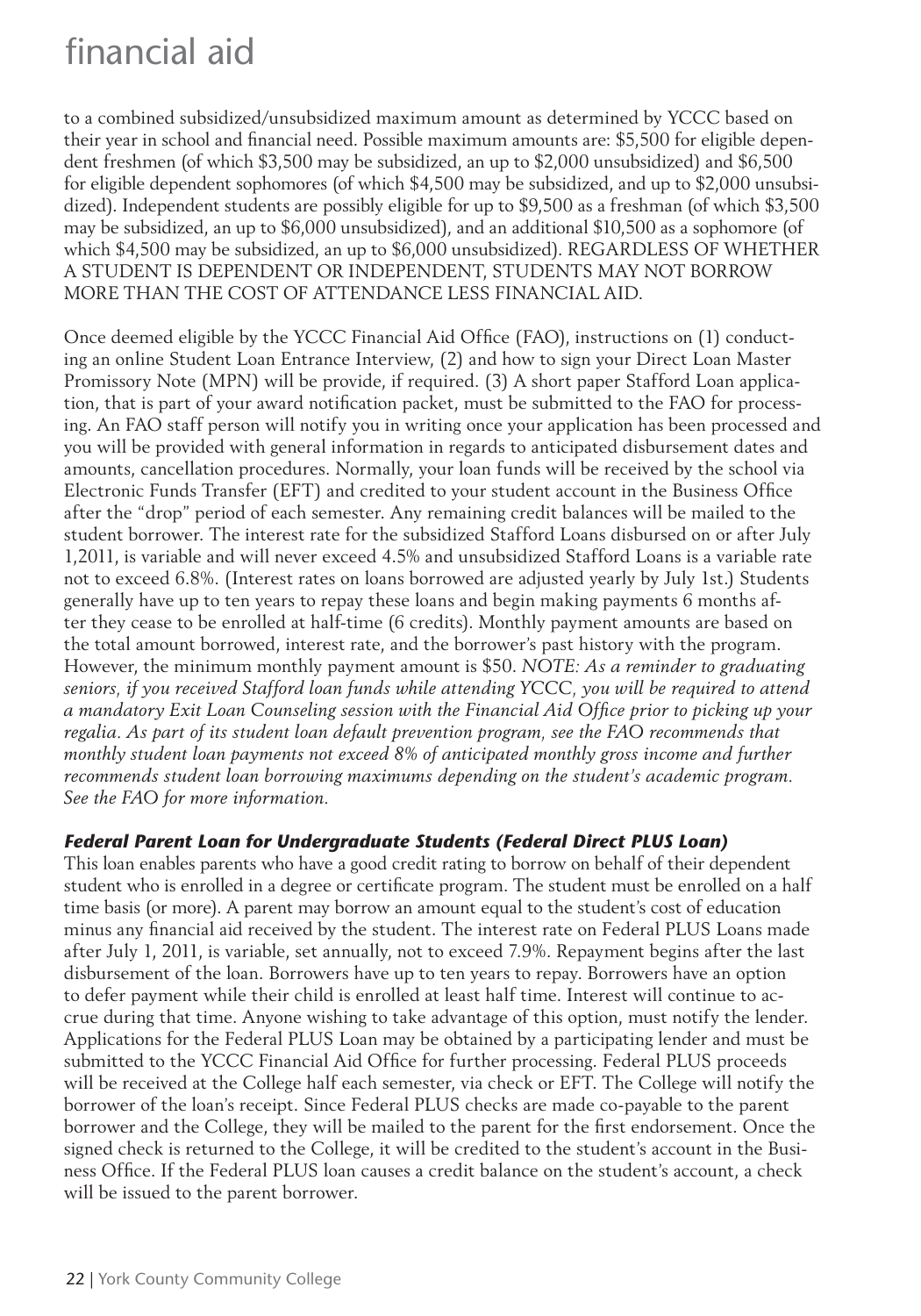# financial aid

to a combined subsidized/unsubsidized maximum amount as determined by YCCC based on their year in school and financial need. Possible maximum amounts are: \$5,500 for eligible dependent freshmen (of which \$3,500 may be subsidized, an up to \$2,000 unsubsidized) and \$6,500 for eligible dependent sophomores (of which \$4,500 may be subsidized, and up to \$2,000 unsubsidized). Independent students are possibly eligible for up to \$9,500 as a freshman (of which \$3,500 may be subsidized, an up to \$6,000 unsubsidized), and an additional \$10,500 as a sophomore (of which \$4,500 may be subsidized, an up to \$6,000 unsubsidized). REGARDLESS OF WHETHER A STUDENT IS DEPENDENT OR INDEPENDENT, STUDENTS MAY NOT BORROW MORE THAN THE COST OF ATTENDANCE LESS FINANCIAL AID.

Once deemed eligible by the YCCC Financial Aid Office (FAO), instructions on (1) conducting an online Student Loan Entrance Interview, (2) and how to sign your Direct Loan Master Promissory Note (MPN) will be provide, if required. (3) A short paper Stafford Loan application, that is part of your award notification packet, must be submitted to the FAO for processing. An FAO staff person will notify you in writing once your application has been processed and you will be provided with general information in regards to anticipated disbursement dates and amounts, cancellation procedures. Normally, your loan funds will be received by the school via Electronic Funds Transfer (EFT) and credited to your student account in the Business Office after the "drop" period of each semester. Any remaining credit balances will be mailed to the student borrower. The interest rate for the subsidized Stafford Loans disbursed on or after July 1,2011, is variable and will never exceed 4.5% and unsubsidized Stafford Loans is a variable rate not to exceed 6.8%. (Interest rates on loans borrowed are adjusted yearly by July 1st.) Students generally have up to ten years to repay these loans and begin making payments 6 months after they cease to be enrolled at half-time (6 credits). Monthly payment amounts are based on the total amount borrowed, interest rate, and the borrower's past history with the program. However, the minimum monthly payment amount is \$50. *NOTE: As a reminder to graduating seniors, if you received Stafford loan funds while attending YCCC, you will be required to attend*  a mandatory Exit Loan Counseling session with the Financial Aid Office prior to picking up your *regalia. As part of its student loan default prevention program, see the FAO recommends that monthly student loan payments not exceed 8% of anticipated monthly gross income and further recommends student loan borrowing maximums depending on the student's academic program. See the FAO for more information.*

#### *Federal Parent Loan for Undergraduate Students (Federal Direct PLUS Loan)*

This loan enables parents who have a good credit rating to borrow on behalf of their dependent student who is enrolled in a degree or certificate program. The student must be enrolled on a half time basis (or more). A parent may borrow an amount equal to the student's cost of education minus any financial aid received by the student. The interest rate on Federal PLUS Loans made after July 1, 2011, is variable, set annually, not to exceed 7.9%. Repayment begins after the last disbursement of the loan. Borrowers have up to ten years to repay. Borrowers have an option to defer payment while their child is enrolled at least half time. Interest will continue to accrue during that time. Anyone wishing to take advantage of this option, must notify the lender. Applications for the Federal PLUS Loan may be obtained by a participating lender and must be submitted to the YCCC Financial Aid Office for further processing. Federal PLUS proceeds will be received at the College half each semester, via check or EFT. The College will notify the borrower of the loan's receipt. Since Federal PLUS checks are made co-payable to the parent borrower and the College, they will be mailed to the parent for the first endorsement. Once the signed check is returned to the College, it will be credited to the student's account in the Business Office. If the Federal PLUS loan causes a credit balance on the student's account, a check will be issued to the parent borrower.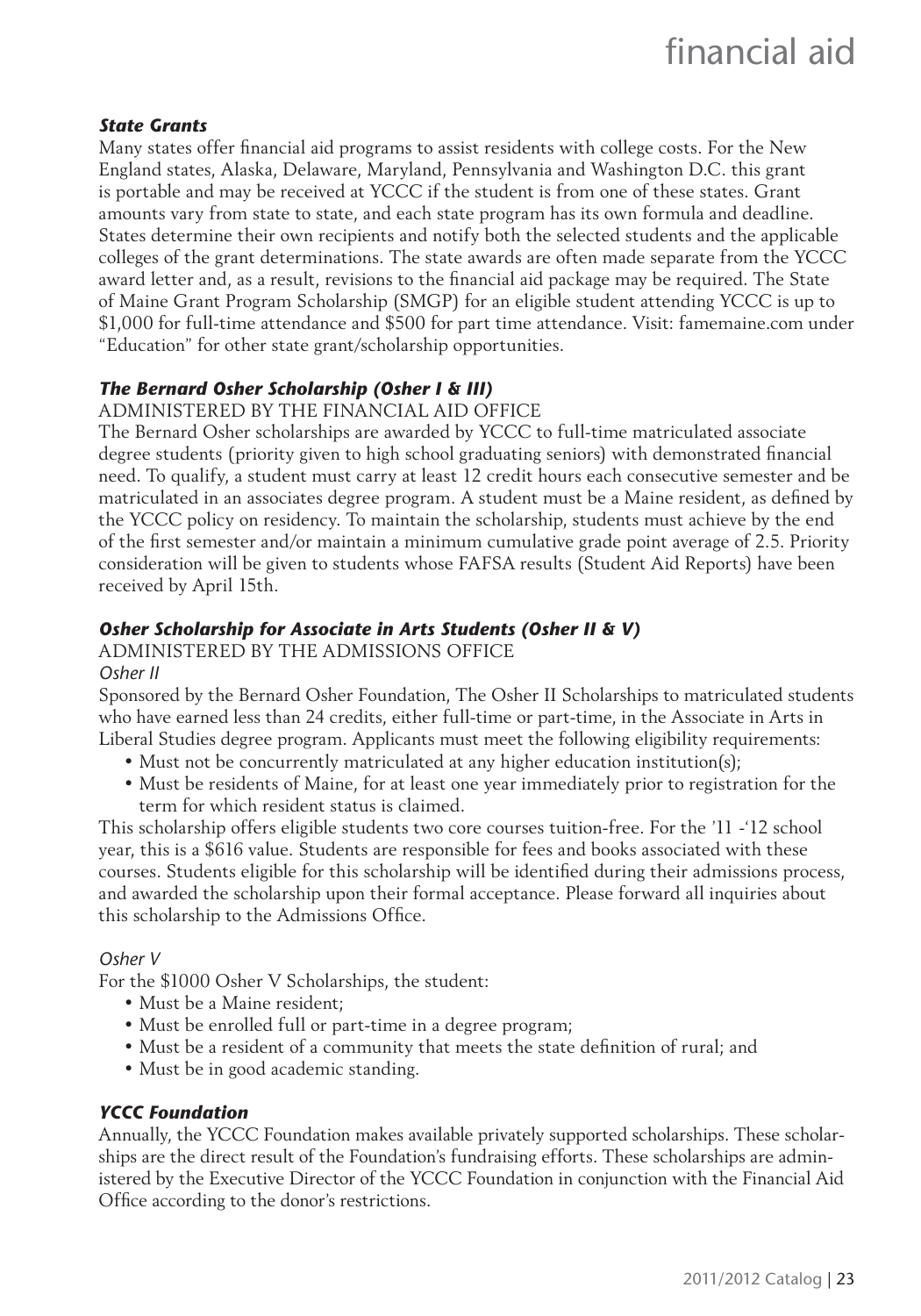#### *State Grants*

Many states offer financial aid programs to assist residents with college costs. For the New England states, Alaska, Delaware, Maryland, Pennsylvania and Washington D.C. this grant is portable and may be received at YCCC if the student is from one of these states. Grant amounts vary from state to state, and each state program has its own formula and deadline. States determine their own recipients and notify both the selected students and the applicable colleges of the grant determinations. The state awards are often made separate from the YCCC award letter and, as a result, revisions to the financial aid package may be required. The State of Maine Grant Program Scholarship (SMGP) for an eligible student attending YCCC is up to \$1,000 for full-time attendance and \$500 for part time attendance. Visit: famemaine.com under "Education" for other state grant/scholarship opportunities.

#### *The Bernard Osher Scholarship (Osher I & III)*

ADMINISTERED BY THE FINANCIAL AID OFFICE

The Bernard Osher scholarships are awarded by YCCC to full-time matriculated associate degree students (priority given to high school graduating seniors) with demonstrated financial need. To qualify, a student must carry at least 12 credit hours each consecutive semester and be matriculated in an associates degree program. A student must be a Maine resident, as defined by the YCCC policy on residency. To maintain the scholarship, students must achieve by the end of the first semester and/or maintain a minimum cumulative grade point average of 2.5. Priority consideration will be given to students whose FAFSA results (Student Aid Reports) have been received by April 15th.

#### *Osher Scholarship for Associate in Arts Students (Osher II & V)*

ADMINISTERED BY THE ADMISSIONS OFFICE

#### *Osher II*

Sponsored by the Bernard Osher Foundation, The Osher II Scholarships to matriculated students who have earned less than 24 credits, either full-time or part-time, in the Associate in Arts in Liberal Studies degree program. Applicants must meet the following eligibility requirements:

- Must not be concurrently matriculated at any higher education institution(s);
- Must be residents of Maine, for at least one year immediately prior to registration for the term for which resident status is claimed.

This scholarship offers eligible students two core courses tuition-free. For the '11 -'12 school year, this is a \$616 value. Students are responsible for fees and books associated with these courses. Students eligible for this scholarship will be identified during their admissions process, and awarded the scholarship upon their formal acceptance. Please forward all inquiries about this scholarship to the Admissions Office.

#### *Osher V*

For the \$1000 Osher V Scholarships, the student:

- Must be a Maine resident;
- Must be enrolled full or part-time in a degree program;
- Must be a resident of a community that meets the state definition of rural; and
- Must be in good academic standing.

#### *YCCC Foundation*

Annually, the YCCC Foundation makes available privately supported scholarships. These scholarships are the direct result of the Foundation's fundraising efforts. These scholarships are administered by the Executive Director of the YCCC Foundation in conjunction with the Financial Aid Office according to the donor's restrictions.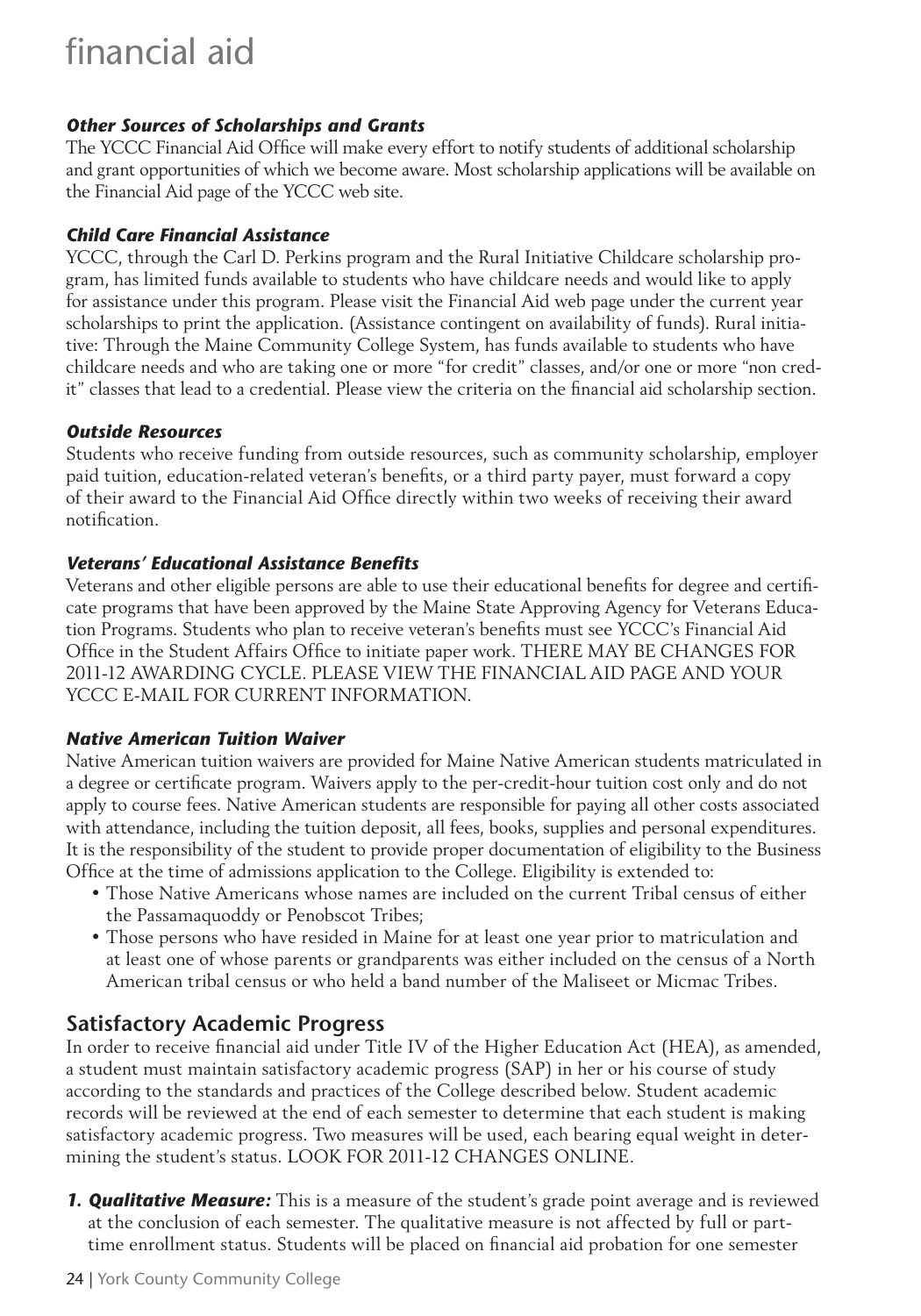# financial aid

#### *Other Sources of Scholarships and Grants*

The YCCC Financial Aid Office will make every effort to notify students of additional scholarship and grant opportunities of which we become aware. Most scholarship applications will be available on the Financial Aid page of the YCCC web site.

#### *Child Care Financial Assistance*

YCCC, through the Carl D. Perkins program and the Rural Initiative Childcare scholarship program, has limited funds available to students who have childcare needs and would like to apply for assistance under this program. Please visit the Financial Aid web page under the current year scholarships to print the application. (Assistance contingent on availability of funds). Rural initiative: Through the Maine Community College System, has funds available to students who have childcare needs and who are taking one or more "for credit" classes, and/or one or more "non credit" classes that lead to a credential. Please view the criteria on the financial aid scholarship section.

#### *Outside Resources*

Students who receive funding from outside resources, such as community scholarship, employer paid tuition, education-related veteran's benefits, or a third party payer, must forward a copy of their award to the Financial Aid Office directly within two weeks of receiving their award notification.

#### *Veterans' Educational Assistance Benefi ts*

Veterans and other eligible persons are able to use their educational benefits for degree and certificate programs that have been approved by the Maine State Approving Agency for Veterans Education Programs. Students who plan to receive veteran's benefits must see YCCC's Financial Aid Office in the Student Affairs Office to initiate paper work. THERE MAY BE CHANGES FOR 2011-12 AWARDING CYCLE. PLEASE VIEW THE FINANCIAL AID PAGE AND YOUR YCCC E-MAIL FOR CURRENT INFORMATION.

#### *Native American Tuition Waiver*

Native American tuition waivers are provided for Maine Native American students matriculated in a degree or certificate program. Waivers apply to the per-credit-hour tuition cost only and do not apply to course fees. Native American students are responsible for paying all other costs associated with attendance, including the tuition deposit, all fees, books, supplies and personal expenditures. It is the responsibility of the student to provide proper documentation of eligibility to the Business Office at the time of admissions application to the College. Eligibility is extended to:

- Those Native Americans whose names are included on the current Tribal census of either the Passamaquoddy or Penobscot Tribes;
- Those persons who have resided in Maine for at least one year prior to matriculation and at least one of whose parents or grandparents was either included on the census of a North American tribal census or who held a band number of the Maliseet or Micmac Tribes.

# **Satisfactory Academic Progress**

In order to receive financial aid under Title IV of the Higher Education Act (HEA), as amended, a student must maintain satisfactory academic progress (SAP) in her or his course of study according to the standards and practices of the College described below. Student academic records will be reviewed at the end of each semester to determine that each student is making satisfactory academic progress. Two measures will be used, each bearing equal weight in determining the student's status. LOOK FOR 2011-12 CHANGES ONLINE.

*1. Qualitative Measure:* This is a measure of the student's grade point average and is reviewed at the conclusion of each semester. The qualitative measure is not affected by full or parttime enrollment status. Students will be placed on financial aid probation for one semester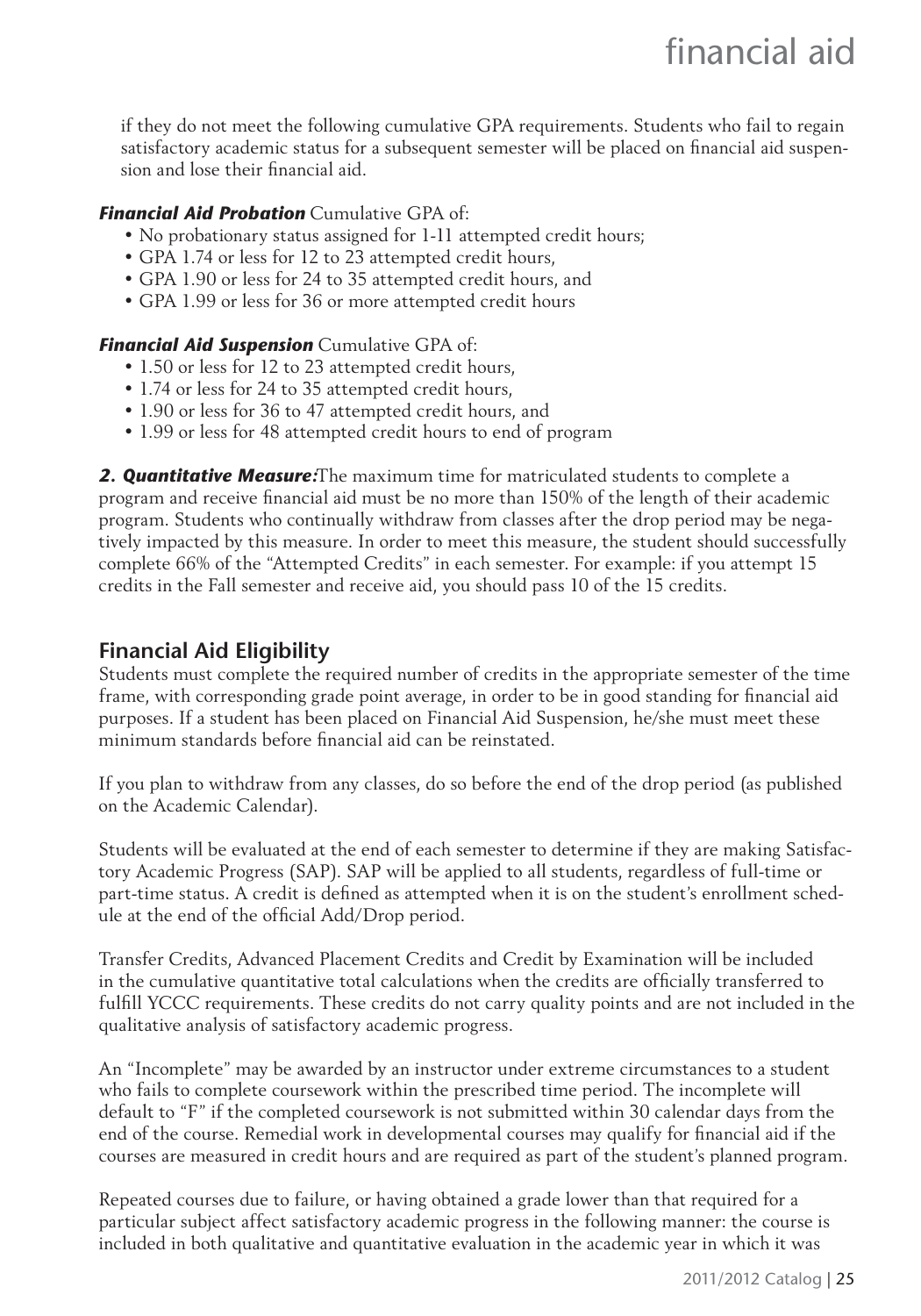if they do not meet the following cumulative GPA requirements. Students who fail to regain satisfactory academic status for a subsequent semester will be placed on financial aid suspension and lose their financial aid.

#### *Financial Aid Probation* Cumulative GPA of:

- No probationary status assigned for 1-11 attempted credit hours;
- GPA 1.74 or less for 12 to 23 attempted credit hours,
- GPA 1.90 or less for 24 to 35 attempted credit hours, and
- GPA 1.99 or less for 36 or more attempted credit hours

#### *Financial Aid Suspension* Cumulative GPA of:

- 1.50 or less for 12 to 23 attempted credit hours,
- 1.74 or less for 24 to 35 attempted credit hours,
- 1.90 or less for 36 to 47 attempted credit hours, and
- 1.99 or less for 48 attempted credit hours to end of program

*2. Quantitative Measure:*The maximum time for matriculated students to complete a program and receive financial aid must be no more than 150% of the length of their academic program. Students who continually withdraw from classes after the drop period may be negatively impacted by this measure. In order to meet this measure, the student should successfully complete 66% of the "Attempted Credits" in each semester. For example: if you attempt 15 credits in the Fall semester and receive aid, you should pass 10 of the 15 credits.

# **Financial Aid Eligibility**

Students must complete the required number of credits in the appropriate semester of the time frame, with corresponding grade point average, in order to be in good standing for financial aid purposes. If a student has been placed on Financial Aid Suspension, he/she must meet these minimum standards before financial aid can be reinstated.

If you plan to withdraw from any classes, do so before the end of the drop period (as published on the Academic Calendar).

Students will be evaluated at the end of each semester to determine if they are making Satisfactory Academic Progress (SAP). SAP will be applied to all students, regardless of full-time or part-time status. A credit is defined as attempted when it is on the student's enrollment schedule at the end of the official Add/Drop period.

Transfer Credits, Advanced Placement Credits and Credit by Examination will be included in the cumulative quantitative total calculations when the credits are officially transferred to fulfill YCCC requirements. These credits do not carry quality points and are not included in the qualitative analysis of satisfactory academic progress.

An "Incomplete" may be awarded by an instructor under extreme circumstances to a student who fails to complete coursework within the prescribed time period. The incomplete will default to "F" if the completed coursework is not submitted within 30 calendar days from the end of the course. Remedial work in developmental courses may qualify for financial aid if the courses are measured in credit hours and are required as part of the student's planned program.

Repeated courses due to failure, or having obtained a grade lower than that required for a particular subject affect satisfactory academic progress in the following manner: the course is included in both qualitative and quantitative evaluation in the academic year in which it was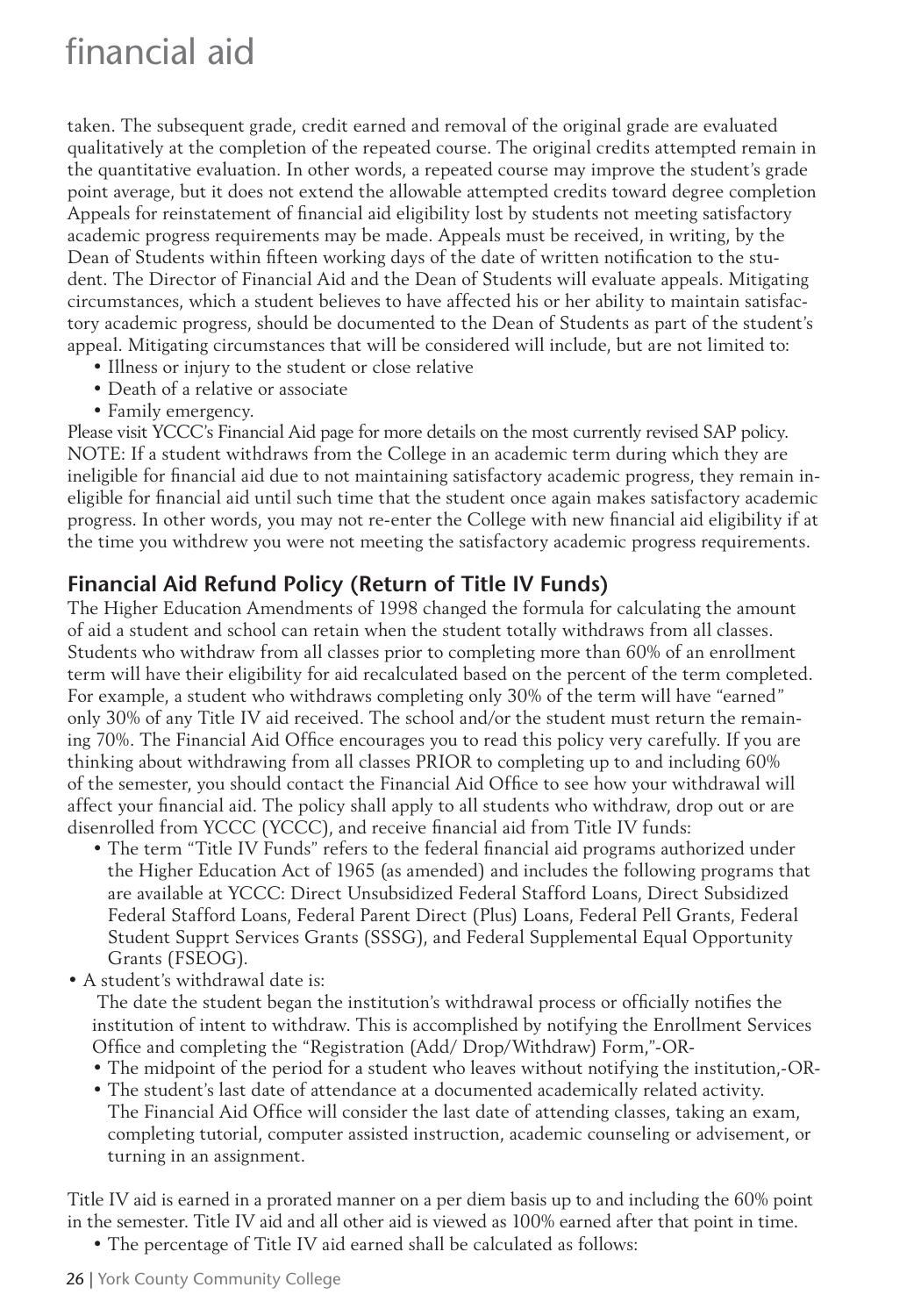taken. The subsequent grade, credit earned and removal of the original grade are evaluated qualitatively at the completion of the repeated course. The original credits attempted remain in the quantitative evaluation. In other words, a repeated course may improve the student's grade point average, but it does not extend the allowable attempted credits toward degree completion Appeals for reinstatement of financial aid eligibility lost by students not meeting satisfactory academic progress requirements may be made. Appeals must be received, in writing, by the Dean of Students within fifteen working days of the date of written notification to the student. The Director of Financial Aid and the Dean of Students will evaluate appeals. Mitigating circumstances, which a student believes to have affected his or her ability to maintain satisfactory academic progress, should be documented to the Dean of Students as part of the student's appeal. Mitigating circumstances that will be considered will include, but are not limited to:

- Illness or injury to the student or close relative
- Death of a relative or associate
- Family emergency.

Please visit YCCC's Financial Aid page for more details on the most currently revised SAP policy. NOTE: If a student withdraws from the College in an academic term during which they are ineligible for financial aid due to not maintaining satisfactory academic progress, they remain ineligible for financial aid until such time that the student once again makes satisfactory academic progress. In other words, you may not re-enter the College with new financial aid eligibility if at the time you withdrew you were not meeting the satisfactory academic progress requirements.

### **Financial Aid Refund Policy (Return of Title IV Funds)**

The Higher Education Amendments of 1998 changed the formula for calculating the amount of aid a student and school can retain when the student totally withdraws from all classes. Students who withdraw from all classes prior to completing more than 60% of an enrollment term will have their eligibility for aid recalculated based on the percent of the term completed. For example, a student who withdraws completing only 30% of the term will have "earned" only 30% of any Title IV aid received. The school and/or the student must return the remaining 70%. The Financial Aid Office encourages you to read this policy very carefully. If you are thinking about withdrawing from all classes PRIOR to completing up to and including 60% of the semester, you should contact the Financial Aid Office to see how your withdrawal will affect your financial aid. The policy shall apply to all students who withdraw, drop out or are disenrolled from YCCC (YCCC), and receive financial aid from Title IV funds:

- The term "Title IV Funds" refers to the federal financial aid programs authorized under the Higher Education Act of 1965 (as amended) and includes the following programs that are available at YCCC: Direct Unsubsidized Federal Stafford Loans, Direct Subsidized Federal Stafford Loans, Federal Parent Direct (Plus) Loans, Federal Pell Grants, Federal Student Supprt Services Grants (SSSG), and Federal Supplemental Equal Opportunity Grants (FSEOG).
- A student's withdrawal date is:

The date the student began the institution's withdrawal process or officially notifies the institution of intent to withdraw. This is accomplished by notifying the Enrollment Services Office and completing the "Registration (Add/ Drop/Withdraw) Form,"-OR-

- The midpoint of the period for a student who leaves without notifying the institution,-OR-
- The student's last date of attendance at a documented academically related activity. The Financial Aid Office will consider the last date of attending classes, taking an exam, completing tutorial, computer assisted instruction, academic counseling or advisement, or turning in an assignment.

Title IV aid is earned in a prorated manner on a per diem basis up to and including the 60% point in the semester. Title IV aid and all other aid is viewed as 100% earned after that point in time.

• The percentage of Title IV aid earned shall be calculated as follows: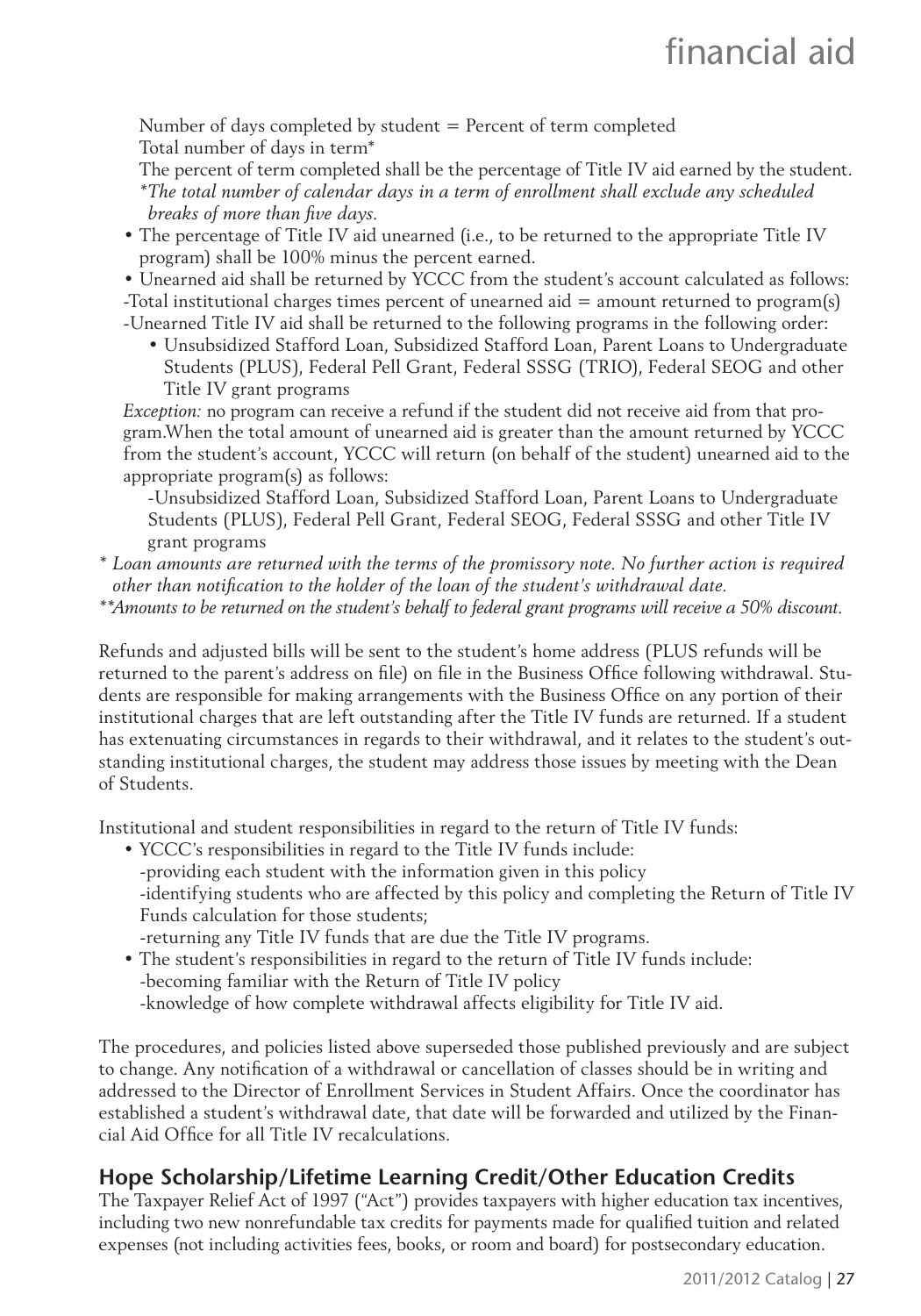Number of days completed by student = Percent of term completed Total number of days in term\*

The percent of term completed shall be the percentage of Title IV aid earned by the student. *\* The total number of calendar days in a term of enrollment shall exclude any scheduled breaks of more than five days.* 

• The percentage of Title IV aid unearned (i.e., to be returned to the appropriate Title IV program) shall be 100% minus the percent earned.

• Unearned aid shall be returned by YCCC from the student's account calculated as follows: -Total institutional charges times percent of unearned aid = amount returned to program(s) -Unearned Title IV aid shall be returned to the following programs in the following order:

• Unsubsidized Stafford Loan, Subsidized Stafford Loan, Parent Loans to Undergraduate Students (PLUS), Federal Pell Grant, Federal SSSG (TRIO), Federal SEOG and other Title IV grant programs

*Exception:* no program can receive a refund if the student did not receive aid from that program.When the total amount of unearned aid is greater than the amount returned by YCCC from the student's account, YCCC will return (on behalf of the student) unearned aid to the appropriate program(s) as follows:

-Unsubsidized Stafford Loan, Subsidized Stafford Loan, Parent Loans to Undergraduate Students (PLUS), Federal Pell Grant, Federal SEOG, Federal SSSG and other Title IV grant programs

*\* Loan amounts are returned with the terms of the promissory note. No further action is required other than notifi cation to the holder of the loan of the student's withdrawal date.*

*\*\* Amounts to be returned on the student's behalf to federal grant programs will receive a 50% discount.*

Refunds and adjusted bills will be sent to the student's home address (PLUS refunds will be returned to the parent's address on file) on file in the Business Office following withdrawal. Students are responsible for making arrangements with the Business Office on any portion of their institutional charges that are left outstanding after the Title IV funds are returned. If a student has extenuating circumstances in regards to their withdrawal, and it relates to the student's outstanding institutional charges, the student may address those issues by meeting with the Dean of Students.

Institutional and student responsibilities in regard to the return of Title IV funds:

- YCCC's responsibilities in regard to the Title IV funds include: -providing each student with the information given in this policy -identifying students who are affected by this policy and completing the Return of Title IV Funds calculation for those students; -returning any Title IV funds that are due the Title IV programs.
- The student's responsibilities in regard to the return of Title IV funds include:
- -becoming familiar with the Return of Title IV policy -knowledge of how complete withdrawal affects eligibility for Title IV aid.

The procedures, and policies listed above superseded those published previously and are subject to change. Any notification of a withdrawal or cancellation of classes should be in writing and addressed to the Director of Enrollment Services in Student Affairs. Once the coordinator has established a student's withdrawal date, that date will be forwarded and utilized by the Financial Aid Office for all Title IV recalculations.

# **Hope Scholarship/Lifetime Learning Credit/Other Education Credits**

The Taxpayer Relief Act of 1997 ("Act") provides taxpayers with higher education tax incentives, including two new nonrefundable tax credits for payments made for qualified tuition and related expenses (not including activities fees, books, or room and board) for postsecondary education.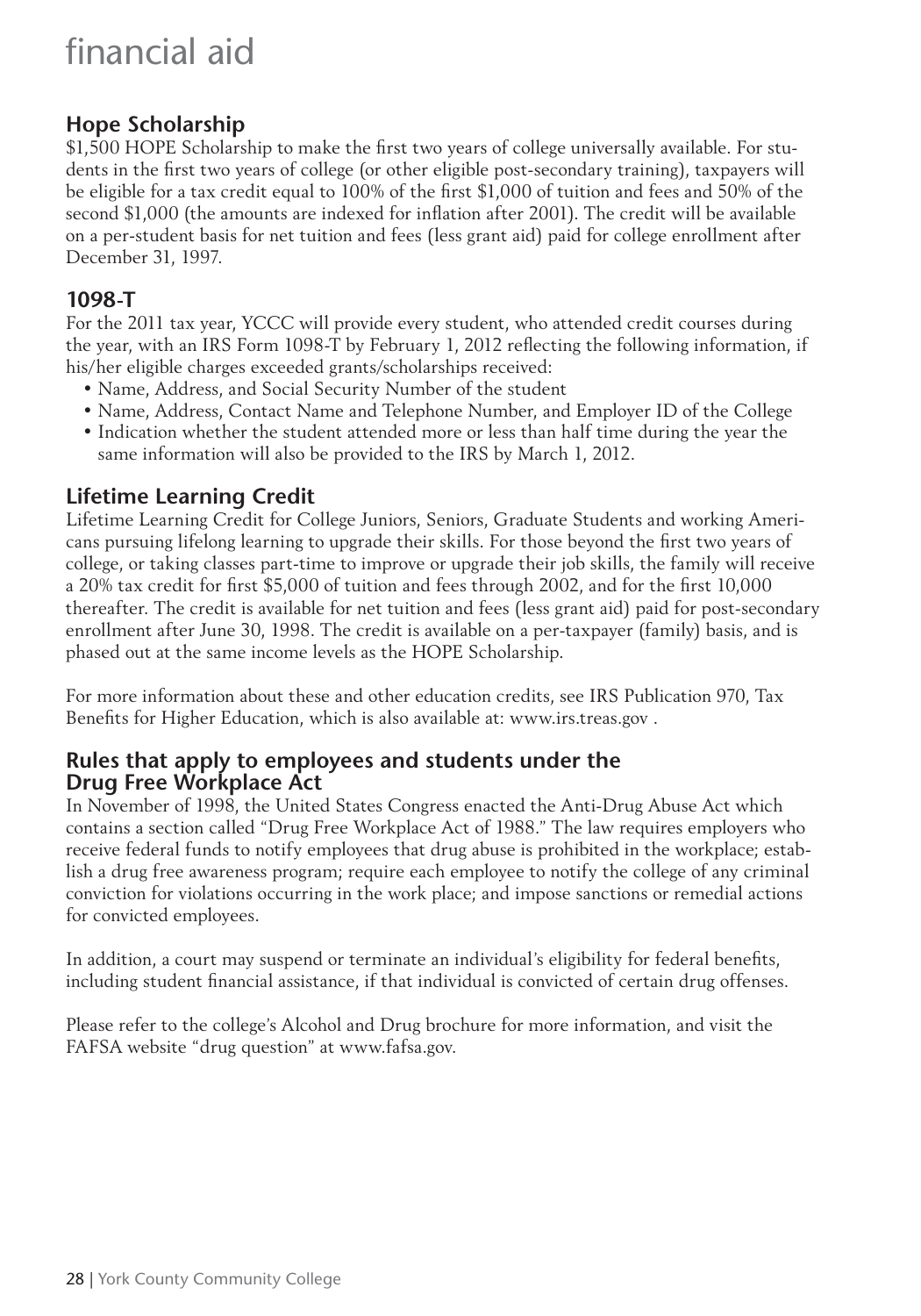# financial aid

# **Hope Scholarship**

\$1,500 HOPE Scholarship to make the first two years of college universally available. For students in the first two years of college (or other eligible post-secondary training), taxpayers will be eligible for a tax credit equal to 100% of the first \$1,000 of tuition and fees and 50% of the second \$1,000 (the amounts are indexed for inflation after 2001). The credit will be available on a per-student basis for net tuition and fees (less grant aid) paid for college enrollment after December 31, 1997.

#### **1098-T**

For the 2011 tax year, YCCC will provide every student, who attended credit courses during the year, with an IRS Form 1098-T by February 1, 2012 reflecting the following information, if his/her eligible charges exceeded grants/scholarships received:

- Name, Address, and Social Security Number of the student
- Name, Address, Contact Name and Telephone Number, and Employer ID of the College
- Indication whether the student attended more or less than half time during the year the same information will also be provided to the IRS by March 1, 2012.

# **Lifetime Learning Credit**

Lifetime Learning Credit for College Juniors, Seniors, Graduate Students and working Americans pursuing lifelong learning to upgrade their skills. For those beyond the first two years of college, or taking classes part-time to improve or upgrade their job skills, the family will receive a 20% tax credit for first \$5,000 of tuition and fees through 2002, and for the first 10,000 thereafter. The credit is available for net tuition and fees (less grant aid) paid for post-secondary enrollment after June 30, 1998. The credit is available on a per-taxpayer (family) basis, and is phased out at the same income levels as the HOPE Scholarship.

For more information about these and other education credits, see IRS Publication 970, Tax Benefits for Higher Education, which is also available at: www.irs.treas.gov.

#### **Rules that apply to employees and students under the Drug Free Workplace Act**

In November of 1998, the United States Congress enacted the Anti-Drug Abuse Act which contains a section called "Drug Free Workplace Act of 1988." The law requires employers who receive federal funds to notify employees that drug abuse is prohibited in the workplace; establish a drug free awareness program; require each employee to notify the college of any criminal conviction for violations occurring in the work place; and impose sanctions or remedial actions for convicted employees.

In addition, a court may suspend or terminate an individual's eligibility for federal benefits, including student financial assistance, if that individual is convicted of certain drug offenses.

Please refer to the college's Alcohol and Drug brochure for more information, and visit the FAFSA website "drug question" at www.fafsa.gov.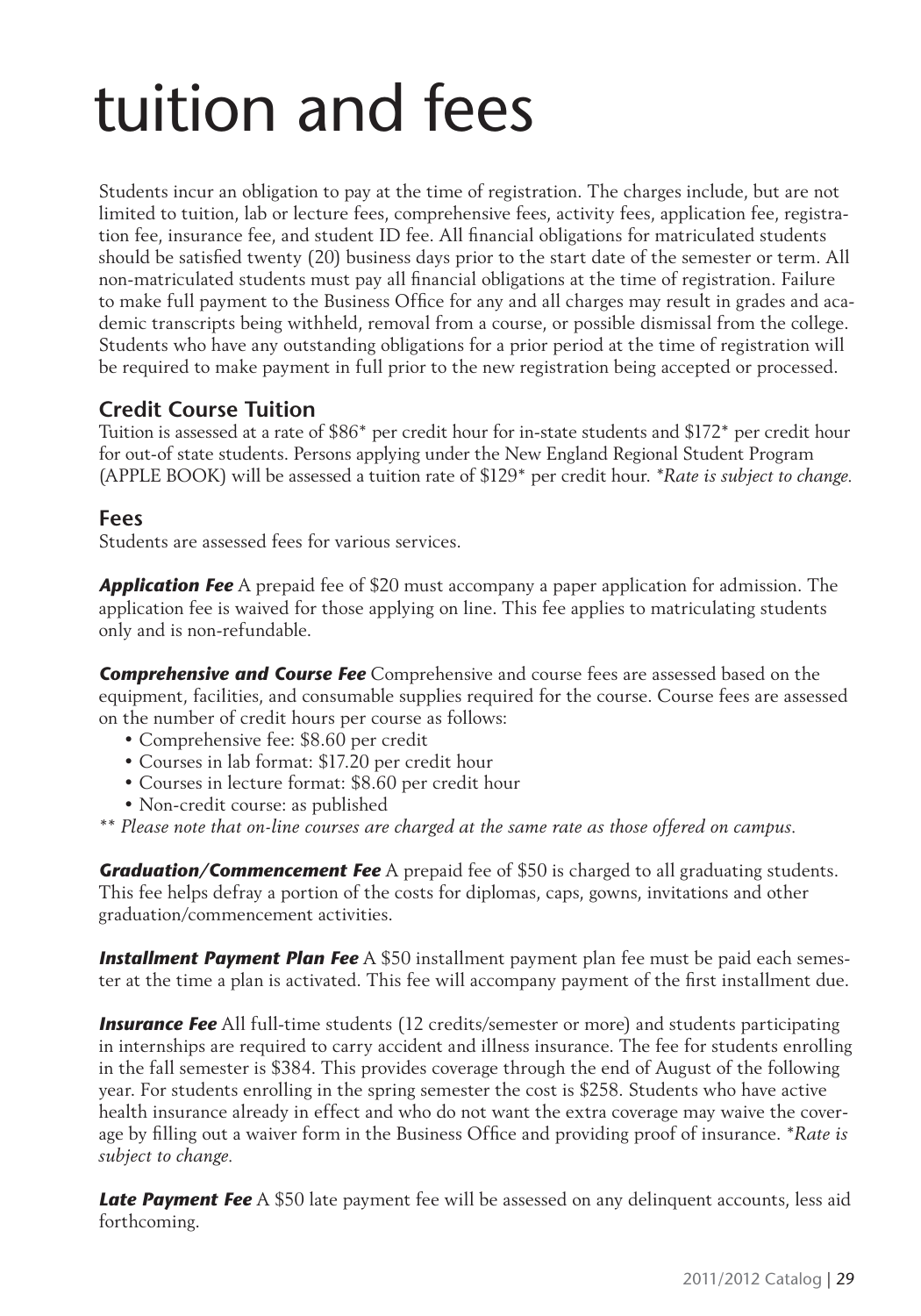# tuition and fees

Students incur an obligation to pay at the time of registration. The charges include, but are not limited to tuition, lab or lecture fees, comprehensive fees, activity fees, application fee, registration fee, insurance fee, and student ID fee. All financial obligations for matriculated students should be satisfied twenty (20) business days prior to the start date of the semester or term. All non-matriculated students must pay all financial obligations at the time of registration. Failure to make full payment to the Business Office for any and all charges may result in grades and academic transcripts being withheld, removal from a course, or possible dismissal from the college. Students who have any outstanding obligations for a prior period at the time of registration will be required to make payment in full prior to the new registration being accepted or processed.

# **Credit Course Tuition**

Tuition is assessed at a rate of \$86\* per credit hour for in-state students and \$172\* per credit hour for out-of state students. Persons applying under the New England Regional Student Program (APPLE BOOK) will be assessed a tuition rate of \$129\* per credit hour. *\*Rate is subject to change.*

### **Fees**

Students are assessed fees for various services.

*Application Fee* A prepaid fee of \$20 must accompany a paper application for admission. The application fee is waived for those applying on line. This fee applies to matriculating students only and is non-refundable.

*Comprehensive and Course Fee* Comprehensive and course fees are assessed based on the equipment, facilities, and consumable supplies required for the course. Course fees are assessed on the number of credit hours per course as follows:

- Comprehensive fee: \$8.60 per credit
- Courses in lab format: \$17.20 per credit hour
- Courses in lecture format: \$8.60 per credit hour
- Non-credit course: as published

*\*\* Please note that on-line courses are charged at the same rate as those offered on campus.*

*Graduation/Commencement Fee A prepaid fee of \$50 is charged to all graduating students.* This fee helps defray a portion of the costs for diplomas, caps, gowns, invitations and other graduation/commencement activities.

**Installment Payment Plan Fee** A \$50 installment payment plan fee must be paid each semester at the time a plan is activated. This fee will accompany payment of the first installment due.

**Insurance Fee** All full-time students (12 credits/semester or more) and students participating in internships are required to carry accident and illness insurance. The fee for students enrolling in the fall semester is \$384. This provides coverage through the end of August of the following year. For students enrolling in the spring semester the cost is \$258. Students who have active health insurance already in effect and who do not want the extra coverage may waive the coverage by filling out a waiver form in the Business Office and providing proof of insurance. *\*Rate is subject to change.*

**Late Payment Fee** A \$50 late payment fee will be assessed on any delinquent accounts, less aid forthcoming.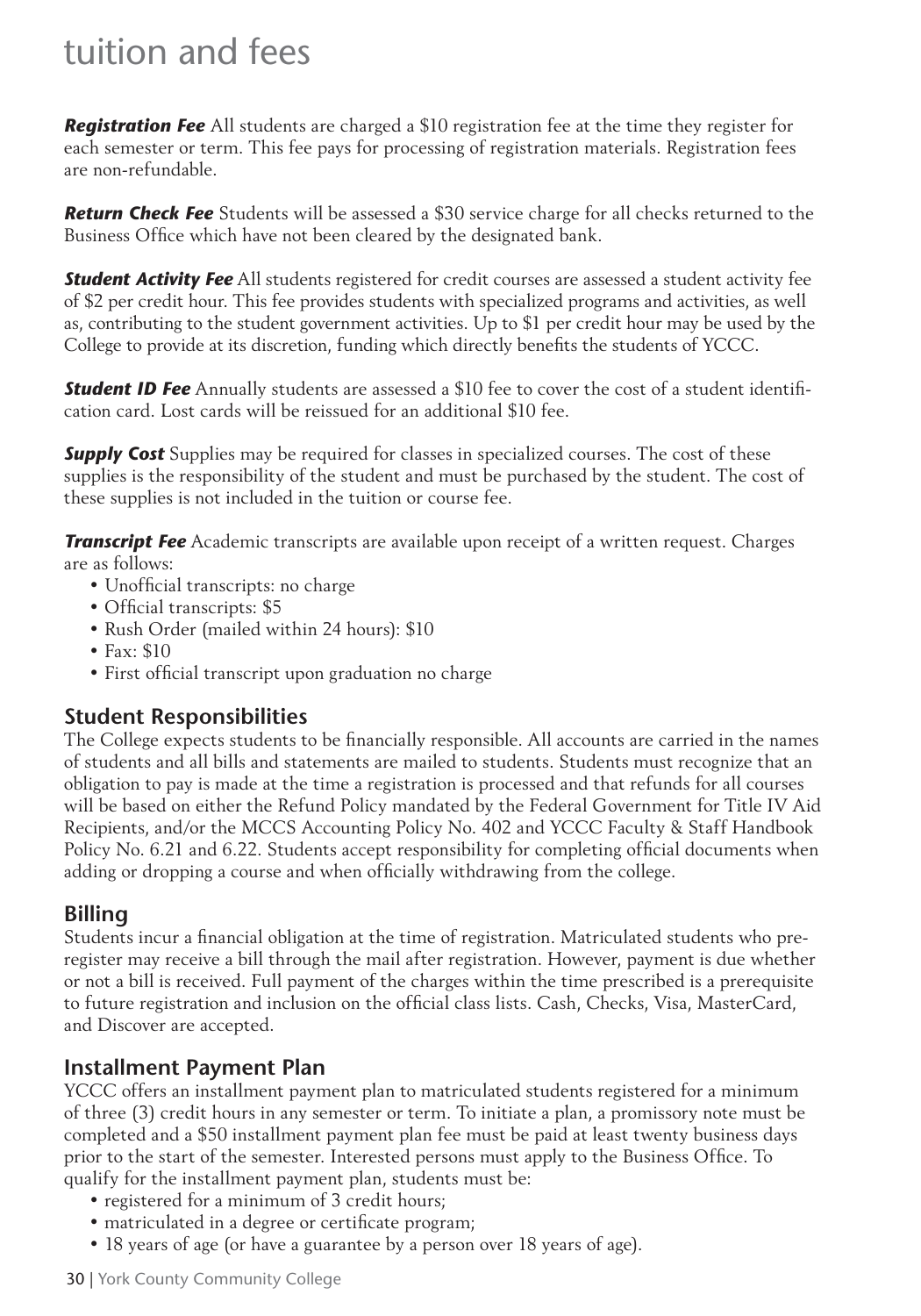# tuition and fees

*Registration Fee* All students are charged a \$10 registration fee at the time they register for each semester or term. This fee pays for processing of registration materials. Registration fees are non-refundable.

*Return Check Fee* Students will be assessed a \$30 service charge for all checks returned to the Business Office which have not been cleared by the designated bank.

*Student Activity Fee* All students registered for credit courses are assessed a student activity fee of \$2 per credit hour. This fee provides students with specialized programs and activities, as well as, contributing to the student government activities. Up to \$1 per credit hour may be used by the College to provide at its discretion, funding which directly benefits the students of YCCC.

**Student ID Fee** Annually students are assessed a \$10 fee to cover the cost of a student identification card. Lost cards will be reissued for an additional \$10 fee.

**Supply Cost** Supplies may be required for classes in specialized courses. The cost of these supplies is the responsibility of the student and must be purchased by the student. The cost of these supplies is not included in the tuition or course fee.

*Transcript Fee* Academic transcripts are available upon receipt of a written request. Charges are as follows:

- Unofficial transcripts: no charge
- Official transcripts: \$5
- Rush Order (mailed within 24 hours): \$10
- Fax: \$10
- First official transcript upon graduation no charge

#### **Student Responsibilities**

The College expects students to be financially responsible. All accounts are carried in the names of students and all bills and statements are mailed to students. Students must recognize that an obligation to pay is made at the time a registration is processed and that refunds for all courses will be based on either the Refund Policy mandated by the Federal Government for Title IV Aid Recipients, and/or the MCCS Accounting Policy No. 402 and YCCC Faculty & Staff Handbook Policy No. 6.21 and 6.22. Students accept responsibility for completing official documents when adding or dropping a course and when officially withdrawing from the college.

# **Billing**

Students incur a financial obligation at the time of registration. Matriculated students who preregister may receive a bill through the mail after registration. However, payment is due whether or not a bill is received. Full payment of the charges within the time prescribed is a prerequisite to future registration and inclusion on the official class lists. Cash, Checks, Visa, MasterCard, and Discover are accepted.

# **Installment Payment Plan**

YCCC offers an installment payment plan to matriculated students registered for a minimum of three (3) credit hours in any semester or term. To initiate a plan, a promissory note must be completed and a \$50 installment payment plan fee must be paid at least twenty business days prior to the start of the semester. Interested persons must apply to the Business Office. To qualify for the installment payment plan, students must be:

- registered for a minimum of 3 credit hours;
- matriculated in a degree or certificate program;
- 18 years of age (or have a guarantee by a person over 18 years of age).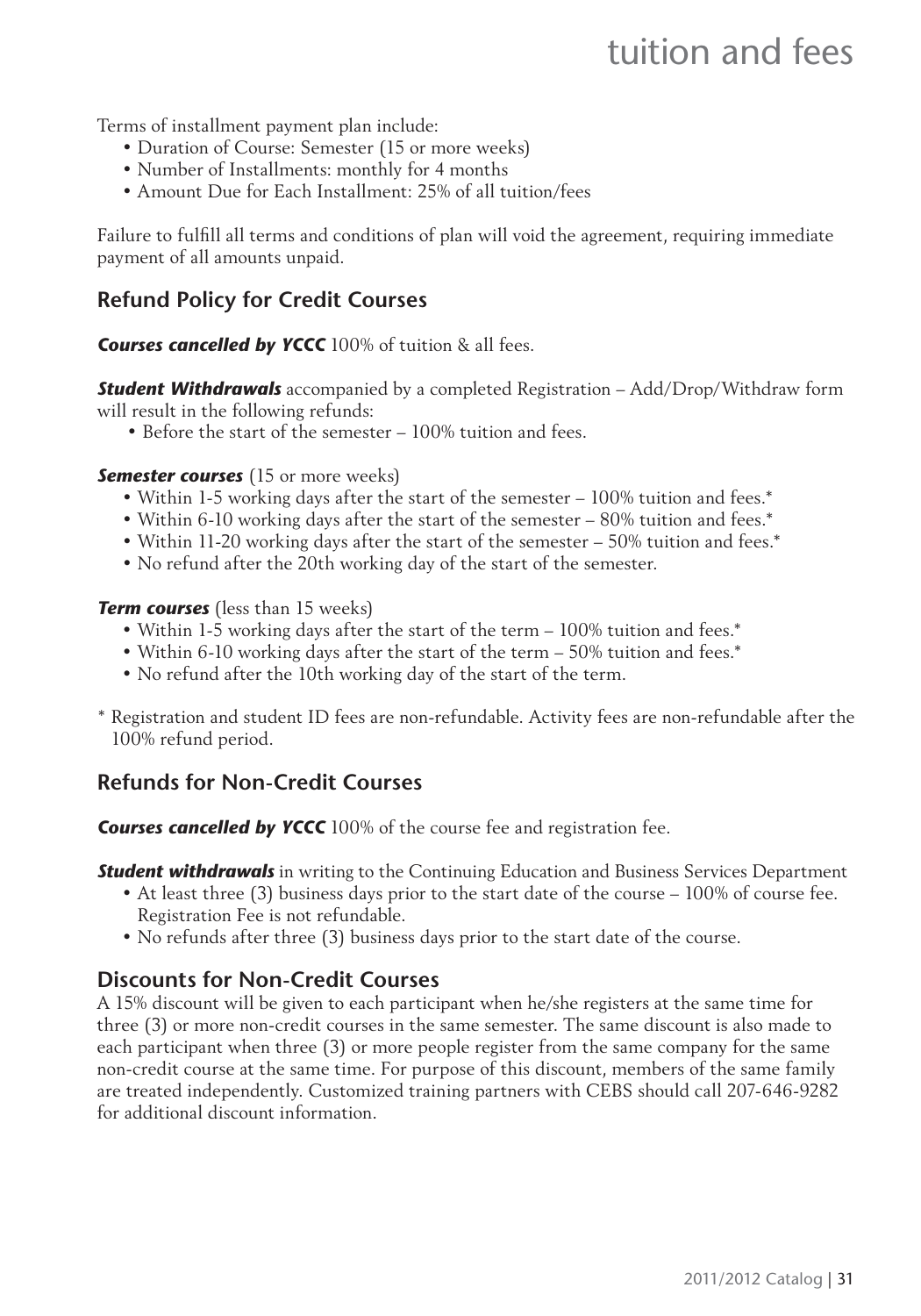Terms of installment payment plan include:

- Duration of Course: Semester (15 or more weeks)
- Number of Installments: monthly for 4 months
- Amount Due for Each Installment: 25% of all tuition/fees

Failure to fulfill all terms and conditions of plan will void the agreement, requiring immediate payment of all amounts unpaid.

# **Refund Policy for Credit Courses**

*Courses cancelled by YCCC* 100% of tuition & all fees.

*Student Withdrawals* accompanied by a completed Registration – Add/Drop/Withdraw form will result in the following refunds:

• Before the start of the semester – 100% tuition and fees.

**Semester courses** (15 or more weeks)

- Within 1-5 working days after the start of the semester 100% tuition and fees.\*
- Within 6-10 working days after the start of the semester 80% tuition and fees.\*
- Within 11-20 working days after the start of the semester 50% tuition and fees.\*
- No refund after the 20th working day of the start of the semester.

#### *Term courses* (less than 15 weeks)

- Within 1-5 working days after the start of the term 100% tuition and fees.\*
- Within 6-10 working days after the start of the term 50% tuition and fees.\*
- No refund after the 10th working day of the start of the term.
- \* Registration and student ID fees are non-refundable. Activity fees are non-refundable after the 100% refund period.

# **Refunds for Non-Credit Courses**

**Courses cancelled by YCCC** 100% of the course fee and registration fee.

*Student withdrawals* in writing to the Continuing Education and Business Services Department

- At least three (3) business days prior to the start date of the course 100% of course fee. Registration Fee is not refundable.
- No refunds after three (3) business days prior to the start date of the course.

# **Discounts for Non-Credit Courses**

A 15% discount will be given to each participant when he/she registers at the same time for three (3) or more non-credit courses in the same semester. The same discount is also made to each participant when three (3) or more people register from the same company for the same non-credit course at the same time. For purpose of this discount, members of the same family are treated independently. Customized training partners with CEBS should call 207-646-9282 for additional discount information.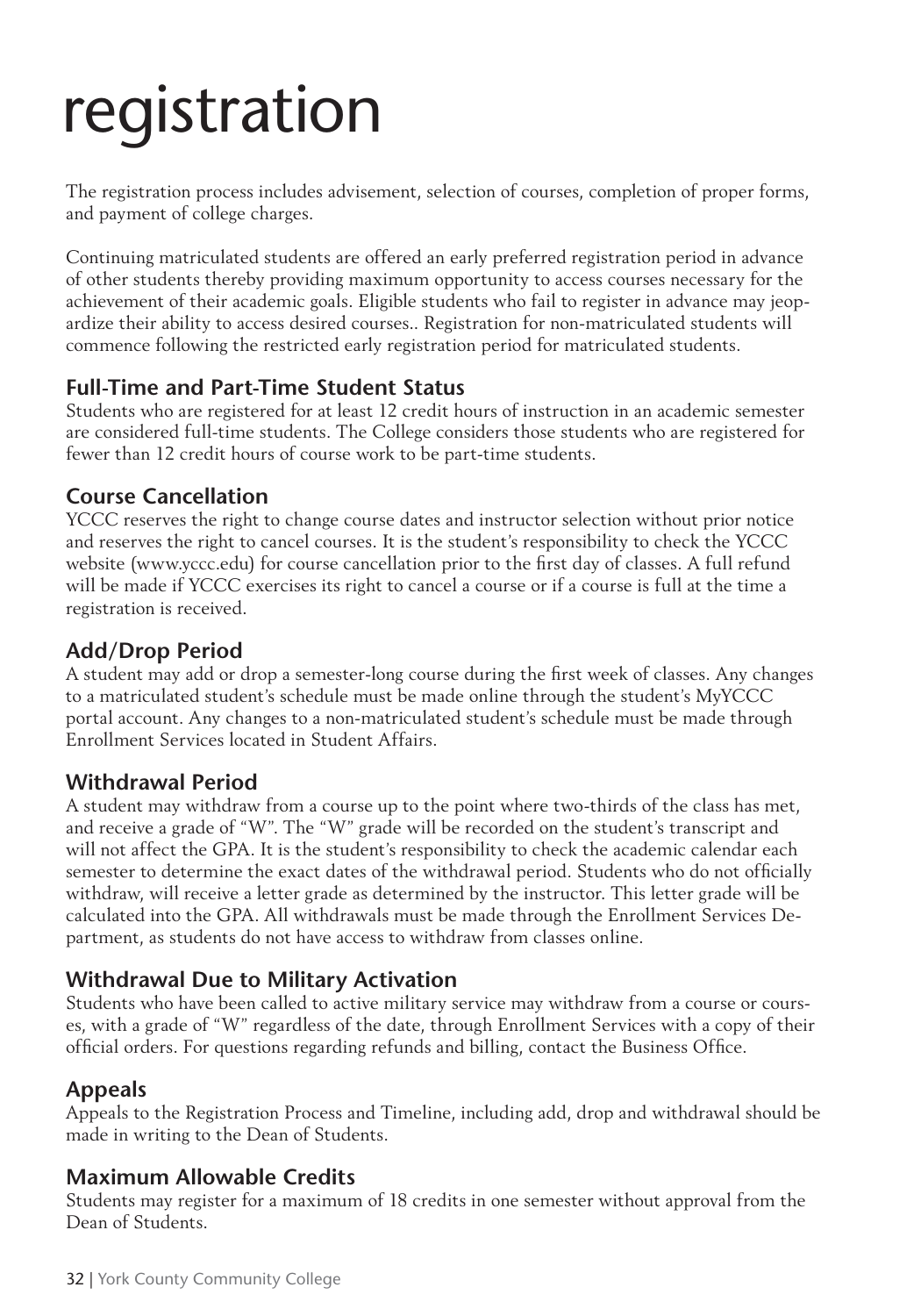# registration

The registration process includes advisement, selection of courses, completion of proper forms, and payment of college charges.

Continuing matriculated students are offered an early preferred registration period in advance of other students thereby providing maximum opportunity to access courses necessary for the achievement of their academic goals. Eligible students who fail to register in advance may jeopardize their ability to access desired courses.. Registration for non-matriculated students will commence following the restricted early registration period for matriculated students.

### **Full-Time and Part-Time Student Status**

Students who are registered for at least 12 credit hours of instruction in an academic semester are considered full-time students. The College considers those students who are registered for fewer than 12 credit hours of course work to be part-time students.

### **Course Cancellation**

YCCC reserves the right to change course dates and instructor selection without prior notice and reserves the right to cancel courses. It is the student's responsibility to check the YCCC website (www.yccc.edu) for course cancellation prior to the first day of classes. A full refund will be made if YCCC exercises its right to cancel a course or if a course is full at the time a registration is received.

# **Add/Drop Period**

A student may add or drop a semester-long course during the first week of classes. Any changes to a matriculated student's schedule must be made online through the student's MyYCCC portal account. Any changes to a non-matriculated student's schedule must be made through Enrollment Services located in Student Affairs.

# **Withdrawal Period**

A student may withdraw from a course up to the point where two-thirds of the class has met, and receive a grade of "W". The "W" grade will be recorded on the student's transcript and will not affect the GPA. It is the student's responsibility to check the academic calendar each semester to determine the exact dates of the withdrawal period. Students who do not officially withdraw, will receive a letter grade as determined by the instructor. This letter grade will be calculated into the GPA. All withdrawals must be made through the Enrollment Services Department, as students do not have access to withdraw from classes online.

# **Withdrawal Due to Military Activation**

Students who have been called to active military service may withdraw from a course or courses, with a grade of "W" regardless of the date, through Enrollment Services with a copy of their official orders. For questions regarding refunds and billing, contact the Business Office.

# **Appeals**

Appeals to the Registration Process and Timeline, including add, drop and withdrawal should be made in writing to the Dean of Students.

# **Maximum Allowable Credits**

Students may register for a maximum of 18 credits in one semester without approval from the Dean of Students.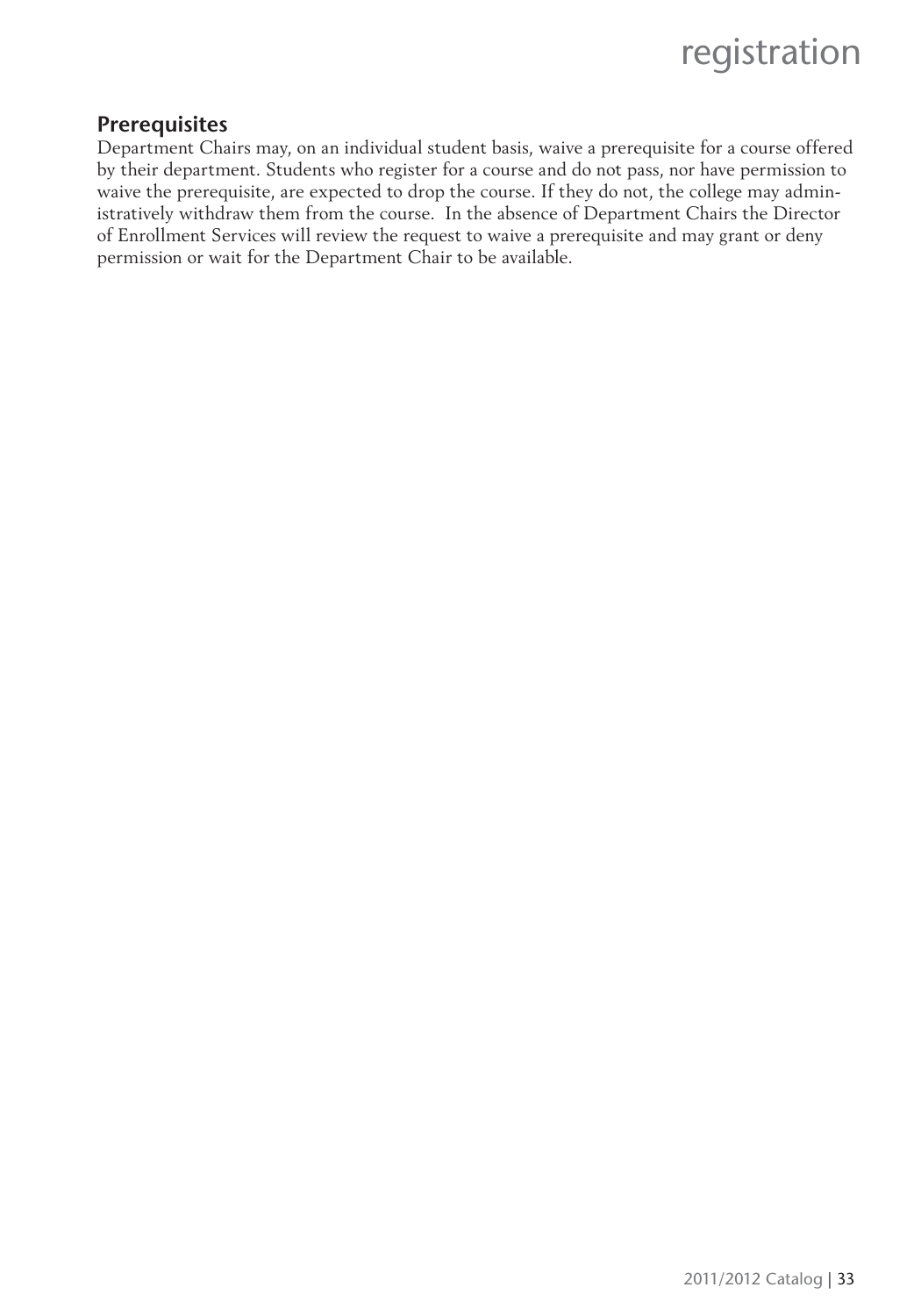

#### **Prerequisites**

Department Chairs may, on an individual student basis, waive a prerequisite for a course offered by their department. Students who register for a course and do not pass, nor have permission to waive the prerequisite, are expected to drop the course. If they do not, the college may administratively withdraw them from the course. In the absence of Department Chairs the Director of Enrollment Services will review the request to waive a prerequisite and may grant or deny permission or wait for the Department Chair to be available.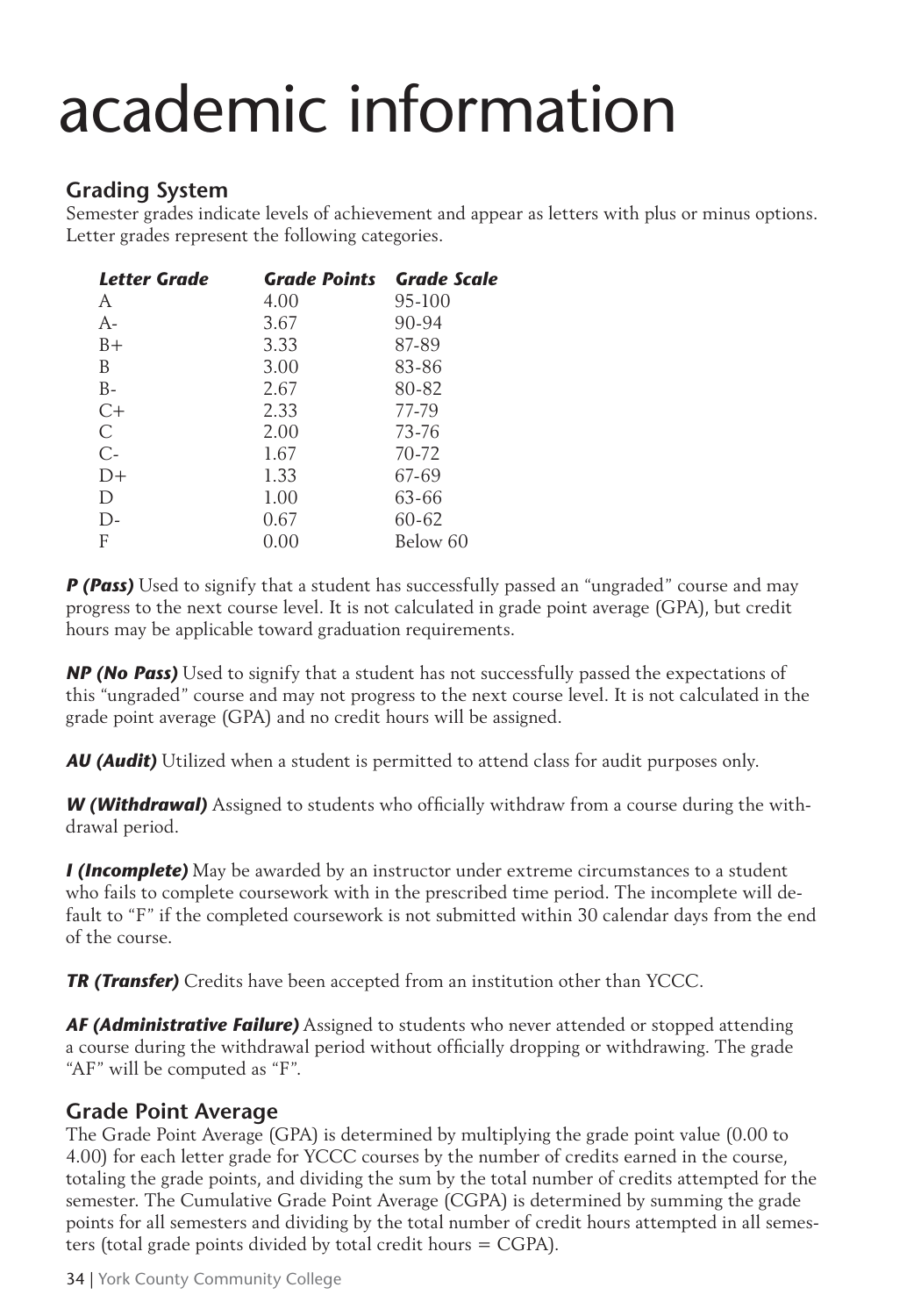# academic information

# **Grading System**

Semester grades indicate levels of achievement and appear as letters with plus or minus options. Letter grades represent the following categories.

| <b>Letter Grade</b> | <b>Grade Points Grade Scale</b> |          |
|---------------------|---------------------------------|----------|
| A                   | 4.00                            | 95-100   |
| $A-$                | 3.67                            | 90-94    |
| $B+$                | 3.33                            | 87-89    |
| B                   | 3.00                            | 83-86    |
| $B -$               | 2.67                            | 80-82    |
| C+                  | 2.33                            | 77-79    |
| C                   | 2.00                            | 73-76    |
| $C-$                | 1.67                            | 70-72    |
| $D+$                | 1.33                            | 67-69    |
| D                   | 1.00                            | 63-66    |
| $\Gamma$            | 0.67                            | 60-62    |
| F                   | 0.00                            | Below 60 |

*P (Pass)* Used to signify that a student has successfully passed an "ungraded" course and may progress to the next course level. It is not calculated in grade point average (GPA), but credit hours may be applicable toward graduation requirements.

*NP (No Pass)* Used to signify that a student has not successfully passed the expectations of this "ungraded" course and may not progress to the next course level. It is not calculated in the grade point average (GPA) and no credit hours will be assigned.

*AU (Audit)* Utilized when a student is permitted to attend class for audit purposes only.

**W (Withdrawal)** Assigned to students who officially withdraw from a course during the withdrawal period.

*I (Incomplete)* May be awarded by an instructor under extreme circumstances to a student who fails to complete coursework with in the prescribed time period. The incomplete will default to "F" if the completed coursework is not submitted within 30 calendar days from the end of the course.

*TR (Transfer)* Credits have been accepted from an institution other than YCCC.

*AF (Administrative Failure)* Assigned to students who never attended or stopped attending a course during the withdrawal period without officially dropping or withdrawing. The grade "AF" will be computed as "F".

# **Grade Point Average**

The Grade Point Average (GPA) is determined by multiplying the grade point value (0.00 to 4.00) for each letter grade for YCCC courses by the number of credits earned in the course, totaling the grade points, and dividing the sum by the total number of credits attempted for the semester. The Cumulative Grade Point Average (CGPA) is determined by summing the grade points for all semesters and dividing by the total number of credit hours attempted in all semesters (total grade points divided by total credit hours = CGPA).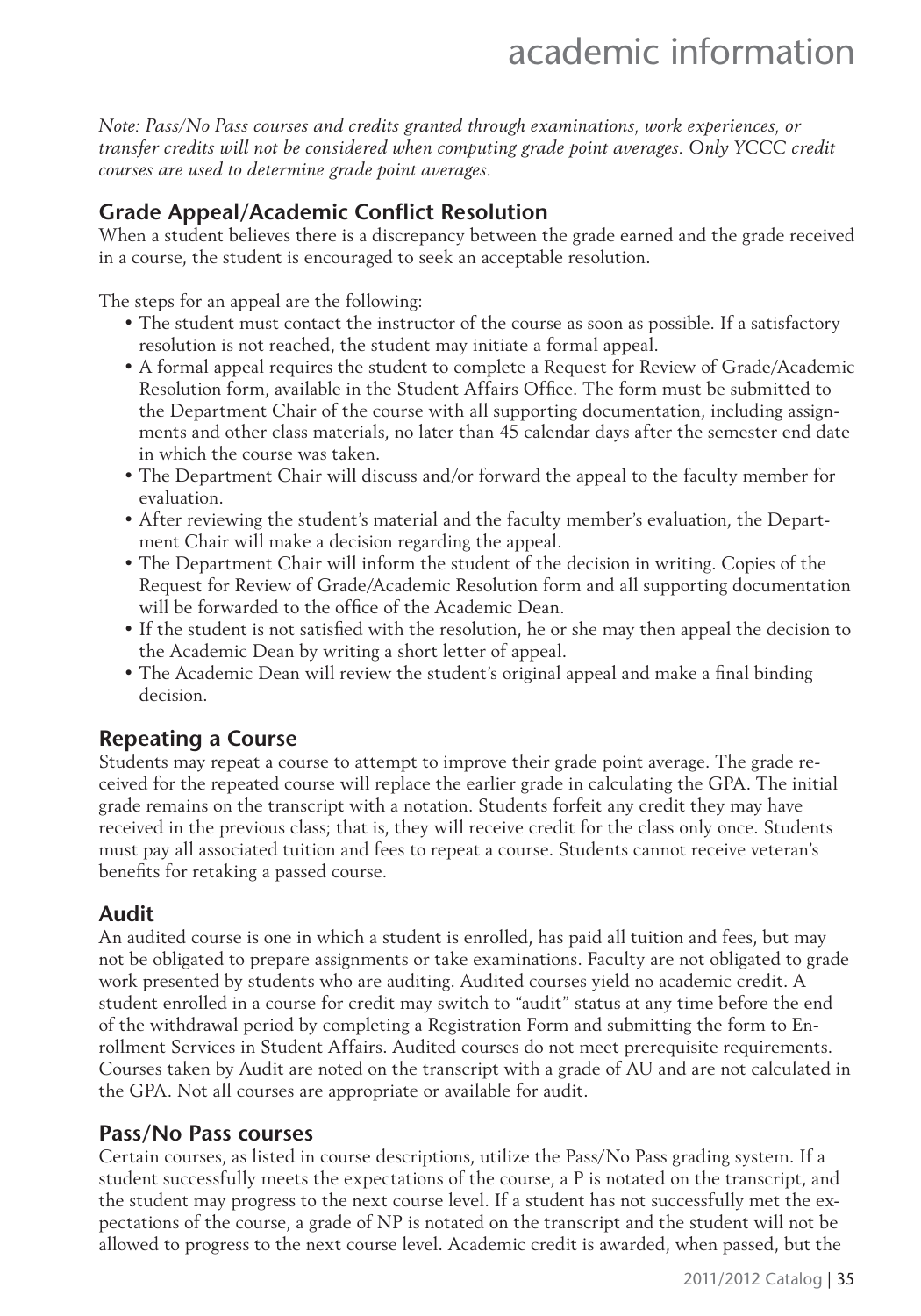# academic information

*Note: Pass/No Pass courses and credits granted through examinations, work experiences, or transfer credits will not be considered when computing grade point averages. Only YCCC credit courses are used to determine grade point averages.*

# **Grade Appeal/Academic Conflict Resolution**

When a student believes there is a discrepancy between the grade earned and the grade received in a course, the student is encouraged to seek an acceptable resolution.

The steps for an appeal are the following:

- The student must contact the instructor of the course as soon as possible. If a satisfactory resolution is not reached, the student may initiate a formal appeal.
- A formal appeal requires the student to complete a Request for Review of Grade/Academic Resolution form, available in the Student Affairs Office. The form must be submitted to the Department Chair of the course with all supporting documentation, including assignments and other class materials, no later than 45 calendar days after the semester end date in which the course was taken.
- The Department Chair will discuss and/or forward the appeal to the faculty member for evaluation.
- After reviewing the student's material and the faculty member's evaluation, the Department Chair will make a decision regarding the appeal.
- The Department Chair will inform the student of the decision in writing. Copies of the Request for Review of Grade/Academic Resolution form and all supporting documentation will be forwarded to the office of the Academic Dean.
- If the student is not satisfied with the resolution, he or she may then appeal the decision to the Academic Dean by writing a short letter of appeal.
- The Academic Dean will review the student's original appeal and make a final binding decision.

# **Repeating a Course**

Students may repeat a course to attempt to improve their grade point average. The grade received for the repeated course will replace the earlier grade in calculating the GPA. The initial grade remains on the transcript with a notation. Students forfeit any credit they may have received in the previous class; that is, they will receive credit for the class only once. Students must pay all associated tuition and fees to repeat a course. Students cannot receive veteran's benefits for retaking a passed course.

# **Audit**

An audited course is one in which a student is enrolled, has paid all tuition and fees, but may not be obligated to prepare assignments or take examinations. Faculty are not obligated to grade work presented by students who are auditing. Audited courses yield no academic credit. A student enrolled in a course for credit may switch to "audit" status at any time before the end of the withdrawal period by completing a Registration Form and submitting the form to Enrollment Services in Student Affairs. Audited courses do not meet prerequisite requirements. Courses taken by Audit are noted on the transcript with a grade of AU and are not calculated in the GPA. Not all courses are appropriate or available for audit.

#### **Pass/No Pass courses**

Certain courses, as listed in course descriptions, utilize the Pass/No Pass grading system. If a student successfully meets the expectations of the course, a P is notated on the transcript, and the student may progress to the next course level. If a student has not successfully met the expectations of the course, a grade of NP is notated on the transcript and the student will not be allowed to progress to the next course level. Academic credit is awarded, when passed, but the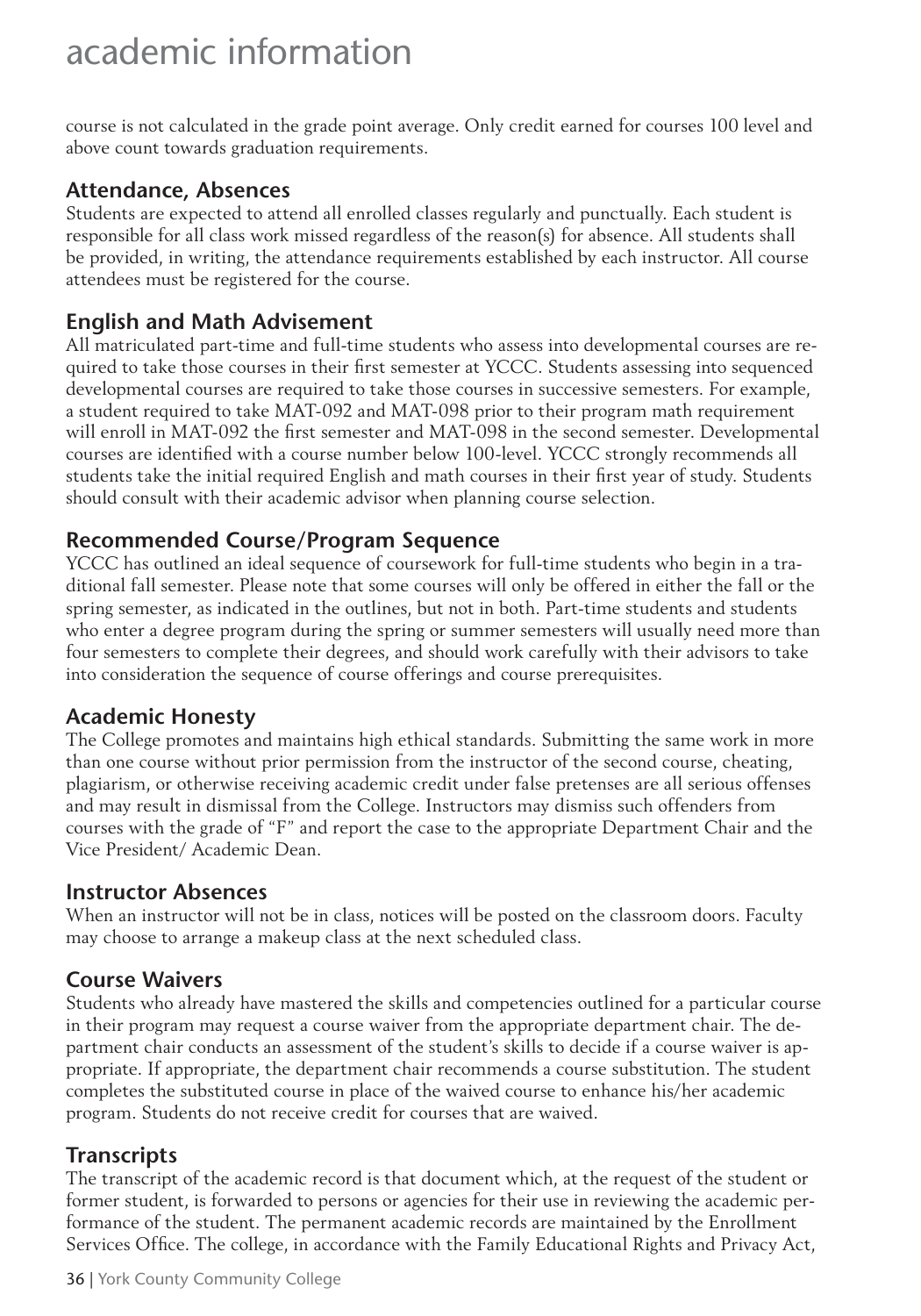course is not calculated in the grade point average. Only credit earned for courses 100 level and above count towards graduation requirements.

#### **Attendance, Absences**

Students are expected to attend all enrolled classes regularly and punctually. Each student is responsible for all class work missed regardless of the reason(s) for absence. All students shall be provided, in writing, the attendance requirements established by each instructor. All course attendees must be registered for the course.

### **English and Math Advisement**

All matriculated part-time and full-time students who assess into developmental courses are required to take those courses in their first semester at YCCC. Students assessing into sequenced developmental courses are required to take those courses in successive semesters. For example, a student required to take MAT-092 and MAT-098 prior to their program math requirement will enroll in MAT-092 the first semester and MAT-098 in the second semester. Developmental courses are identified with a course number below 100-level. YCCC strongly recommends all students take the initial required English and math courses in their first year of study. Students should consult with their academic advisor when planning course selection.

### **Recommended Course/Program Sequence**

YCCC has outlined an ideal sequence of coursework for full-time students who begin in a traditional fall semester. Please note that some courses will only be offered in either the fall or the spring semester, as indicated in the outlines, but not in both. Part-time students and students who enter a degree program during the spring or summer semesters will usually need more than four semesters to complete their degrees, and should work carefully with their advisors to take into consideration the sequence of course offerings and course prerequisites.

#### **Academic Honesty**

The College promotes and maintains high ethical standards. Submitting the same work in more than one course without prior permission from the instructor of the second course, cheating, plagiarism, or otherwise receiving academic credit under false pretenses are all serious offenses and may result in dismissal from the College. Instructors may dismiss such offenders from courses with the grade of "F" and report the case to the appropriate Department Chair and the Vice President/ Academic Dean.

#### **Instructor Absences**

When an instructor will not be in class, notices will be posted on the classroom doors. Faculty may choose to arrange a makeup class at the next scheduled class.

### **Course Waivers**

Students who already have mastered the skills and competencies outlined for a particular course in their program may request a course waiver from the appropriate department chair. The department chair conducts an assessment of the student's skills to decide if a course waiver is appropriate. If appropriate, the department chair recommends a course substitution. The student completes the substituted course in place of the waived course to enhance his/her academic program. Students do not receive credit for courses that are waived.

### **Transcripts**

The transcript of the academic record is that document which, at the request of the student or former student, is forwarded to persons or agencies for their use in reviewing the academic performance of the student. The permanent academic records are maintained by the Enrollment Services Office. The college, in accordance with the Family Educational Rights and Privacy Act,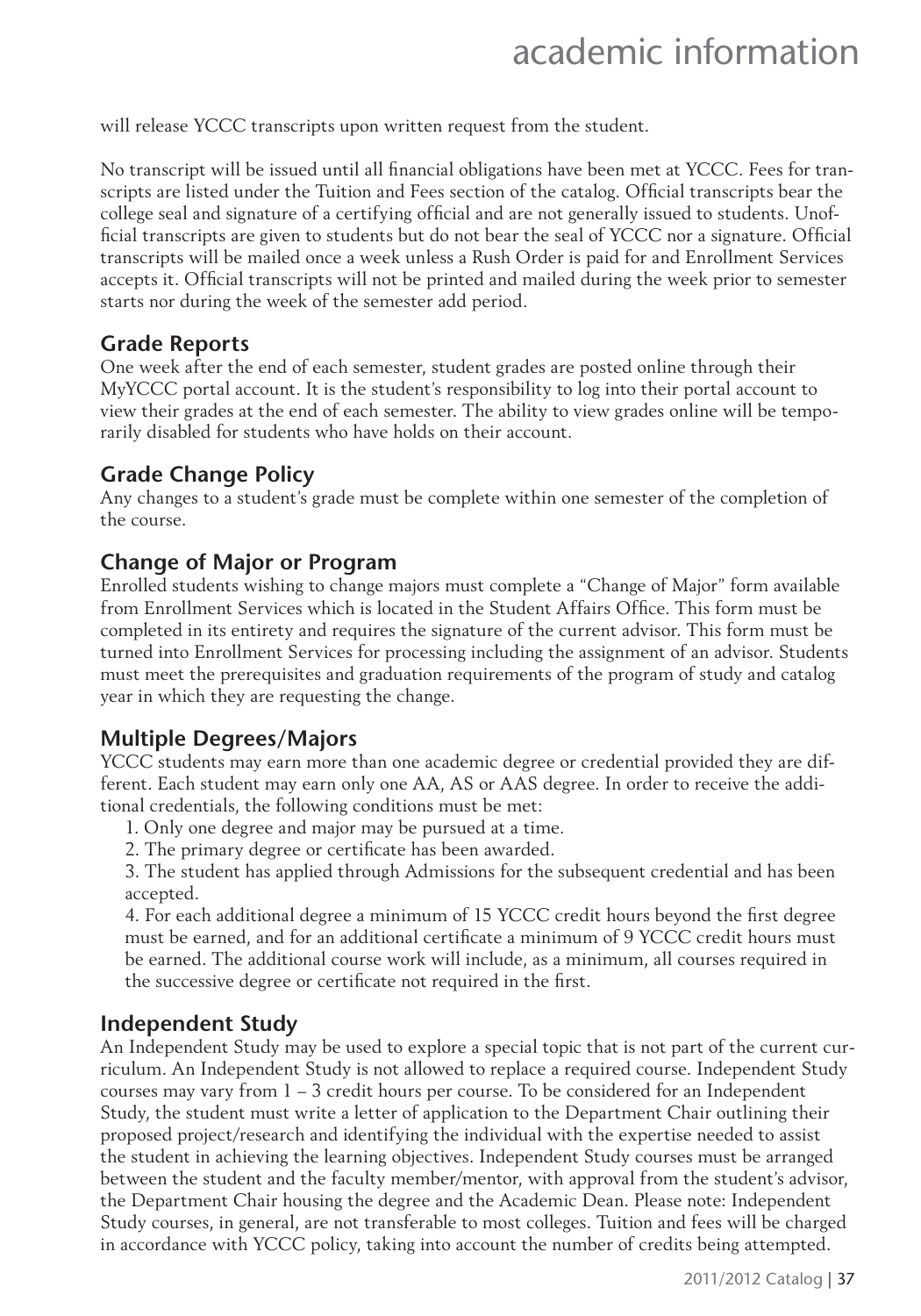will release YCCC transcripts upon written request from the student.

No transcript will be issued until all financial obligations have been met at YCCC. Fees for transcripts are listed under the Tuition and Fees section of the catalog. Official transcripts bear the college seal and signature of a certifying official and are not generally issued to students. Unofficial transcripts are given to students but do not bear the seal of YCCC nor a signature. Official transcripts will be mailed once a week unless a Rush Order is paid for and Enrollment Services accepts it. Official transcripts will not be printed and mailed during the week prior to semester starts nor during the week of the semester add period.

#### **Grade Reports**

One week after the end of each semester, student grades are posted online through their MyYCCC portal account. It is the student's responsibility to log into their portal account to view their grades at the end of each semester. The ability to view grades online will be temporarily disabled for students who have holds on their account.

#### **Grade Change Policy**

Any changes to a student's grade must be complete within one semester of the completion of the course.

#### **Change of Major or Program**

Enrolled students wishing to change majors must complete a "Change of Major" form available from Enrollment Services which is located in the Student Affairs Office. This form must be completed in its entirety and requires the signature of the current advisor. This form must be turned into Enrollment Services for processing including the assignment of an advisor. Students must meet the prerequisites and graduation requirements of the program of study and catalog year in which they are requesting the change.

#### **Multiple Degrees/Majors**

YCCC students may earn more than one academic degree or credential provided they are different. Each student may earn only one AA, AS or AAS degree. In order to receive the additional credentials, the following conditions must be met:

- 1. Only one degree and major may be pursued at a time.
- 2. The primary degree or certificate has been awarded.

3. The student has applied through Admissions for the subsequent credential and has been accepted.

4. For each additional degree a minimum of 15 YCCC credit hours beyond the first degree must be earned, and for an additional certificate a minimum of 9 YCCC credit hours must be earned. The additional course work will include, as a minimum, all courses required in the successive degree or certificate not required in the first.

#### **Independent Study**

An Independent Study may be used to explore a special topic that is not part of the current curriculum. An Independent Study is not allowed to replace a required course. Independent Study courses may vary from  $1 - 3$  credit hours per course. To be considered for an Independent Study, the student must write a letter of application to the Department Chair outlining their proposed project/research and identifying the individual with the expertise needed to assist the student in achieving the learning objectives. Independent Study courses must be arranged between the student and the faculty member/mentor, with approval from the student's advisor, the Department Chair housing the degree and the Academic Dean. Please note: Independent Study courses, in general, are not transferable to most colleges. Tuition and fees will be charged in accordance with YCCC policy, taking into account the number of credits being attempted.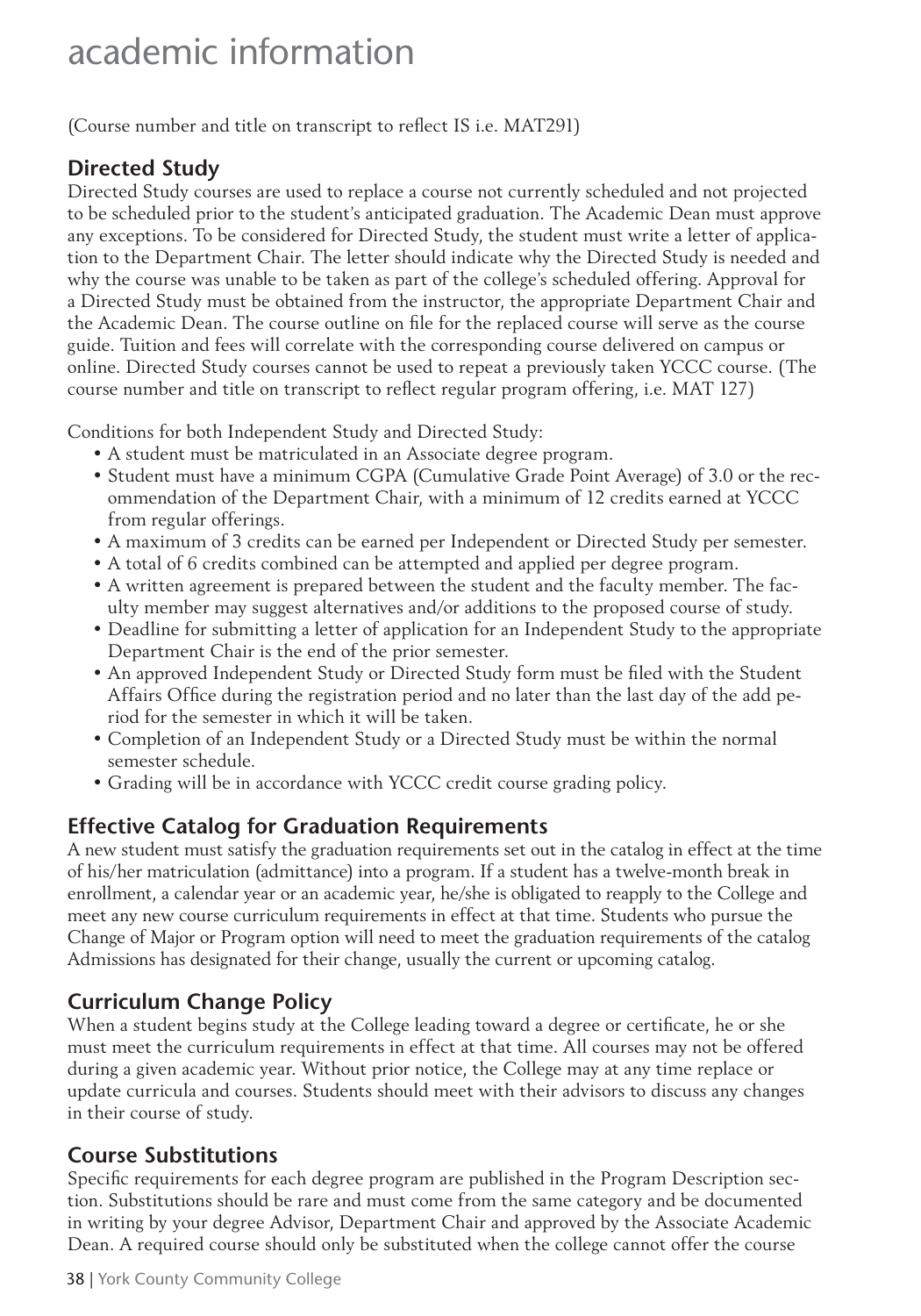(Course number and title on transcript to reflect IS i.e. MAT291)

### **Directed Study**

Directed Study courses are used to replace a course not currently scheduled and not projected to be scheduled prior to the student's anticipated graduation. The Academic Dean must approve any exceptions. To be considered for Directed Study, the student must write a letter of application to the Department Chair. The letter should indicate why the Directed Study is needed and why the course was unable to be taken as part of the college's scheduled offering. Approval for a Directed Study must be obtained from the instructor, the appropriate Department Chair and the Academic Dean. The course outline on file for the replaced course will serve as the course guide. Tuition and fees will correlate with the corresponding course delivered on campus or online. Directed Study courses cannot be used to repeat a previously taken YCCC course. (The course number and title on transcript to reflect regular program offering, i.e. MAT 127)

Conditions for both Independent Study and Directed Study:

- A student must be matriculated in an Associate degree program.
- Student must have a minimum CGPA (Cumulative Grade Point Average) of 3.0 or the recommendation of the Department Chair, with a minimum of 12 credits earned at YCCC from regular offerings.
- A maximum of 3 credits can be earned per Independent or Directed Study per semester.
- A total of 6 credits combined can be attempted and applied per degree program.
- A written agreement is prepared between the student and the faculty member. The faculty member may suggest alternatives and/or additions to the proposed course of study.
- Deadline for submitting a letter of application for an Independent Study to the appropriate Department Chair is the end of the prior semester.
- An approved Independent Study or Directed Study form must be filed with the Student Affairs Office during the registration period and no later than the last day of the add period for the semester in which it will be taken.
- Completion of an Independent Study or a Directed Study must be within the normal semester schedule.
- Grading will be in accordance with YCCC credit course grading policy.

### **Effective Catalog for Graduation Requirements**

A new student must satisfy the graduation requirements set out in the catalog in effect at the time of his/her matriculation (admittance) into a program. If a student has a twelve-month break in enrollment, a calendar year or an academic year, he/she is obligated to reapply to the College and meet any new course curriculum requirements in effect at that time. Students who pursue the Change of Major or Program option will need to meet the graduation requirements of the catalog Admissions has designated for their change, usually the current or upcoming catalog.

### **Curriculum Change Policy**

When a student begins study at the College leading toward a degree or certificate, he or she must meet the curriculum requirements in effect at that time. All courses may not be offered during a given academic year. Without prior notice, the College may at any time replace or update curricula and courses. Students should meet with their advisors to discuss any changes in their course of study.

### **Course Substitutions**

Specific requirements for each degree program are published in the Program Description section. Substitutions should be rare and must come from the same category and be documented in writing by your degree Advisor, Department Chair and approved by the Associate Academic Dean. A required course should only be substituted when the college cannot offer the course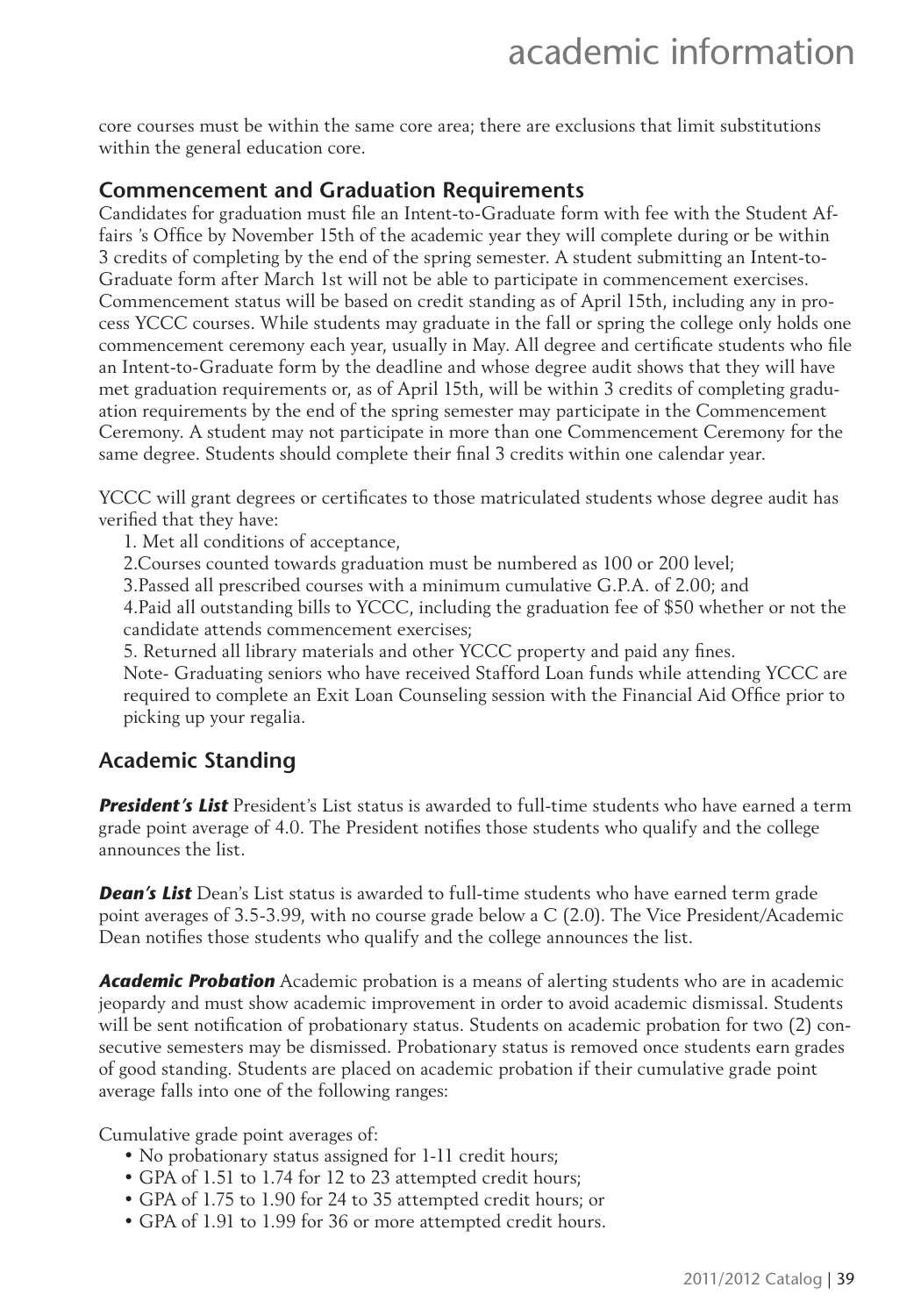core courses must be within the same core area; there are exclusions that limit substitutions within the general education core.

#### **Commencement and Graduation Requirements**

Candidates for graduation must file an Intent-to-Graduate form with fee with the Student Affairs 's Office by November 15th of the academic year they will complete during or be within 3 credits of completing by the end of the spring semester. A student submitting an Intent-to-Graduate form after March 1st will not be able to participate in commencement exercises. Commencement status will be based on credit standing as of April 15th, including any in process YCCC courses. While students may graduate in the fall or spring the college only holds one commencement ceremony each year, usually in May. All degree and certificate students who file an Intent-to-Graduate form by the deadline and whose degree audit shows that they will have met graduation requirements or, as of April 15th, will be within 3 credits of completing graduation requirements by the end of the spring semester may participate in the Commencement Ceremony. A student may not participate in more than one Commencement Ceremony for the same degree. Students should complete their final 3 credits within one calendar year.

YCCC will grant degrees or certificates to those matriculated students whose degree audit has verified that they have:

1. Met all conditions of acceptance,

2.Courses counted towards graduation must be numbered as 100 or 200 level;

3.Passed all prescribed courses with a minimum cumulative G.P.A. of 2.00; and

4.Paid all outstanding bills to YCCC, including the graduation fee of \$50 whether or not the candidate attends commencement exercises;

5. Returned all library materials and other YCCC property and paid any fines.

Note- Graduating seniors who have received Stafford Loan funds while attending YCCC are required to complete an Exit Loan Counseling session with the Financial Aid Office prior to picking up your regalia.

#### **Academic Standing**

*President's List* President's List status is awarded to full-time students who have earned a term grade point average of 4.0. The President notifies those students who qualify and the college announces the list.

*Dean's List* Dean's List status is awarded to full-time students who have earned term grade point averages of 3.5-3.99, with no course grade below a C (2.0). The Vice President/Academic Dean notifies those students who qualify and the college announces the list.

*Academic Probation* Academic probation is a means of alerting students who are in academic jeopardy and must show academic improvement in order to avoid academic dismissal. Students will be sent notification of probationary status. Students on academic probation for two (2) consecutive semesters may be dismissed. Probationary status is removed once students earn grades of good standing. Students are placed on academic probation if their cumulative grade point average falls into one of the following ranges:

Cumulative grade point averages of:

- No probationary status assigned for 1-11 credit hours;
- GPA of 1.51 to 1.74 for 12 to 23 attempted credit hours;
- GPA of 1.75 to 1.90 for 24 to 35 attempted credit hours; or
- GPA of 1.91 to 1.99 for 36 or more attempted credit hours.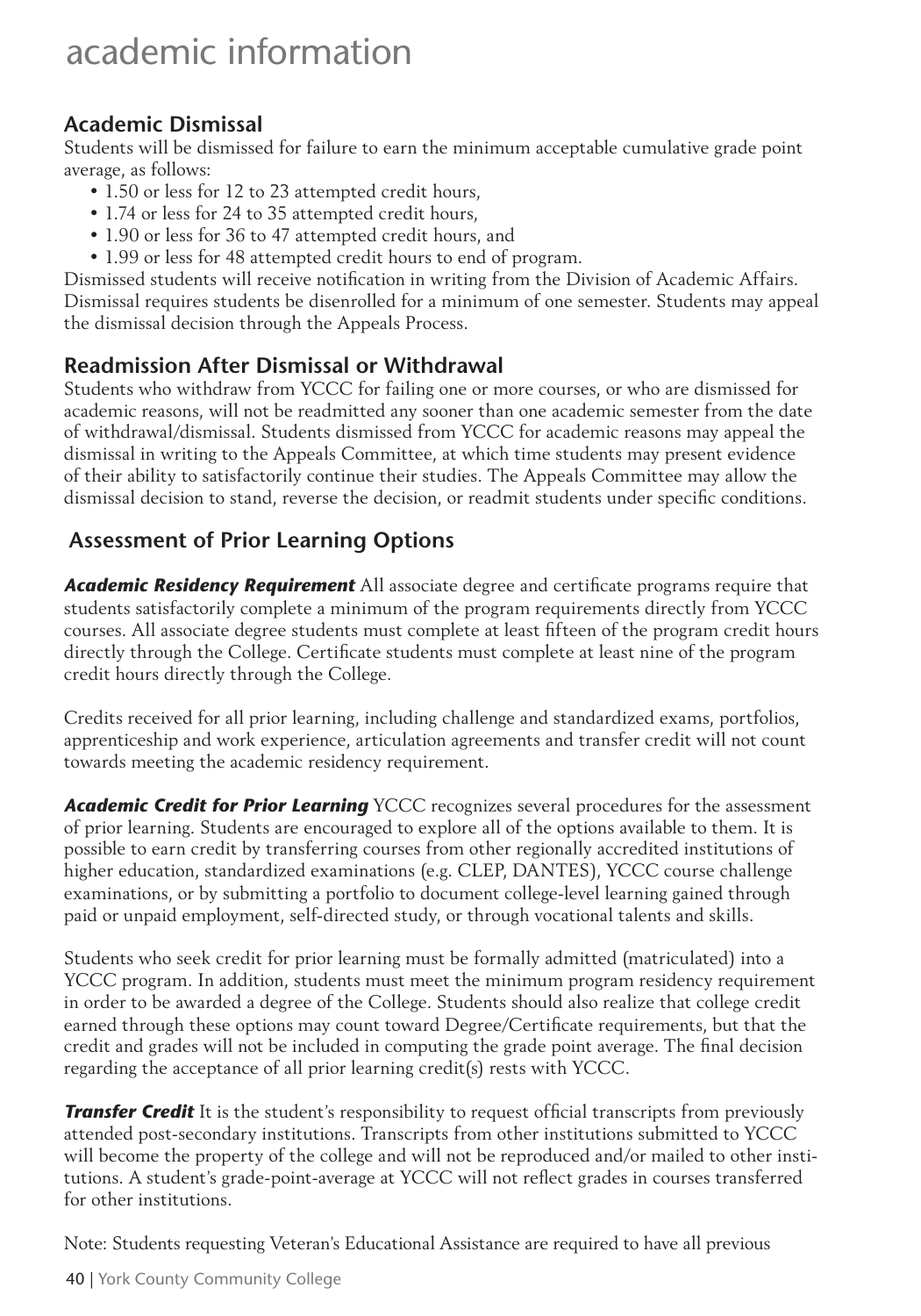### **Academic Dismissal**

Students will be dismissed for failure to earn the minimum acceptable cumulative grade point average, as follows:

- 1.50 or less for 12 to 23 attempted credit hours,
- 1.74 or less for 24 to 35 attempted credit hours,
- 1.90 or less for 36 to 47 attempted credit hours, and
- 1.99 or less for 48 attempted credit hours to end of program.

Dismissed students will receive notification in writing from the Division of Academic Affairs. Dismissal requires students be disenrolled for a minimum of one semester. Students may appeal the dismissal decision through the Appeals Process.

### **Readmission After Dismissal or Withdrawal**

Students who withdraw from YCCC for failing one or more courses, or who are dismissed for academic reasons, will not be readmitted any sooner than one academic semester from the date of withdrawal/dismissal. Students dismissed from YCCC for academic reasons may appeal the dismissal in writing to the Appeals Committee, at which time students may present evidence of their ability to satisfactorily continue their studies. The Appeals Committee may allow the dismissal decision to stand, reverse the decision, or readmit students under specific conditions.

### **Assessment of Prior Learning Options**

**Academic Residency Requirement** All associate degree and certificate programs require that students satisfactorily complete a minimum of the program requirements directly from YCCC courses. All associate degree students must complete at least fifteen of the program credit hours directly through the College. Certificate students must complete at least nine of the program credit hours directly through the College.

Credits received for all prior learning, including challenge and standardized exams, portfolios, apprenticeship and work experience, articulation agreements and transfer credit will not count towards meeting the academic residency requirement.

*Academic Credit for Prior Learning* YCCC recognizes several procedures for the assessment of prior learning. Students are encouraged to explore all of the options available to them. It is possible to earn credit by transferring courses from other regionally accredited institutions of higher education, standardized examinations (e.g. CLEP, DANTES), YCCC course challenge examinations, or by submitting a portfolio to document college-level learning gained through paid or unpaid employment, self-directed study, or through vocational talents and skills.

Students who seek credit for prior learning must be formally admitted (matriculated) into a YCCC program. In addition, students must meet the minimum program residency requirement in order to be awarded a degree of the College. Students should also realize that college credit earned through these options may count toward Degree/Certificate requirements, but that the credit and grades will not be included in computing the grade point average. The final decision regarding the acceptance of all prior learning credit(s) rests with YCCC.

*Transfer Credit* It is the student's responsibility to request official transcripts from previously attended post-secondary institutions. Transcripts from other institutions submitted to YCCC will become the property of the college and will not be reproduced and/or mailed to other institutions. A student's grade-point-average at YCCC will not reflect grades in courses transferred for other institutions.

Note: Students requesting Veteran's Educational Assistance are required to have all previous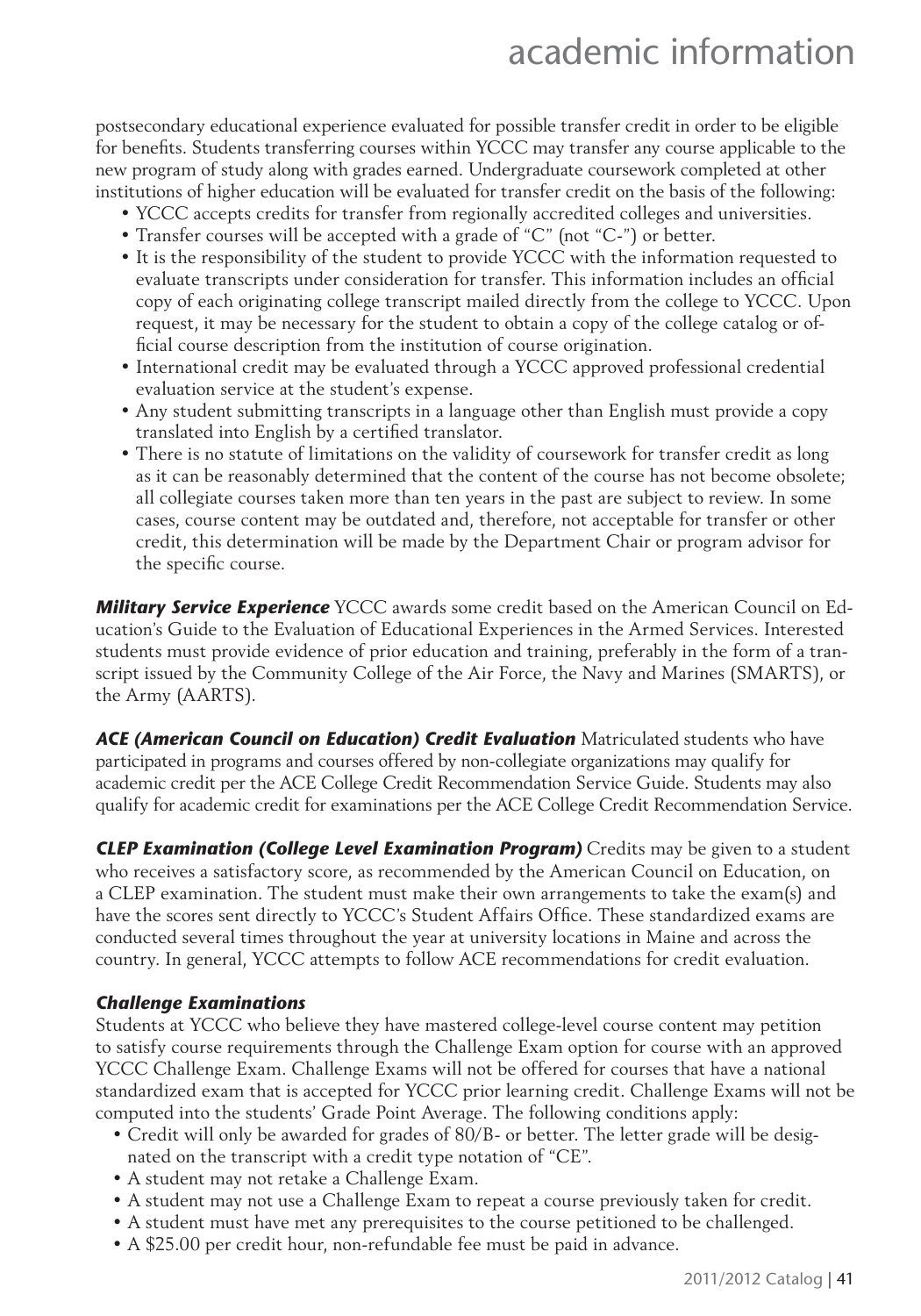postsecondary educational experience evaluated for possible transfer credit in order to be eligible for benefits. Students transferring courses within YCCC may transfer any course applicable to the new program of study along with grades earned. Undergraduate coursework completed at other institutions of higher education will be evaluated for transfer credit on the basis of the following:

- YCCC accepts credits for transfer from regionally accredited colleges and universities.
- Transfer courses will be accepted with a grade of "C" (not "C-") or better.
- It is the responsibility of the student to provide YCCC with the information requested to evaluate transcripts under consideration for transfer. This information includes an official copy of each originating college transcript mailed directly from the college to YCCC. Upon request, it may be necessary for the student to obtain a copy of the college catalog or official course description from the institution of course origination.
- International credit may be evaluated through a YCCC approved professional credential evaluation service at the student's expense.
- Any student submitting transcripts in a language other than English must provide a copy translated into English by a certified translator.
- There is no statute of limitations on the validity of coursework for transfer credit as long as it can be reasonably determined that the content of the course has not become obsolete; all collegiate courses taken more than ten years in the past are subject to review. In some cases, course content may be outdated and, therefore, not acceptable for transfer or other credit, this determination will be made by the Department Chair or program advisor for the specific course.

*Military Service Experience* YCCC awards some credit based on the American Council on Education's Guide to the Evaluation of Educational Experiences in the Armed Services. Interested students must provide evidence of prior education and training, preferably in the form of a transcript issued by the Community College of the Air Force, the Navy and Marines (SMARTS), or the Army (AARTS).

ACE (American Council on Education) Credit Evaluation Matriculated students who have participated in programs and courses offered by non-collegiate organizations may qualify for academic credit per the ACE College Credit Recommendation Service Guide. Students may also qualify for academic credit for examinations per the ACE College Credit Recommendation Service.

*CLEP Examination (College Level Examination Program)* Credits may be given to a student who receives a satisfactory score, as recommended by the American Council on Education, on a CLEP examination. The student must make their own arrangements to take the exam(s) and have the scores sent directly to YCCC's Student Affairs Office. These standardized exams are conducted several times throughout the year at university locations in Maine and across the country. In general, YCCC attempts to follow ACE recommendations for credit evaluation.

#### *Challenge Examinations*

Students at YCCC who believe they have mastered college-level course content may petition to satisfy course requirements through the Challenge Exam option for course with an approved YCCC Challenge Exam. Challenge Exams will not be offered for courses that have a national standardized exam that is accepted for YCCC prior learning credit. Challenge Exams will not be computed into the students' Grade Point Average. The following conditions apply:

- Credit will only be awarded for grades of 80/B- or better. The letter grade will be designated on the transcript with a credit type notation of "CE".
- A student may not retake a Challenge Exam.
- A student may not use a Challenge Exam to repeat a course previously taken for credit.
- A student must have met any prerequisites to the course petitioned to be challenged.
- A \$25.00 per credit hour, non-refundable fee must be paid in advance.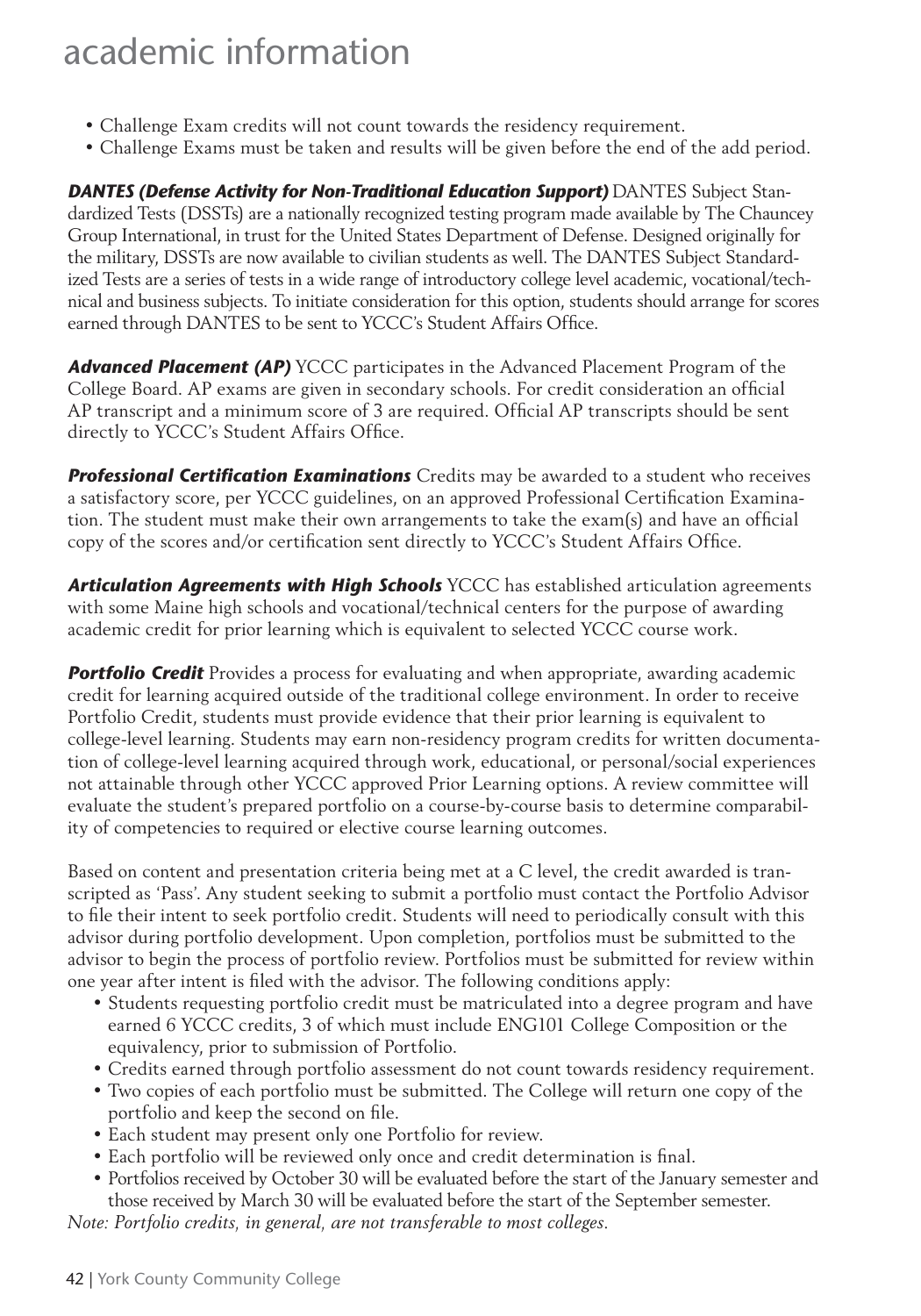- Challenge Exam credits will not count towards the residency requirement.
- Challenge Exams must be taken and results will be given before the end of the add period.

*DANTES (Defense Activity for Non-Traditional Education Support)* DANTES Subject Standardized Tests (DSSTs) are a nationally recognized testing program made available by The Chauncey Group International, in trust for the United States Department of Defense. Designed originally for the military, DSSTs are now available to civilian students as well. The DANTES Subject Standardized Tests are a series of tests in a wide range of introductory college level academic, vocational/technical and business subjects. To initiate consideration for this option, students should arrange for scores earned through DANTES to be sent to YCCC's Student Affairs Office.

*Advanced Placement (AP)* YCCC participates in the Advanced Placement Program of the College Board. AP exams are given in secondary schools. For credit consideration an official AP transcript and a minimum score of 3 are required. Official AP transcripts should be sent directly to YCCC's Student Affairs Office.

**Professional Certification Examinations** Credits may be awarded to a student who receives a satisfactory score, per YCCC guidelines, on an approved Professional Certification Examination. The student must make their own arrangements to take the exam(s) and have an official copy of the scores and/or certification sent directly to YCCC's Student Affairs Office.

*Articulation Agreements with High Schools* YCCC has established articulation agreements with some Maine high schools and vocational/technical centers for the purpose of awarding academic credit for prior learning which is equivalent to selected YCCC course work.

**Portfolio Credit** Provides a process for evaluating and when appropriate, awarding academic credit for learning acquired outside of the traditional college environment. In order to receive Portfolio Credit, students must provide evidence that their prior learning is equivalent to college-level learning. Students may earn non-residency program credits for written documentation of college-level learning acquired through work, educational, or personal/social experiences not attainable through other YCCC approved Prior Learning options. A review committee will evaluate the student's prepared portfolio on a course-by-course basis to determine comparability of competencies to required or elective course learning outcomes.

Based on content and presentation criteria being met at a C level, the credit awarded is transcripted as 'Pass'. Any student seeking to submit a portfolio must contact the Portfolio Advisor to file their intent to seek portfolio credit. Students will need to periodically consult with this advisor during portfolio development. Upon completion, portfolios must be submitted to the advisor to begin the process of portfolio review. Portfolios must be submitted for review within one year after intent is filed with the advisor. The following conditions apply:

- Students requesting portfolio credit must be matriculated into a degree program and have earned 6 YCCC credits, 3 of which must include ENG101 College Composition or the equivalency, prior to submission of Portfolio.
- Credits earned through portfolio assessment do not count towards residency requirement.
- Two copies of each portfolio must be submitted. The College will return one copy of the portfolio and keep the second on file.
- Each student may present only one Portfolio for review.
- Each portfolio will be reviewed only once and credit determination is final.
- Portfolios received by October 30 will be evaluated before the start of the January semester and those received by March 30 will be evaluated before the start of the September semester.

*Note: Portfolio credits, in general, are not transferable to most colleges.*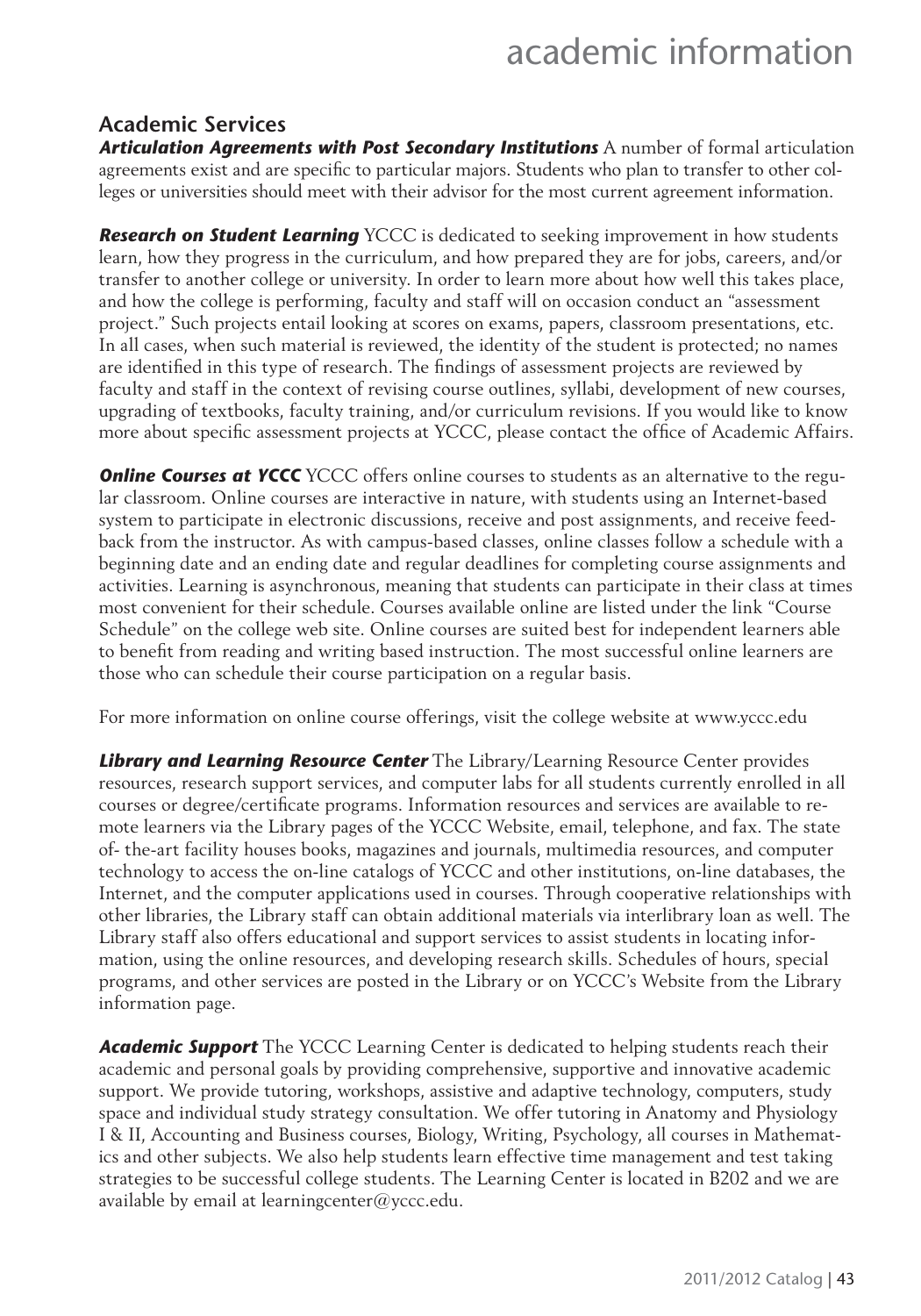#### **Academic Services**

*Articulation Agreements with Post Secondary Institutions* A number of formal articulation agreements exist and are specific to particular majors. Students who plan to transfer to other colleges or universities should meet with their advisor for the most current agreement information.

*Research on Student Learning* YCCC is dedicated to seeking improvement in how students learn, how they progress in the curriculum, and how prepared they are for jobs, careers, and/or transfer to another college or university. In order to learn more about how well this takes place, and how the college is performing, faculty and staff will on occasion conduct an "assessment project." Such projects entail looking at scores on exams, papers, classroom presentations, etc. In all cases, when such material is reviewed, the identity of the student is protected; no names are identified in this type of research. The findings of assessment projects are reviewed by faculty and staff in the context of revising course outlines, syllabi, development of new courses, upgrading of textbooks, faculty training, and/or curriculum revisions. If you would like to know more about specific assessment projects at YCCC, please contact the office of Academic Affairs.

**Online Courses at YCCC** YCCC offers online courses to students as an alternative to the regular classroom. Online courses are interactive in nature, with students using an Internet-based system to participate in electronic discussions, receive and post assignments, and receive feedback from the instructor. As with campus-based classes, online classes follow a schedule with a beginning date and an ending date and regular deadlines for completing course assignments and activities. Learning is asynchronous, meaning that students can participate in their class at times most convenient for their schedule. Courses available online are listed under the link "Course Schedule" on the college web site. Online courses are suited best for independent learners able to benefit from reading and writing based instruction. The most successful online learners are those who can schedule their course participation on a regular basis.

For more information on online course offerings, visit the college website at www.yccc.edu

*Library and Learning Resource Center* The Library/Learning Resource Center provides resources, research support services, and computer labs for all students currently enrolled in all courses or degree/certificate programs. Information resources and services are available to remote learners via the Library pages of the YCCC Website, email, telephone, and fax. The state of- the-art facility houses books, magazines and journals, multimedia resources, and computer technology to access the on-line catalogs of YCCC and other institutions, on-line databases, the Internet, and the computer applications used in courses. Through cooperative relationships with other libraries, the Library staff can obtain additional materials via interlibrary loan as well. The Library staff also offers educational and support services to assist students in locating information, using the online resources, and developing research skills. Schedules of hours, special programs, and other services are posted in the Library or on YCCC's Website from the Library information page.

*Academic Support* The YCCC Learning Center is dedicated to helping students reach their academic and personal goals by providing comprehensive, supportive and innovative academic support. We provide tutoring, workshops, assistive and adaptive technology, computers, study space and individual study strategy consultation. We offer tutoring in Anatomy and Physiology I & II, Accounting and Business courses, Biology, Writing, Psychology, all courses in Mathematics and other subjects. We also help students learn effective time management and test taking strategies to be successful college students. The Learning Center is located in B202 and we are available by email at learningcenter@yccc.edu.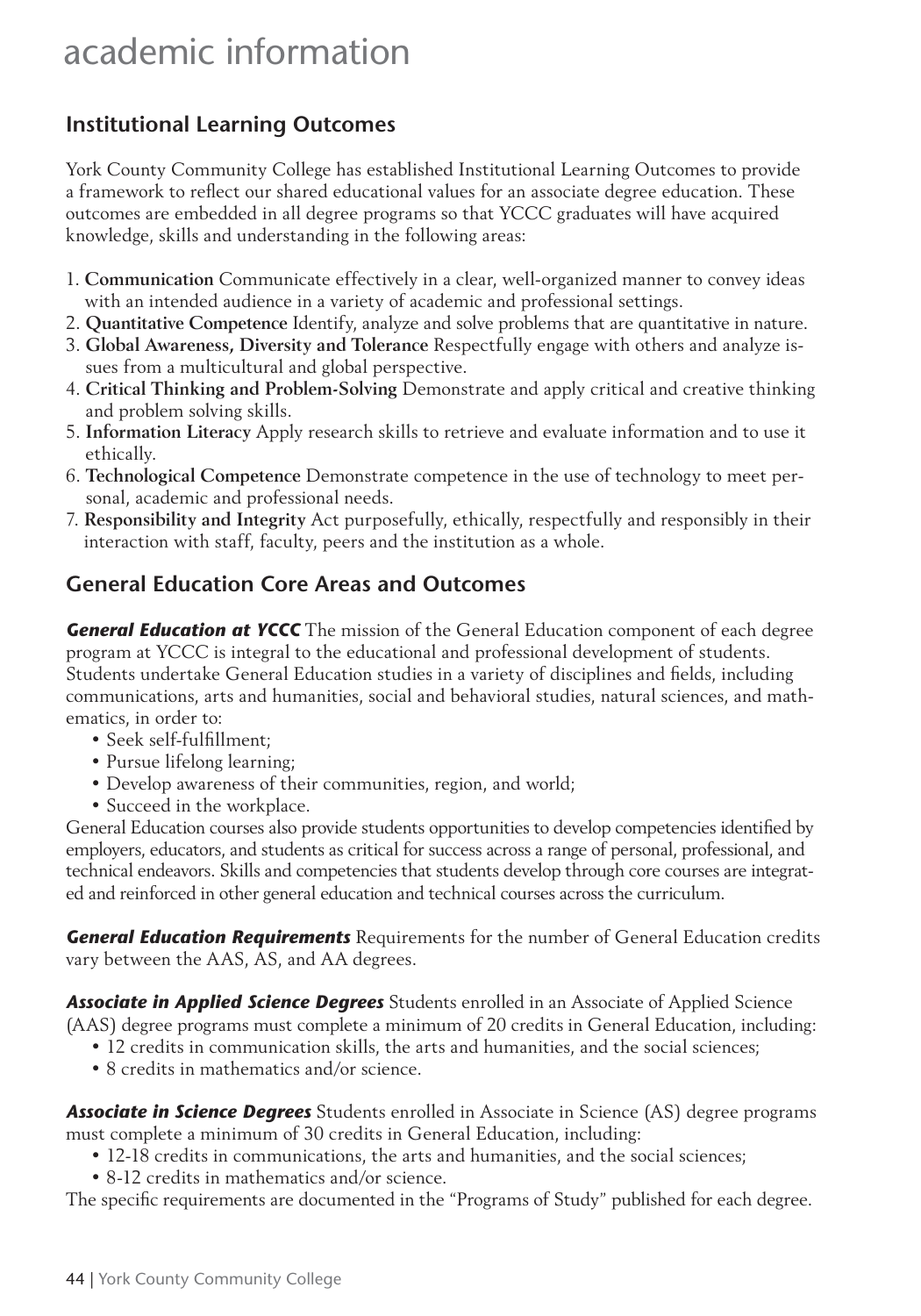### **Institutional Learning Outcomes**

York County Community College has established Institutional Learning Outcomes to provide a framework to reflect our shared educational values for an associate degree education. These outcomes are embedded in all degree programs so that YCCC graduates will have acquired knowledge, skills and understanding in the following areas:

- 1. **Communication** Communicate effectively in a clear, well-organized manner to convey ideas with an intended audience in a variety of academic and professional settings.
- 2. **Quantitative Competence** Identify, analyze and solve problems that are quantitative in nature.
- 3. **Global Awareness, Diversity and Tolerance** Respectfully engage with others and analyze issues from a multicultural and global perspective.
- 4. **Critical Thinking and Problem-Solving** Demonstrate and apply critical and creative thinking and problem solving skills.
- 5. **Information Literacy** Apply research skills to retrieve and evaluate information and to use it ethically.
- 6. **Technological Competence** Demonstrate competence in the use of technology to meet personal, academic and professional needs.
- 7. **Responsibility and Integrity** Act purposefully, ethically, respectfully and responsibly in their interaction with staff, faculty, peers and the institution as a whole.

### **General Education Core Areas and Outcomes**

**General Education at YCCC** The mission of the General Education component of each degree program at YCCC is integral to the educational and professional development of students. Students undertake General Education studies in a variety of disciplines and fields, including communications, arts and humanities, social and behavioral studies, natural sciences, and mathematics, in order to:

- Seek self-fulfillment:
- Pursue lifelong learning;
- Develop awareness of their communities, region, and world;
- Succeed in the workplace.

General Education courses also provide students opportunities to develop competencies identified by employers, educators, and students as critical for success across a range of personal, professional, and technical endeavors. Skills and competencies that students develop through core courses are integrated and reinforced in other general education and technical courses across the curriculum.

*General Education Requirements* Requirements for the number of General Education credits vary between the AAS, AS, and AA degrees.

*Associate in Applied Science Degrees* Students enrolled in an Associate of Applied Science (AAS) degree programs must complete a minimum of 20 credits in General Education, including:

- 12 credits in communication skills, the arts and humanities, and the social sciences;
- 8 credits in mathematics and/or science.

*Associate in Science Degrees* Students enrolled in Associate in Science (AS) degree programs must complete a minimum of 30 credits in General Education, including:

- 12-18 credits in communications, the arts and humanities, and the social sciences;
- 8-12 credits in mathematics and/or science.

The specific requirements are documented in the "Programs of Study" published for each degree.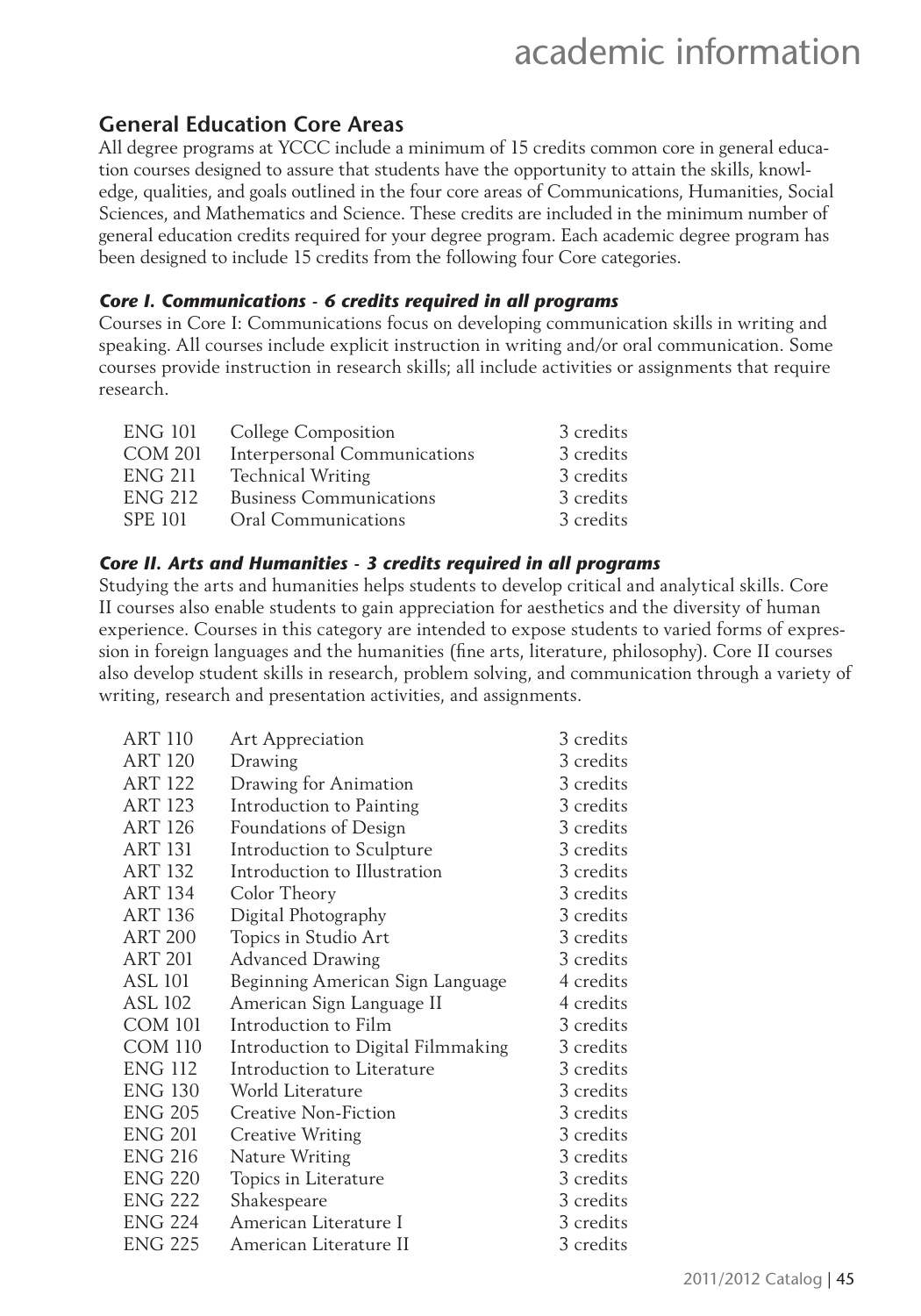### **General Education Core Areas**

All degree programs at YCCC include a minimum of 15 credits common core in general education courses designed to assure that students have the opportunity to attain the skills, knowledge, qualities, and goals outlined in the four core areas of Communications, Humanities, Social Sciences, and Mathematics and Science. These credits are included in the minimum number of general education credits required for your degree program. Each academic degree program has been designed to include 15 credits from the following four Core categories.

#### *Core I. Communications - 6 credits required in all programs*

Courses in Core I: Communications focus on developing communication skills in writing and speaking. All courses include explicit instruction in writing and/or oral communication. Some courses provide instruction in research skills; all include activities or assignments that require research.

| ENG 101        | <b>College Composition</b>     | 3 credits |
|----------------|--------------------------------|-----------|
| <b>COM 201</b> | Interpersonal Communications   | 3 credits |
| <b>ENG 211</b> | <b>Technical Writing</b>       | 3 credits |
| <b>ENG 212</b> | <b>Business Communications</b> | 3 credits |
| SPE 101        | Oral Communications            | 3 credits |

#### *Core II. Arts and Humanities - 3 credits required in all programs*

Studying the arts and humanities helps students to develop critical and analytical skills. Core II courses also enable students to gain appreciation for aesthetics and the diversity of human experience. Courses in this category are intended to expose students to varied forms of expression in foreign languages and the humanities (fine arts, literature, philosophy). Core II courses also develop student skills in research, problem solving, and communication through a variety of writing, research and presentation activities, and assignments.

| <b>Art Appreciation</b>            | 3 credits |
|------------------------------------|-----------|
| Drawing                            | 3 credits |
| Drawing for Animation              | 3 credits |
| Introduction to Painting           | 3 credits |
| Foundations of Design              | 3 credits |
| Introduction to Sculpture          | 3 credits |
| Introduction to Illustration       | 3 credits |
| Color Theory                       | 3 credits |
| Digital Photography                | 3 credits |
| Topics in Studio Art               | 3 credits |
| <b>Advanced Drawing</b>            | 3 credits |
| Beginning American Sign Language   | 4 credits |
| American Sign Language II          | 4 credits |
| Introduction to Film               | 3 credits |
| Introduction to Digital Filmmaking | 3 credits |
| Introduction to Literature         | 3 credits |
| World Literature                   | 3 credits |
| Creative Non-Fiction               | 3 credits |
| <b>Creative Writing</b>            | 3 credits |
| Nature Writing                     | 3 credits |
| Topics in Literature               | 3 credits |
| Shakespeare                        | 3 credits |
| American Literature I              | 3 credits |
| American Literature II             | 3 credits |
|                                    |           |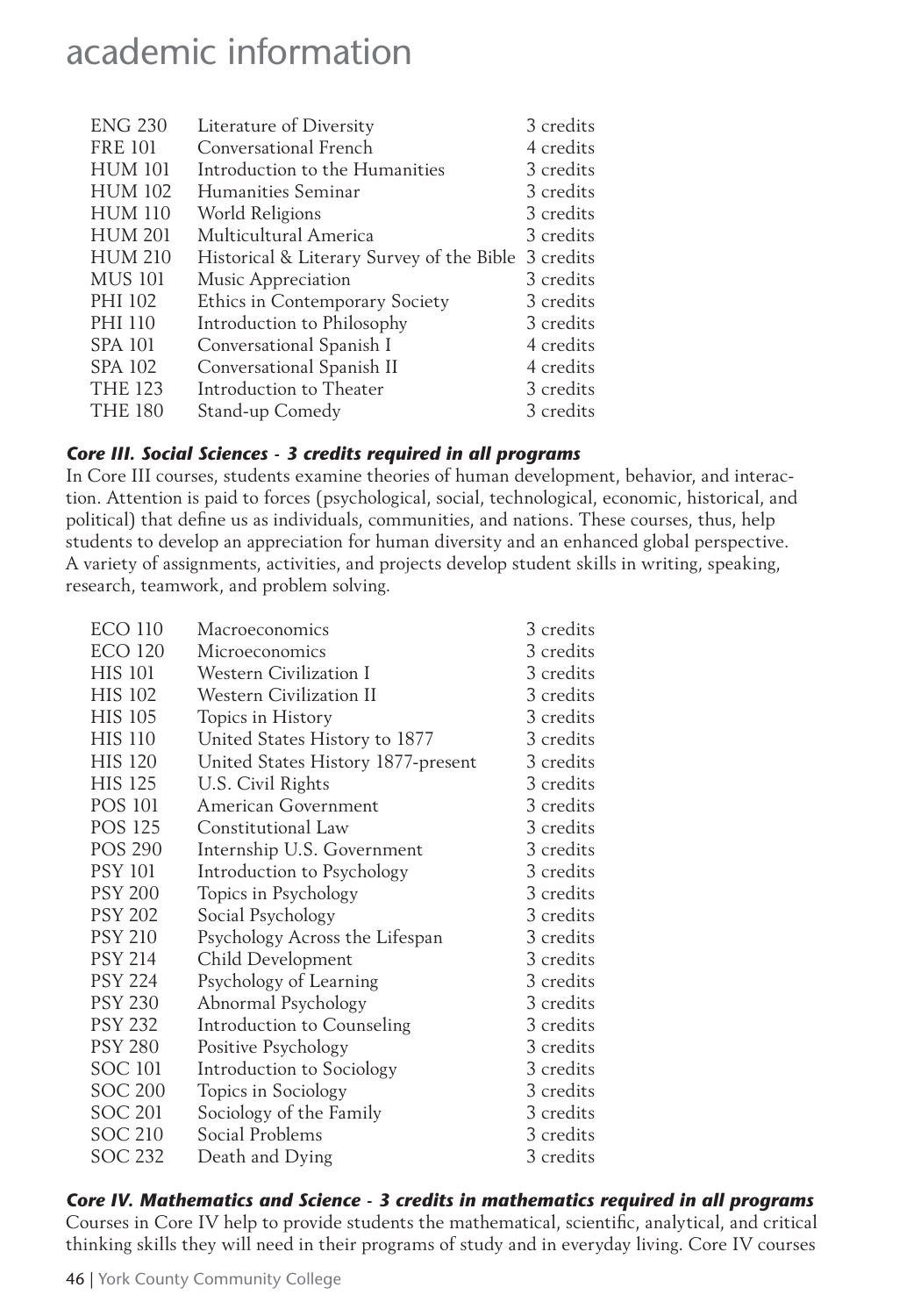| Literature of Diversity               | 3 credits                                 |
|---------------------------------------|-------------------------------------------|
| Conversational French                 | 4 credits                                 |
| Introduction to the Humanities        | 3 credits                                 |
| Humanities Seminar                    | 3 credits                                 |
| World Religions                       | 3 credits                                 |
| Multicultural America                 | 3 credits                                 |
|                                       | 3 credits                                 |
| Music Appreciation                    | 3 credits                                 |
| <b>Ethics in Contemporary Society</b> | 3 credits                                 |
| Introduction to Philosophy            | 3 credits                                 |
| Conversational Spanish I              | 4 credits                                 |
| Conversational Spanish II             | 4 credits                                 |
| Introduction to Theater               | 3 credits                                 |
| Stand-up Comedy                       | 3 credits                                 |
|                                       | Historical & Literary Survey of the Bible |

#### *Core III. Social Sciences - 3 credits required in all programs*

In Core III courses, students examine theories of human development, behavior, and interaction. Attention is paid to forces (psychological, social, technological, economic, historical, and political) that define us as individuals, communities, and nations. These courses, thus, help students to develop an appreciation for human diversity and an enhanced global perspective. A variety of assignments, activities, and projects develop student skills in writing, speaking, research, teamwork, and problem solving.

| <b>ECO 110</b> | Macroeconomics                     | 3 credits |
|----------------|------------------------------------|-----------|
| <b>ECO 120</b> | Microeconomics                     | 3 credits |
| <b>HIS 101</b> | Western Civilization I             | 3 credits |
| <b>HIS 102</b> | <b>Western Civilization II</b>     | 3 credits |
| <b>HIS 105</b> | Topics in History                  | 3 credits |
| <b>HIS 110</b> | United States History to 1877      | 3 credits |
| <b>HIS 120</b> | United States History 1877-present | 3 credits |
| <b>HIS 125</b> | U.S. Civil Rights                  | 3 credits |
| <b>POS 101</b> | American Government                | 3 credits |
| <b>POS 125</b> | Constitutional Law                 | 3 credits |
| <b>POS 290</b> | Internship U.S. Government         | 3 credits |
| <b>PSY 101</b> | Introduction to Psychology         | 3 credits |
| <b>PSY 200</b> | Topics in Psychology               | 3 credits |
| <b>PSY 202</b> | Social Psychology                  | 3 credits |
| <b>PSY 210</b> | Psychology Across the Lifespan     | 3 credits |
| <b>PSY 214</b> | Child Development                  | 3 credits |
| <b>PSY 224</b> | Psychology of Learning             | 3 credits |
| <b>PSY 230</b> | Abnormal Psychology                | 3 credits |
| <b>PSY 232</b> | Introduction to Counseling         | 3 credits |
| <b>PSY 280</b> | Positive Psychology                | 3 credits |
| SOC 101        | Introduction to Sociology          | 3 credits |
| <b>SOC 200</b> | Topics in Sociology                | 3 credits |
| SOC 201        | Sociology of the Family            | 3 credits |
| <b>SOC 210</b> | Social Problems                    | 3 credits |
| <b>SOC 232</b> | Death and Dying                    | 3 credits |
|                |                                    |           |

#### *Core IV. Mathematics and Science - 3 credits in mathematics required in all programs*

Courses in Core IV help to provide students the mathematical, scientific, analytical, and critical thinking skills they will need in their programs of study and in everyday living. Core IV courses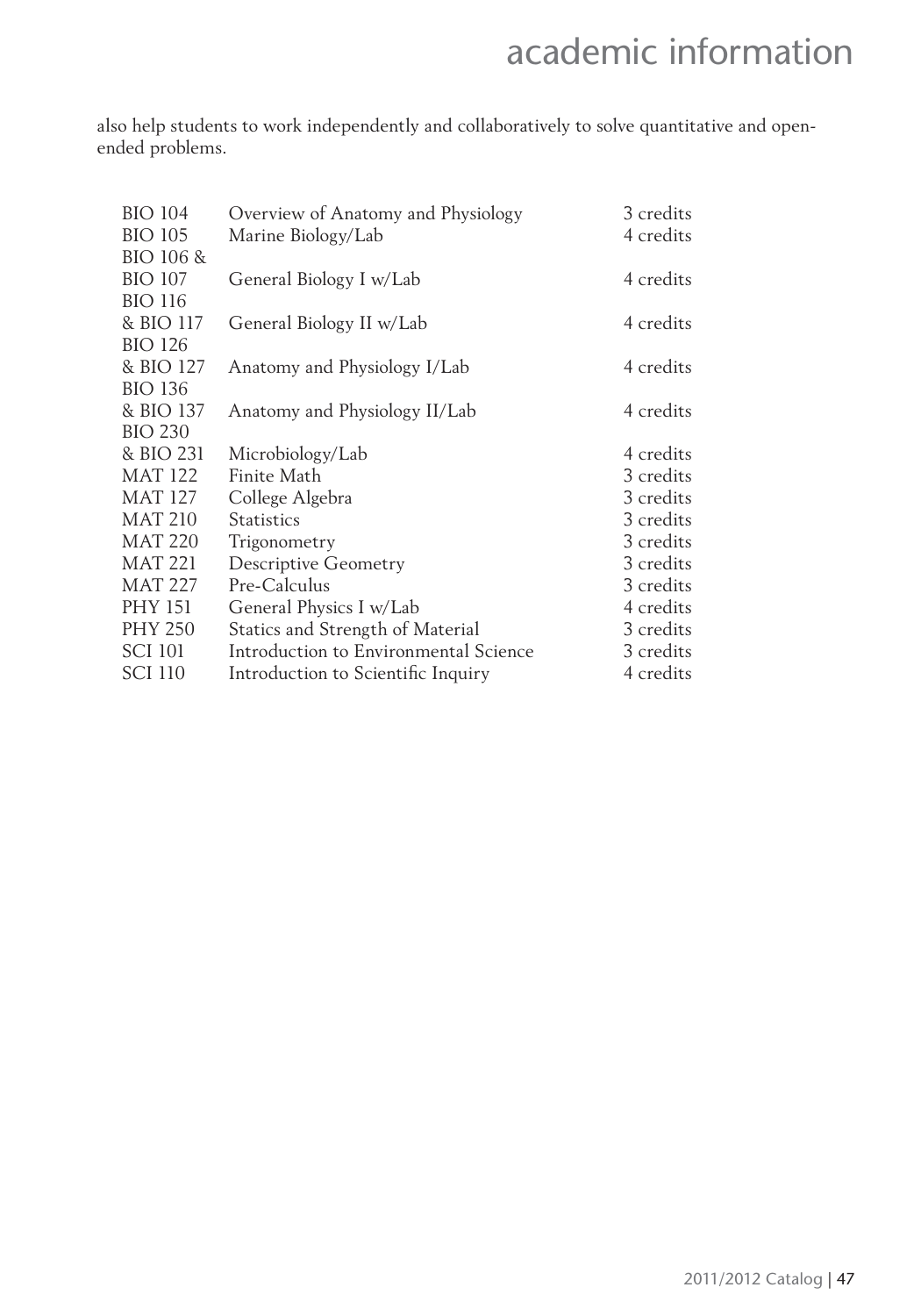also help students to work independently and collaboratively to solve quantitative and openended problems.

| <b>BIO 104</b> | Overview of Anatomy and Physiology    | 3 credits |
|----------------|---------------------------------------|-----------|
| <b>BIO 105</b> | Marine Biology/Lab                    | 4 credits |
| BIO 106 &      |                                       |           |
| <b>BIO 107</b> | General Biology I w/Lab               | 4 credits |
| <b>BIO 116</b> |                                       |           |
| & BIO 117      | General Biology II w/Lab              | 4 credits |
| <b>BIO 126</b> |                                       |           |
| & BIO 127      | Anatomy and Physiology I/Lab          | 4 credits |
| <b>BIO 136</b> |                                       |           |
| & BIO 137      | Anatomy and Physiology II/Lab         | 4 credits |
| <b>BIO 230</b> |                                       |           |
| & BIO 231      | Microbiology/Lab                      | 4 credits |
| <b>MAT 122</b> | Finite Math                           | 3 credits |
| <b>MAT 127</b> | College Algebra                       | 3 credits |
| <b>MAT 210</b> | <b>Statistics</b>                     | 3 credits |
| <b>MAT 220</b> | Trigonometry                          | 3 credits |
| <b>MAT 221</b> | <b>Descriptive Geometry</b>           | 3 credits |
| <b>MAT 227</b> | Pre-Calculus                          | 3 credits |
| <b>PHY 151</b> | General Physics I w/Lab               | 4 credits |
| <b>PHY 250</b> | Statics and Strength of Material      | 3 credits |
| <b>SCI 101</b> | Introduction to Environmental Science | 3 credits |
| SCI 110        | Introduction to Scientific Inquiry    | 4 credits |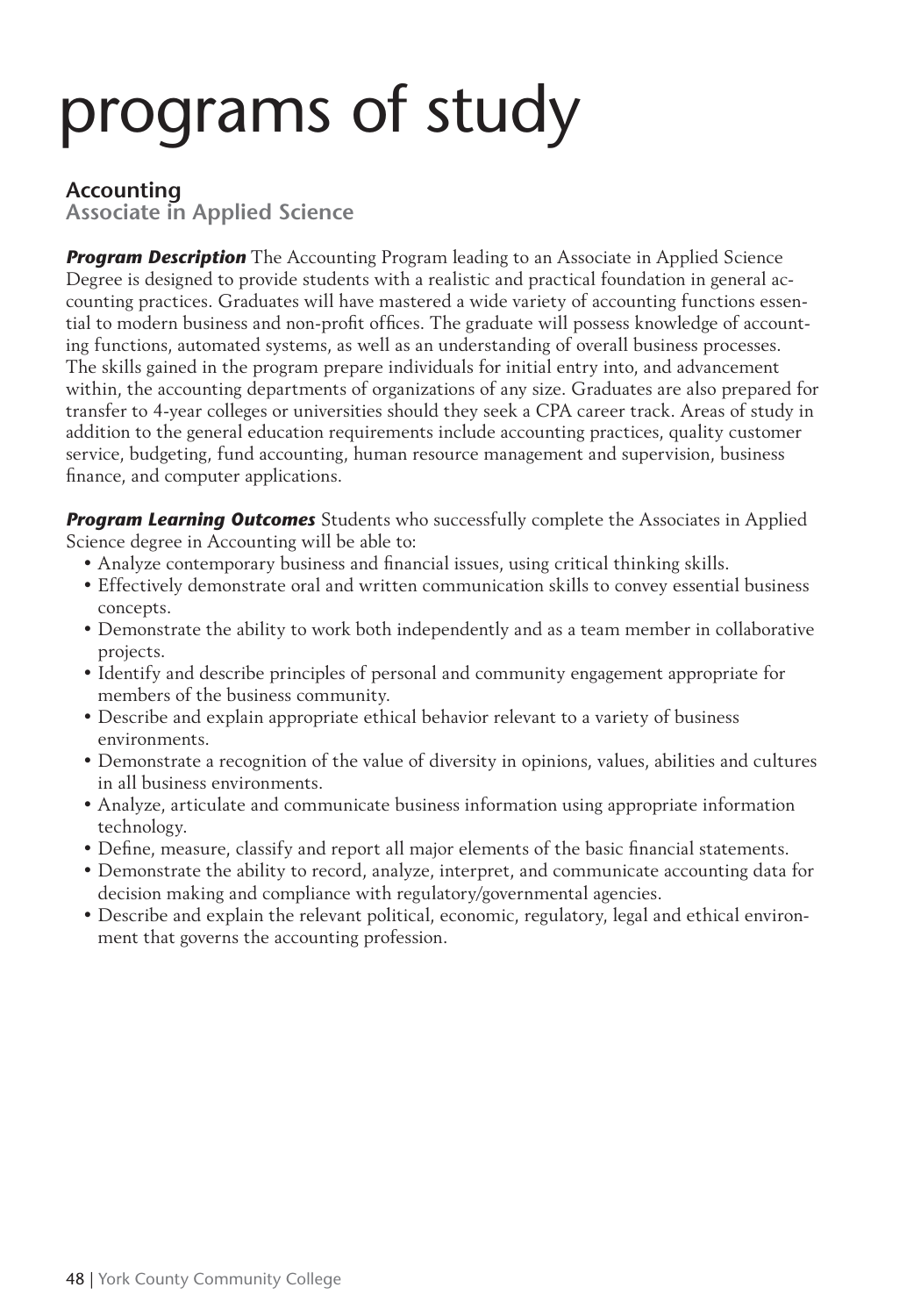#### **Accounting**

**Associate in Applied Science**

**Program Description** The Accounting Program leading to an Associate in Applied Science Degree is designed to provide students with a realistic and practical foundation in general accounting practices. Graduates will have mastered a wide variety of accounting functions essential to modern business and non-profit offices. The graduate will possess knowledge of accounting functions, automated systems, as well as an understanding of overall business processes. The skills gained in the program prepare individuals for initial entry into, and advancement within, the accounting departments of organizations of any size. Graduates are also prepared for transfer to 4-year colleges or universities should they seek a CPA career track. Areas of study in addition to the general education requirements include accounting practices, quality customer service, budgeting, fund accounting, human resource management and supervision, business finance, and computer applications.

**Program Learning Outcomes** Students who successfully complete the Associates in Applied Science degree in Accounting will be able to:

- Analyze contemporary business and financial issues, using critical thinking skills.
- Effectively demonstrate oral and written communication skills to convey essential business concepts.
- Demonstrate the ability to work both independently and as a team member in collaborative projects.
- Identify and describe principles of personal and community engagement appropriate for members of the business community.
- Describe and explain appropriate ethical behavior relevant to a variety of business environments.
- Demonstrate a recognition of the value of diversity in opinions, values, abilities and cultures in all business environments.
- Analyze, articulate and communicate business information using appropriate information technology.
- Define, measure, classify and report all major elements of the basic financial statements.
- Demonstrate the ability to record, analyze, interpret, and communicate accounting data for decision making and compliance with regulatory/governmental agencies.
- Describe and explain the relevant political, economic, regulatory, legal and ethical environment that governs the accounting profession.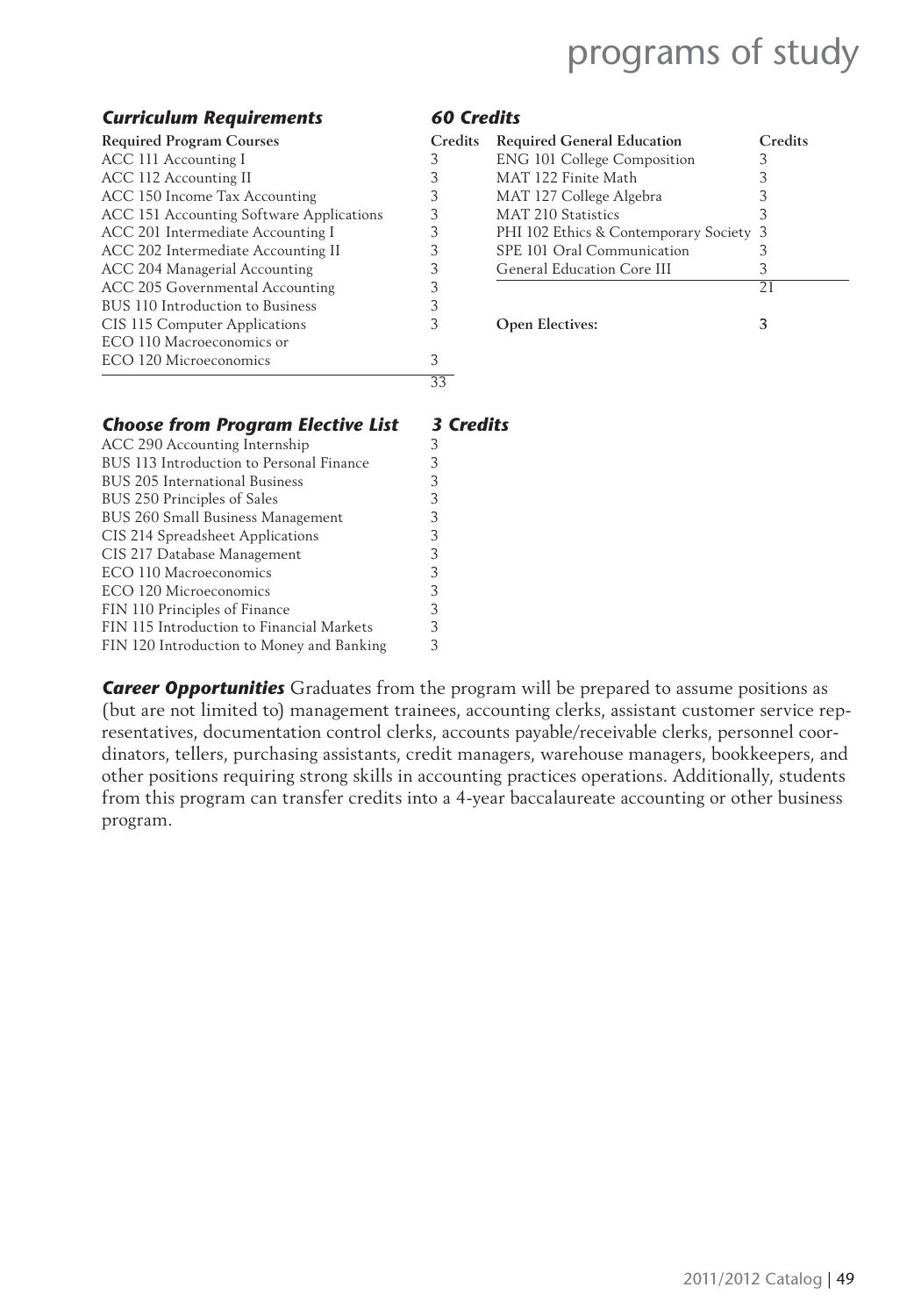#### *Curriculum Requirements 60 Credits*

| <b>Required Program Courses</b>          | Credits | <b>Required General Education</b>       | Сı |
|------------------------------------------|---------|-----------------------------------------|----|
| ACC 111 Accounting I                     |         | <b>ENG 101 College Composition</b>      |    |
| ACC 112 Accounting II                    |         | MAT 122 Finite Math                     |    |
| ACC 150 Income Tax Accounting            | 3       | MAT 127 College Algebra                 |    |
| ACC 151 Accounting Software Applications |         | MAT 210 Statistics                      |    |
| ACC 201 Intermediate Accounting I        |         | PHI 102 Ethics & Contemporary Society 3 |    |
| ACC 202 Intermediate Accounting II       | 3       | SPE 101 Oral Communication              |    |
| ACC 204 Managerial Accounting            |         | General Education Core III              |    |
| ACC 205 Governmental Accounting          |         |                                         | 21 |
| BUS 110 Introduction to Business         |         |                                         |    |
| CIS 115 Computer Applications            |         | <b>Open Electives:</b>                  | 3  |
| ECO 110 Macroeconomics or                |         |                                         |    |
| ECO 120 Microeconomics                   | 3       |                                         |    |
|                                          | 33      |                                         |    |

| <b>Required Program Courses</b>          | <b>Credits</b> | <b>Required General Education</b>       | Credits |
|------------------------------------------|----------------|-----------------------------------------|---------|
| ACC 111 Accounting I                     |                | <b>ENG 101 College Composition</b>      |         |
| ACC 112 Accounting II                    |                | MAT 122 Finite Math                     |         |
| ACC 150 Income Tax Accounting            |                | MAT 127 College Algebra                 |         |
| ACC 151 Accounting Software Applications |                | MAT 210 Statistics                      |         |
| ACC 201 Intermediate Accounting I        |                | PHI 102 Ethics & Contemporary Society 3 |         |
| ACC 202 Intermediate Accounting II       |                | SPE 101 Oral Communication              |         |
| ACC 204 Managerial Accounting            |                | General Education Core III              |         |
| ACC 205 Governmental Accounting          |                |                                         | 21      |
| BUS 110 Introduction to Business         |                |                                         |         |
| CIS 115 Computer Applications            |                | <b>Open Electives:</b>                  |         |
|                                          |                |                                         |         |

| <b>Choose from Program Elective List</b>  | <b>3 Credits</b> |
|-------------------------------------------|------------------|
| ACC 290 Accounting Internship             | 3                |
| BUS 113 Introduction to Personal Finance  | 3                |
| BUS 205 International Business            | 3                |
| BUS 250 Principles of Sales               | 3                |
| BUS 260 Small Business Management         | 3                |
| CIS 214 Spreadsheet Applications          | 3                |
| CIS 217 Database Management               | 3                |
| ECO 110 Macroeconomics                    | 3                |
| ECO 120 Microeconomics                    | 3                |
| FIN 110 Principles of Finance             | 3                |
| FIN 115 Introduction to Financial Markets | 3                |
| FIN 120 Introduction to Money and Banking | 3                |
|                                           |                  |

**Career Opportunities** Graduates from the program will be prepared to assume positions as (but are not limited to) management trainees, accounting clerks, assistant customer service representatives, documentation control clerks, accounts payable/receivable clerks, personnel coordinators, tellers, purchasing assistants, credit managers, warehouse managers, bookkeepers, and other positions requiring strong skills in accounting practices operations. Additionally, students from this program can transfer credits into a 4-year baccalaureate accounting or other business program.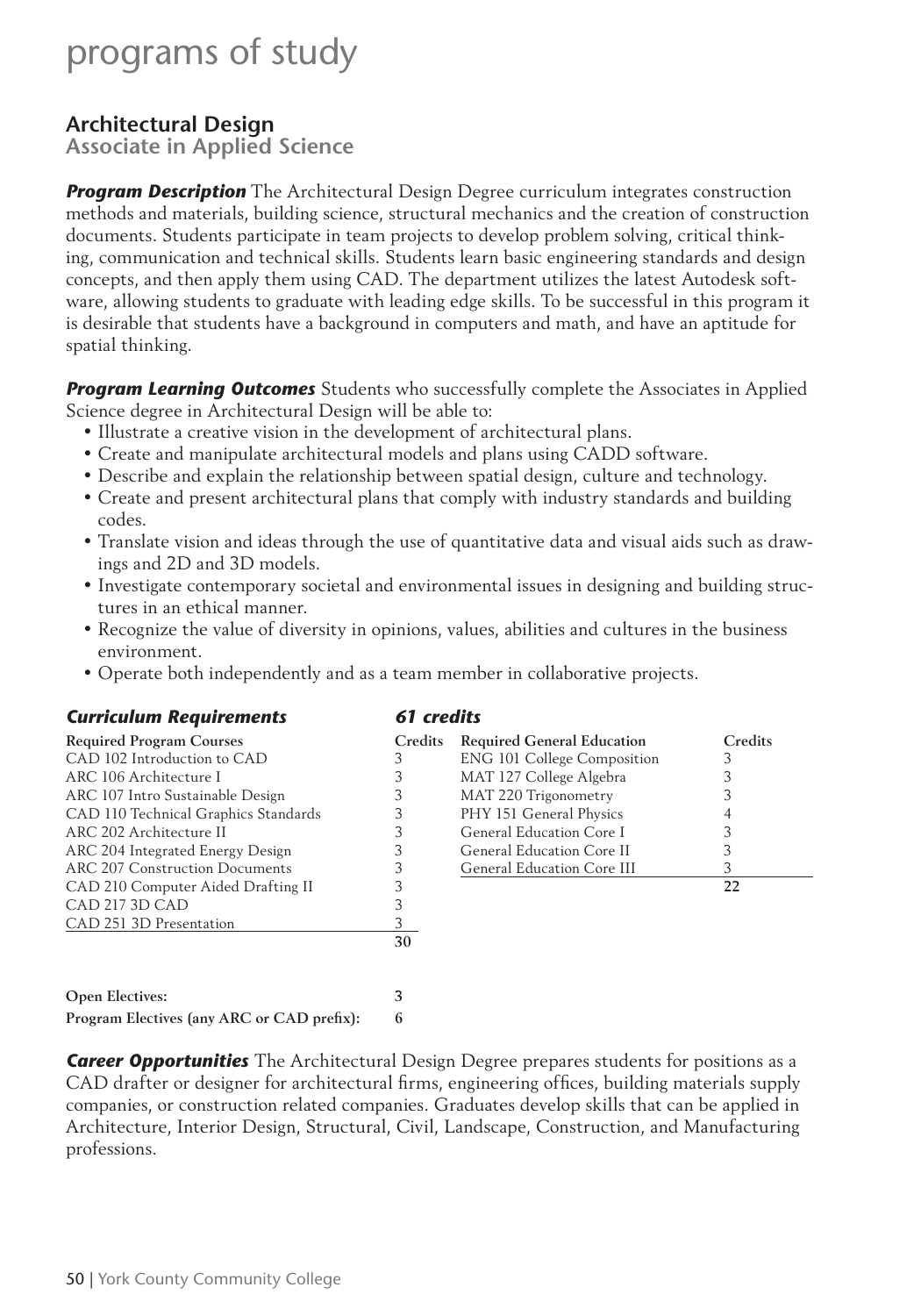### **Architectural Design**

**Associate in Applied Science**

**Program Description** The Architectural Design Degree curriculum integrates construction methods and materials, building science, structural mechanics and the creation of construction documents. Students participate in team projects to develop problem solving, critical thinking, communication and technical skills. Students learn basic engineering standards and design concepts, and then apply them using CAD. The department utilizes the latest Autodesk software, allowing students to graduate with leading edge skills. To be successful in this program it is desirable that students have a background in computers and math, and have an aptitude for spatial thinking.

*Program Learning Outcomes* Students who successfully complete the Associates in Applied Science degree in Architectural Design will be able to:

- Illustrate a creative vision in the development of architectural plans.
- Create and manipulate architectural models and plans using CADD software.
- Describe and explain the relationship between spatial design, culture and technology.
- Create and present architectural plans that comply with industry standards and building codes.
- Translate vision and ideas through the use of quantitative data and visual aids such as drawings and 2D and 3D models.
- Investigate contemporary societal and environmental issues in designing and building structures in an ethical manner.
- Recognize the value of diversity in opinions, values, abilities and cultures in the business environment.
- Operate both independently and as a team member in collaborative projects.

| <b>Curriculum Requirements</b>       | 61 credits |                                    |         |  |
|--------------------------------------|------------|------------------------------------|---------|--|
| <b>Required Program Courses</b>      | Credits    | <b>Required General Education</b>  | Credits |  |
| CAD 102 Introduction to CAD          | 3          | <b>ENG 101 College Composition</b> | 3       |  |
| ARC 106 Architecture I               |            | MAT 127 College Algebra            |         |  |
| ARC 107 Intro Sustainable Design     |            | MAT 220 Trigonometry               |         |  |
| CAD 110 Technical Graphics Standards | 3          | PHY 151 General Physics            |         |  |
| ARC 202 Architecture II              | 3          | General Education Core I           |         |  |
| ARC 204 Integrated Energy Design     | 3          | General Education Core II          | 3       |  |
| ARC 207 Construction Documents       |            | General Education Core III         | 3       |  |
| CAD 210 Computer Aided Drafting II   |            |                                    | 22      |  |
| CAD 217 3D CAD                       |            |                                    |         |  |
| CAD 251 3D Presentation              | 3.         |                                    |         |  |
|                                      | 30         |                                    |         |  |

| <b>Open Electives:</b>                     |  |
|--------------------------------------------|--|
| Program Electives (any ARC or CAD prefix): |  |

*Career Opportunities* The Architectural Design Degree prepares students for positions as a CAD drafter or designer for architectural firms, engineering offices, building materials supply companies, or construction related companies. Graduates develop skills that can be applied in Architecture, Interior Design, Structural, Civil, Landscape, Construction, and Manufacturing professions.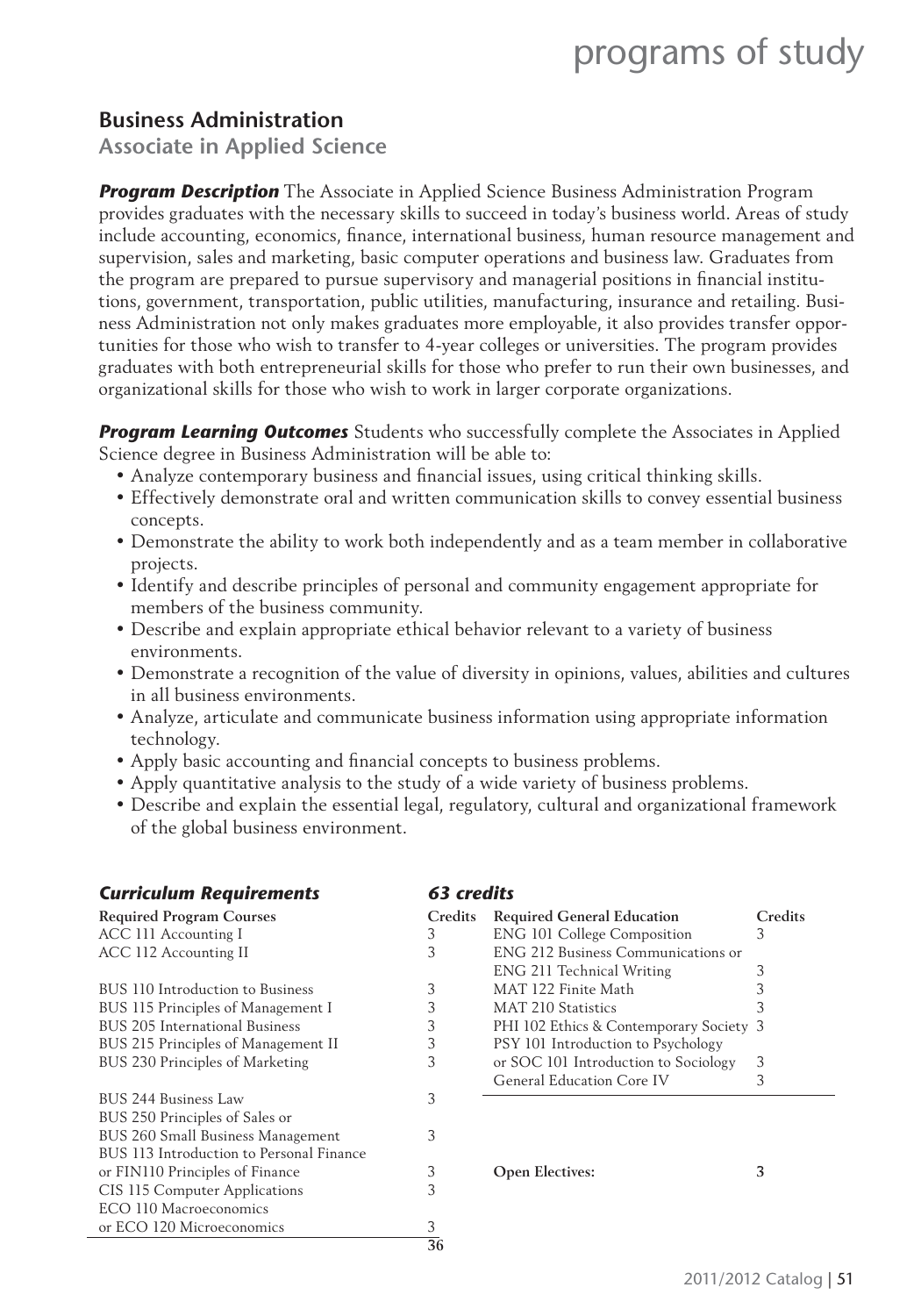### **Business Administration**

**Associate in Applied Science**

*Program Description* The Associate in Applied Science Business Administration Program provides graduates with the necessary skills to succeed in today's business world. Areas of study include accounting, economics, finance, international business, human resource management and supervision, sales and marketing, basic computer operations and business law. Graduates from the program are prepared to pursue supervisory and managerial positions in financial institutions, government, transportation, public utilities, manufacturing, insurance and retailing. Business Administration not only makes graduates more employable, it also provides transfer opportunities for those who wish to transfer to 4-year colleges or universities. The program provides graduates with both entrepreneurial skills for those who prefer to run their own businesses, and organizational skills for those who wish to work in larger corporate organizations.

*Program Learning Outcomes* Students who successfully complete the Associates in Applied Science degree in Business Administration will be able to:

- Analyze contemporary business and financial issues, using critical thinking skills.
- Effectively demonstrate oral and written communication skills to convey essential business concepts.
- Demonstrate the ability to work both independently and as a team member in collaborative projects.
- Identify and describe principles of personal and community engagement appropriate for members of the business community.
- Describe and explain appropriate ethical behavior relevant to a variety of business environments.
- Demonstrate a recognition of the value of diversity in opinions, values, abilities and cultures in all business environments.
- Analyze, articulate and communicate business information using appropriate information technology.
- Apply basic accounting and financial concepts to business problems.
- Apply quantitative analysis to the study of a wide variety of business problems.
- Describe and explain the essential legal, regulatory, cultural and organizational framework of the global business environment.

| <b>Curriculum Requirements</b>           | 63 credits |                                         |   |  |
|------------------------------------------|------------|-----------------------------------------|---|--|
| <b>Required Program Courses</b>          | Credits    | <b>Required General Education</b>       | C |  |
| ACC 111 Accounting I                     | 3          | <b>ENG 101 College Composition</b>      | 3 |  |
| ACC 112 Accounting II                    | 3          | ENG 212 Business Communications or      |   |  |
|                                          |            | ENG 211 Technical Writing               | 3 |  |
| BUS 110 Introduction to Business         | 3          | MAT 122 Finite Math                     | 3 |  |
| BUS 115 Principles of Management I       | 3          | MAT 210 Statistics                      | 3 |  |
| BUS 205 International Business           | 3          | PHI 102 Ethics & Contemporary Society 3 |   |  |
| BUS 215 Principles of Management II      | 3          | PSY 101 Introduction to Psychology      |   |  |
| BUS 230 Principles of Marketing          | 3          | or SOC 101 Introduction to Sociology    | 3 |  |
|                                          |            | General Education Core IV               | 3 |  |
| BUS 244 Business Law                     | 3          |                                         |   |  |
| BUS 250 Principles of Sales or           |            |                                         |   |  |
| BUS 260 Small Business Management        | 3          |                                         |   |  |
| BUS 113 Introduction to Personal Finance |            |                                         |   |  |
| or FIN110 Principles of Finance          | 3          | <b>Open Electives:</b>                  | 3 |  |
| CIS 115 Computer Applications            | 3          |                                         |   |  |
| ECO 110 Macroeconomics                   |            |                                         |   |  |
| or ECO 120 Microeconomics                | 3          |                                         |   |  |

**36**

#### *Curriculum Requirements 63 credits*

| <b>Required Program Courses</b>     | Credits | <b>Required General Education</b>       | Credits |
|-------------------------------------|---------|-----------------------------------------|---------|
| ACC 111 Accounting I                |         | <b>ENG 101 College Composition</b>      |         |
| ACC 112 Accounting II               |         | ENG 212 Business Communications or      |         |
|                                     |         | ENG 211 Technical Writing               |         |
| BUS 110 Introduction to Business    |         | MAT 122 Finite Math                     |         |
| BUS 115 Principles of Management I  |         | <b>MAT 210 Statistics</b>               |         |
| BUS 205 International Business      |         | PHI 102 Ethics & Contemporary Society 3 |         |
| BUS 215 Principles of Management II |         | PSY 101 Introduction to Psychology      |         |
| BUS 230 Principles of Marketing     |         | or SOC 101 Introduction to Sociology    | 3       |
|                                     |         | General Education Core IV               |         |
| BUS 244 Business Law                |         |                                         |         |
| BUS 250 Principles of Sales or      |         |                                         |         |
|                                     |         |                                         |         |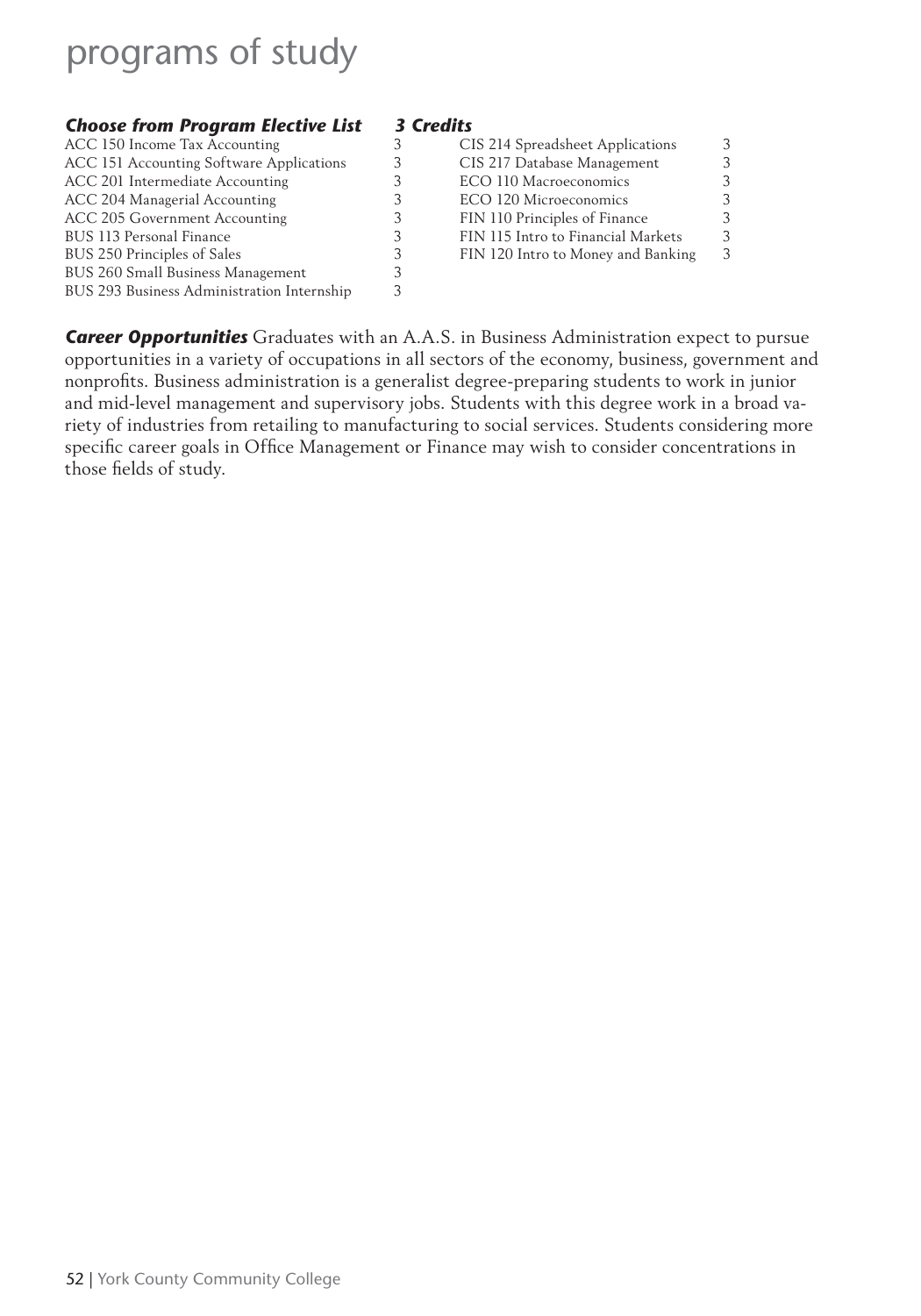### **Choose from Program Elective List 3 Credits**<br>ACC 150 Income Tax Accounting 3 C

| ACC 150 Income Tax Accounting              | CIS 214 Spreadsheet Applications   | 3 |
|--------------------------------------------|------------------------------------|---|
| ACC 151 Accounting Software Applications   | CIS 217 Database Management        | 3 |
| ACC 201 Intermediate Accounting            | ECO 110 Macroeconomics             | 3 |
| ACC 204 Managerial Accounting              | ECO 120 Microeconomics             | 3 |
| ACC 205 Government Accounting              | FIN 110 Principles of Finance      | 3 |
| BUS 113 Personal Finance                   | FIN 115 Intro to Financial Markets | 3 |
| BUS 250 Principles of Sales                | FIN 120 Intro to Money and Banking | 3 |
| BUS 260 Small Business Management          |                                    |   |
| BUS 293 Business Administration Internship |                                    |   |
|                                            |                                    |   |

| CIS 214 Spreadsheet Applications   |   |
|------------------------------------|---|
|                                    |   |
| CIS 217 Database Management        |   |
| ECO 110 Macroeconomics             |   |
| ECO 120 Microeconomics             | 3 |
| FIN 110 Principles of Finance      | 3 |
| FIN 115 Intro to Financial Markets | ર |
| FIN 120 Intro to Money and Banking |   |
|                                    |   |

**Career Opportunities** Graduates with an A.A.S. in Business Administration expect to pursue opportunities in a variety of occupations in all sectors of the economy, business, government and nonprofits. Business administration is a generalist degree-preparing students to work in junior and mid-level management and supervisory jobs. Students with this degree work in a broad variety of industries from retailing to manufacturing to social services. Students considering more specific career goals in Office Management or Finance may wish to consider concentrations in those fields of study.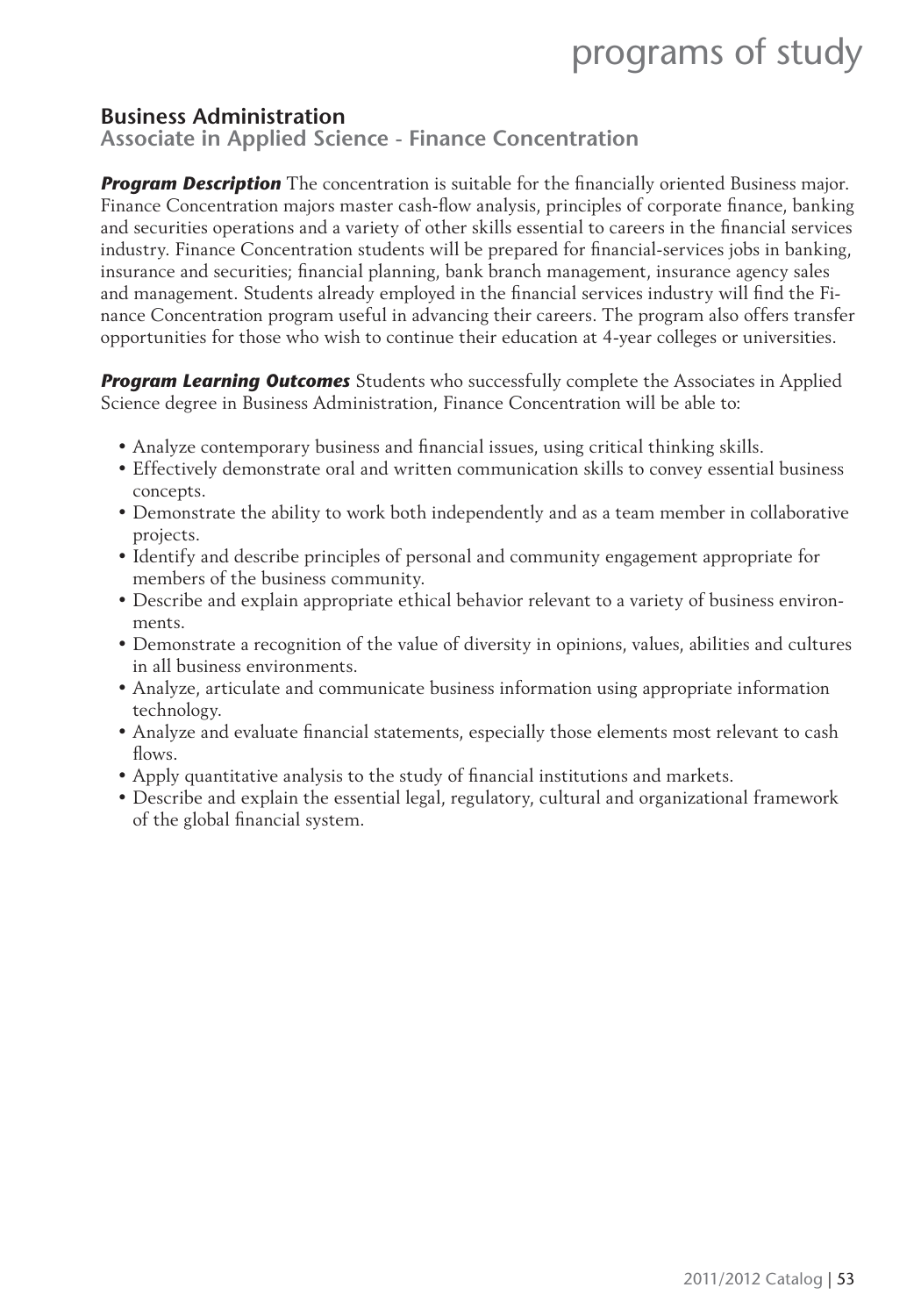### **Business Administration**

**Associate in Applied Science - Finance Concentration**

**Program Description** The concentration is suitable for the financially oriented Business major. Finance Concentration majors master cash-flow analysis, principles of corporate finance, banking and securities operations and a variety of other skills essential to careers in the financial services industry. Finance Concentration students will be prepared for financial-services jobs in banking, insurance and securities; financial planning, bank branch management, insurance agency sales and management. Students already employed in the financial services industry will find the Finance Concentration program useful in advancing their careers. The program also offers transfer opportunities for those who wish to continue their education at 4-year colleges or universities.

*Program Learning Outcomes* Students who successfully complete the Associates in Applied Science degree in Business Administration, Finance Concentration will be able to:

- Analyze contemporary business and financial issues, using critical thinking skills.
- Effectively demonstrate oral and written communication skills to convey essential business concepts.
- Demonstrate the ability to work both independently and as a team member in collaborative projects.
- Identify and describe principles of personal and community engagement appropriate for members of the business community.
- Describe and explain appropriate ethical behavior relevant to a variety of business environments.
- Demonstrate a recognition of the value of diversity in opinions, values, abilities and cultures in all business environments.
- Analyze, articulate and communicate business information using appropriate information technology.
- Analyze and evaluate financial statements, especially those elements most relevant to cash flows.
- Apply quantitative analysis to the study of financial institutions and markets.
- Describe and explain the essential legal, regulatory, cultural and organizational framework of the global financial system.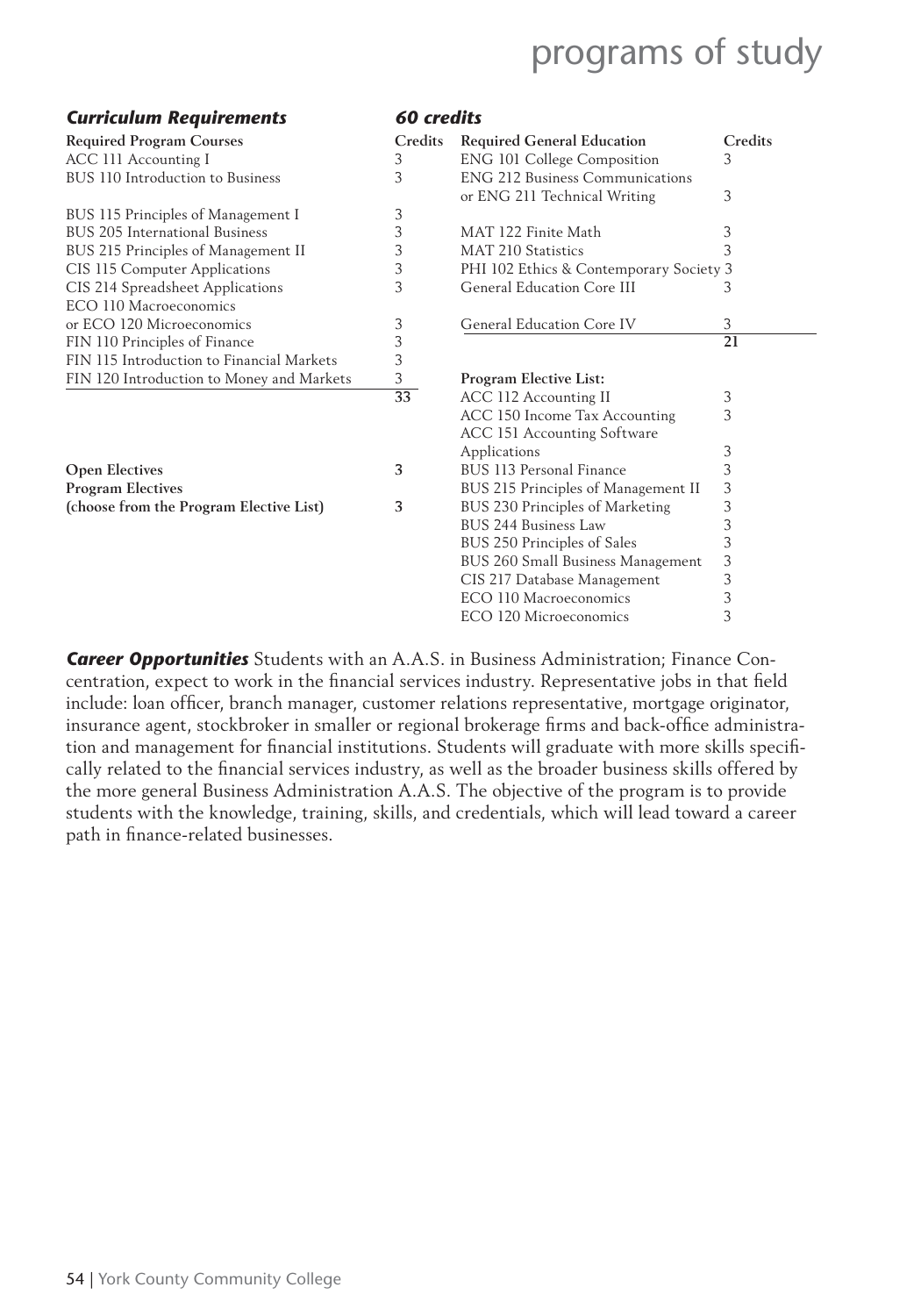#### *Curriculum Requirements 60 credits*

| англанит пединстств                       |         |                                         |    |
|-------------------------------------------|---------|-----------------------------------------|----|
| <b>Required Program Courses</b>           | Credits | <b>Required General Education</b>       | Сı |
| ACC 111 Accounting I                      | 3       | <b>ENG 101 College Composition</b>      | 3  |
| BUS 110 Introduction to Business          | 3       | <b>ENG 212 Business Communications</b>  |    |
|                                           |         | or ENG 211 Technical Writing            | 3  |
| BUS 115 Principles of Management I        | 3       |                                         |    |
| BUS 205 International Business            | 3       | MAT 122 Finite Math                     |    |
| BUS 215 Principles of Management II       |         | MAT 210 Statistics                      |    |
| CIS 115 Computer Applications             | 3       | PHI 102 Ethics & Contemporary Society 3 |    |
| CIS 214 Spreadsheet Applications          | 3       | General Education Core III              |    |
| ECO 110 Macroeconomics                    |         |                                         |    |
| or ECO 120 Microeconomics                 | 3       | General Education Core IV               | 3  |
| FIN 110 Principles of Finance             | 3       |                                         | 21 |
| FIN 115 Introduction to Financial Markets | 3       |                                         |    |
| FIN 120 Introduction to Money and Markets | 3       | <b>Program Elective List:</b>           |    |
|                                           | 33      | ACC 112 Accounting II                   |    |
|                                           |         | ACC 150 Income Tax Accounting           | 3  |
|                                           |         |                                         |    |

| <b>Open Electives</b>                   | BUS 113 Personal Finance            |     |
|-----------------------------------------|-------------------------------------|-----|
| <b>Program Electives</b>                | BUS 215 Principles of Management II | - 3 |
| (choose from the Program Elective List) | BUS 230 Principles of Marketing     |     |

| <b>Required Program Courses</b>           | Credits | <b>Required General Education</b>       | Credits |
|-------------------------------------------|---------|-----------------------------------------|---------|
| ACC 111 Accounting I                      | 3       | <b>ENG 101 College Composition</b>      | 3       |
| BUS 110 Introduction to Business          | 3       | <b>ENG 212 Business Communications</b>  |         |
|                                           |         | or ENG 211 Technical Writing            | 3       |
| BUS 115 Principles of Management I        | 3       |                                         |         |
| <b>BUS 205 International Business</b>     | 3       | MAT 122 Finite Math                     | 3       |
| BUS 215 Principles of Management II       | 3       | <b>MAT 210 Statistics</b>               | 3       |
| CIS 115 Computer Applications             | 3       | PHI 102 Ethics & Contemporary Society 3 |         |
| CIS 214 Spreadsheet Applications          | 3       | General Education Core III              | 3       |
| ECO 110 Macroeconomics                    |         |                                         |         |
| or ECO 120 Microeconomics                 | 3       | General Education Core IV               | 3       |
| FIN 110 Principles of Finance             | 3       |                                         | 21      |
| FIN 115 Introduction to Financial Markets | 3       |                                         |         |
| FIN 120 Introduction to Money and Markets | 3       | <b>Program Elective List:</b>           |         |
|                                           | 33      | ACC 112 Accounting II                   | 3       |
|                                           |         | ACC 150 Income Tax Accounting           | 3       |
|                                           |         | ACC 151 Accounting Software             |         |
|                                           |         | Applications                            | 3       |
| <b>Open Electives</b>                     | 3       | BUS 113 Personal Finance                | 3       |
| <b>Program Electives</b>                  |         | BUS 215 Principles of Management II     | 3       |
| (choose from the Program Elective List)   | 3       | BUS 230 Principles of Marketing         | 3       |
|                                           |         | BUS 244 Business Law                    | 3       |
|                                           |         | BUS 250 Principles of Sales             | 3       |
|                                           |         | BUS 260 Small Business Management       | 3       |
|                                           |         | CIS 217 Database Management             | 3       |
|                                           |         | ECO 110 Macroeconomics                  | 3       |
|                                           |         | ECO 120 Microeconomics                  | 3       |

*Career Opportunities* Students with an A.A.S. in Business Administration; Finance Concentration, expect to work in the financial services industry. Representative jobs in that field include: loan officer, branch manager, customer relations representative, mortgage originator, insurance agent, stockbroker in smaller or regional brokerage firms and back-office administration and management for financial institutions. Students will graduate with more skills specifically related to the financial services industry, as well as the broader business skills offered by the more general Business Administration A.A.S. The objective of the program is to provide students with the knowledge, training, skills, and credentials, which will lead toward a career path in finance-related businesses.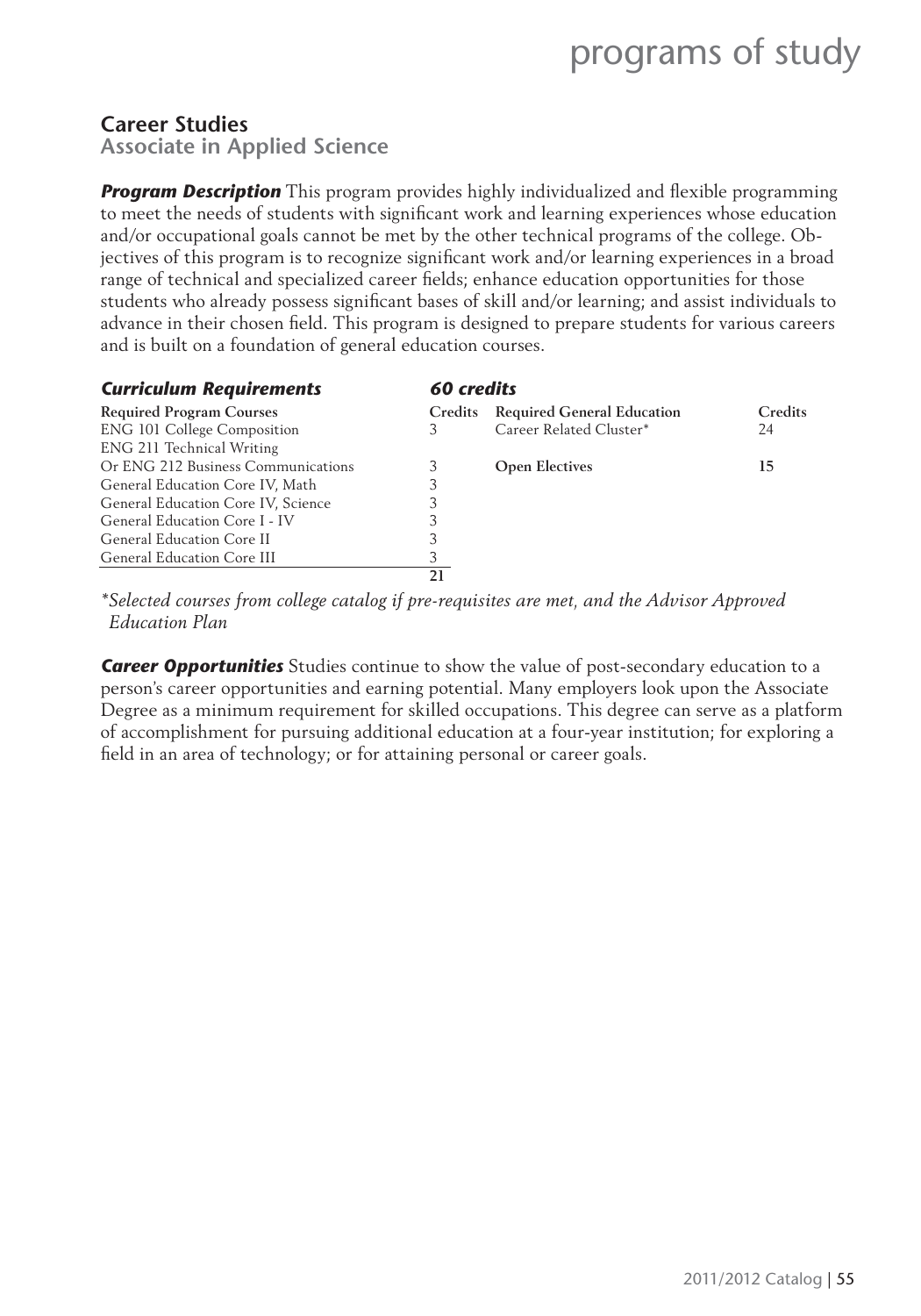#### **Career Studies**

**Associate in Applied Science**

**Program Description** This program provides highly individualized and flexible programming to meet the needs of students with significant work and learning experiences whose education and/or occupational goals cannot be met by the other technical programs of the college. Objectives of this program is to recognize significant work and/or learning experiences in a broad range of technical and specialized career fields; enhance education opportunities for those students who already possess significant bases of skill and/or learning; and assist individuals to advance in their chosen field. This program is designed to prepare students for various careers and is built on a foundation of general education courses.

| <b>Curriculum Requirements</b>     | 60 credits     |                                   |                |  |
|------------------------------------|----------------|-----------------------------------|----------------|--|
| <b>Required Program Courses</b>    | <b>Credits</b> | <b>Required General Education</b> | <b>Credits</b> |  |
| <b>ENG 101 College Composition</b> | 3              | Career Related Cluster*           | 24             |  |
| ENG 211 Technical Writing          |                |                                   |                |  |
| Or ENG 212 Business Communications |                | <b>Open Electives</b>             | 15             |  |
| General Education Core IV, Math    | 3              |                                   |                |  |
| General Education Core IV, Science |                |                                   |                |  |
| General Education Core I - IV      |                |                                   |                |  |
| General Education Core II          |                |                                   |                |  |
| General Education Core III         |                |                                   |                |  |
|                                    | 21             |                                   |                |  |

*\* Selected courses from college catalog if pre-requisites are met, and the Advisor Approved Education Plan*

*Career Opportunities* Studies continue to show the value of post-secondary education to a person's career opportunities and earning potential. Many employers look upon the Associate Degree as a minimum requirement for skilled occupations. This degree can serve as a platform of accomplishment for pursuing additional education at a four-year institution; for exploring a field in an area of technology; or for attaining personal or career goals.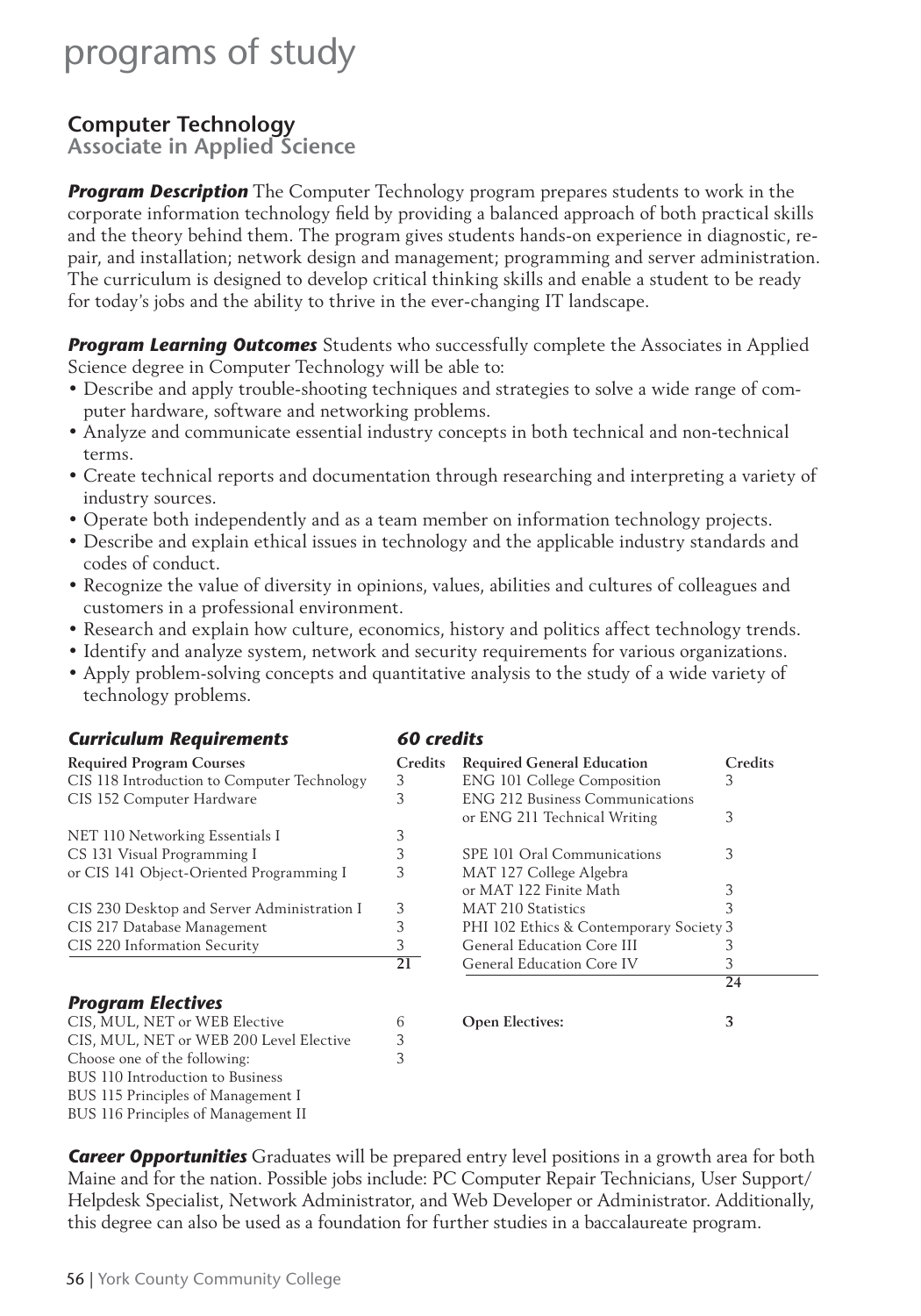### **Computer Technology**

**Associate in Applied Science** 

*Program Description* The Computer Technology program prepares students to work in the corporate information technology field by providing a balanced approach of both practical skills and the theory behind them. The program gives students hands-on experience in diagnostic, repair, and installation; network design and management; programming and server administration. The curriculum is designed to develop critical thinking skills and enable a student to be ready for today's jobs and the ability to thrive in the ever-changing IT landscape.

**Program Learning Outcomes** Students who successfully complete the Associates in Applied Science degree in Computer Technology will be able to:

- Describe and apply trouble-shooting techniques and strategies to solve a wide range of computer hardware, software and networking problems.
- Analyze and communicate essential industry concepts in both technical and non-technical terms.
- Create technical reports and documentation through researching and interpreting a variety of industry sources.
- Operate both independently and as a team member on information technology projects.
- Describe and explain ethical issues in technology and the applicable industry standards and codes of conduct.
- Recognize the value of diversity in opinions, values, abilities and cultures of colleagues and customers in a professional environment.
- Research and explain how culture, economics, history and politics affect technology trends.
- Identify and analyze system, network and security requirements for various organizations.
- Apply problem-solving concepts and quantitative analysis to the study of a wide variety of technology problems.

| <b>Curriculum Requirements</b>              | 60 credits      |                                         |         |  |
|---------------------------------------------|-----------------|-----------------------------------------|---------|--|
| <b>Required Program Courses</b>             | Credits         | <b>Required General Education</b>       | Credits |  |
| CIS 118 Introduction to Computer Technology | 3               | <b>ENG 101 College Composition</b>      | 3       |  |
| CIS 152 Computer Hardware                   | 3               | <b>ENG 212 Business Communications</b>  |         |  |
|                                             |                 | or ENG 211 Technical Writing            | 3       |  |
| NET 110 Networking Essentials I             | 3               |                                         |         |  |
| CS 131 Visual Programming I                 | 3               | SPE 101 Oral Communications             | 3       |  |
| or CIS 141 Object-Oriented Programming I    | 3               | MAT 127 College Algebra                 |         |  |
|                                             |                 | or MAT 122 Finite Math                  | 3       |  |
| CIS 230 Desktop and Server Administration I | 3               | <b>MAT 210 Statistics</b>               |         |  |
| CIS 217 Database Management                 | 3               | PHI 102 Ethics & Contemporary Society 3 |         |  |
| CIS 220 Information Security                | 3               | General Education Core III              | З       |  |
|                                             | $\overline{21}$ | General Education Core IV               | 3       |  |
|                                             |                 |                                         | 24      |  |
| <b>Program Electives</b>                    |                 |                                         |         |  |
| CIS, MUL, NET or WEB Elective               | 6               | <b>Open Electives:</b>                  | 3       |  |
| CIS, MUL, NET or WEB 200 Level Elective     | 3               |                                         |         |  |
| Choose one of the following:                | 3               |                                         |         |  |
| BUS 110 Introduction to Business            |                 |                                         |         |  |
| BUS 115 Principles of Management I          |                 |                                         |         |  |
| BUS 116 Principles of Management II         |                 |                                         |         |  |
|                                             |                 |                                         |         |  |

*Career Opportunities* Graduates will be prepared entry level positions in a growth area for both Maine and for the nation. Possible jobs include: PC Computer Repair Technicians, User Support/ Helpdesk Specialist, Network Administrator, and Web Developer or Administrator. Additionally, this degree can also be used as a foundation for further studies in a baccalaureate program.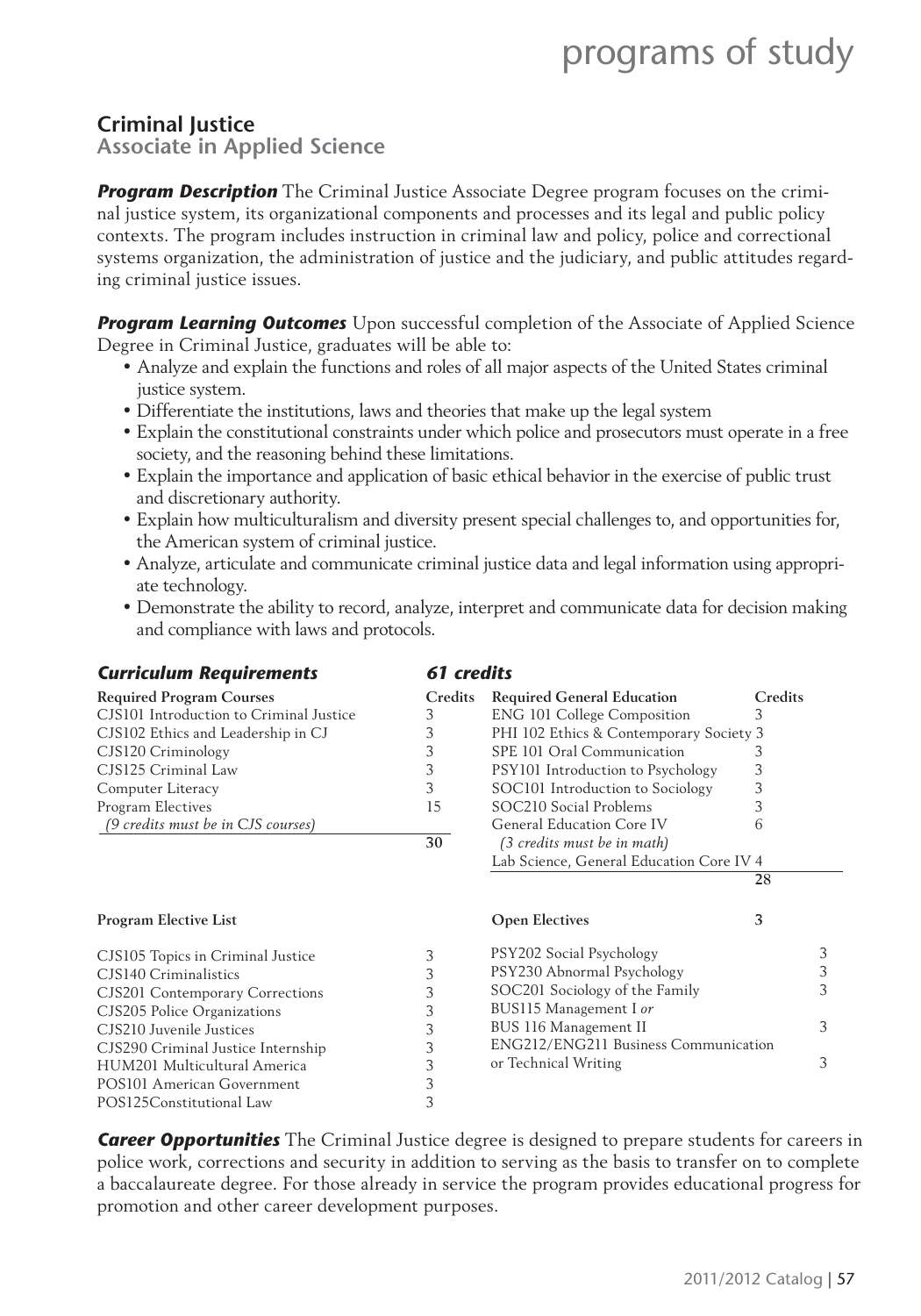### **Criminal Justice**

**Associate in Applied Science**

**Program Description** The Criminal Justice Associate Degree program focuses on the criminal justice system, its organizational components and processes and its legal and public policy contexts. The program includes instruction in criminal law and policy, police and correctional systems organization, the administration of justice and the judiciary, and public attitudes regarding criminal justice issues.

**Program Learning Outcomes** Upon successful completion of the Associate of Applied Science Degree in Criminal Justice, graduates will be able to:

- Analyze and explain the functions and roles of all major aspects of the United States criminal justice system.
- Differentiate the institutions, laws and theories that make up the legal system
- Explain the constitutional constraints under which police and prosecutors must operate in a free society, and the reasoning behind these limitations.
- Explain the importance and application of basic ethical behavior in the exercise of public trust and discretionary authority.
- Explain how multiculturalism and diversity present special challenges to, and opportunities for, the American system of criminal justice.
- Analyze, articulate and communicate criminal justice data and legal information using appropriate technology.
- Demonstrate the ability to record, analyze, interpret and communicate data for decision making and compliance with laws and protocols.

| <b>Curriculum Requirements</b>          | 61 credits |                                          |         |
|-----------------------------------------|------------|------------------------------------------|---------|
| <b>Required Program Courses</b>         | Credits    | <b>Required General Education</b>        | Credits |
| CJS101 Introduction to Criminal Justice | 3          | <b>ENG 101 College Composition</b>       | 3       |
| CJS102 Ethics and Leadership in CJ      | 3          | PHI 102 Ethics & Contemporary Society 3  |         |
| CJS120 Criminology                      | 3          | SPE 101 Oral Communication               | 3       |
| CJS125 Criminal Law                     | 3          | PSY101 Introduction to Psychology        | 3       |
| Computer Literacy                       | 3          | SOC101 Introduction to Sociology         | 3       |
| Program Electives                       | 15         | SOC210 Social Problems                   | 3       |
| (9 credits must be in CJS courses)      |            | General Education Core IV                | 6       |
|                                         | 30         | (3 credits must be in math)              |         |
|                                         |            | Lab Science, General Education Core IV 4 |         |
|                                         |            |                                          | 28      |
| <b>Program Elective List</b>            |            | <b>Open Electives</b>                    | 3       |
| CJS105 Topics in Criminal Justice       | 3          | PSY202 Social Psychology                 | 3       |
| CJS140 Criminalistics                   | 3          | PSY230 Abnormal Psychology               | 3       |
| CJS201 Contemporary Corrections         | 3          | SOC201 Sociology of the Family           | 3       |
| CJS205 Police Organizations             | 3          | BUS115 Management I or                   |         |
| CJS210 Juvenile Justices                | 3          | BUS 116 Management II                    | 3       |
| CJS290 Criminal Justice Internship      | 3          | ENG212/ENG211 Business Communication     |         |
| HUM201 Multicultural America            | 3          | or Technical Writing                     | 3       |
| POS101 American Government              | 3          |                                          |         |
| POS125Constitutional Law                | 3          |                                          |         |

*Career Opportunities* The Criminal Justice degree is designed to prepare students for careers in police work, corrections and security in addition to serving as the basis to transfer on to complete a baccalaureate degree. For those already in service the program provides educational progress for promotion and other career development purposes.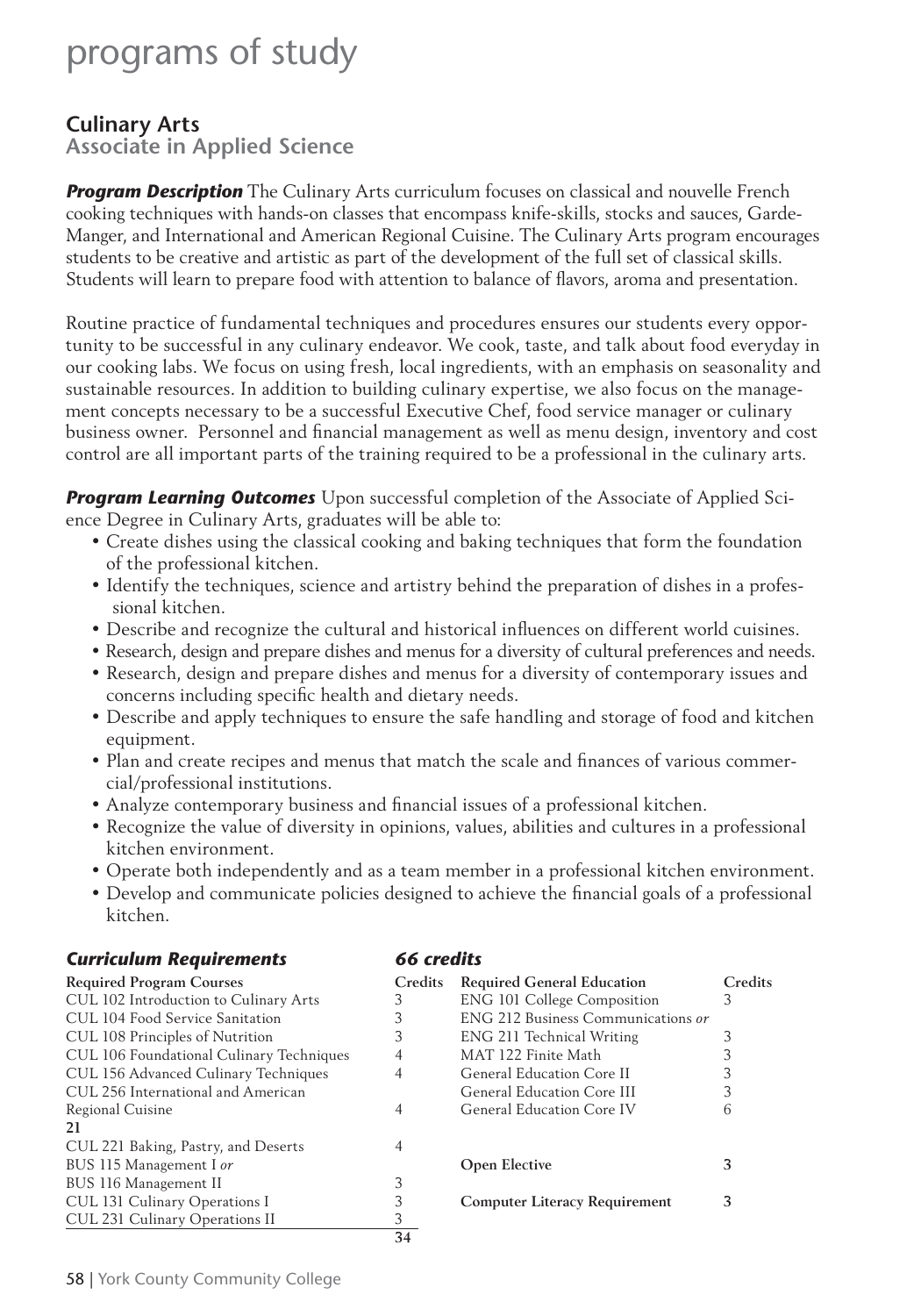### **Culinary Arts**

**Associate in Applied Science**

**Program Description** The Culinary Arts curriculum focuses on classical and nouvelle French cooking techniques with hands-on classes that encompass knife-skills, stocks and sauces, Garde-Manger, and International and American Regional Cuisine. The Culinary Arts program encourages students to be creative and artistic as part of the development of the full set of classical skills. Students will learn to prepare food with attention to balance of flavors, aroma and presentation.

Routine practice of fundamental techniques and procedures ensures our students every opportunity to be successful in any culinary endeavor. We cook, taste, and talk about food everyday in our cooking labs. We focus on using fresh, local ingredients, with an emphasis on seasonality and sustainable resources. In addition to building culinary expertise, we also focus on the management concepts necessary to be a successful Executive Chef, food service manager or culinary business owner. Personnel and financial management as well as menu design, inventory and cost control are all important parts of the training required to be a professional in the culinary arts.

*Program Learning Outcomes* Upon successful completion of the Associate of Applied Science Degree in Culinary Arts, graduates will be able to:

- Create dishes using the classical cooking and baking techniques that form the foundation of the professional kitchen.
- Identify the techniques, science and artistry behind the preparation of dishes in a professional kitchen.
- Describe and recognize the cultural and historical influences on different world cuisines.
- Research, design and prepare dishes and menus for a diversity of cultural preferences and needs.
- Research, design and prepare dishes and menus for a diversity of contemporary issues and concerns including specific health and dietary needs.
- Describe and apply techniques to ensure the safe handling and storage of food and kitchen equipment.
- Plan and create recipes and menus that match the scale and finances of various commercial/professional institutions.
- Analyze contemporary business and financial issues of a professional kitchen.
- Recognize the value of diversity in opinions, values, abilities and cultures in a professional kitchen environment.
- Operate both independently and as a team member in a professional kitchen environment.
- Develop and communicate policies designed to achieve the financial goals of a professional kitchen.

| <b>Curriculum Requirements</b>           | 66 credits     |                                      |         |
|------------------------------------------|----------------|--------------------------------------|---------|
| <b>Required Program Courses</b>          | <b>Credits</b> | <b>Required General Education</b>    | Credits |
| CUL 102 Introduction to Culinary Arts    | 3              | <b>ENG 101 College Composition</b>   | 3       |
| CUL 104 Food Service Sanitation          | 3              | ENG 212 Business Communications or   |         |
| CUL 108 Principles of Nutrition          | 3              | ENG 211 Technical Writing            |         |
| CUL 106 Foundational Culinary Techniques | 4              | MAT 122 Finite Math                  | 3       |
| CUL 156 Advanced Culinary Techniques     | 4              | General Education Core II            | 3       |
| CUL 256 International and American       |                | General Education Core III           |         |
| Regional Cuisine                         | 4              | General Education Core IV            | 6       |
| 21                                       |                |                                      |         |
| CUL 221 Baking, Pastry, and Deserts      | 4              |                                      |         |
| BUS 115 Management I or                  |                | <b>Open Elective</b>                 | 3       |
| BUS 116 Management II                    | 3              |                                      |         |
| CUL 131 Culinary Operations I            |                | <b>Computer Literacy Requirement</b> | 3       |
| CUL 231 Culinary Operations II           | 3              |                                      |         |
|                                          | 34             |                                      |         |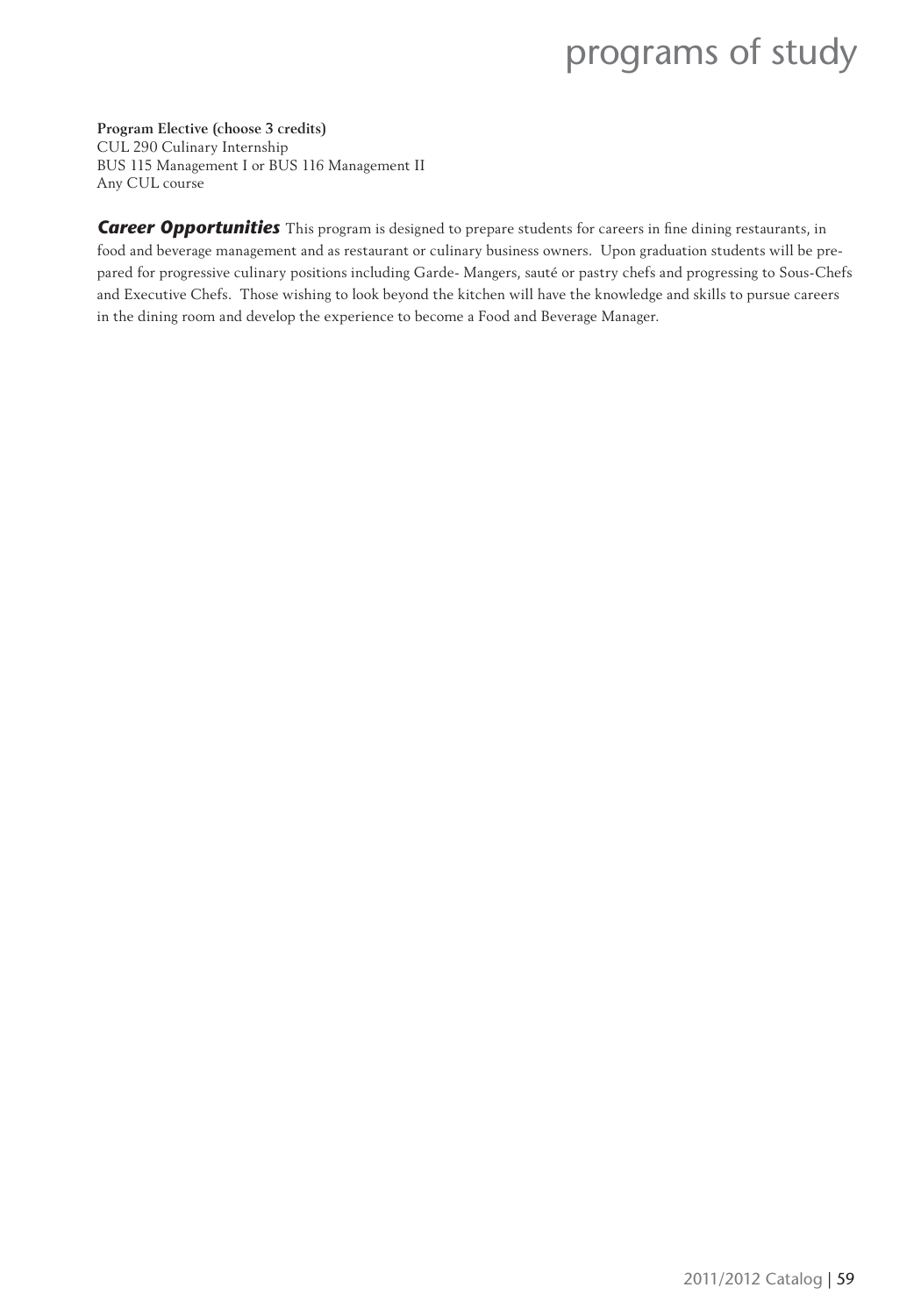**Program Elective (choose 3 credits)** CUL 290 Culinary Internship BUS 115 Management I or BUS 116 Management II Any CUL course

Career Opportunities This program is designed to prepare students for careers in fine dining restaurants, in food and beverage management and as restaurant or culinary business owners. Upon graduation students will be prepared for progressive culinary positions including Garde- Mangers, sauté or pastry chefs and progressing to Sous-Chefs and Executive Chefs. Those wishing to look beyond the kitchen will have the knowledge and skills to pursue careers in the dining room and develop the experience to become a Food and Beverage Manager.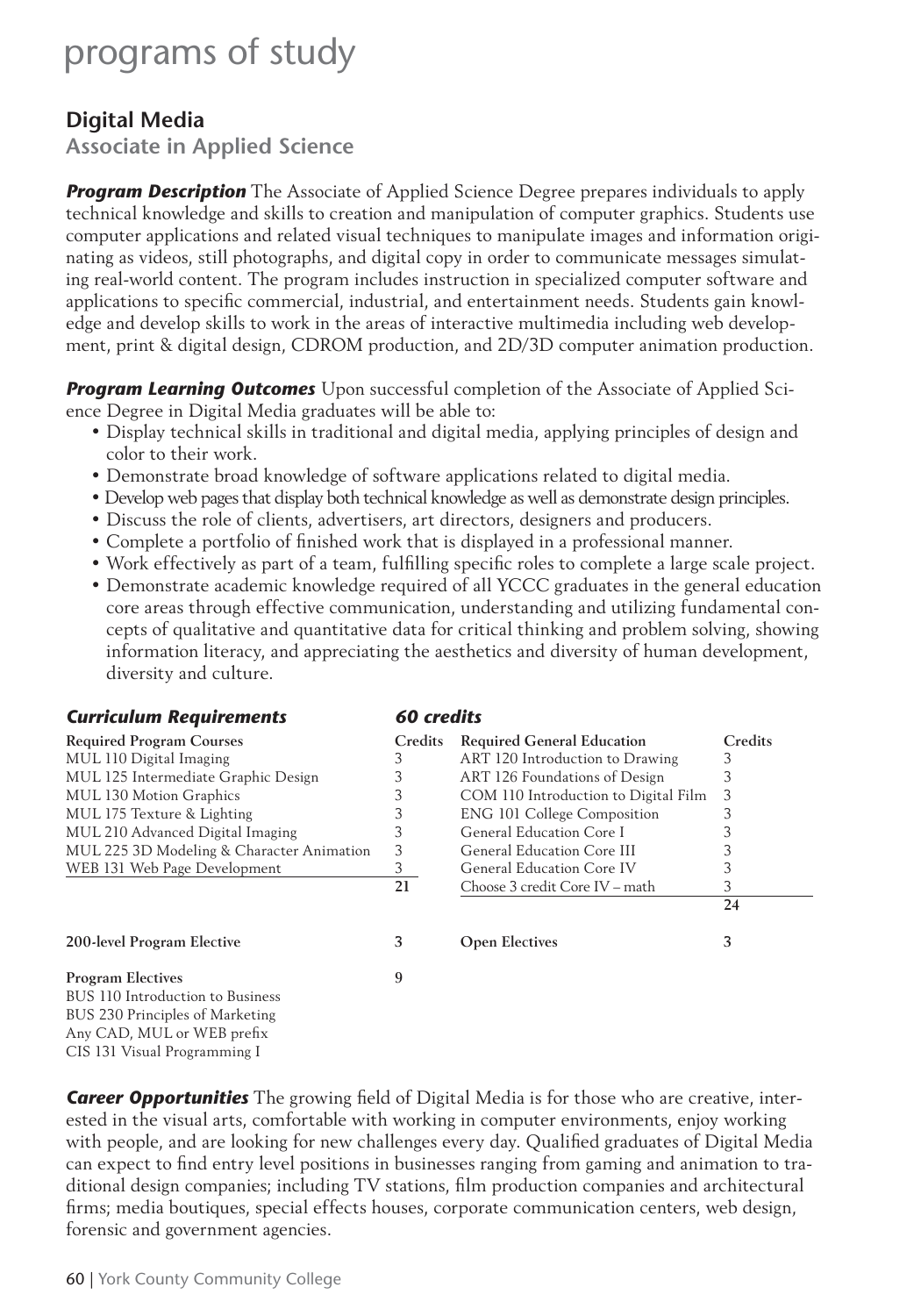### **Digital Media**

**Associate in Applied Science**

**Program Description** The Associate of Applied Science Degree prepares individuals to apply technical knowledge and skills to creation and manipulation of computer graphics. Students use computer applications and related visual techniques to manipulate images and information originating as videos, still photographs, and digital copy in order to communicate messages simulating real-world content. The program includes instruction in specialized computer software and applications to specific commercial, industrial, and entertainment needs. Students gain knowledge and develop skills to work in the areas of interactive multimedia including web development, print & digital design, CDROM production, and 2D/3D computer animation production.

*Program Learning Outcomes* Upon successful completion of the Associate of Applied Science Degree in Digital Media graduates will be able to:

- Display technical skills in traditional and digital media, applying principles of design and color to their work.
- Demonstrate broad knowledge of software applications related to digital media.
- Develop web pages that display both technical knowledge as well as demonstrate design principles.
- Discuss the role of clients, advertisers, art directors, designers and producers.
- Complete a portfolio of finished work that is displayed in a professional manner.
- Work effectively as part of a team, fulfilling specific roles to complete a large scale project.
- Demonstrate academic knowledge required of all YCCC graduates in the general education core areas through effective communication, understanding and utilizing fundamental concepts of qualitative and quantitative data for critical thinking and problem solving, showing information literacy, and appreciating the aesthetics and diversity of human development, diversity and culture.

| <b>Curriculum Requirements</b>            | 60 credits     |                                      |         |  |
|-------------------------------------------|----------------|--------------------------------------|---------|--|
| <b>Required Program Courses</b>           | <b>Credits</b> | <b>Required General Education</b>    | Credits |  |
| MUL 110 Digital Imaging                   | 3              | ART 120 Introduction to Drawing      | 3       |  |
| MUL 125 Intermediate Graphic Design       | 3              | ART 126 Foundations of Design        | 3       |  |
| MUL 130 Motion Graphics                   | 3              | COM 110 Introduction to Digital Film | 3       |  |
| MUL 175 Texture & Lighting                | 3              | <b>ENG 101 College Composition</b>   | 3       |  |
| MUL 210 Advanced Digital Imaging          | 3              | General Education Core I             |         |  |
| MUL 225 3D Modeling & Character Animation | 3              | General Education Core III           |         |  |
| WEB 131 Web Page Development              | 3              | General Education Core IV            | 3       |  |
|                                           | 21             | Choose 3 credit Core IV – math       | 3       |  |
|                                           |                |                                      | 24      |  |
| 200-level Program Elective                | 3              | <b>Open Electives</b>                | 3       |  |
| <b>Program Electives</b>                  | 9              |                                      |         |  |
| BUS 110 Introduction to Business          |                |                                      |         |  |
| BUS 230 Principles of Marketing           |                |                                      |         |  |
| Any CAD, MUL or WEB prefix                |                |                                      |         |  |
| CIS 131 Visual Programming I              |                |                                      |         |  |

**Career Opportunities** The growing field of Digital Media is for those who are creative, interested in the visual arts, comfortable with working in computer environments, enjoy working with people, and are looking for new challenges every day. Qualified graduates of Digital Media can expect to find entry level positions in businesses ranging from gaming and animation to traditional design companies; including TV stations, film production companies and architectural firms; media boutiques, special effects houses, corporate communication centers, web design, forensic and government agencies.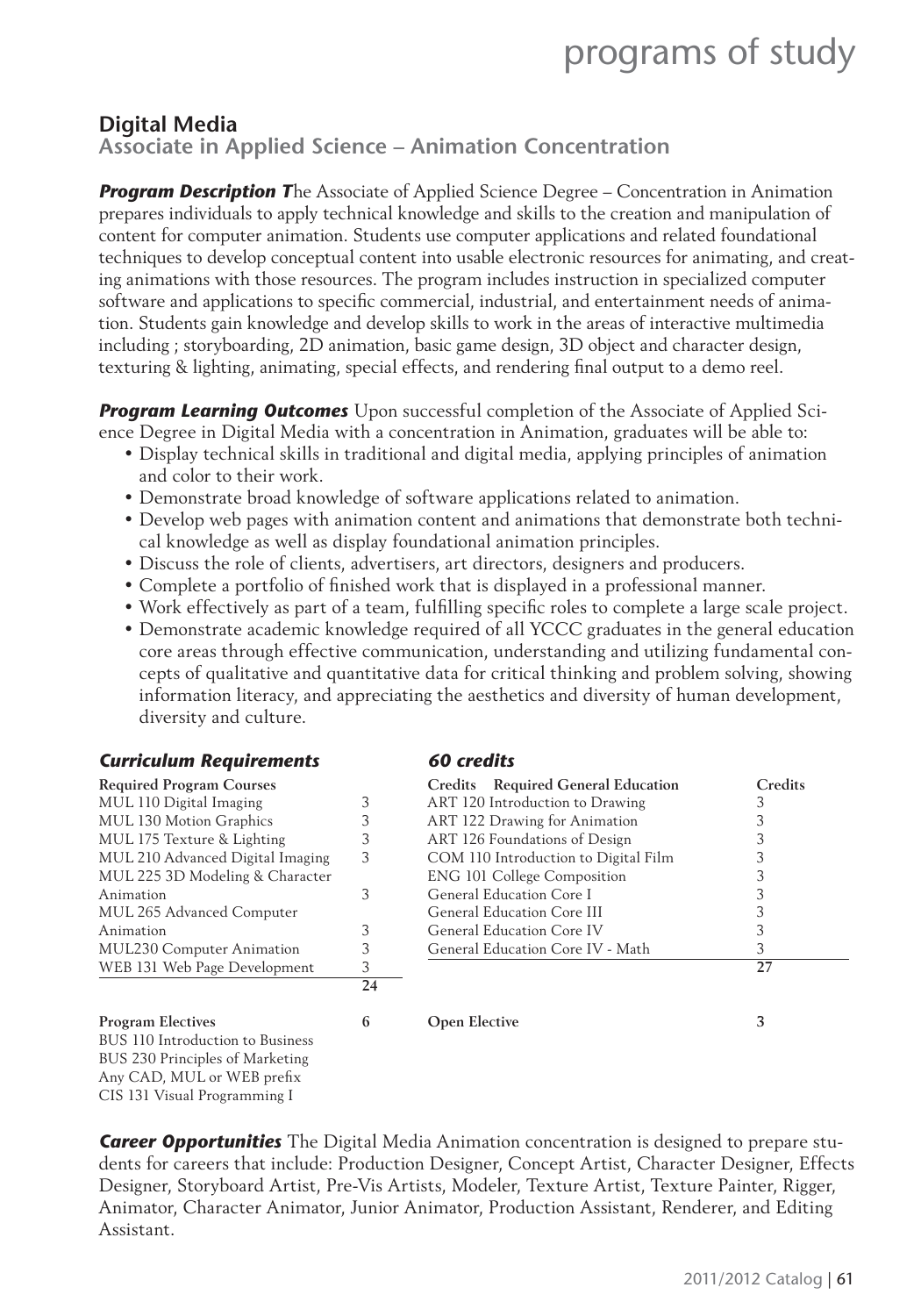### **Digital Media**

### **Associate in Applied Science – Animation Concentration**

*Program Description T*he Associate of Applied Science Degree – Concentration in Animation prepares individuals to apply technical knowledge and skills to the creation and manipulation of content for computer animation. Students use computer applications and related foundational techniques to develop conceptual content into usable electronic resources for animating, and creating animations with those resources. The program includes instruction in specialized computer software and applications to specific commercial, industrial, and entertainment needs of animation. Students gain knowledge and develop skills to work in the areas of interactive multimedia including ; storyboarding, 2D animation, basic game design, 3D object and character design, texturing & lighting, animating, special effects, and rendering final output to a demo reel.

**Program Learning Outcomes** Upon successful completion of the Associate of Applied Science Degree in Digital Media with a concentration in Animation, graduates will be able to:

- Display technical skills in traditional and digital media, applying principles of animation and color to their work.
- Demonstrate broad knowledge of software applications related to animation.
- Develop web pages with animation content and animations that demonstrate both technical knowledge as well as display foundational animation principles.
- Discuss the role of clients, advertisers, art directors, designers and producers.
- Complete a portfolio of finished work that is displayed in a professional manner.
- Work effectively as part of a team, fulfilling specific roles to complete a large scale project.
- Demonstrate academic knowledge required of all YCCC graduates in the general education core areas through effective communication, understanding and utilizing fundamental concepts of qualitative and quantitative data for critical thinking and problem solving, showing information literacy, and appreciating the aesthetics and diversity of human development, diversity and culture.

| <b>Curriculum Requirements</b>   |    | 60 credits                           |         |
|----------------------------------|----|--------------------------------------|---------|
| <b>Required Program Courses</b>  |    | Credits Required General Education   | Credits |
| MUL 110 Digital Imaging          | 3  | ART 120 Introduction to Drawing      | 3       |
| MUL 130 Motion Graphics          | 3  | ART 122 Drawing for Animation        |         |
| MUL 175 Texture & Lighting       | 3  | ART 126 Foundations of Design        |         |
| MUL 210 Advanced Digital Imaging | 3  | COM 110 Introduction to Digital Film |         |
| MUL 225 3D Modeling & Character  |    | <b>ENG 101 College Composition</b>   |         |
| Animation                        | 3  | General Education Core I             |         |
| MUL 265 Advanced Computer        |    | General Education Core III           |         |
| Animation                        | 3  | General Education Core IV            | 3       |
| <b>MUL230 Computer Animation</b> | 3  | General Education Core IV - Math     | 3       |
| WEB 131 Web Page Development     | 3  |                                      | 27      |
|                                  | 24 |                                      |         |
| <b>Program Electives</b>         | 6  | <b>Open Elective</b>                 | 3       |
| BUS 110 Introduction to Business |    |                                      |         |
| BUS 230 Principles of Marketing  |    |                                      |         |
| Any CAD, MUL or WEB prefix       |    |                                      |         |
| CIS 131 Visual Programming I     |    |                                      |         |

*Career Opportunities* The Digital Media Animation concentration is designed to prepare students for careers that include: Production Designer, Concept Artist, Character Designer, Effects Designer, Storyboard Artist, Pre-Vis Artists, Modeler, Texture Artist, Texture Painter, Rigger, Animator, Character Animator, Junior Animator, Production Assistant, Renderer, and Editing Assistant.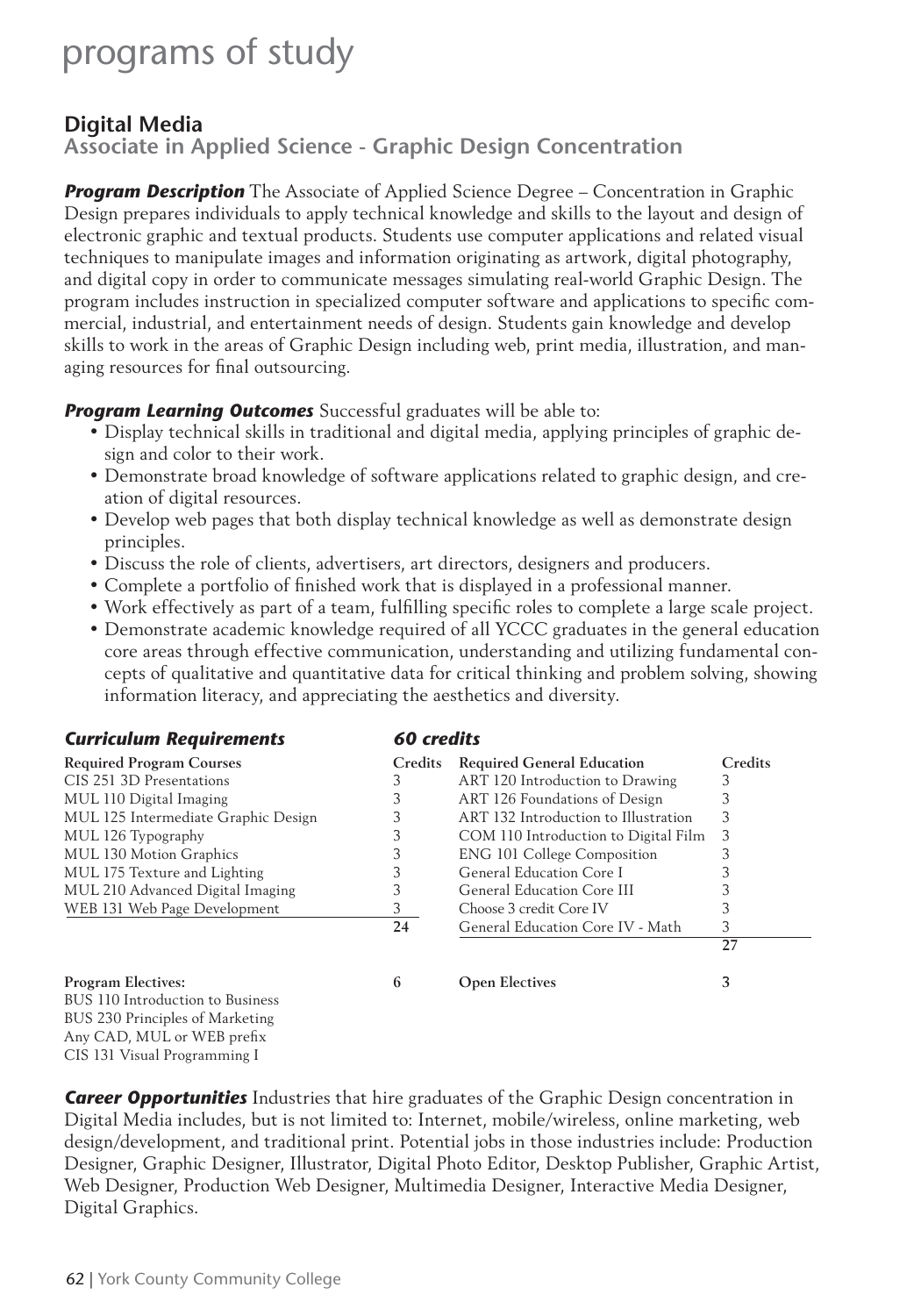### **Digital Media**

**Associate in Applied Science - Graphic Design Concentration**

**Program Description** The Associate of Applied Science Degree – Concentration in Graphic Design prepares individuals to apply technical knowledge and skills to the layout and design of electronic graphic and textual products. Students use computer applications and related visual techniques to manipulate images and information originating as artwork, digital photography, and digital copy in order to communicate messages simulating real-world Graphic Design. The program includes instruction in specialized computer software and applications to specifi c commercial, industrial, and entertainment needs of design. Students gain knowledge and develop skills to work in the areas of Graphic Design including web, print media, illustration, and managing resources for final outsourcing.

*Program Learning Outcomes* Successful graduates will be able to:

- Display technical skills in traditional and digital media, applying principles of graphic design and color to their work.
- Demonstrate broad knowledge of software applications related to graphic design, and creation of digital resources.
- Develop web pages that both display technical knowledge as well as demonstrate design principles.
- Discuss the role of clients, advertisers, art directors, designers and producers.
- Complete a portfolio of finished work that is displayed in a professional manner.
- Work effectively as part of a team, fulfilling specific roles to complete a large scale project.
- Demonstrate academic knowledge required of all YCCC graduates in the general education core areas through effective communication, understanding and utilizing fundamental concepts of qualitative and quantitative data for critical thinking and problem solving, showing information literacy, and appreciating the aesthetics and diversity.

| <b>Curriculum Requirements</b>                                     | 60 credits |                                      |         |  |
|--------------------------------------------------------------------|------------|--------------------------------------|---------|--|
| <b>Required Program Courses</b>                                    | Credits    | <b>Required General Education</b>    | Credits |  |
| CIS 251 3D Presentations                                           |            | ART 120 Introduction to Drawing      |         |  |
| MUL 110 Digital Imaging                                            | 3          | ART 126 Foundations of Design        |         |  |
| MUL 125 Intermediate Graphic Design                                | 3          | ART 132 Introduction to Illustration | 3       |  |
| MUL 126 Typography                                                 | 3          | COM 110 Introduction to Digital Film | 3       |  |
| MUL 130 Motion Graphics                                            |            | <b>ENG 101 College Composition</b>   |         |  |
| MUL 175 Texture and Lighting                                       |            | General Education Core I             |         |  |
| MUL 210 Advanced Digital Imaging                                   | 3          | General Education Core III           |         |  |
| WEB 131 Web Page Development                                       | 3          | Choose 3 credit Core IV              |         |  |
|                                                                    | 24         | General Education Core IV - Math     | 3       |  |
|                                                                    |            |                                      | 27      |  |
| Program Electives:                                                 | 6          | <b>Open Electives</b>                | 3       |  |
| BUS 110 Introduction to Business                                   |            |                                      |         |  |
| DUE 220 D.:. $\ldots$ $\ldots$ $\ldots$ $\ldots$ $\ldots$ $\ldots$ |            |                                      |         |  |

BUS 230 Principles of Marketing Any CAD, MUL or WEB prefix CIS 131 Visual Programming I

*Career Opportunities* Industries that hire graduates of the Graphic Design concentration in Digital Media includes, but is not limited to: Internet, mobile/wireless, online marketing, web design/development, and traditional print. Potential jobs in those industries include: Production Designer, Graphic Designer, Illustrator, Digital Photo Editor, Desktop Publisher, Graphic Artist, Web Designer, Production Web Designer, Multimedia Designer, Interactive Media Designer, Digital Graphics.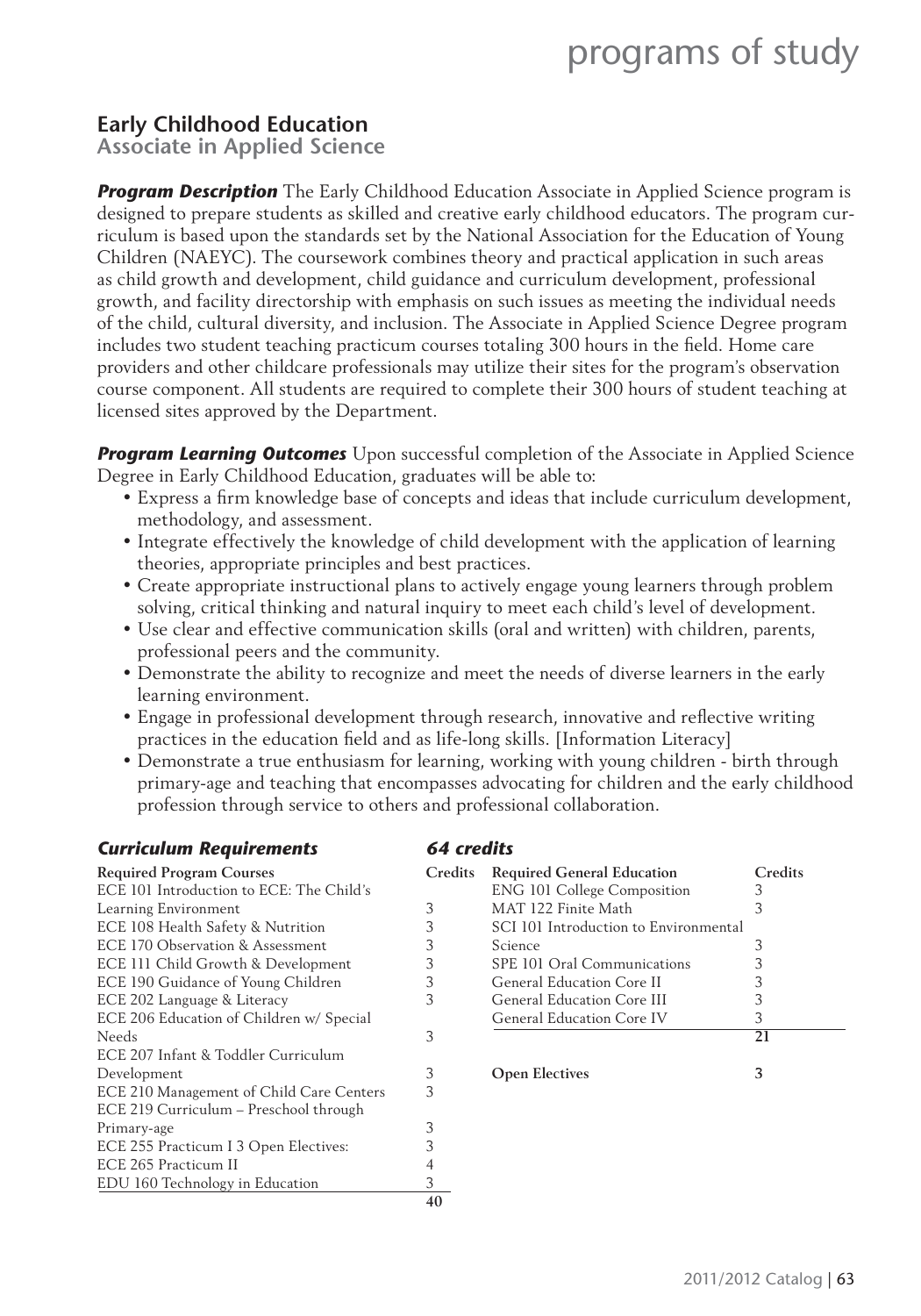### **Early Childhood Education**

**Associate in Applied Science** 

**Program Description** The Early Childhood Education Associate in Applied Science program is designed to prepare students as skilled and creative early childhood educators. The program curriculum is based upon the standards set by the National Association for the Education of Young Children (NAEYC). The coursework combines theory and practical application in such areas as child growth and development, child guidance and curriculum development, professional growth, and facility directorship with emphasis on such issues as meeting the individual needs of the child, cultural diversity, and inclusion. The Associate in Applied Science Degree program includes two student teaching practicum courses totaling 300 hours in the field. Home care providers and other childcare professionals may utilize their sites for the program's observation course component. All students are required to complete their 300 hours of student teaching at licensed sites approved by the Department.

**Program Learning Outcomes** Upon successful completion of the Associate in Applied Science Degree in Early Childhood Education, graduates will be able to:

- Express a firm knowledge base of concepts and ideas that include curriculum development, methodology, and assessment.
- Integrate effectively the knowledge of child development with the application of learning theories, appropriate principles and best practices.
- Create appropriate instructional plans to actively engage young learners through problem solving, critical thinking and natural inquiry to meet each child's level of development.
- Use clear and effective communication skills (oral and written) with children, parents, professional peers and the community.
- Demonstrate the ability to recognize and meet the needs of diverse learners in the early learning environment.
- Engage in professional development through research, innovative and reflective writing practices in the education field and as life-long skills. [Information Literacy]
- Demonstrate a true enthusiasm for learning, working with young children birth through primary-age and teaching that encompasses advocating for children and the early childhood profession through service to others and professional collaboration.

| <b>Curriculum Requirements</b>           | <b>64 credits</b> |                                       |         |
|------------------------------------------|-------------------|---------------------------------------|---------|
| <b>Required Program Courses</b>          | Credits           | <b>Required General Education</b>     | Credits |
| ECE 101 Introduction to ECE: The Child's |                   | <b>ENG 101 College Composition</b>    | 3       |
| Learning Environment                     | 3                 | MAT 122 Finite Math                   | 3       |
| ECE 108 Health Safety & Nutrition        | 3                 | SCI 101 Introduction to Environmental |         |
| ECE 170 Observation & Assessment         | 3                 | Science                               | 3       |
| ECE 111 Child Growth & Development       | 3                 | SPE 101 Oral Communications           | 3       |
| ECE 190 Guidance of Young Children       | 3                 | General Education Core II             | 3       |
| ECE 202 Language & Literacy              | 3                 | General Education Core III            | 3       |
| ECE 206 Education of Children w/ Special |                   | General Education Core IV             | 3       |
| Needs                                    | 3                 |                                       | 21      |
| ECE 207 Infant & Toddler Curriculum      |                   |                                       |         |
| Development                              | 3                 | <b>Open Electives</b>                 | 3       |
| ECE 210 Management of Child Care Centers | 3                 |                                       |         |
| ECE 219 Curriculum - Preschool through   |                   |                                       |         |
| Primary-age                              | 3                 |                                       |         |
| ECE 255 Practicum I 3 Open Electives:    |                   |                                       |         |
| ECE 265 Practicum II                     |                   |                                       |         |
| EDU 160 Technology in Education          | 3                 |                                       |         |
|                                          | 40                |                                       |         |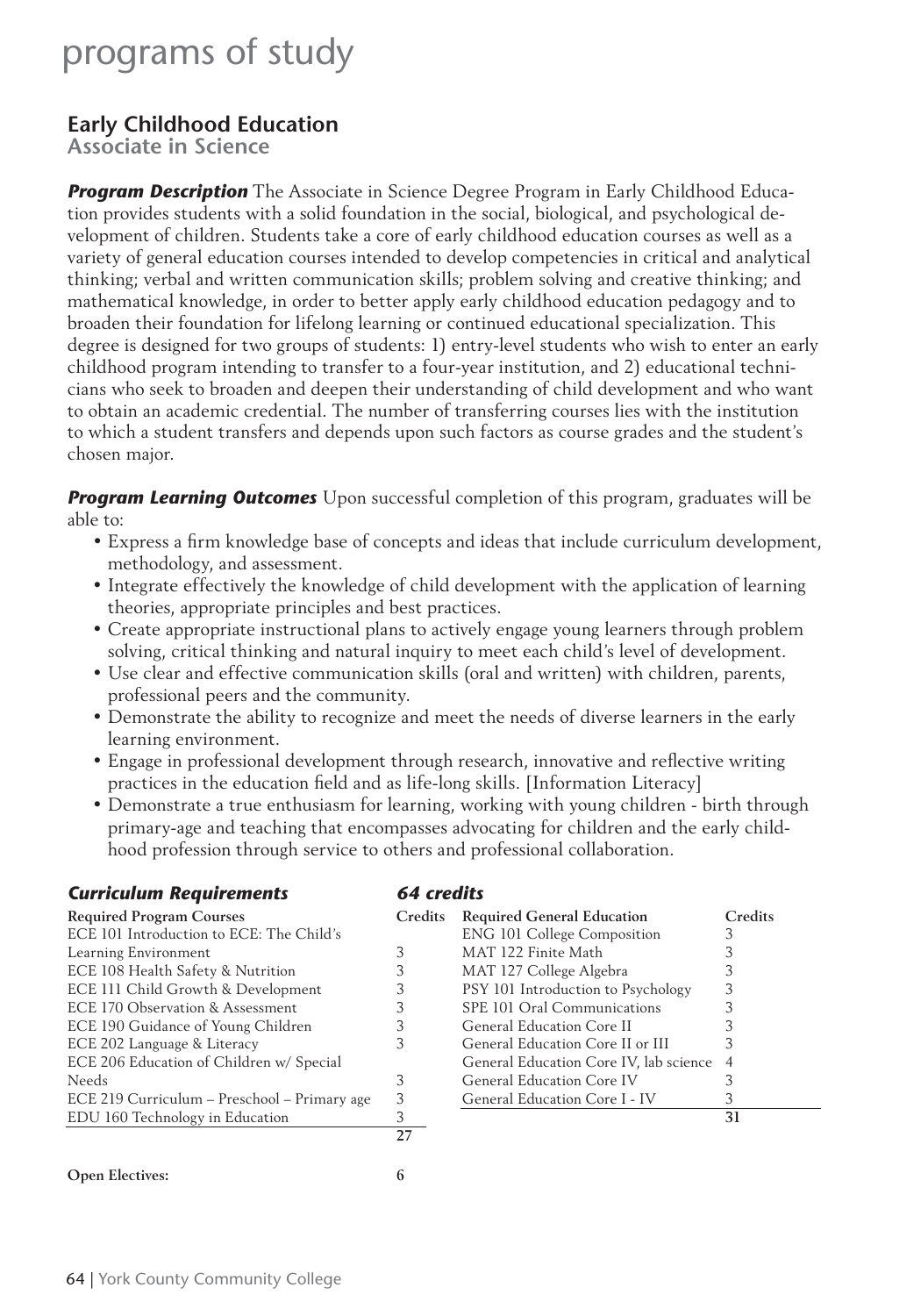### **Early Childhood Education**

**Associate in Science**

*Program Description* The Associate in Science Degree Program in Early Childhood Education provides students with a solid foundation in the social, biological, and psychological development of children. Students take a core of early childhood education courses as well as a variety of general education courses intended to develop competencies in critical and analytical thinking; verbal and written communication skills; problem solving and creative thinking; and mathematical knowledge, in order to better apply early childhood education pedagogy and to broaden their foundation for lifelong learning or continued educational specialization. This degree is designed for two groups of students: 1) entry-level students who wish to enter an early childhood program intending to transfer to a four-year institution, and 2) educational technicians who seek to broaden and deepen their understanding of child development and who want to obtain an academic credential. The number of transferring courses lies with the institution to which a student transfers and depends upon such factors as course grades and the student's chosen major.

**Program Learning Outcomes** Upon successful completion of this program, graduates will be able to:

- Express a firm knowledge base of concepts and ideas that include curriculum development, methodology, and assessment.
- Integrate effectively the knowledge of child development with the application of learning theories, appropriate principles and best practices.
- Create appropriate instructional plans to actively engage young learners through problem solving, critical thinking and natural inquiry to meet each child's level of development.
- Use clear and effective communication skills (oral and written) with children, parents, professional peers and the community.
- Demonstrate the ability to recognize and meet the needs of diverse learners in the early learning environment.
- Engage in professional development through research, innovative and reflective writing practices in the education field and as life-long skills. [Information Literacy]
- Demonstrate a true enthusiasm for learning, working with young children birth through primary-age and teaching that encompasses advocating for children and the early childhood profession through service to others and professional collaboration.

#### *Curriculum Requirements*

| 64 credits |
|------------|
|------------|

| <b>Required Program Courses</b>              | <b>Credits</b> | <b>Required General Education</b>      | Credits        |
|----------------------------------------------|----------------|----------------------------------------|----------------|
| ECE 101 Introduction to ECE: The Child's     |                | <b>ENG 101 College Composition</b>     |                |
| Learning Environment                         |                | MAT 122 Finite Math                    |                |
| ECE 108 Health Safety & Nutrition            |                | MAT 127 College Algebra                |                |
| ECE 111 Child Growth & Development           | 3              | PSY 101 Introduction to Psychology     |                |
| ECE 170 Observation & Assessment             |                | SPE 101 Oral Communications            |                |
| ECE 190 Guidance of Young Children           |                | General Education Core II              |                |
| ECE 202 Language & Literacy                  |                | General Education Core II or III       |                |
| ECE 206 Education of Children w/ Special     |                | General Education Core IV, lab science | $\overline{4}$ |
| Needs                                        |                | General Education Core IV              |                |
| ECE 219 Curriculum – Preschool – Primary age | 3              | General Education Core I - IV          |                |
| EDU 160 Technology in Education              |                |                                        | 31             |
|                                              | 27             |                                        |                |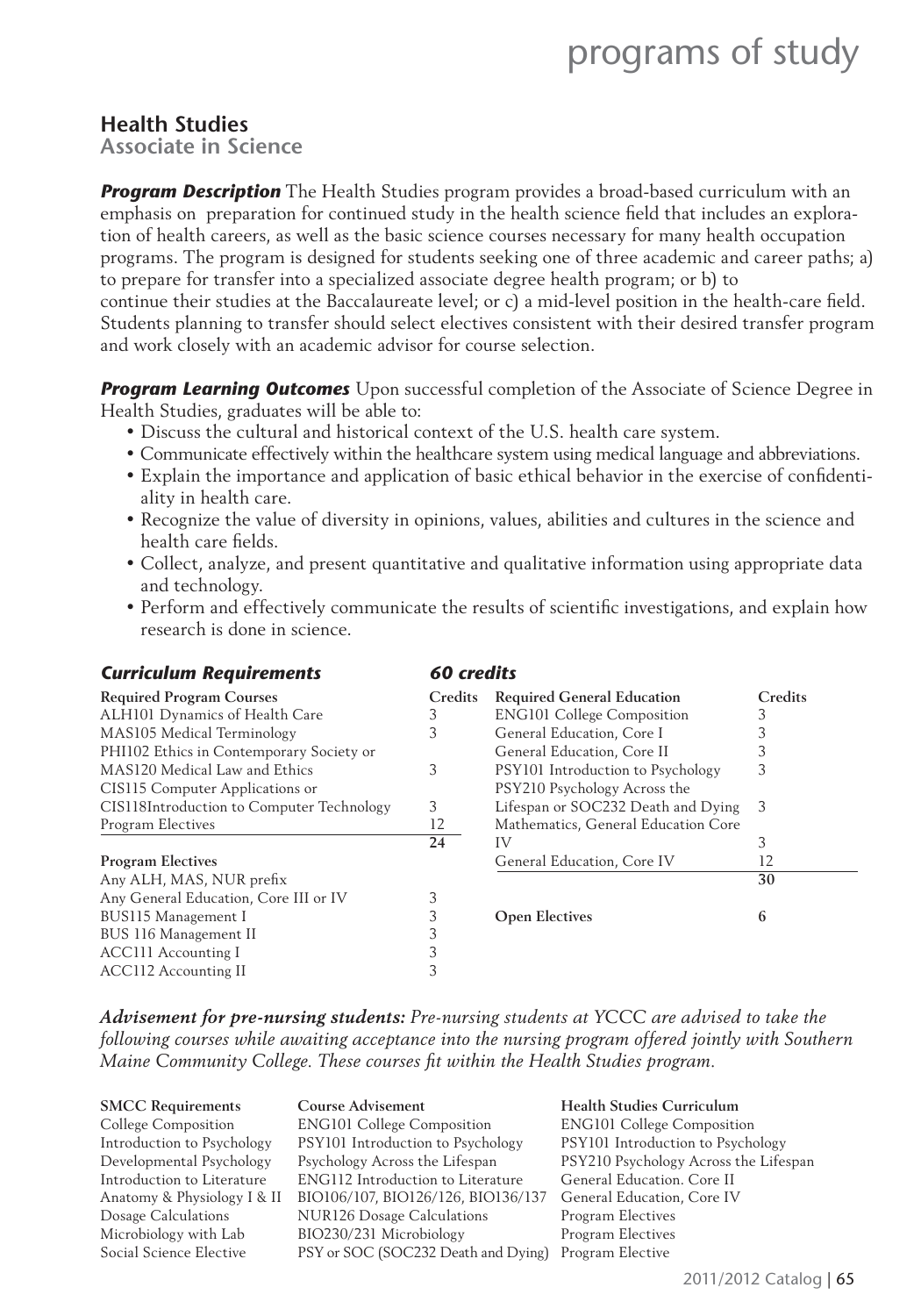#### **Health Studies**

**Associate in Science**

*Program Description* The Health Studies program provides a broad-based curriculum with an emphasis on preparation for continued study in the health science field that includes an exploration of health careers, as well as the basic science courses necessary for many health occupation programs. The program is designed for students seeking one of three academic and career paths; a) to prepare for transfer into a specialized associate degree health program; or b) to continue their studies at the Baccalaureate level; or c) a mid-level position in the health-care field. Students planning to transfer should select electives consistent with their desired transfer program and work closely with an academic advisor for course selection.

*Program Learning Outcomes* Upon successful completion of the Associate of Science Degree in Health Studies, graduates will be able to:

- Discuss the cultural and historical context of the U.S. health care system.
- Communicate effectively within the healthcare system using medical language and abbreviations.
- Explain the importance and application of basic ethical behavior in the exercise of confidentiality in health care.
- Recognize the value of diversity in opinions, values, abilities and cultures in the science and health care fields.
- Collect, analyze, and present quantitative and qualitative information using appropriate data and technology.
- Perform and effectively communicate the results of scientific investigations, and explain how research is done in science.

| <b>Curriculum Requirements</b>            | 60 credits |                                     |         |
|-------------------------------------------|------------|-------------------------------------|---------|
| <b>Required Program Courses</b>           | Credits    | <b>Required General Education</b>   | Credits |
| ALH101 Dynamics of Health Care            | 3          | <b>ENG101 College Composition</b>   |         |
| MAS105 Medical Terminology                | 3          | General Education, Core I           |         |
| PHI102 Ethics in Contemporary Society or  |            | General Education, Core II          |         |
| MAS120 Medical Law and Ethics             | 3          | PSY101 Introduction to Psychology   | 3       |
| CIS115 Computer Applications or           |            | PSY210 Psychology Across the        |         |
| CIS118Introduction to Computer Technology | 3          | Lifespan or SOC232 Death and Dying  | - 3     |
| Program Electives                         | 12         | Mathematics, General Education Core |         |
|                                           | 24         | IV                                  | 3       |
| <b>Program Electives</b>                  |            | General Education, Core IV          | 12      |
| Any ALH, MAS, NUR prefix                  |            |                                     | 30      |
| Any General Education, Core III or IV     | 3          |                                     |         |
| BUS115 Management I                       | 3          | <b>Open Electives</b>               | 6       |
| BUS 116 Management II                     |            |                                     |         |
| <b>ACC111</b> Accounting I                | 3          |                                     |         |
| <b>ACC112 Accounting II</b>               |            |                                     |         |

*Advisement for pre-nursing students: Pre-nursing students at YCCC are advised to take the following courses while awaiting acceptance into the nursing program offered jointly with Southern Maine Community College. These courses fi t within the Health Studies program.*

| <b>SMCC Requirements</b>    | <b>Course Advisement</b>                 | <b>Health Studies Curriculum</b>      |
|-----------------------------|------------------------------------------|---------------------------------------|
| College Composition         | <b>ENG101 College Composition</b>        | <b>ENG101 College Composition</b>     |
| Introduction to Psychology  | PSY101 Introduction to Psychology        | PSY101 Introduction to Psychology     |
| Developmental Psychology    | Psychology Across the Lifespan           | PSY210 Psychology Across the Lifespan |
| Introduction to Literature  | <b>ENG112</b> Introduction to Literature | General Education. Core II            |
| Anatomy & Physiology I & II | BIO106/107, BIO126/126, BIO136/137       | General Education, Core IV            |
| Dosage Calculations         | <b>NUR126 Dosage Calculations</b>        | Program Electives                     |
| Microbiology with Lab       | BIO230/231 Microbiology                  | Program Electives                     |
| Social Science Elective     | PSY or SOC (SOC232 Death and Dying)      | Program Elective                      |
|                             |                                          |                                       |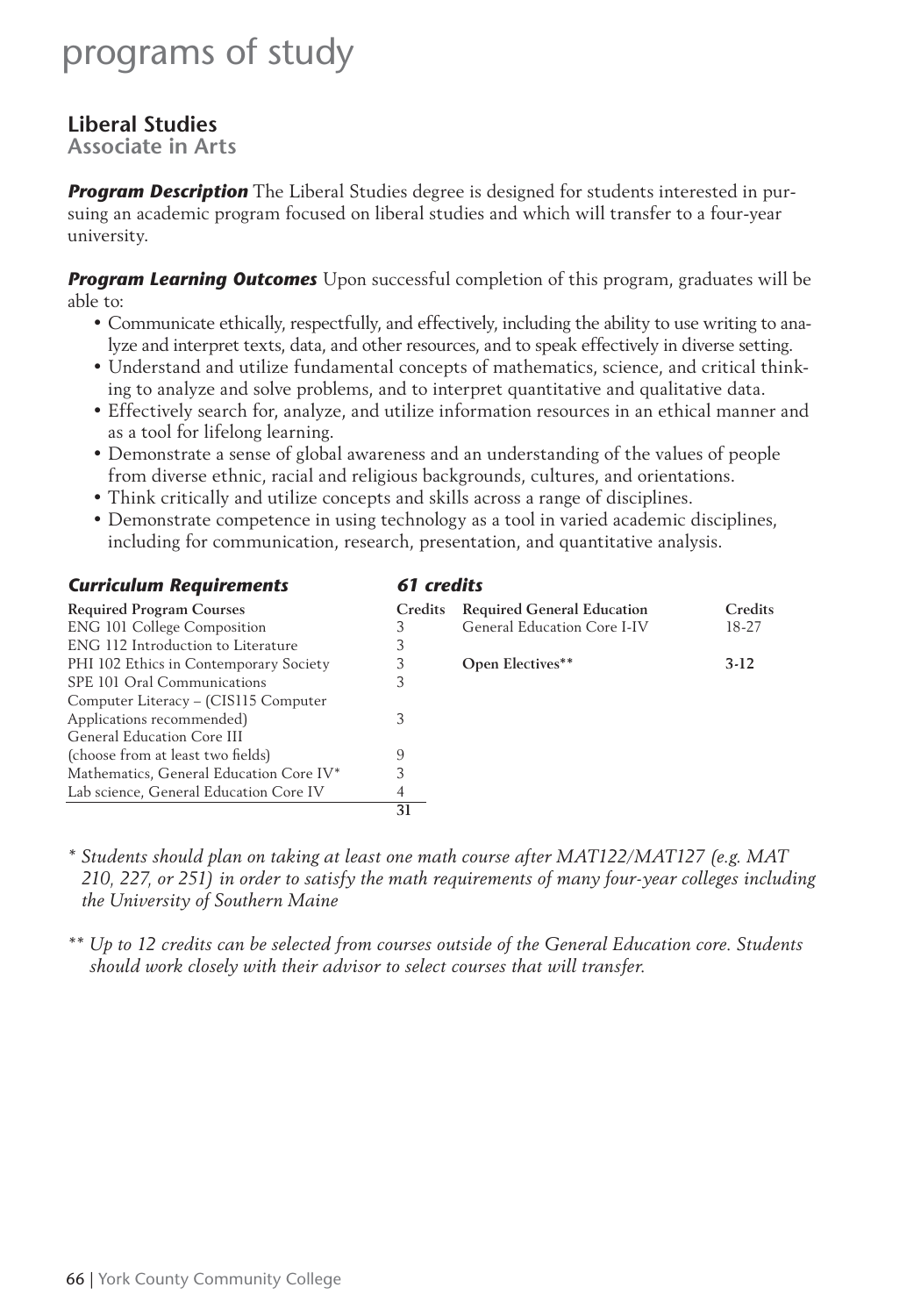### **Liberal Studies**

**Associate in Arts**

*Program Description* The Liberal Studies degree is designed for students interested in pursuing an academic program focused on liberal studies and which will transfer to a four-year university.

**Program Learning Outcomes** Upon successful completion of this program, graduates will be able to:

- Communicate ethically, respectfully, and effectively, including the ability to use writing to analyze and interpret texts, data, and other resources, and to speak effectively in diverse setting.
- Understand and utilize fundamental concepts of mathematics, science, and critical thinking to analyze and solve problems, and to interpret quantitative and qualitative data.
- Effectively search for, analyze, and utilize information resources in an ethical manner and as a tool for lifelong learning.
- Demonstrate a sense of global awareness and an understanding of the values of people from diverse ethnic, racial and religious backgrounds, cultures, and orientations.
- Think critically and utilize concepts and skills across a range of disciplines.
- Demonstrate competence in using technology as a tool in varied academic disciplines, including for communication, research, presentation, and quantitative analysis.

| 61 credits<br><b>Curriculum Requirements</b> |         |                                   |         |
|----------------------------------------------|---------|-----------------------------------|---------|
| <b>Required Program Courses</b>              | Credits | <b>Required General Education</b> | Credits |
| <b>ENG 101 College Composition</b>           | 3       | General Education Core I-IV       | 18-27   |
| ENG 112 Introduction to Literature           | 3       |                                   |         |
| PHI 102 Ethics in Contemporary Society       | 3       | <b>Open Electives**</b>           | $3-12$  |
| SPE 101 Oral Communications                  | 3       |                                   |         |
| Computer Literacy – (CIS115 Computer         |         |                                   |         |
| Applications recommended)                    | 3       |                                   |         |
| General Education Core III                   |         |                                   |         |
| (choose from at least two fields)            | 9       |                                   |         |
| Mathematics, General Education Core IV*      | 3       |                                   |         |
| Lab science, General Education Core IV       | 4       |                                   |         |
|                                              | 31      |                                   |         |

*\* Students should plan on taking at least one math course after MAT122/MAT127 (e.g. MAT 210, 227, or 251) in order to satisfy the math requirements of many four-year colleges including the University of Southern Maine*

*\*\* Up to 12 credits can be selected from courses outside of the General Education core. Students should work closely with their advisor to select courses that will transfer.*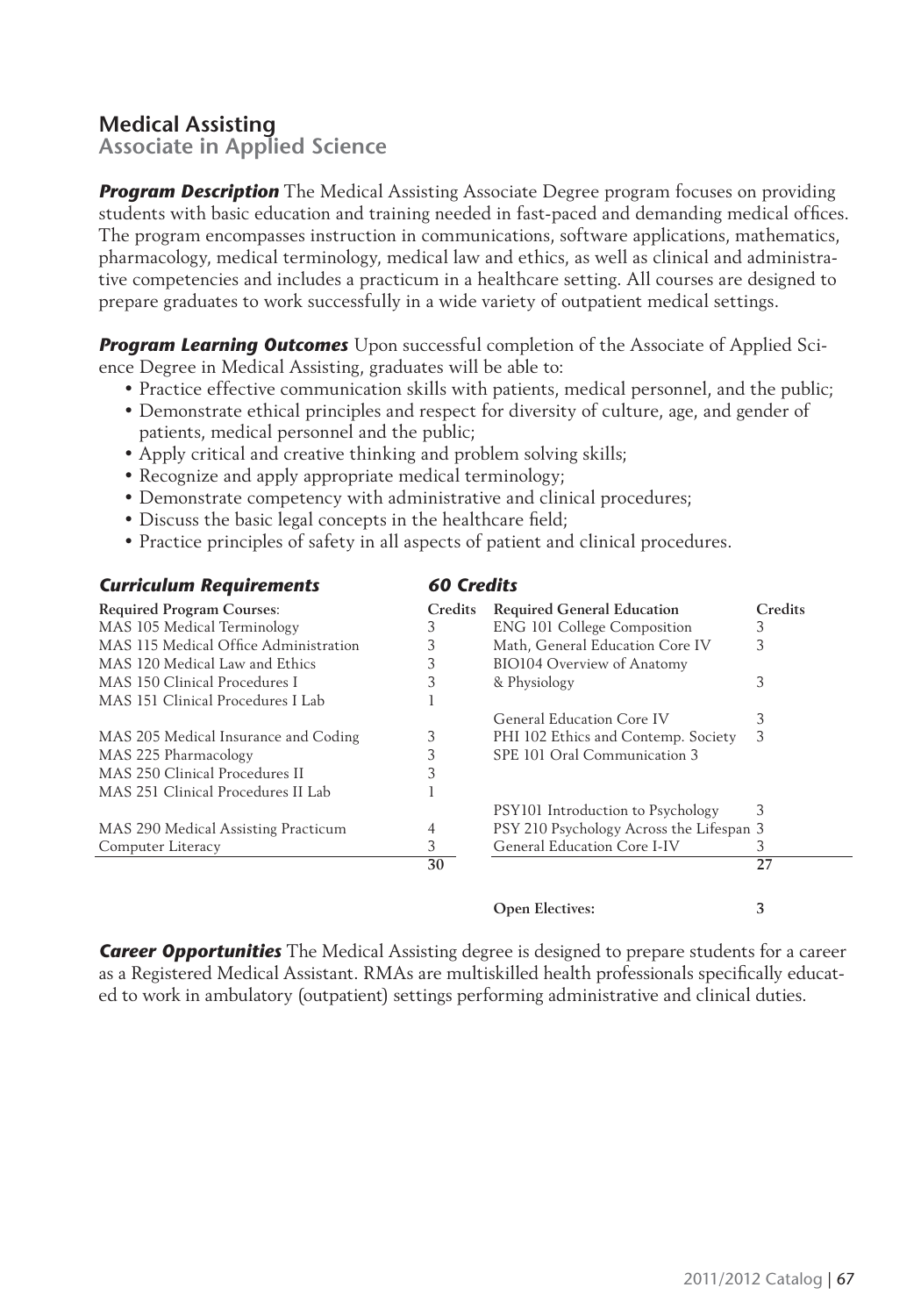### **Medical Assisting**

**Associate in Applied Science**

**Program Description** The Medical Assisting Associate Degree program focuses on providing students with basic education and training needed in fast-paced and demanding medical offices. The program encompasses instruction in communications, software applications, mathematics, pharmacology, medical terminology, medical law and ethics, as well as clinical and administrative competencies and includes a practicum in a healthcare setting. All courses are designed to prepare graduates to work successfully in a wide variety of outpatient medical settings.

*Program Learning Outcomes* Upon successful completion of the Associate of Applied Science Degree in Medical Assisting, graduates will be able to:

- Practice effective communication skills with patients, medical personnel, and the public;
- Demonstrate ethical principles and respect for diversity of culture, age, and gender of patients, medical personnel and the public;
- Apply critical and creative thinking and problem solving skills;
- Recognize and apply appropriate medical terminology;
- Demonstrate competency with administrative and clinical procedures;
- Discuss the basic legal concepts in the healthcare field;
- Practice principles of safety in all aspects of patient and clinical procedures.

| 60 Credits<br><b>Curriculum Requirements</b> |                |                                          |         |
|----------------------------------------------|----------------|------------------------------------------|---------|
| <b>Required Program Courses:</b>             | <b>Credits</b> | <b>Required General Education</b>        | Credits |
| MAS 105 Medical Terminology                  | 3              | <b>ENG 101 College Composition</b>       | 3       |
| MAS 115 Medical Office Administration        | 3              | Math, General Education Core IV          | 3       |
| MAS 120 Medical Law and Ethics               | 3              | <b>BIO104 Overview of Anatomy</b>        |         |
| MAS 150 Clinical Procedures I                | 3              | & Physiology                             | 3       |
| MAS 151 Clinical Procedures I Lab            |                |                                          |         |
|                                              |                | General Education Core IV                | 3       |
| MAS 205 Medical Insurance and Coding         | 3              | PHI 102 Ethics and Contemp. Society      | 3       |
| MAS 225 Pharmacology                         | 3              | SPE 101 Oral Communication 3             |         |
| MAS 250 Clinical Procedures II               | 3              |                                          |         |
| MAS 251 Clinical Procedures II Lab           |                |                                          |         |
|                                              |                | PSY101 Introduction to Psychology        | 3       |
| MAS 290 Medical Assisting Practicum          | 4              | PSY 210 Psychology Across the Lifespan 3 |         |
| Computer Literacy                            | 3              | General Education Core I-IV              | 3       |
|                                              | 30             |                                          | 27      |

**Open Electives: 3**

*Career Opportunities* The Medical Assisting degree is designed to prepare students for a career as a Registered Medical Assistant. RMAs are multiskilled health professionals specifically educated to work in ambulatory (outpatient) settings performing administrative and clinical duties.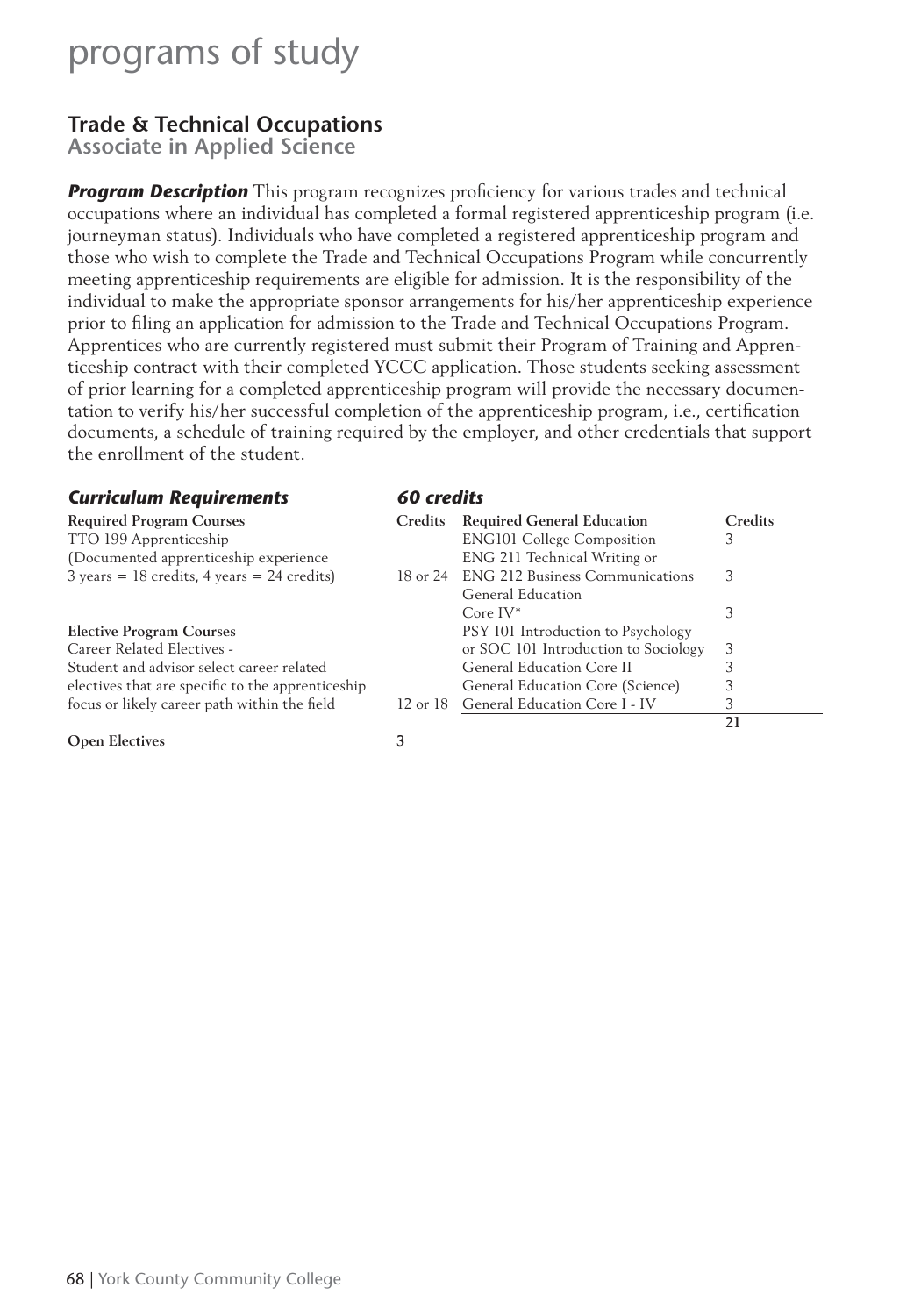### **Trade & Technical Occupations**

**Associate in Applied Science**

**Program Description** This program recognizes proficiency for various trades and technical occupations where an individual has completed a formal registered apprenticeship program (i.e. journeyman status). Individuals who have completed a registered apprenticeship program and those who wish to complete the Trade and Technical Occupations Program while concurrently meeting apprenticeship requirements are eligible for admission. It is the responsibility of the individual to make the appropriate sponsor arrangements for his/her apprenticeship experience prior to filing an application for admission to the Trade and Technical Occupations Program. Apprentices who are currently registered must submit their Program of Training and Apprenticeship contract with their completed YCCC application. Those students seeking assessment of prior learning for a completed apprenticeship program will provide the necessary documentation to verify his/her successful completion of the apprenticeship program, i.e., certification documents, a schedule of training required by the employer, and other credentials that support the enrollment of the student.

| <b>Curriculum Requirements</b><br>60 credits                                    |                |                                          |         |
|---------------------------------------------------------------------------------|----------------|------------------------------------------|---------|
| <b>Required Program Courses</b>                                                 | <b>Credits</b> | <b>Required General Education</b>        | Credits |
| TTO 199 Apprenticeship                                                          |                | <b>ENG101 College Composition</b>        | 3       |
| (Documented apprenticeship experience)                                          |                | ENG 211 Technical Writing or             |         |
| $3 \text{ years} = 18 \text{ credits}$ , $4 \text{ years} = 24 \text{ credits}$ |                | 18 or 24 ENG 212 Business Communications | 3       |
|                                                                                 |                | General Education                        |         |
|                                                                                 |                | Core $IV^*$                              | 3       |
| <b>Elective Program Courses</b>                                                 |                | PSY 101 Introduction to Psychology       |         |
| Career Related Electives -                                                      |                | or SOC 101 Introduction to Sociology     | 3       |
| Student and advisor select career related                                       |                | General Education Core II                | 3       |
| electives that are specific to the apprenticeship                               |                | General Education Core (Science)         | 3       |
| focus or likely career path within the field                                    |                | 12 or 18 General Education Core I - IV   | 3       |
|                                                                                 |                |                                          | 21      |
| <b>Open Electives</b>                                                           | 3              |                                          |         |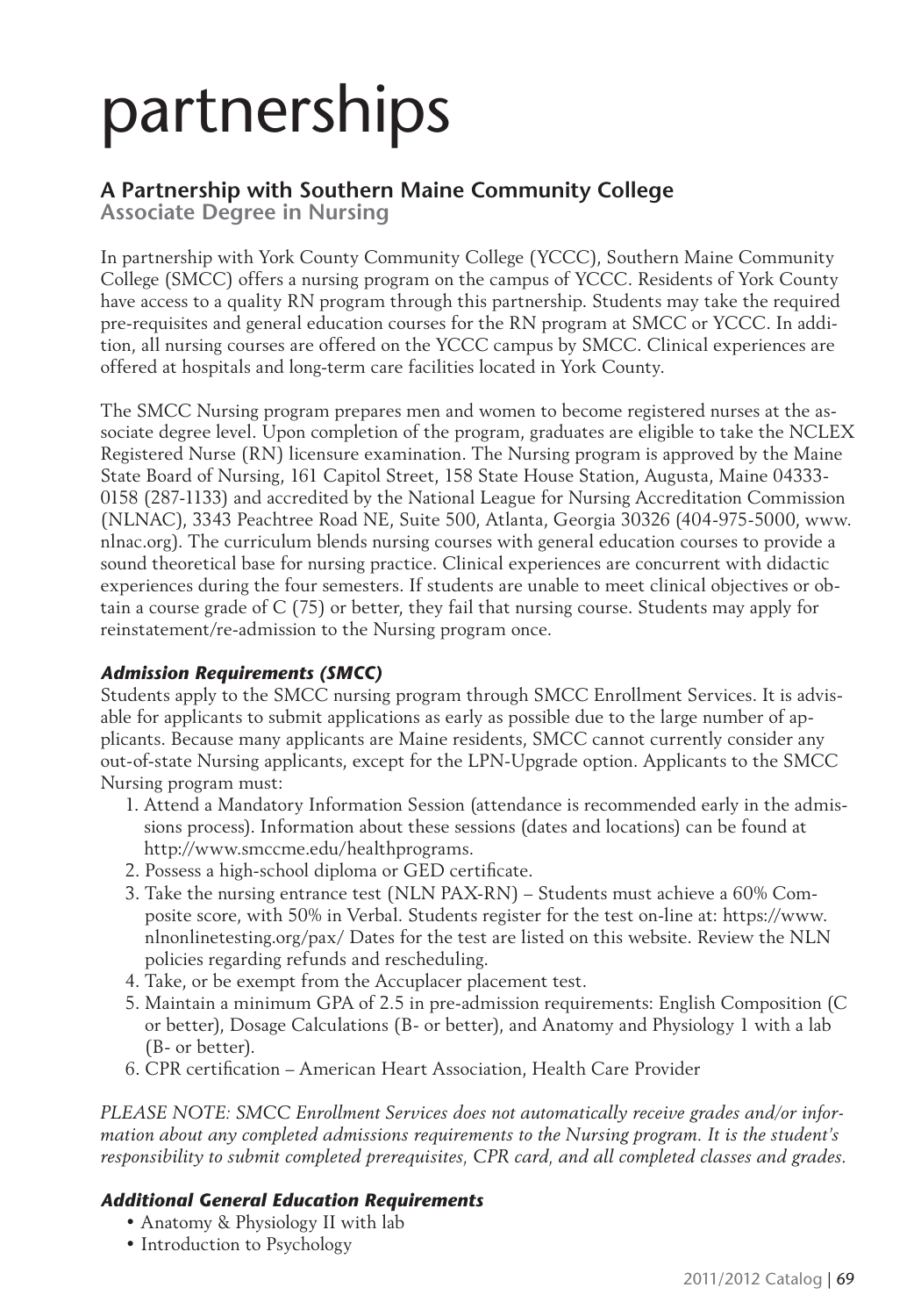# partnerships

### **A Partnership with Southern Maine Community College**

**Associate Degree in Nursing**

In partnership with York County Community College (YCCC), Southern Maine Community College (SMCC) offers a nursing program on the campus of YCCC. Residents of York County have access to a quality RN program through this partnership. Students may take the required pre-requisites and general education courses for the RN program at SMCC or YCCC. In addition, all nursing courses are offered on the YCCC campus by SMCC. Clinical experiences are offered at hospitals and long-term care facilities located in York County.

The SMCC Nursing program prepares men and women to become registered nurses at the associate degree level. Upon completion of the program, graduates are eligible to take the NCLEX Registered Nurse (RN) licensure examination. The Nursing program is approved by the Maine State Board of Nursing, 161 Capitol Street, 158 State House Station, Augusta, Maine 04333- 0158 (287-1133) and accredited by the National League for Nursing Accreditation Commission (NLNAC), 3343 Peachtree Road NE, Suite 500, Atlanta, Georgia 30326 (404-975-5000, www. nlnac.org). The curriculum blends nursing courses with general education courses to provide a sound theoretical base for nursing practice. Clinical experiences are concurrent with didactic experiences during the four semesters. If students are unable to meet clinical objectives or obtain a course grade of C (75) or better, they fail that nursing course. Students may apply for reinstatement/re-admission to the Nursing program once.

#### *Admission Requirements (SMCC)*

Students apply to the SMCC nursing program through SMCC Enrollment Services. It is advisable for applicants to submit applications as early as possible due to the large number of applicants. Because many applicants are Maine residents, SMCC cannot currently consider any out-of-state Nursing applicants, except for the LPN-Upgrade option. Applicants to the SMCC Nursing program must:

- 1. Attend a Mandatory Information Session (attendance is recommended early in the admissions process). Information about these sessions (dates and locations) can be found at http://www.smccme.edu/healthprograms.
- 2. Possess a high-school diploma or GED certificate.
- 3. Take the nursing entrance test (NLN PAX-RN) Students must achieve a 60% Composite score, with 50% in Verbal. Students register for the test on-line at: https://www. nlnonlinetesting.org/pax/ Dates for the test are listed on this website. Review the NLN policies regarding refunds and rescheduling.
- 4. Take, or be exempt from the Accuplacer placement test.
- 5. Maintain a minimum GPA of 2.5 in pre-admission requirements: English Composition (C or better), Dosage Calculations (B- or better), and Anatomy and Physiology 1 with a lab (B- or better).
- 6. CPR certification American Heart Association, Health Care Provider

*PLEASE NOTE: SMCC Enrollment Services does not automatically receive grades and/or information about any completed admissions requirements to the Nursing program. It is the student's responsibility to submit completed prerequisites, CPR card, and all completed classes and grades.*

#### *Additional General Education Requirements*

- Anatomy & Physiology II with lab
- Introduction to Psychology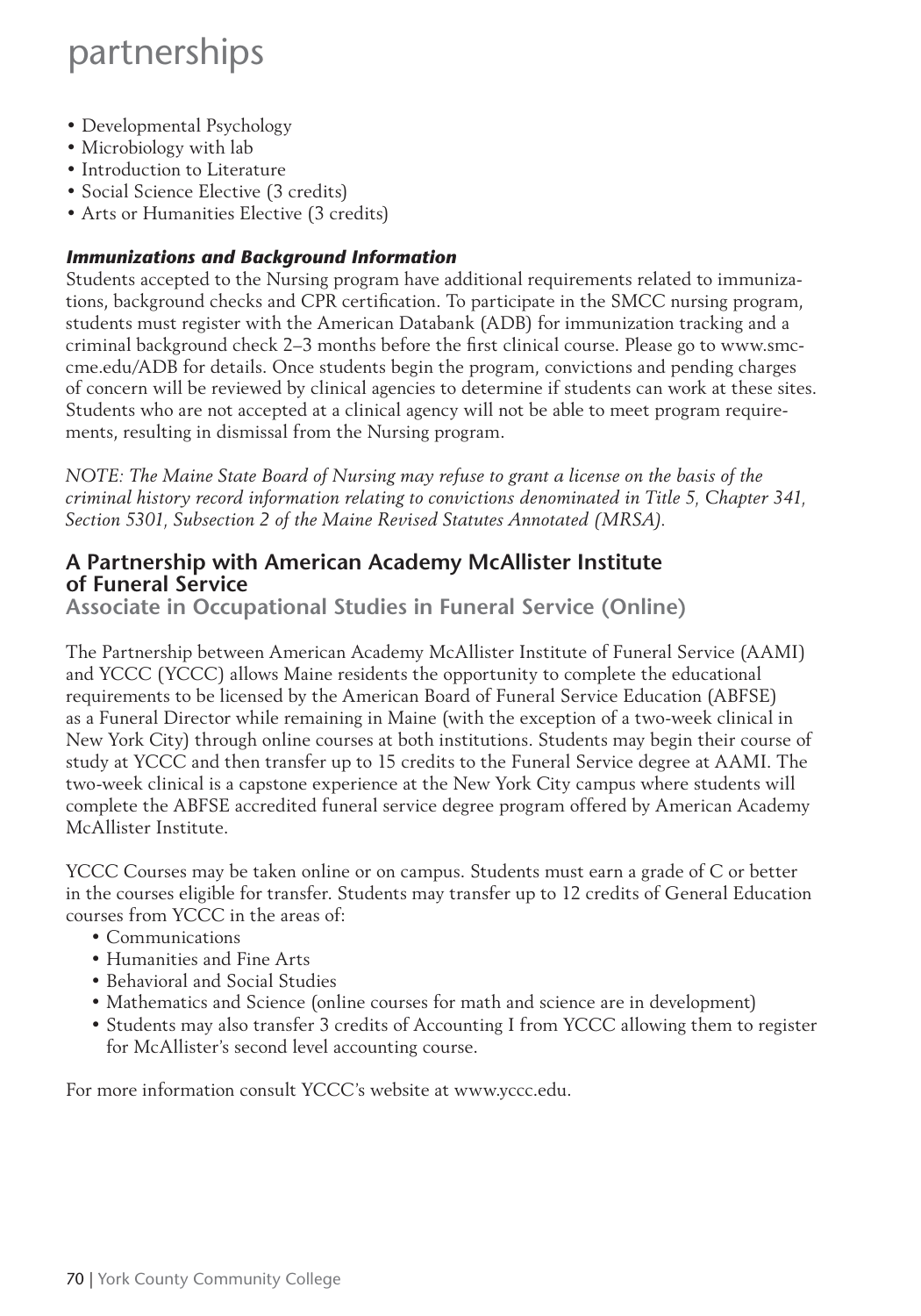### partnerships

- Developmental Psychology
- Microbiology with lab
- Introduction to Literature
- Social Science Elective (3 credits)
- Arts or Humanities Elective (3 credits)

#### *Immunizations and Background Information*

Students accepted to the Nursing program have additional requirements related to immunizations, background checks and CPR certification. To participate in the SMCC nursing program, students must register with the American Databank (ADB) for immunization tracking and a criminal background check 2–3 months before the first clinical course. Please go to www.smccme.edu/ADB for details. Once students begin the program, convictions and pending charges of concern will be reviewed by clinical agencies to determine if students can work at these sites. Students who are not accepted at a clinical agency will not be able to meet program requirements, resulting in dismissal from the Nursing program.

*NOTE: The Maine State Board of Nursing may refuse to grant a license on the basis of the criminal history record information relating to convictions denominated in Title 5, Chapter 341, Section 5301, Subsection 2 of the Maine Revised Statutes Annotated (MRSA).* 

#### **A Partnership with American Academy McAllister Institute of Funeral Service**

**Associate in Occupational Studies in Funeral Service (Online)**

The Partnership between American Academy McAllister Institute of Funeral Service (AAMI) and YCCC (YCCC) allows Maine residents the opportunity to complete the educational requirements to be licensed by the American Board of Funeral Service Education (ABFSE) as a Funeral Director while remaining in Maine (with the exception of a two-week clinical in New York City) through online courses at both institutions. Students may begin their course of study at YCCC and then transfer up to 15 credits to the Funeral Service degree at AAMI. The two-week clinical is a capstone experience at the New York City campus where students will complete the ABFSE accredited funeral service degree program offered by American Academy McAllister Institute.

YCCC Courses may be taken online or on campus. Students must earn a grade of C or better in the courses eligible for transfer. Students may transfer up to 12 credits of General Education courses from YCCC in the areas of:

- Communications
- Humanities and Fine Arts
- Behavioral and Social Studies
- Mathematics and Science (online courses for math and science are in development)
- Students may also transfer 3 credits of Accounting I from YCCC allowing them to register for McAllister's second level accounting course.

For more information consult YCCC's website at www.yccc.edu.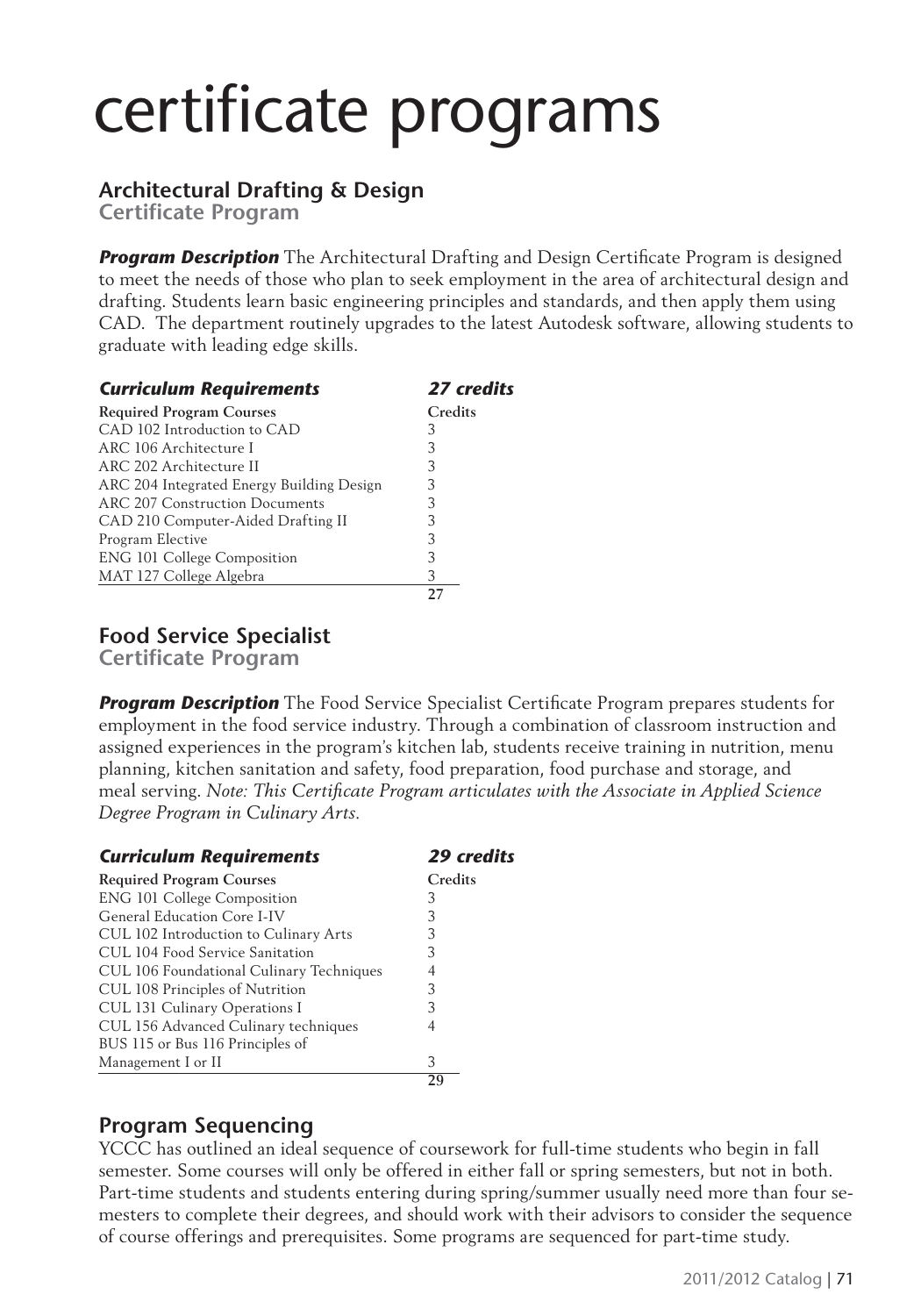# certificate programs

#### **Architectural Drafting & Design**

**Certificate Program** 

**Program Description** The Architectural Drafting and Design Certificate Program is designed to meet the needs of those who plan to seek employment in the area of architectural design and drafting. Students learn basic engineering principles and standards, and then apply them using CAD. The department routinely upgrades to the latest Autodesk software, allowing students to graduate with leading edge skills.

| <b>Curriculum Requirements</b>            | 27 credits |  |
|-------------------------------------------|------------|--|
| <b>Required Program Courses</b>           | Credits    |  |
| CAD 102 Introduction to CAD               | З          |  |
| ARC 106 Architecture I                    | 3          |  |
| ARC 202 Architecture II                   | 3          |  |
| ARC 204 Integrated Energy Building Design | 3          |  |
| ARC 207 Construction Documents            | 3          |  |
| CAD 210 Computer-Aided Drafting II        | 3          |  |
| Program Elective                          | 3          |  |
| ENG 101 College Composition               | 3          |  |
| MAT 127 College Algebra                   | 3          |  |
|                                           |            |  |

**Food Service Specialist**

**Certificate Program** 

**Program Description** The Food Service Specialist Certificate Program prepares students for employment in the food service industry. Through a combination of classroom instruction and assigned experiences in the program's kitchen lab, students receive training in nutrition, menu planning, kitchen sanitation and safety, food preparation, food purchase and storage, and meal serving. *Note: This Certificate Program articulates with the Associate in Applied Science Degree Program in Culinary Arts.*

| <b>Curriculum Requirements</b>           | <b>29 credits</b> |
|------------------------------------------|-------------------|
| <b>Required Program Courses</b>          | Credits           |
| <b>ENG 101 College Composition</b>       | З                 |
| General Education Core I-IV              | 3                 |
| CUL 102 Introduction to Culinary Arts    | 3                 |
| CUL 104 Food Service Sanitation          | 3                 |
| CUL 106 Foundational Culinary Techniques |                   |
| CUL 108 Principles of Nutrition          | 3                 |
| CUL 131 Culinary Operations I            | 3                 |
| CUL 156 Advanced Culinary techniques     | 4                 |
| BUS 115 or Bus 116 Principles of         |                   |
| Management I or II                       | 3                 |
|                                          | 20                |

#### **Program Sequencing**

YCCC has outlined an ideal sequence of coursework for full-time students who begin in fall semester. Some courses will only be offered in either fall or spring semesters, but not in both. Part-time students and students entering during spring/summer usually need more than four semesters to complete their degrees, and should work with their advisors to consider the sequence of course offerings and prerequisites. Some programs are sequenced for part-time study.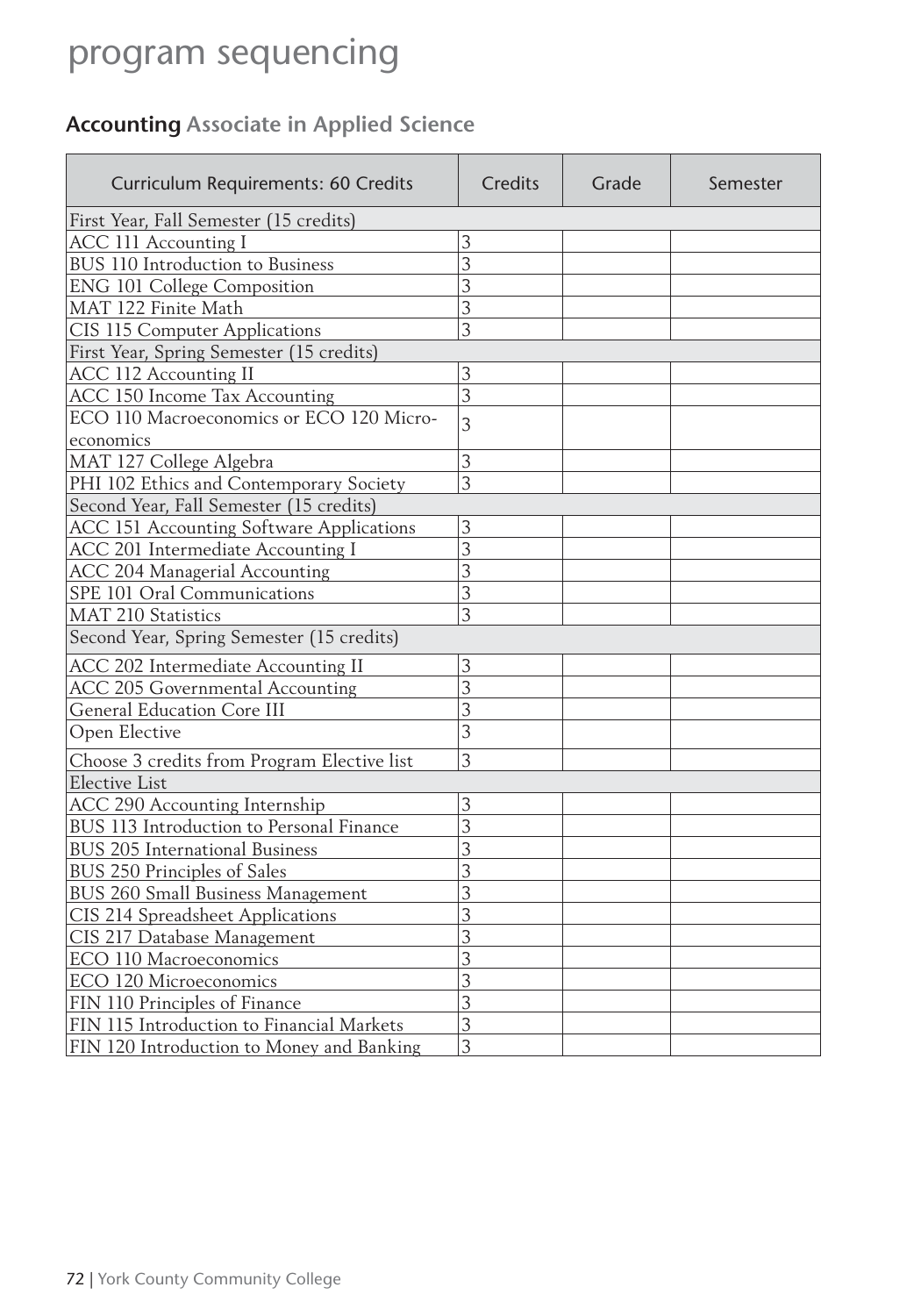### **Accounting Associate in Applied Science**

| Curriculum Requirements: 60 Credits         | Credits        | Grade | Semester |  |
|---------------------------------------------|----------------|-------|----------|--|
| First Year, Fall Semester (15 credits)      |                |       |          |  |
| <b>ACC 111 Accounting I</b>                 | 3              |       |          |  |
| BUS 110 Introduction to Business            | 3              |       |          |  |
| <b>ENG 101 College Composition</b>          | 3              |       |          |  |
| MAT 122 Finite Math                         | 3              |       |          |  |
| CIS 115 Computer Applications               | 3              |       |          |  |
| First Year, Spring Semester (15 credits)    |                |       |          |  |
| <b>ACC 112 Accounting II</b>                | 3              |       |          |  |
| ACC 150 Income Tax Accounting               | 3              |       |          |  |
| ECO 110 Macroeconomics or ECO 120 Micro-    | $\overline{3}$ |       |          |  |
| economics                                   |                |       |          |  |
| MAT 127 College Algebra                     | 3              |       |          |  |
| PHI 102 Ethics and Contemporary Society     | 3              |       |          |  |
| Second Year, Fall Semester (15 credits)     |                |       |          |  |
| ACC 151 Accounting Software Applications    | 3              |       |          |  |
| ACC 201 Intermediate Accounting I           | 3              |       |          |  |
| <b>ACC 204 Managerial Accounting</b>        | 3              |       |          |  |
| SPE 101 Oral Communications                 | 3              |       |          |  |
| <b>MAT 210 Statistics</b>                   | 3              |       |          |  |
| Second Year, Spring Semester (15 credits)   |                |       |          |  |
| ACC 202 Intermediate Accounting II          | 3              |       |          |  |
| <b>ACC 205 Governmental Accounting</b>      | 3              |       |          |  |
| <b>General Education Core III</b>           | 3              |       |          |  |
| Open Elective                               | 3              |       |          |  |
| Choose 3 credits from Program Elective list | 3              |       |          |  |
| <b>Elective List</b>                        |                |       |          |  |
| <b>ACC 290 Accounting Internship</b>        | 3              |       |          |  |
| BUS 113 Introduction to Personal Finance    | 3              |       |          |  |
| <b>BUS 205 International Business</b>       | 3              |       |          |  |
| BUS 250 Principles of Sales                 | 3              |       |          |  |
| BUS 260 Small Business Management           | 3              |       |          |  |
| CIS 214 Spreadsheet Applications            | 3              |       |          |  |
| CIS 217 Database Management                 | 3              |       |          |  |
| ECO 110 Macroeconomics                      | 3              |       |          |  |
| ECO 120 Microeconomics                      | 3              |       |          |  |
| FIN 110 Principles of Finance               | 3              |       |          |  |
| FIN 115 Introduction to Financial Markets   | 3              |       |          |  |
| FIN 120 Introduction to Money and Banking   | 3              |       |          |  |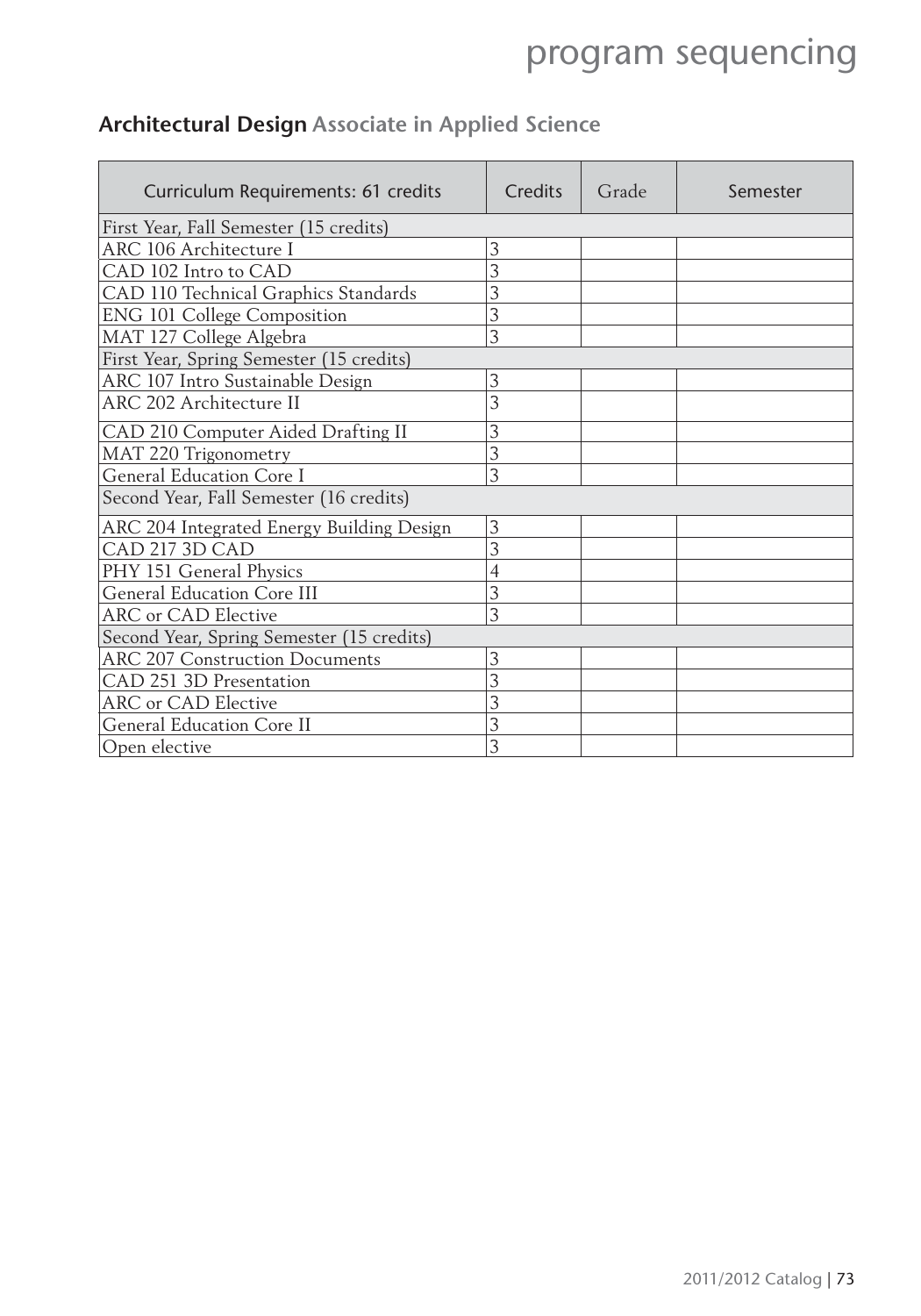| Curriculum Requirements: 61 credits       | Credits | Grade | Semester |
|-------------------------------------------|---------|-------|----------|
| First Year, Fall Semester (15 credits)    |         |       |          |
| ARC 106 Architecture I                    | 3       |       |          |
| CAD 102 Intro to CAD                      | 3       |       |          |
| CAD 110 Technical Graphics Standards      | 3       |       |          |
| <b>ENG 101 College Composition</b>        | 3       |       |          |
| MAT 127 College Algebra                   | 3       |       |          |
| First Year, Spring Semester (15 credits)  |         |       |          |
| ARC 107 Intro Sustainable Design          | 3       |       |          |
| ARC 202 Architecture II                   | 3       |       |          |
| CAD 210 Computer Aided Drafting II        | 3       |       |          |
| MAT 220 Trigonometry                      | 3       |       |          |
| General Education Core I                  | 3       |       |          |
| Second Year, Fall Semester (16 credits)   |         |       |          |
| ARC 204 Integrated Energy Building Design | 3       |       |          |
| CAD 217 3D CAD                            | 3       |       |          |
| PHY 151 General Physics                   | 4       |       |          |
| General Education Core III                | 3       |       |          |
| <b>ARC</b> or CAD Elective                | 3       |       |          |
| Second Year, Spring Semester (15 credits) |         |       |          |
| <b>ARC 207 Construction Documents</b>     | 3       |       |          |
| CAD 251 3D Presentation                   | 3       |       |          |
| ARC or CAD Elective                       | 3       |       |          |
| <b>General Education Core II</b>          | 3       |       |          |
| Open elective                             | 3       |       |          |

### **Architectural Design Associate in Applied Science**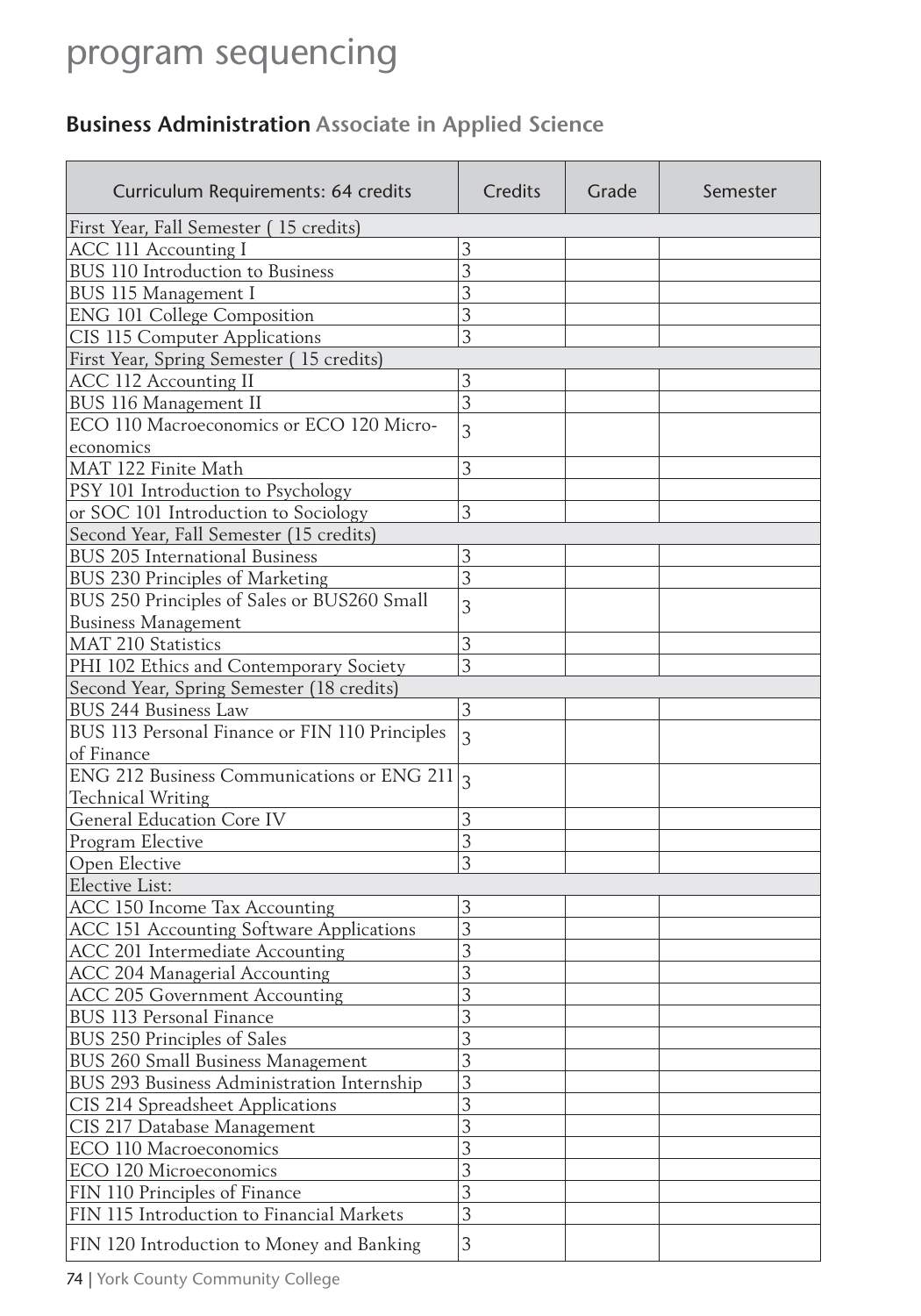### **Business Administration Associate in Applied Science**

| Curriculum Requirements: 64 credits             | Credits        | Grade | Semester |
|-------------------------------------------------|----------------|-------|----------|
| First Year, Fall Semester (15 credits)          |                |       |          |
| ACC 111 Accounting I                            | 3              |       |          |
| BUS 110 Introduction to Business                | 3              |       |          |
| BUS 115 Management I                            | 3              |       |          |
| <b>ENG 101 College Composition</b>              | 3              |       |          |
| CIS 115 Computer Applications                   | 3              |       |          |
| First Year, Spring Semester (15 credits)        |                |       |          |
| ACC 112 Accounting II                           | 3              |       |          |
| BUS 116 Management II                           | 3              |       |          |
| ECO 110 Macroeconomics or ECO 120 Micro-        | 3              |       |          |
| economics                                       |                |       |          |
| MAT 122 Finite Math                             | 3              |       |          |
| PSY 101 Introduction to Psychology              |                |       |          |
| or SOC 101 Introduction to Sociology            | 3              |       |          |
| Second Year, Fall Semester (15 credits)         |                |       |          |
| <b>BUS 205 International Business</b>           | 3              |       |          |
| BUS 230 Principles of Marketing                 | 3              |       |          |
| BUS 250 Principles of Sales or BUS260 Small     |                |       |          |
| <b>Business Management</b>                      | 3              |       |          |
| <b>MAT 210 Statistics</b>                       | 3              |       |          |
| PHI 102 Ethics and Contemporary Society         | 3              |       |          |
| Second Year, Spring Semester (18 credits)       |                |       |          |
| <b>BUS 244 Business Law</b>                     | 3              |       |          |
| BUS 113 Personal Finance or FIN 110 Principles  |                |       |          |
| of Finance                                      | $\overline{3}$ |       |          |
| ENG 212 Business Communications or ENG 211 $_3$ |                |       |          |
| <b>Technical Writing</b>                        |                |       |          |
| <b>General Education Core IV</b>                | 3              |       |          |
| Program Elective                                | 3              |       |          |
| Open Elective                                   | 3              |       |          |
| Elective List:                                  |                |       |          |
| ACC 150 Income Tax Accounting                   | 3              |       |          |
| ACC 151 Accounting Software Applications        | 3              |       |          |
| ACC 201 Intermediate Accounting                 | 3              |       |          |
| ACC 204 Managerial Accounting                   | 3              |       |          |
| <b>ACC 205 Government Accounting</b>            | 3              |       |          |
| BUS 113 Personal Finance                        | 3              |       |          |
| BUS 250 Principles of Sales                     | 3              |       |          |
| BUS 260 Small Business Management               | 3              |       |          |
| BUS 293 Business Administration Internship      | 3              |       |          |
| CIS 214 Spreadsheet Applications                | 3              |       |          |
| CIS 217 Database Management                     | 3              |       |          |
| ECO 110 Macroeconomics                          | 3              |       |          |
| ECO 120 Microeconomics                          | 3              |       |          |
| FIN 110 Principles of Finance                   | 3              |       |          |
| FIN 115 Introduction to Financial Markets       | 3              |       |          |
| FIN 120 Introduction to Money and Banking       | 3              |       |          |
|                                                 |                |       |          |

74 | York County Community College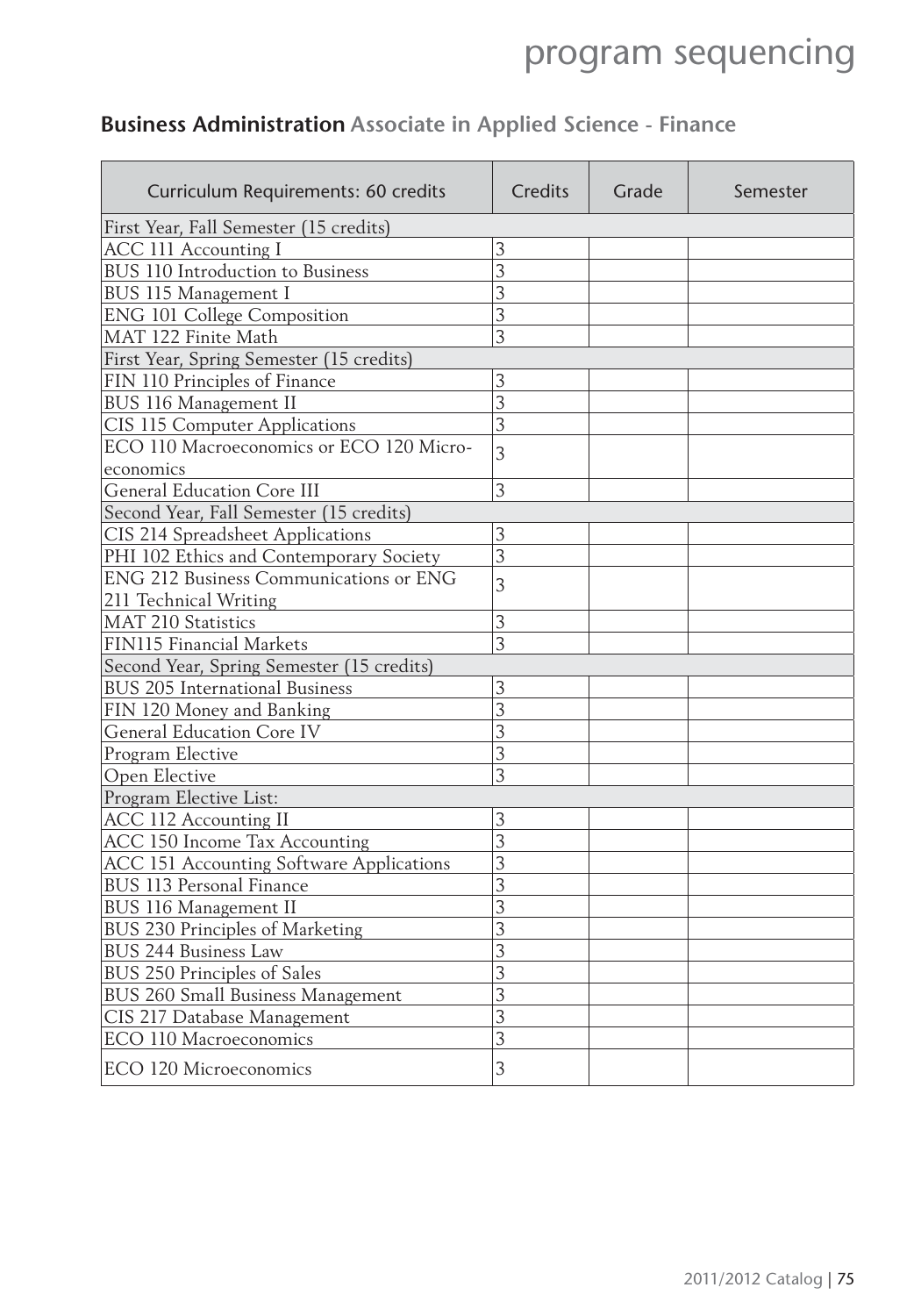### **Business Administration Associate in Applied Science - Finance**

| Curriculum Requirements: 60 credits       | Credits        | Grade | Semester |  |  |
|-------------------------------------------|----------------|-------|----------|--|--|
| First Year, Fall Semester (15 credits)    |                |       |          |  |  |
| ACC 111 Accounting I                      | 3              |       |          |  |  |
| BUS 110 Introduction to Business          | 3              |       |          |  |  |
| BUS 115 Management I                      | 3              |       |          |  |  |
| <b>ENG 101 College Composition</b>        | 3              |       |          |  |  |
| MAT 122 Finite Math                       | 3              |       |          |  |  |
| First Year, Spring Semester (15 credits)  |                |       |          |  |  |
| FIN 110 Principles of Finance             | 3              |       |          |  |  |
| BUS 116 Management II                     | $\overline{3}$ |       |          |  |  |
| CIS 115 Computer Applications             | 3              |       |          |  |  |
| ECO 110 Macroeconomics or ECO 120 Micro-  | $\overline{3}$ |       |          |  |  |
| economics                                 |                |       |          |  |  |
| <b>General Education Core III</b>         | 3              |       |          |  |  |
| Second Year, Fall Semester (15 credits)   |                |       |          |  |  |
| CIS 214 Spreadsheet Applications          | 3              |       |          |  |  |
| PHI 102 Ethics and Contemporary Society   | 3              |       |          |  |  |
| ENG 212 Business Communications or ENG    | 3              |       |          |  |  |
| 211 Technical Writing                     |                |       |          |  |  |
| <b>MAT 210 Statistics</b>                 | 3              |       |          |  |  |
| FIN115 Financial Markets                  | 3              |       |          |  |  |
| Second Year, Spring Semester (15 credits) |                |       |          |  |  |
| BUS 205 International Business            | 3              |       |          |  |  |
| FIN 120 Money and Banking                 | 3              |       |          |  |  |
| <b>General Education Core IV</b>          | 3              |       |          |  |  |
| Program Elective                          | 3              |       |          |  |  |
| Open Elective                             | $\overline{3}$ |       |          |  |  |
| Program Elective List:                    |                |       |          |  |  |
| ACC 112 Accounting II                     | 3              |       |          |  |  |
| ACC 150 Income Tax Accounting             | 3              |       |          |  |  |
| ACC 151 Accounting Software Applications  | 3              |       |          |  |  |
| BUS 113 Personal Finance                  | 3              |       |          |  |  |
| BUS 116 Management II                     | 3              |       |          |  |  |
| BUS 230 Principles of Marketing           | 3              |       |          |  |  |
| <b>BUS 244 Business Law</b>               | 3              |       |          |  |  |
| BUS 250 Principles of Sales               | 3              |       |          |  |  |
| BUS 260 Small Business Management         | 3              |       |          |  |  |
| CIS 217 Database Management               | 3              |       |          |  |  |
| ECO 110 Macroeconomics                    | 3              |       |          |  |  |
| ECO 120 Microeconomics                    | 3              |       |          |  |  |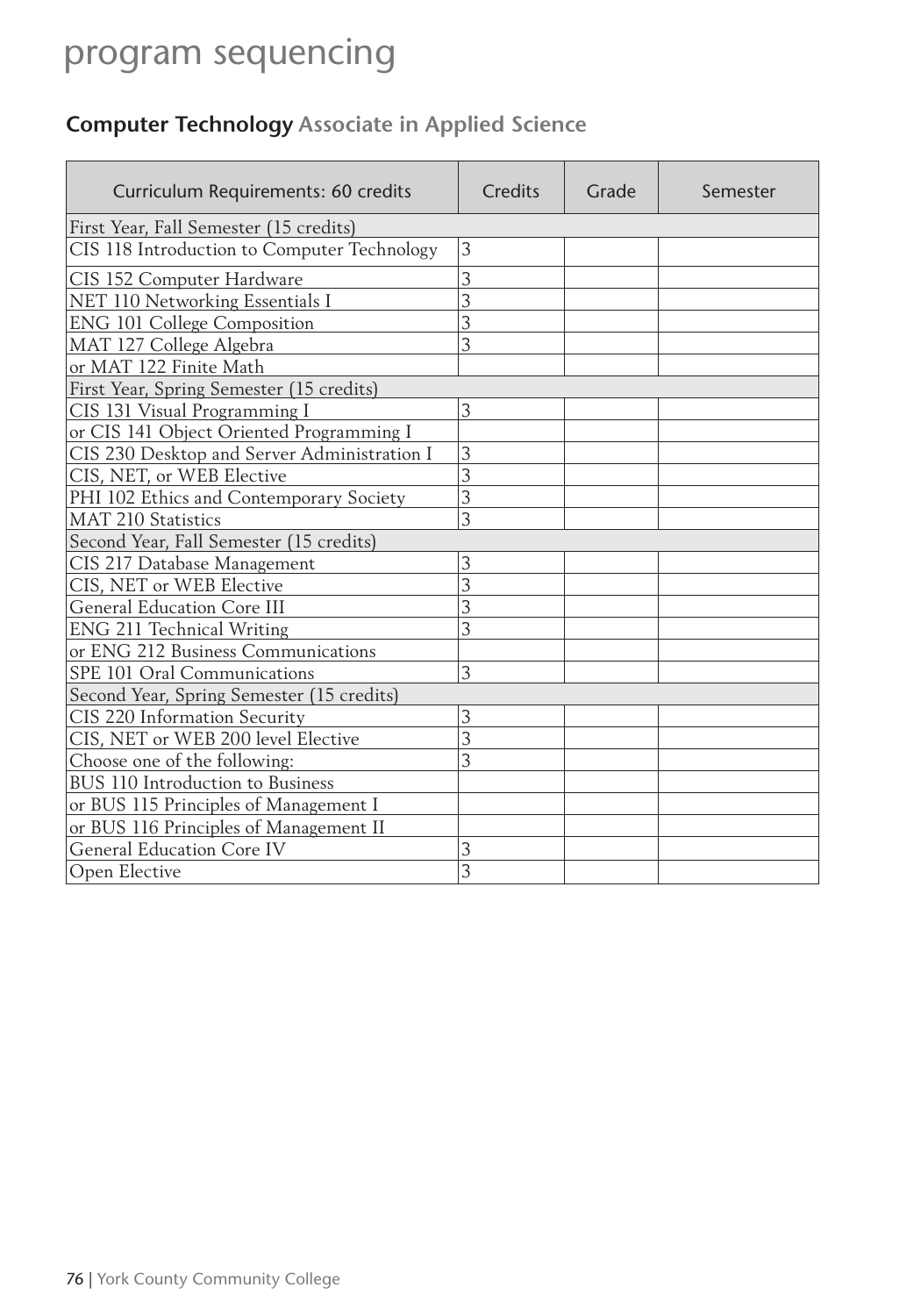### **Computer Technology Associate in Applied Science**

| Curriculum Requirements: 60 credits         | Credits        | Grade | Semester |
|---------------------------------------------|----------------|-------|----------|
| First Year, Fall Semester (15 credits)      |                |       |          |
| CIS 118 Introduction to Computer Technology | 3              |       |          |
| CIS 152 Computer Hardware                   | 3              |       |          |
| NET 110 Networking Essentials I             | $\overline{3}$ |       |          |
| <b>ENG 101 College Composition</b>          | 3              |       |          |
| MAT 127 College Algebra                     | 3              |       |          |
| or MAT 122 Finite Math                      |                |       |          |
| First Year, Spring Semester (15 credits)    |                |       |          |
| CIS 131 Visual Programming I                | 3              |       |          |
| or CIS 141 Object Oriented Programming I    |                |       |          |
| CIS 230 Desktop and Server Administration I | 3              |       |          |
| CIS, NET, or WEB Elective                   | 3              |       |          |
| PHI 102 Ethics and Contemporary Society     | 3              |       |          |
| <b>MAT 210 Statistics</b>                   | 3              |       |          |
| Second Year, Fall Semester (15 credits)     |                |       |          |
| CIS 217 Database Management                 | 3              |       |          |
| CIS, NET or WEB Elective                    | 3              |       |          |
| General Education Core III                  | 3              |       |          |
| ENG 211 Technical Writing                   | 3              |       |          |
| or ENG 212 Business Communications          |                |       |          |
| SPE 101 Oral Communications                 | 3              |       |          |
| Second Year, Spring Semester (15 credits)   |                |       |          |
| CIS 220 Information Security                | 3              |       |          |
| CIS, NET or WEB 200 level Elective          | 3              |       |          |
| Choose one of the following:                | 3              |       |          |
| BUS 110 Introduction to Business            |                |       |          |
| or BUS 115 Principles of Management I       |                |       |          |
| or BUS 116 Principles of Management II      |                |       |          |
| <b>General Education Core IV</b>            | 3              |       |          |
| Open Elective                               | $\overline{3}$ |       |          |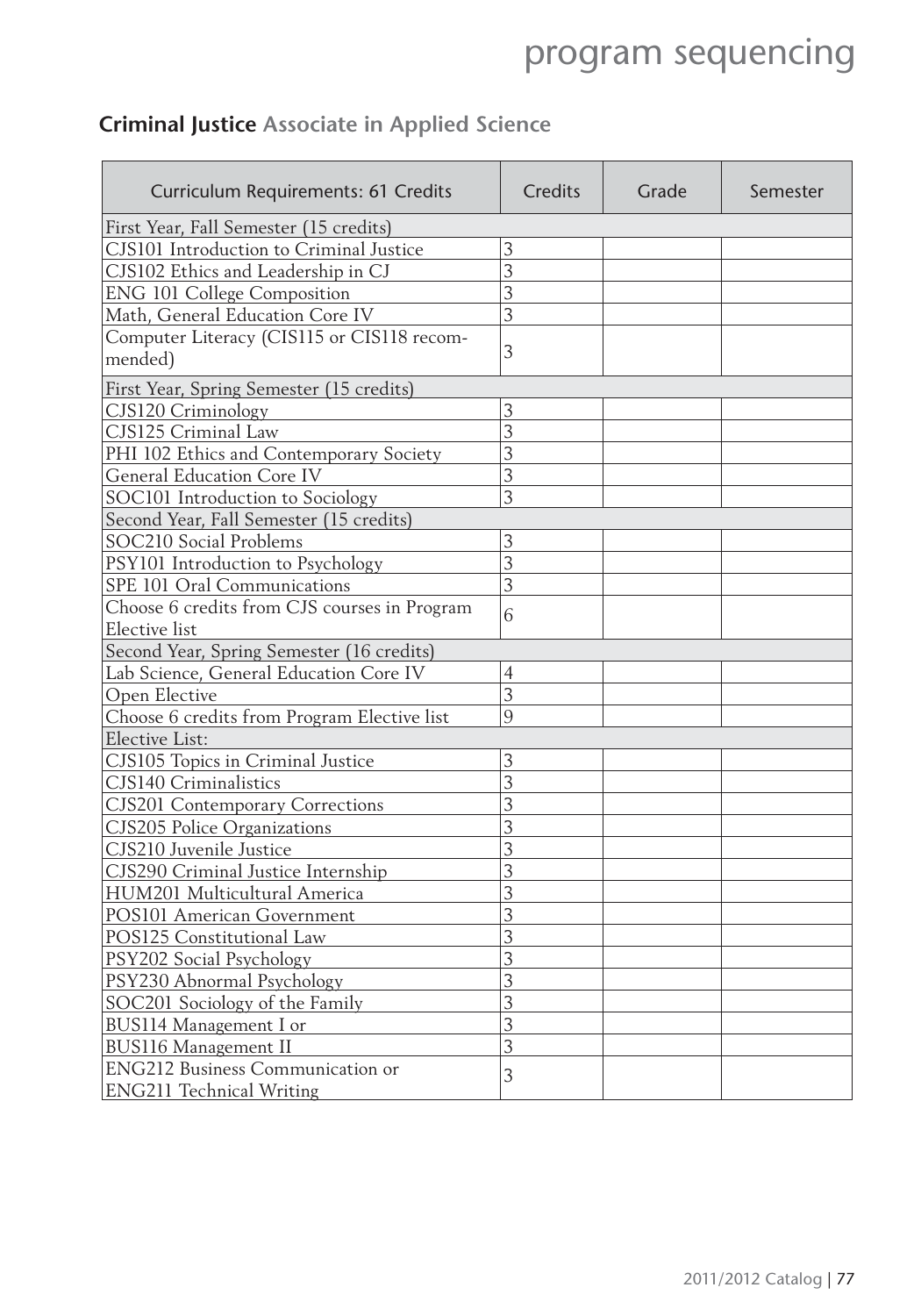### **Criminal Justice Associate in Applied Science**

| Curriculum Requirements: 61 Credits          | Credits        | Grade | Semester |  |
|----------------------------------------------|----------------|-------|----------|--|
| First Year, Fall Semester (15 credits)       |                |       |          |  |
| CJS101 Introduction to Criminal Justice      | 3              |       |          |  |
| CJS102 Ethics and Leadership in CJ           | $\overline{3}$ |       |          |  |
| <b>ENG 101 College Composition</b>           | 3              |       |          |  |
| Math, General Education Core IV              | 3              |       |          |  |
| Computer Literacy (CIS115 or CIS118 recom-   |                |       |          |  |
| mended)                                      | 3              |       |          |  |
| First Year, Spring Semester (15 credits)     |                |       |          |  |
| CJS120 Criminology                           | 3              |       |          |  |
| CJS125 Criminal Law                          | $\overline{3}$ |       |          |  |
| PHI 102 Ethics and Contemporary Society      | 3              |       |          |  |
| <b>General Education Core IV</b>             | $\overline{3}$ |       |          |  |
| SOC101 Introduction to Sociology             | $\overline{3}$ |       |          |  |
| Second Year, Fall Semester (15 credits)      |                |       |          |  |
| SOC210 Social Problems                       | 3              |       |          |  |
| PSY101 Introduction to Psychology            | 3              |       |          |  |
| SPE 101 Oral Communications                  | 3              |       |          |  |
| Choose 6 credits from CJS courses in Program | 6              |       |          |  |
| <b>Elective</b> list                         |                |       |          |  |
| Second Year, Spring Semester (16 credits)    |                |       |          |  |
| Lab Science, General Education Core IV       | $\overline{4}$ |       |          |  |
| Open Elective                                | 3              |       |          |  |
| Choose 6 credits from Program Elective list  | 9              |       |          |  |
| <b>Elective List:</b>                        |                |       |          |  |
| CJS105 Topics in Criminal Justice            | 3              |       |          |  |
| CJS140 Criminalistics                        | 3              |       |          |  |
| <b>CJS201 Contemporary Corrections</b>       | 3              |       |          |  |
| CJS205 Police Organizations                  | 3              |       |          |  |
| CJS210 Juvenile Justice                      | $\overline{3}$ |       |          |  |
| CJS290 Criminal Justice Internship           | 3              |       |          |  |
| HUM201 Multicultural America                 | 3              |       |          |  |
| POS101 American Government                   | $\overline{3}$ |       |          |  |
| POS125 Constitutional Law                    | $\overline{3}$ |       |          |  |
| PSY202 Social Psychology                     | $\overline{3}$ |       |          |  |
| PSY230 Abnormal Psychology                   | 3              |       |          |  |
| SOC201 Sociology of the Family               | $\overline{3}$ |       |          |  |
| BUS114 Management I or                       | 3              |       |          |  |
| <b>BUS116 Management II</b>                  | 3              |       |          |  |
| <b>ENG212 Business Communication or</b>      | 3              |       |          |  |
| <b>ENG211 Technical Writing</b>              |                |       |          |  |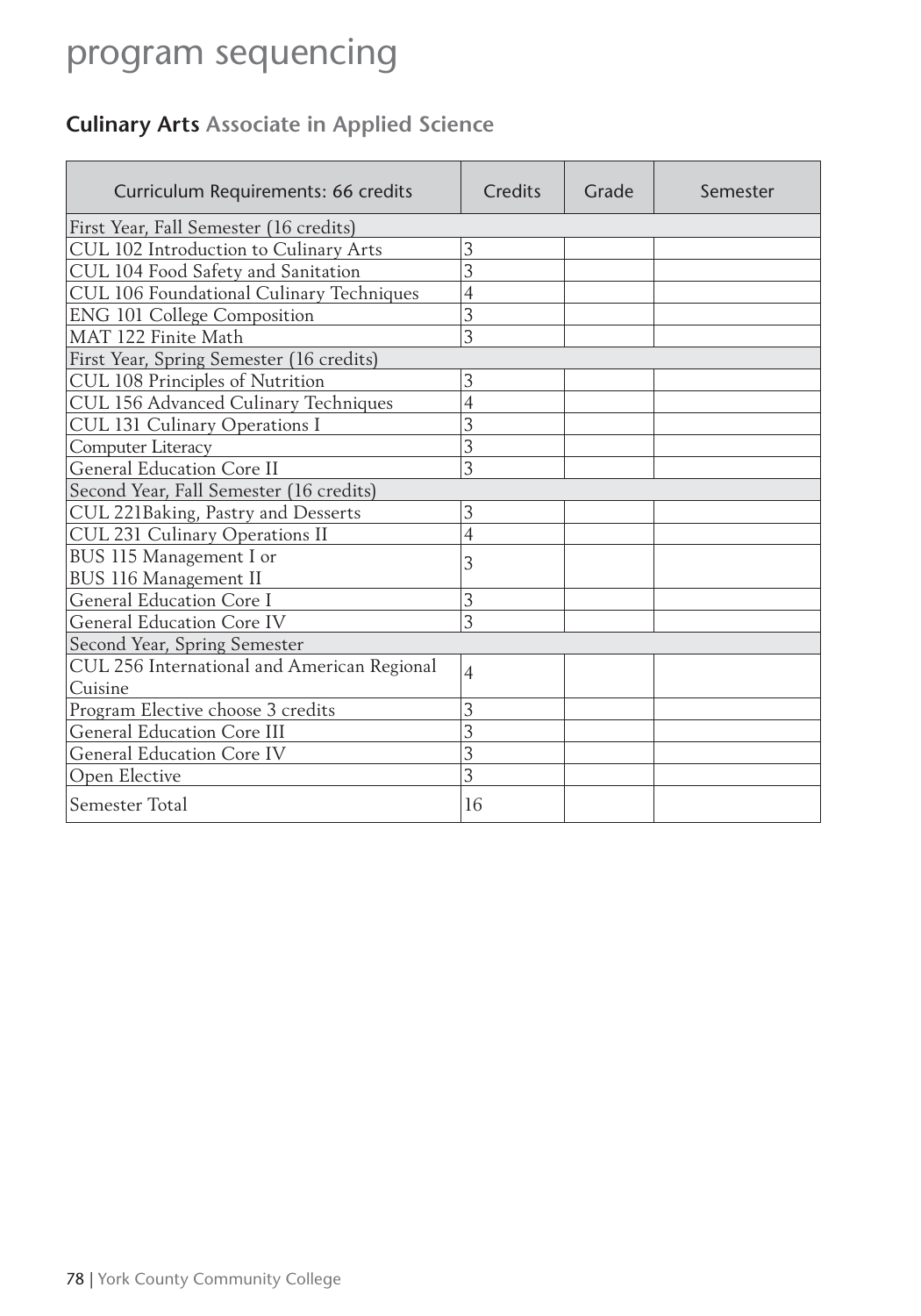### **Culinary Arts Associate in Applied Science**

| Curriculum Requirements: 66 credits         | Credits        | Grade | Semester |
|---------------------------------------------|----------------|-------|----------|
| First Year, Fall Semester (16 credits)      |                |       |          |
| CUL 102 Introduction to Culinary Arts       | 3              |       |          |
| CUL 104 Food Safety and Sanitation          | 3              |       |          |
| CUL 106 Foundational Culinary Techniques    | 4              |       |          |
| <b>ENG 101 College Composition</b>          | 3              |       |          |
| MAT 122 Finite Math                         | 3              |       |          |
| First Year, Spring Semester (16 credits)    |                |       |          |
| CUL 108 Principles of Nutrition             | 3              |       |          |
| CUL 156 Advanced Culinary Techniques        | $\overline{4}$ |       |          |
| CUL 131 Culinary Operations I               | 3              |       |          |
| Computer Literacy                           | 3              |       |          |
| <b>General Education Core II</b>            | $\overline{3}$ |       |          |
| Second Year, Fall Semester (16 credits)     |                |       |          |
| CUL 221Baking, Pastry and Desserts          | 3              |       |          |
| CUL 231 Culinary Operations II              | 4              |       |          |
| BUS 115 Management I or                     | 3              |       |          |
| BUS 116 Management II                       |                |       |          |
| General Education Core I                    | 3              |       |          |
| <b>General Education Core IV</b>            | 3              |       |          |
| Second Year, Spring Semester                |                |       |          |
| CUL 256 International and American Regional | $\overline{4}$ |       |          |
| Cuisine                                     |                |       |          |
| Program Elective choose 3 credits           | 3              |       |          |
| <b>General Education Core III</b>           | 3              |       |          |
| <b>General Education Core IV</b>            | 3              |       |          |
| Open Elective                               | 3              |       |          |
| Semester Total                              | 16             |       |          |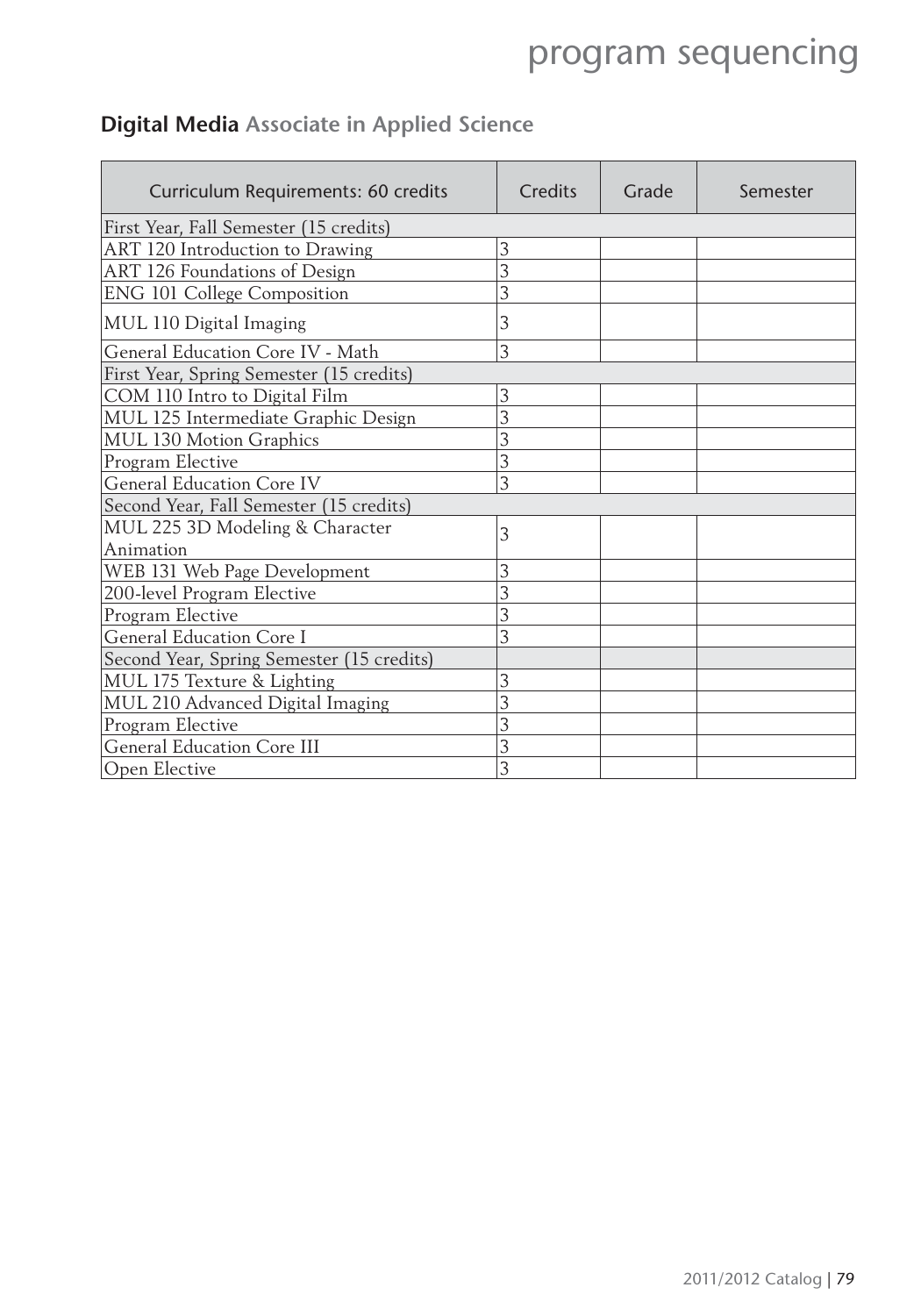### **Digital Media Associate in Applied Science**

| Curriculum Requirements: 60 credits       | Credits | Grade | Semester |
|-------------------------------------------|---------|-------|----------|
| First Year, Fall Semester (15 credits)    |         |       |          |
| ART 120 Introduction to Drawing           | 3       |       |          |
| ART 126 Foundations of Design             | 3       |       |          |
| <b>ENG 101 College Composition</b>        | 3       |       |          |
| MUL 110 Digital Imaging                   | 3       |       |          |
| General Education Core IV - Math          | 3       |       |          |
| First Year, Spring Semester (15 credits)  |         |       |          |
| COM 110 Intro to Digital Film             | 3       |       |          |
| MUL 125 Intermediate Graphic Design       | 3       |       |          |
| MUL 130 Motion Graphics                   | 3       |       |          |
| Program Elective                          | 3       |       |          |
| <b>General Education Core IV</b>          | 3       |       |          |
| Second Year, Fall Semester (15 credits)   |         |       |          |
| MUL 225 3D Modeling & Character           | 3       |       |          |
| Animation                                 |         |       |          |
| WEB 131 Web Page Development              | 3       |       |          |
| 200-level Program Elective                | 3       |       |          |
| Program Elective                          | 3       |       |          |
| General Education Core I                  | 3       |       |          |
| Second Year, Spring Semester (15 credits) |         |       |          |
| MUL 175 Texture & Lighting                | 3       |       |          |
| MUL 210 Advanced Digital Imaging          | 3       |       |          |
| Program Elective                          | 3       |       |          |
| General Education Core III                | 3       |       |          |
| Open Elective                             | 3       |       |          |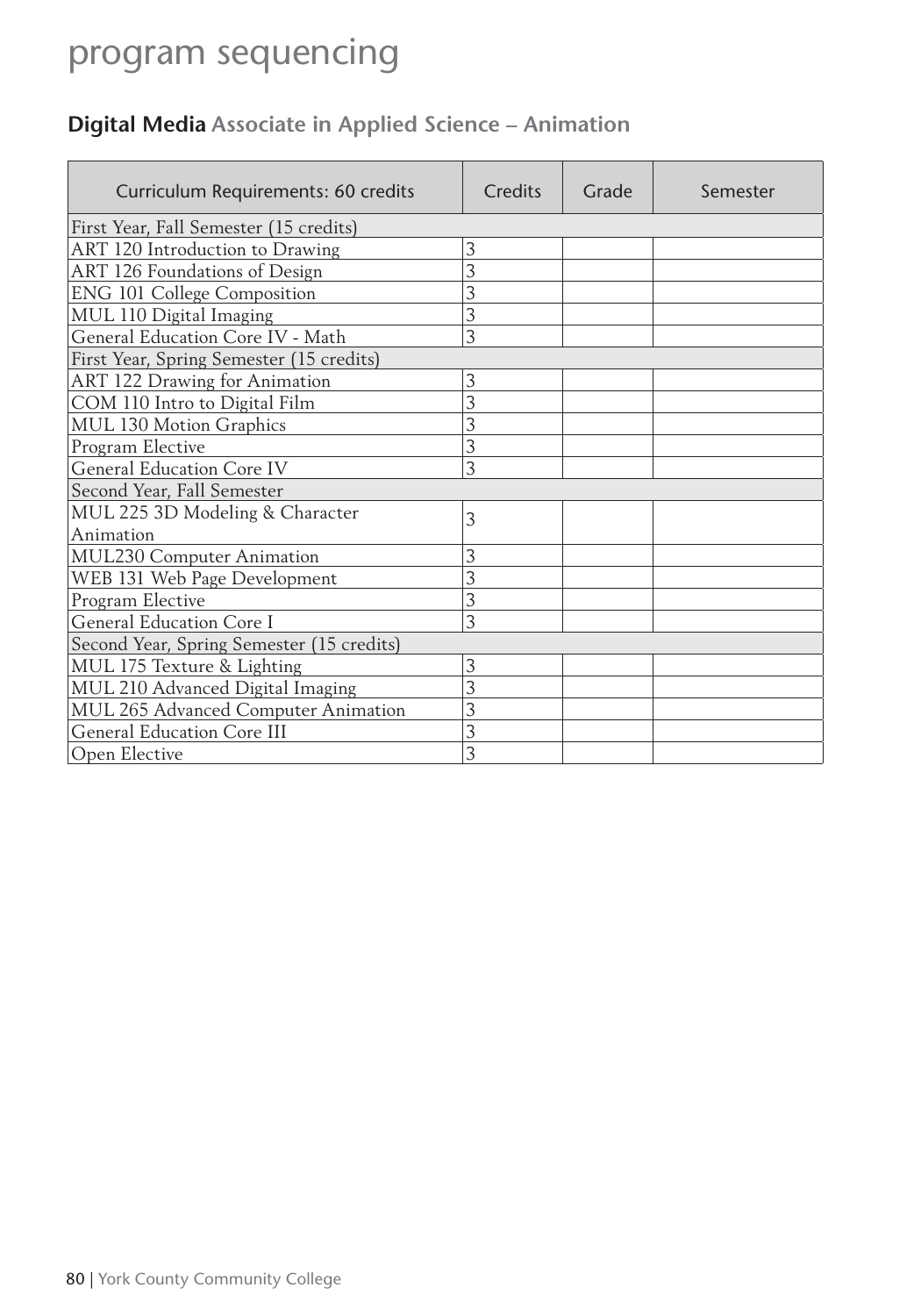### **Digital Media Associate in Applied Science – Animation**

| Curriculum Requirements: 60 credits       | Credits | Grade | Semester |
|-------------------------------------------|---------|-------|----------|
| First Year, Fall Semester (15 credits)    |         |       |          |
| ART 120 Introduction to Drawing           | 3       |       |          |
| ART 126 Foundations of Design             | 3       |       |          |
| ENG 101 College Composition               | 3       |       |          |
| MUL 110 Digital Imaging                   | 3       |       |          |
| General Education Core IV - Math          | 3       |       |          |
| First Year, Spring Semester (15 credits)  |         |       |          |
| ART 122 Drawing for Animation             | 3       |       |          |
| COM 110 Intro to Digital Film             | 3       |       |          |
| <b>MUL 130 Motion Graphics</b>            | 3       |       |          |
| Program Elective                          | 3       |       |          |
| <b>General Education Core IV</b>          | 3       |       |          |
| Second Year, Fall Semester                |         |       |          |
| MUL 225 3D Modeling & Character           | 3       |       |          |
| Animation                                 |         |       |          |
| <b>MUL230 Computer Animation</b>          | 3       |       |          |
| WEB 131 Web Page Development              | 3       |       |          |
| Program Elective                          | 3       |       |          |
| General Education Core I                  | 3       |       |          |
| Second Year, Spring Semester (15 credits) |         |       |          |
| MUL 175 Texture & Lighting                | 3       |       |          |
| MUL 210 Advanced Digital Imaging          | 3       |       |          |
| MUL 265 Advanced Computer Animation       | 3       |       |          |
| <b>General Education Core III</b>         | 3       |       |          |
| Open Elective                             | 3       |       |          |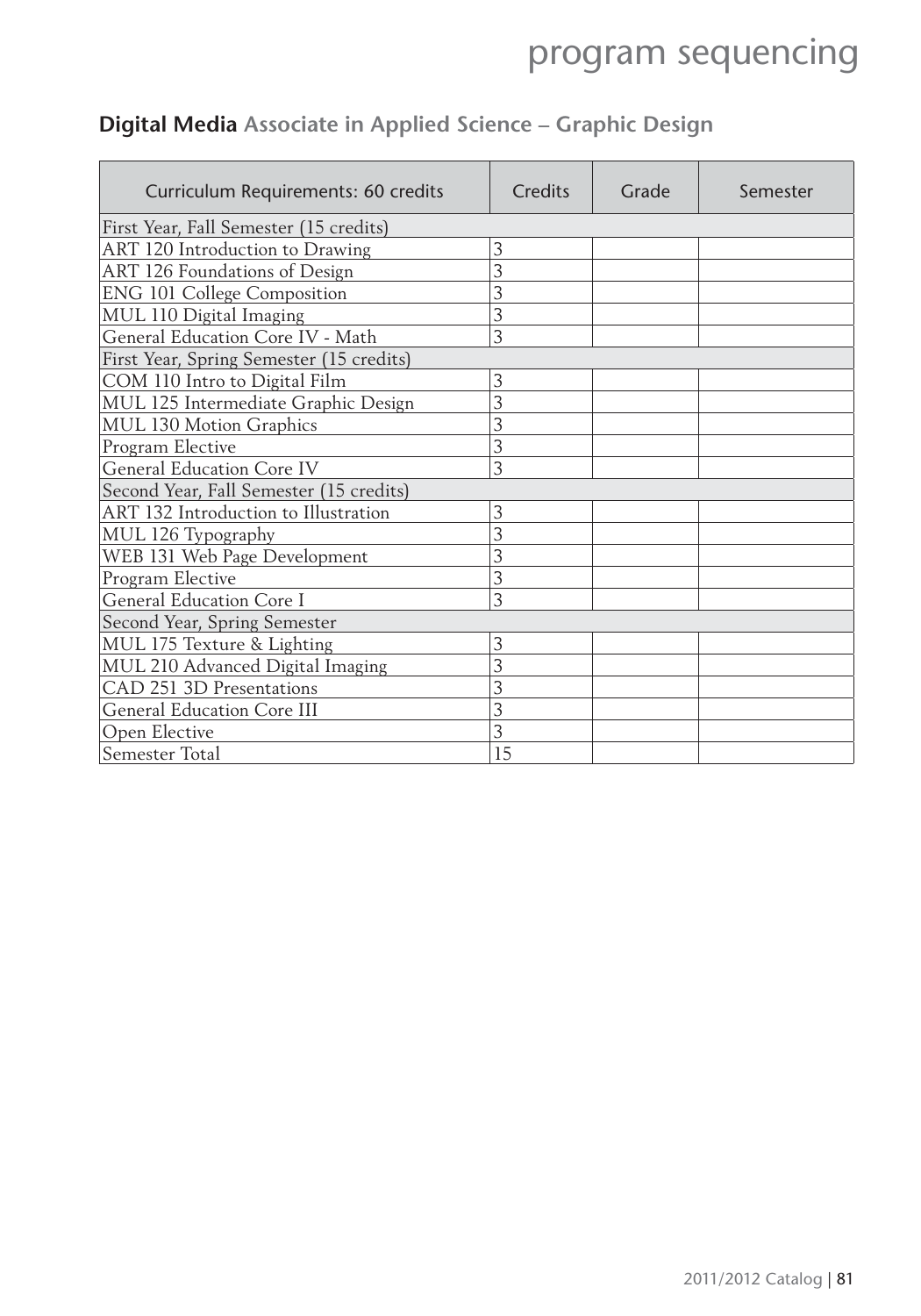### **Digital Media Associate in Applied Science – Graphic Design**

| Curriculum Requirements: 60 credits      | Credits | Grade | Semester |
|------------------------------------------|---------|-------|----------|
| First Year, Fall Semester (15 credits)   |         |       |          |
| ART 120 Introduction to Drawing          | 3       |       |          |
| ART 126 Foundations of Design            | 3       |       |          |
| <b>ENG 101 College Composition</b>       | 3       |       |          |
| MUL 110 Digital Imaging                  | 3       |       |          |
| General Education Core IV - Math         | 3       |       |          |
| First Year, Spring Semester (15 credits) |         |       |          |
| COM 110 Intro to Digital Film            | 3       |       |          |
| MUL 125 Intermediate Graphic Design      | 3       |       |          |
| MUL 130 Motion Graphics                  | 3       |       |          |
| Program Elective                         | 3       |       |          |
| <b>General Education Core IV</b>         | 3       |       |          |
| Second Year, Fall Semester (15 credits)  |         |       |          |
| ART 132 Introduction to Illustration     | 3       |       |          |
| MUL 126 Typography                       | 3       |       |          |
| WEB 131 Web Page Development             | 3       |       |          |
| Program Elective                         | 3       |       |          |
| General Education Core I                 | 3       |       |          |
| Second Year, Spring Semester             |         |       |          |
| MUL 175 Texture & Lighting               | 3       |       |          |
| MUL 210 Advanced Digital Imaging         | 3       |       |          |
| CAD 251 3D Presentations                 | 3       |       |          |
| <b>General Education Core III</b>        | 3       |       |          |
| Open Elective                            | 3       |       |          |
| Semester Total                           | 15      |       |          |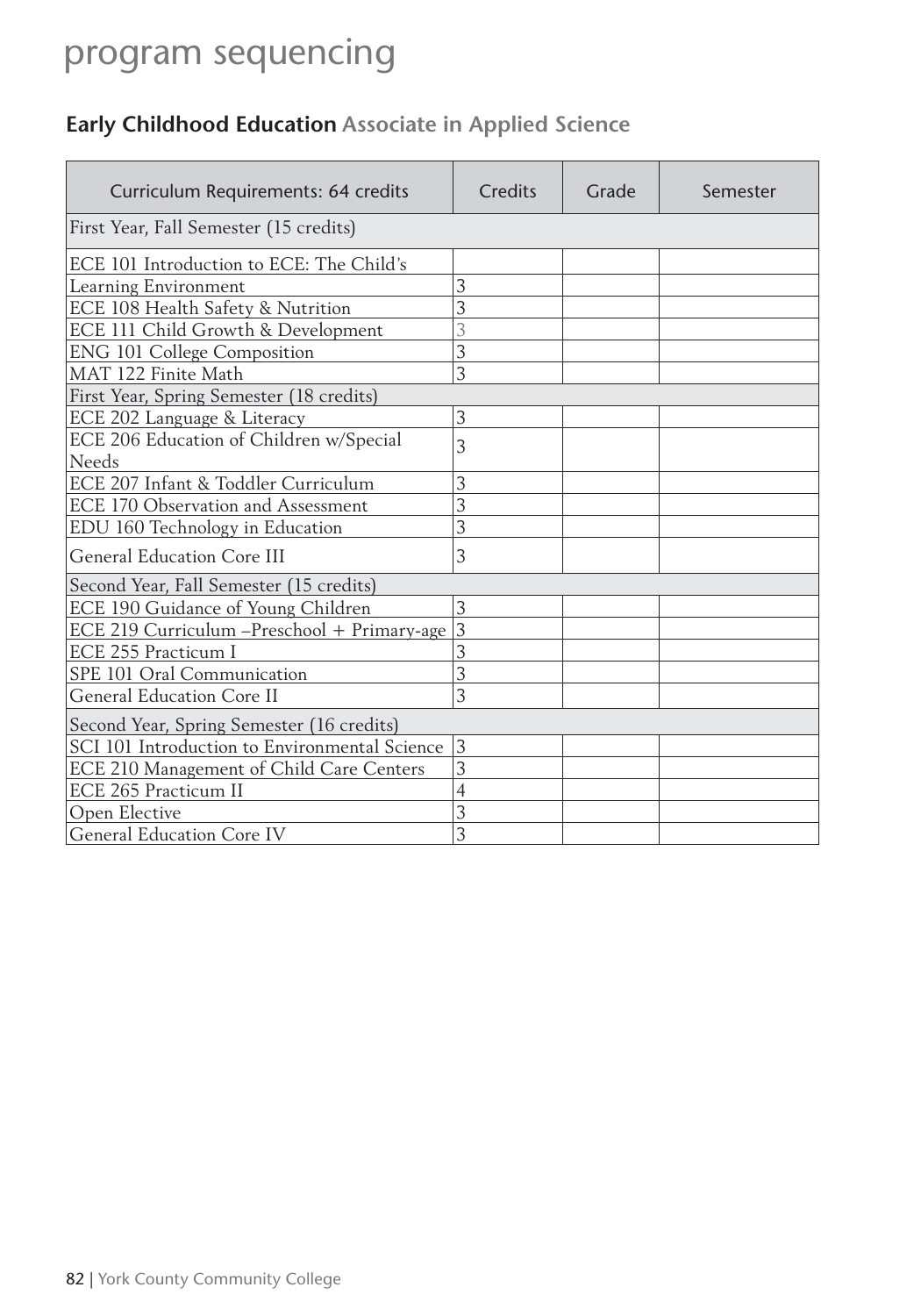### **Early Childhood Education Associate in Applied Science**

| Curriculum Requirements: 64 credits           | Credits        | Grade | Semester |
|-----------------------------------------------|----------------|-------|----------|
| First Year, Fall Semester (15 credits)        |                |       |          |
| ECE 101 Introduction to ECE: The Child's      |                |       |          |
| Learning Environment                          | 3              |       |          |
| ECE 108 Health Safety & Nutrition             | 3              |       |          |
| ECE 111 Child Growth & Development            | 3              |       |          |
| <b>ENG 101 College Composition</b>            | 3              |       |          |
| MAT 122 Finite Math                           | 3              |       |          |
| First Year, Spring Semester (18 credits)      |                |       |          |
| ECE 202 Language & Literacy                   | 3              |       |          |
| ECE 206 Education of Children w/Special       | 3              |       |          |
| Needs                                         |                |       |          |
| ECE 207 Infant & Toddler Curriculum           | 3              |       |          |
| ECE 170 Observation and Assessment            | 3              |       |          |
| EDU 160 Technology in Education               | 3              |       |          |
| <b>General Education Core III</b>             | 3              |       |          |
| Second Year, Fall Semester (15 credits)       |                |       |          |
| ECE 190 Guidance of Young Children            | 3              |       |          |
| ECE 219 Curriculum -Preschool + Primary-age   | $\overline{3}$ |       |          |
| ECE 255 Practicum I                           | 3              |       |          |
| SPE 101 Oral Communication                    | 3              |       |          |
| General Education Core II                     | 3              |       |          |
| Second Year, Spring Semester (16 credits)     |                |       |          |
| SCI 101 Introduction to Environmental Science | 3              |       |          |
| ECE 210 Management of Child Care Centers      | 3              |       |          |
| ECE 265 Practicum II                          | 4              |       |          |
| Open Elective                                 | 3              |       |          |
| General Education Core IV                     | 3              |       |          |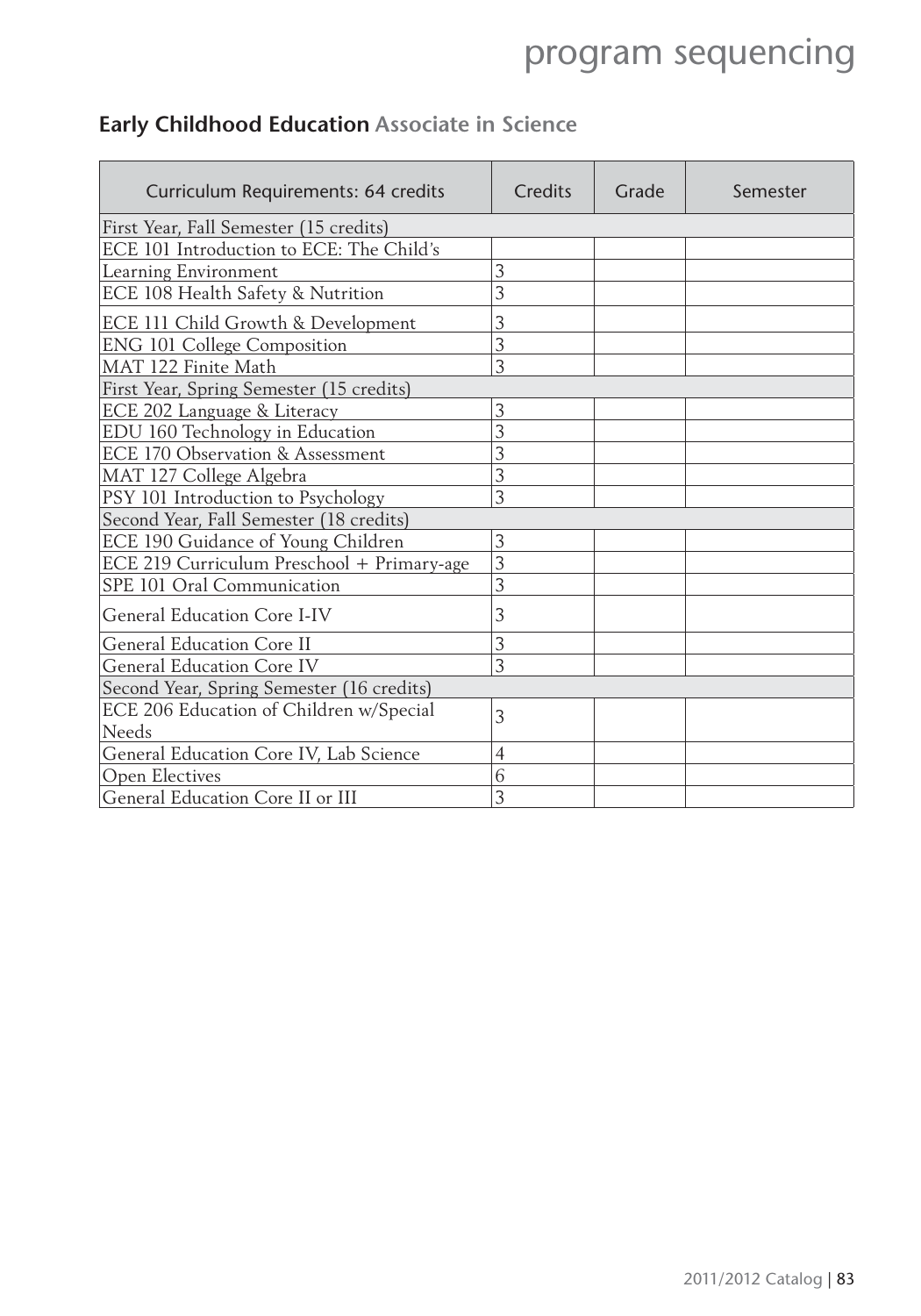### **Early Childhood Education Associate in Science**

| Curriculum Requirements: 64 credits                     | Credits        | Grade | Semester |  |  |
|---------------------------------------------------------|----------------|-------|----------|--|--|
| First Year, Fall Semester (15 credits)                  |                |       |          |  |  |
| ECE 101 Introduction to ECE: The Child's                |                |       |          |  |  |
| Learning Environment                                    | 3              |       |          |  |  |
| ECE 108 Health Safety & Nutrition                       | 3              |       |          |  |  |
| ECE 111 Child Growth & Development                      | 3              |       |          |  |  |
| <b>ENG 101 College Composition</b>                      | 3              |       |          |  |  |
| MAT 122 Finite Math                                     | 3              |       |          |  |  |
| First Year, Spring Semester (15 credits)                |                |       |          |  |  |
| ECE 202 Language & Literacy                             | 3              |       |          |  |  |
| EDU 160 Technology in Education                         | 3              |       |          |  |  |
| ECE 170 Observation & Assessment                        | 3              |       |          |  |  |
| MAT 127 College Algebra                                 | 3              |       |          |  |  |
| PSY 101 Introduction to Psychology                      | 3              |       |          |  |  |
| Second Year, Fall Semester (18 credits)                 |                |       |          |  |  |
| ECE 190 Guidance of Young Children                      | 3              |       |          |  |  |
| ECE 219 Curriculum Preschool + Primary-age              | 3              |       |          |  |  |
| SPE 101 Oral Communication                              | 3              |       |          |  |  |
| General Education Core I-IV                             | 3              |       |          |  |  |
| <b>General Education Core II</b>                        | 3              |       |          |  |  |
| <b>General Education Core IV</b>                        | 3              |       |          |  |  |
| Second Year, Spring Semester (16 credits)               |                |       |          |  |  |
| ECE 206 Education of Children w/Special<br><b>Needs</b> | 3              |       |          |  |  |
| General Education Core IV, Lab Science                  | $\overline{4}$ |       |          |  |  |
| Open Electives                                          | 6              |       |          |  |  |
| General Education Core II or III                        | 3              |       |          |  |  |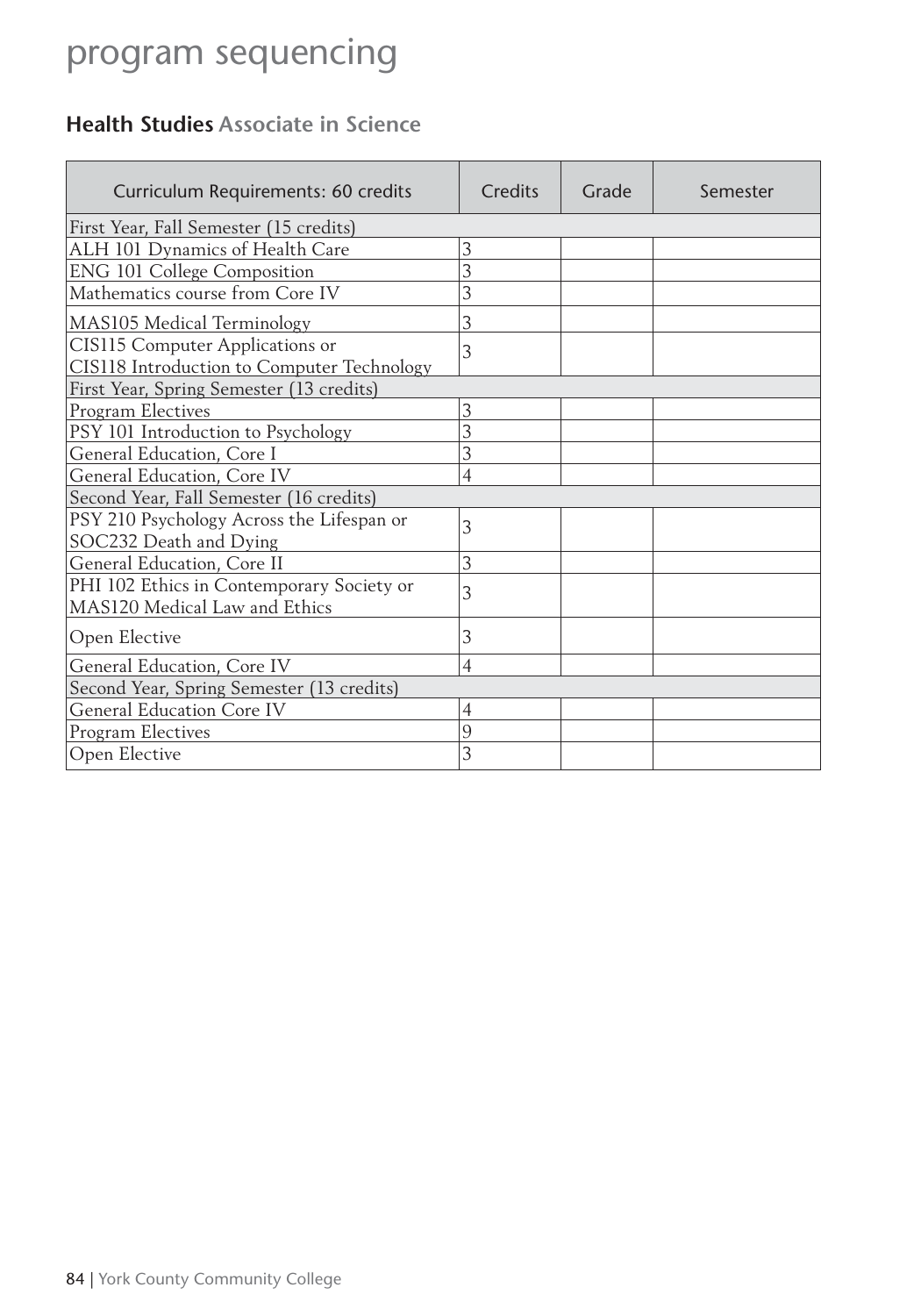### **Health Studies Associate in Science**

| Curriculum Requirements: 60 credits                                           | Credits        | Grade | Semester |  |
|-------------------------------------------------------------------------------|----------------|-------|----------|--|
| First Year, Fall Semester (15 credits)                                        |                |       |          |  |
| ALH 101 Dynamics of Health Care                                               | 3              |       |          |  |
| <b>ENG 101 College Composition</b>                                            | 3              |       |          |  |
| Mathematics course from Core IV                                               | 3              |       |          |  |
| MAS105 Medical Terminology                                                    | 3              |       |          |  |
| CIS115 Computer Applications or<br>CIS118 Introduction to Computer Technology | 3              |       |          |  |
| First Year, Spring Semester (13 credits)                                      |                |       |          |  |
| Program Electives                                                             | 3              |       |          |  |
| PSY 101 Introduction to Psychology                                            | 3              |       |          |  |
| General Education, Core I                                                     | 3              |       |          |  |
| General Education, Core IV                                                    | 4              |       |          |  |
| Second Year, Fall Semester (16 credits)                                       |                |       |          |  |
| PSY 210 Psychology Across the Lifespan or<br>SOC232 Death and Dying           | 3              |       |          |  |
| General Education, Core II                                                    | 3              |       |          |  |
| PHI 102 Ethics in Contemporary Society or<br>MAS120 Medical Law and Ethics    | 3              |       |          |  |
| Open Elective                                                                 | 3              |       |          |  |
| General Education, Core IV                                                    | $\overline{4}$ |       |          |  |
| Second Year, Spring Semester (13 credits)                                     |                |       |          |  |
| <b>General Education Core IV</b>                                              | $\overline{4}$ |       |          |  |
| Program Electives                                                             | 9              |       |          |  |
| Open Elective                                                                 | 3              |       |          |  |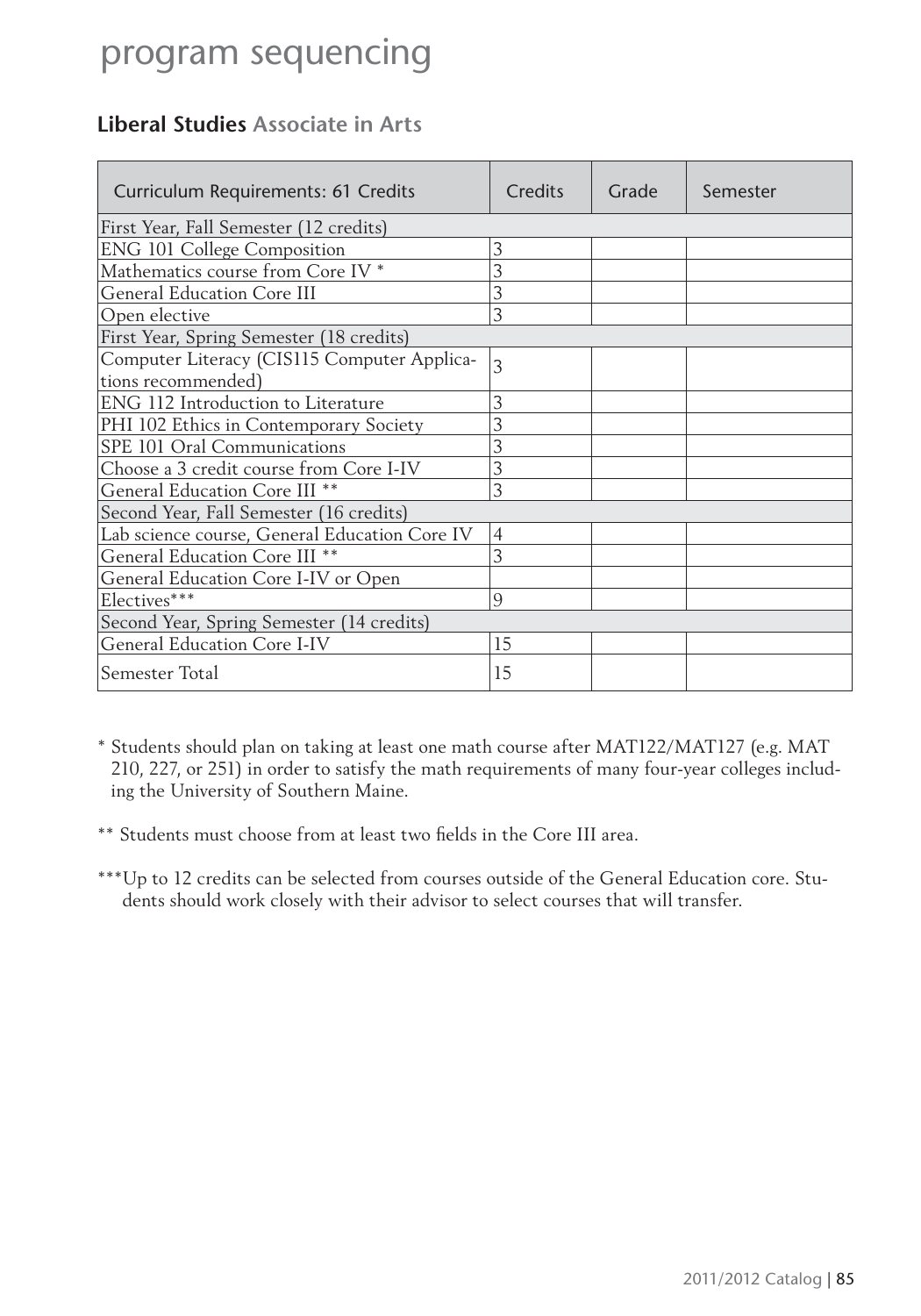### **Liberal Studies Associate in Arts**

| Curriculum Requirements: 61 Credits           | Credits        | Grade | Semester |
|-----------------------------------------------|----------------|-------|----------|
| First Year, Fall Semester (12 credits)        |                |       |          |
| <b>ENG 101 College Composition</b>            | 3              |       |          |
| Mathematics course from Core IV <sup>*</sup>  | 3              |       |          |
| <b>General Education Core III</b>             | 3              |       |          |
| Open elective                                 | 3              |       |          |
| First Year, Spring Semester (18 credits)      |                |       |          |
| Computer Literacy (CIS115 Computer Applica-   | 3              |       |          |
| tions recommended)                            |                |       |          |
| ENG 112 Introduction to Literature            | 3              |       |          |
| PHI 102 Ethics in Contemporary Society        | 3              |       |          |
| SPE 101 Oral Communications                   | 3              |       |          |
| Choose a 3 credit course from Core I-IV       | 3              |       |          |
| General Education Core III <sup>**</sup>      | 3              |       |          |
| Second Year, Fall Semester (16 credits)       |                |       |          |
| Lab science course, General Education Core IV | $\overline{4}$ |       |          |
| General Education Core III **                 | 3              |       |          |
| General Education Core I-IV or Open           |                |       |          |
| Electives***                                  | 9              |       |          |
| Second Year, Spring Semester (14 credits)     |                |       |          |
| General Education Core I-IV                   | 15             |       |          |
| Semester Total                                | 15             |       |          |

\* Students should plan on taking at least one math course after MAT122/MAT127 (e.g. MAT 210, 227, or 251) in order to satisfy the math requirements of many four-year colleges including the University of Southern Maine.

\*\* Students must choose from at least two fields in the Core III area.

\*\*\* Up to 12 credits can be selected from courses outside of the General Education core. Students should work closely with their advisor to select courses that will transfer.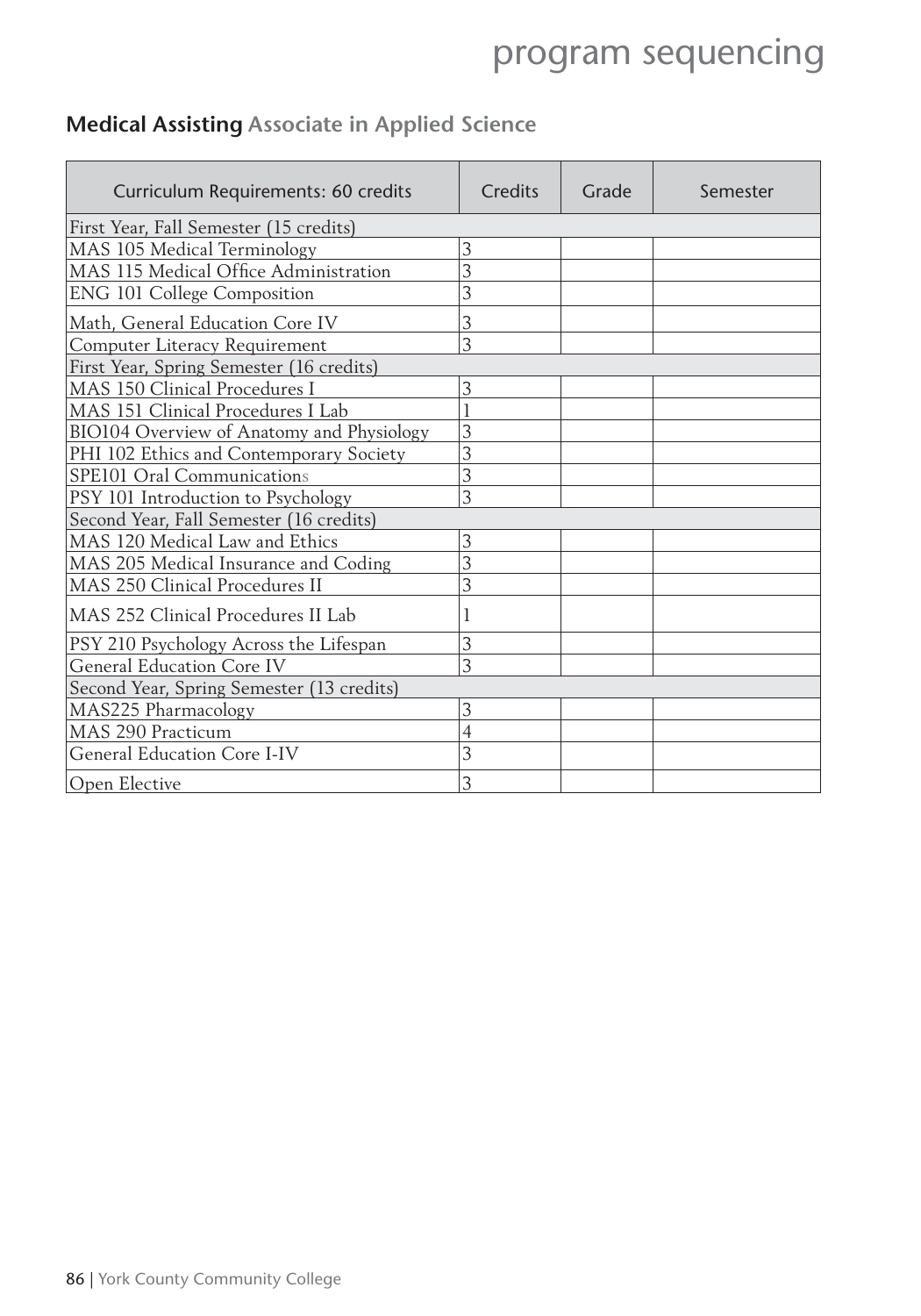### **Medical Assisting Associate in Applied Science**

| Curriculum Requirements: 60 credits       | Credits        | Grade | Semester |  |
|-------------------------------------------|----------------|-------|----------|--|
| First Year, Fall Semester (15 credits)    |                |       |          |  |
| MAS 105 Medical Terminology               | 3              |       |          |  |
| MAS 115 Medical Office Administration     | 3              |       |          |  |
| ENG 101 College Composition               | 3              |       |          |  |
| Math, General Education Core IV           | 3              |       |          |  |
| Computer Literacy Requirement             | 3              |       |          |  |
| First Year, Spring Semester (16 credits)  |                |       |          |  |
| MAS 150 Clinical Procedures I             | 3              |       |          |  |
| MAS 151 Clinical Procedures I Lab         |                |       |          |  |
| BIO104 Overview of Anatomy and Physiology | 3              |       |          |  |
| PHI 102 Ethics and Contemporary Society   | 3              |       |          |  |
| SPE101 Oral Communications                | 3              |       |          |  |
| PSY 101 Introduction to Psychology        | $\overline{3}$ |       |          |  |
| Second Year, Fall Semester (16 credits)   |                |       |          |  |
| MAS 120 Medical Law and Ethics            | 3              |       |          |  |
| MAS 205 Medical Insurance and Coding      | $\overline{3}$ |       |          |  |
| MAS 250 Clinical Procedures II            | 3              |       |          |  |
| MAS 252 Clinical Procedures II Lab        | 1              |       |          |  |
| PSY 210 Psychology Across the Lifespan    | 3              |       |          |  |
| <b>General Education Core IV</b>          | 3              |       |          |  |
| Second Year, Spring Semester (13 credits) |                |       |          |  |
| MAS225 Pharmacology                       | 3              |       |          |  |
| MAS 290 Practicum                         | $\overline{4}$ |       |          |  |
| General Education Core I-IV               | 3              |       |          |  |
| Open Elective                             | 3              |       |          |  |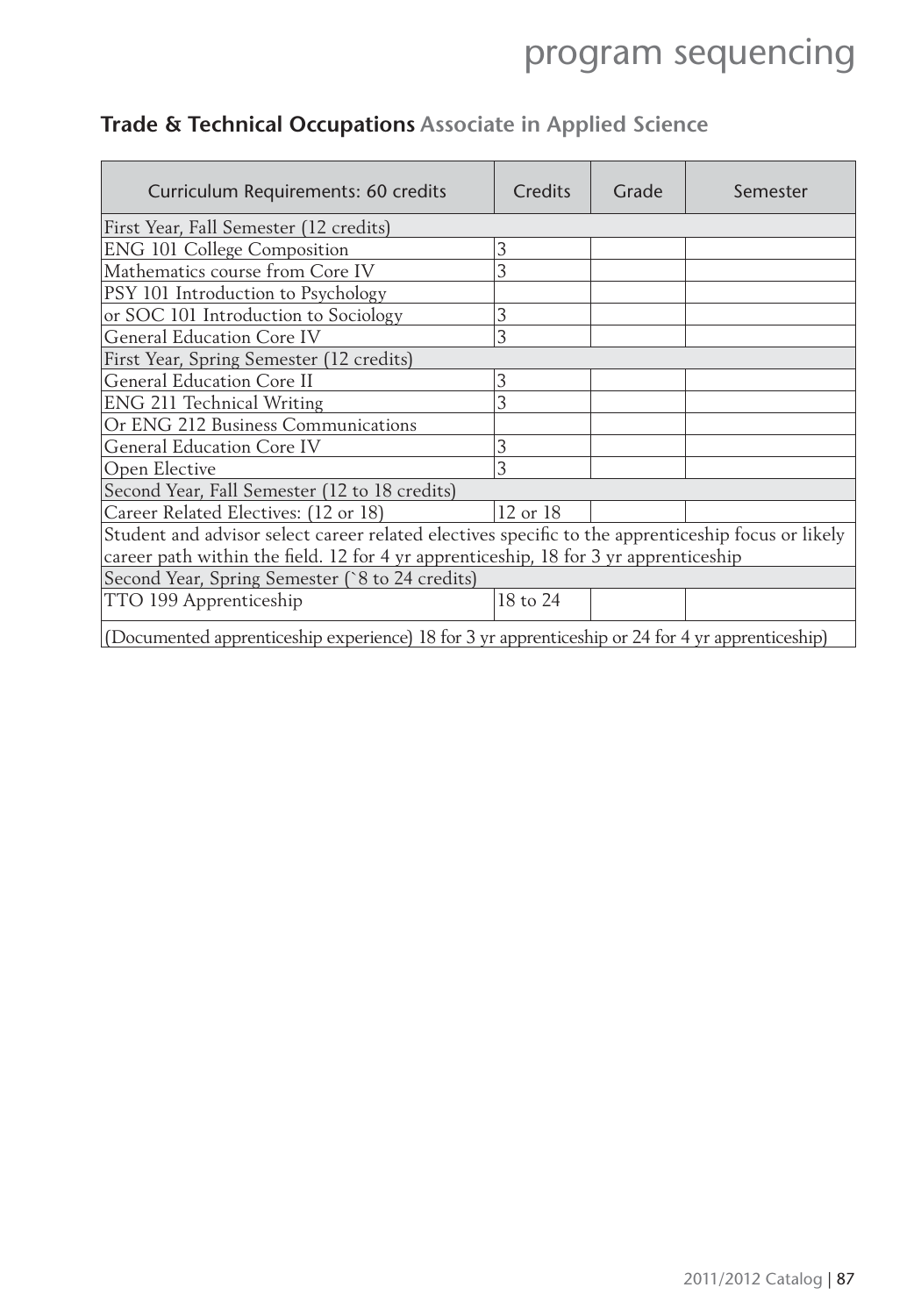| Curriculum Requirements: 60 credits                                                                | <b>Credits</b> | Grade | Semester |  |
|----------------------------------------------------------------------------------------------------|----------------|-------|----------|--|
| First Year, Fall Semester (12 credits)                                                             |                |       |          |  |
| <b>ENG 101 College Composition</b>                                                                 | 3              |       |          |  |
| Mathematics course from Core IV                                                                    | 3              |       |          |  |
| PSY 101 Introduction to Psychology                                                                 |                |       |          |  |
| or SOC 101 Introduction to Sociology                                                               | 3              |       |          |  |
| <b>General Education Core IV</b>                                                                   | 3              |       |          |  |
| First Year, Spring Semester (12 credits)                                                           |                |       |          |  |
| <b>General Education Core II</b>                                                                   | 3              |       |          |  |
| ENG 211 Technical Writing                                                                          | 3              |       |          |  |
| Or ENG 212 Business Communications                                                                 |                |       |          |  |
| General Education Core IV                                                                          | 3              |       |          |  |
| Open Elective                                                                                      | 3              |       |          |  |
| Second Year, Fall Semester (12 to 18 credits)                                                      |                |       |          |  |
| Career Related Electives: (12 or 18)                                                               | 12 or 18       |       |          |  |
| Student and advisor select career related electives specific to the apprenticeship focus or likely |                |       |          |  |
| career path within the field. 12 for 4 yr apprenticeship, 18 for 3 yr apprenticeship               |                |       |          |  |
| Second Year, Spring Semester (8 to 24 credits)                                                     |                |       |          |  |
| TTO 199 Apprenticeship                                                                             | 18 to 24       |       |          |  |
| (Documented apprenticeship experience) 18 for 3 yr apprenticeship or 24 for 4 yr apprenticeship)   |                |       |          |  |

### **Trade & Technical Occupations Associate in Applied Science**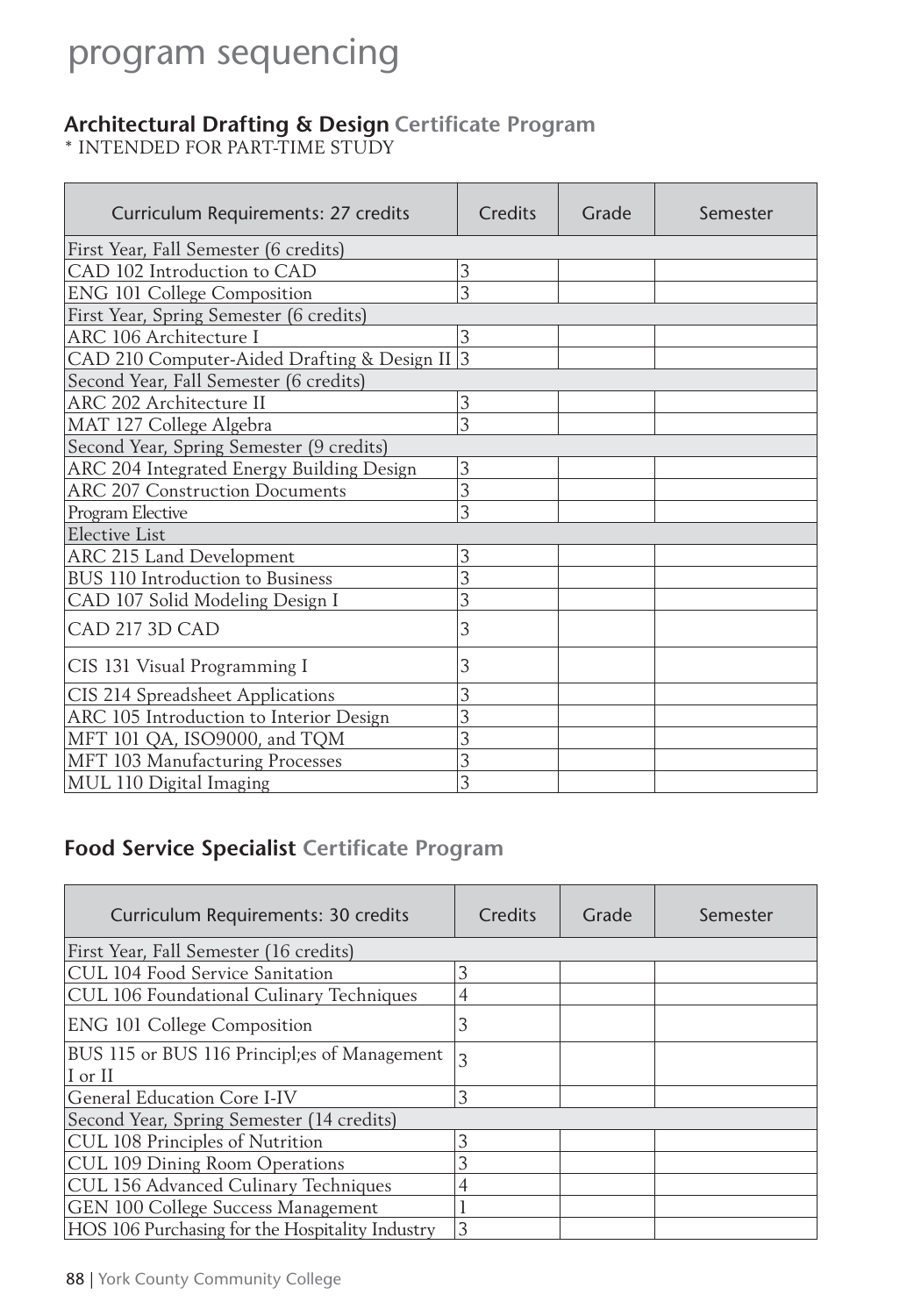#### **Architectural Drafting & Design Certifi cate Program**

\* INTENDED FOR PART-TIME STUDY

| Curriculum Requirements: 27 credits           | Credits | Grade | Semester |
|-----------------------------------------------|---------|-------|----------|
| First Year, Fall Semester (6 credits)         |         |       |          |
| CAD 102 Introduction to CAD                   | 3       |       |          |
| <b>ENG 101 College Composition</b>            | 3       |       |          |
| First Year, Spring Semester (6 credits)       |         |       |          |
| ARC 106 Architecture I                        | 3       |       |          |
| CAD 210 Computer-Aided Drafting & Design II 3 |         |       |          |
| Second Year, Fall Semester (6 credits)        |         |       |          |
| <b>ARC 202 Architecture II</b>                | 3       |       |          |
| MAT 127 College Algebra                       | 3       |       |          |
| Second Year, Spring Semester (9 credits)      |         |       |          |
| ARC 204 Integrated Energy Building Design     | 3       |       |          |
| <b>ARC 207 Construction Documents</b>         | 3       |       |          |
| Program Elective                              | 3       |       |          |
| <b>Elective List</b>                          |         |       |          |
| ARC 215 Land Development                      | 3       |       |          |
| BUS 110 Introduction to Business              | 3       |       |          |
| CAD 107 Solid Modeling Design I               | 3       |       |          |
| CAD 217 3D CAD                                | 3       |       |          |
| CIS 131 Visual Programming I                  | 3       |       |          |
| CIS 214 Spreadsheet Applications              | 3       |       |          |
| ARC 105 Introduction to Interior Design       | 3       |       |          |
| MFT 101 QA, ISO9000, and TQM                  | 3       |       |          |
| MFT 103 Manufacturing Processes               | 3       |       |          |
| MUL 110 Digital Imaging                       | 3       |       |          |

### **Food Service Specialist Certificate Program**

| Curriculum Requirements: 30 credits                     | Credits | Grade | Semester |
|---------------------------------------------------------|---------|-------|----------|
| First Year, Fall Semester (16 credits)                  |         |       |          |
| CUL 104 Food Service Sanitation                         | 3       |       |          |
| CUL 106 Foundational Culinary Techniques                | 4       |       |          |
| <b>ENG 101 College Composition</b>                      | 3       |       |          |
| BUS 115 or BUS 116 Principl;es of Management<br>I or II | 3       |       |          |
| General Education Core I-IV                             | 3       |       |          |
| Second Year, Spring Semester (14 credits)               |         |       |          |
| CUL 108 Principles of Nutrition                         | 3       |       |          |
| CUL 109 Dining Room Operations                          |         |       |          |
| CUL 156 Advanced Culinary Techniques                    |         |       |          |
| GEN 100 College Success Management                      |         |       |          |
| HOS 106 Purchasing for the Hospitality Industry         | 3       |       |          |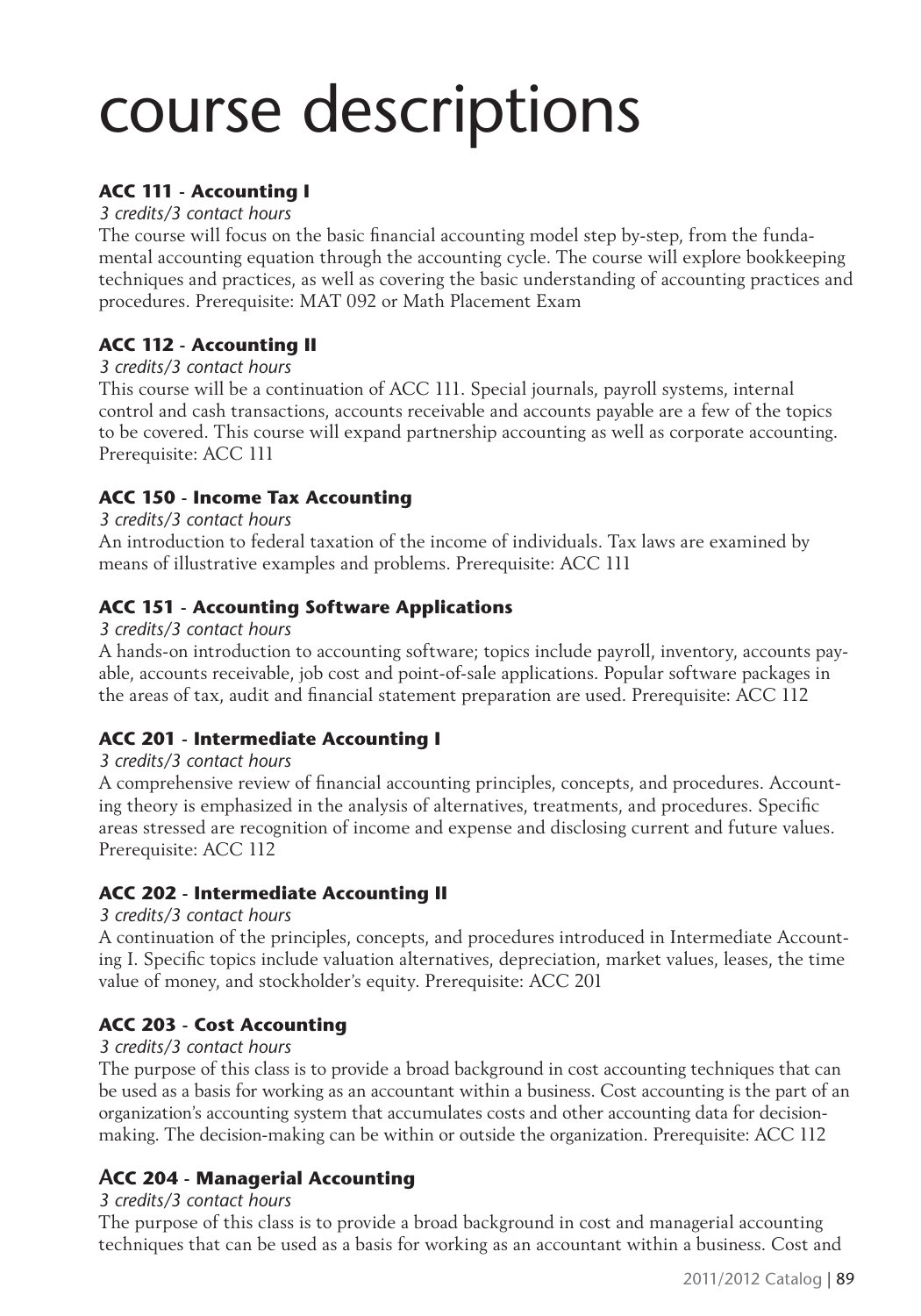#### **ACC 111 - Accounting I**

#### *3 credits/3 contact hours*

The course will focus on the basic financial accounting model step by-step, from the fundamental accounting equation through the accounting cycle. The course will explore bookkeeping techniques and practices, as well as covering the basic understanding of accounting practices and procedures. Prerequisite: MAT 092 or Math Placement Exam

#### **ACC 112 - Accounting II**

#### *3 credits/3 contact hours*

This course will be a continuation of ACC 111. Special journals, payroll systems, internal control and cash transactions, accounts receivable and accounts payable are a few of the topics to be covered. This course will expand partnership accounting as well as corporate accounting. Prerequisite: ACC 111

#### **ACC 150 - Income Tax Accounting**

#### *3 credits/3 contact hours*

An introduction to federal taxation of the income of individuals. Tax laws are examined by means of illustrative examples and problems. Prerequisite: ACC 111

#### **ACC 151 - Accounting Software Applications**

#### *3 credits/3 contact hours*

A hands-on introduction to accounting software; topics include payroll, inventory, accounts payable, accounts receivable, job cost and point-of-sale applications. Popular software packages in the areas of tax, audit and financial statement preparation are used. Prerequisite: ACC 112

#### **ACC 201 - Intermediate Accounting I**

#### *3 credits/3 contact hours*

A comprehensive review of financial accounting principles, concepts, and procedures. Accounting theory is emphasized in the analysis of alternatives, treatments, and procedures. Specific areas stressed are recognition of income and expense and disclosing current and future values. Prerequisite: ACC 112

#### **ACC 202 - Intermediate Accounting II**

#### *3 credits/3 contact hours*

A continuation of the principles, concepts, and procedures introduced in Intermediate Accounting I. Specific topics include valuation alternatives, depreciation, market values, leases, the time value of money, and stockholder's equity. Prerequisite: ACC 201

#### **ACC 203 - Cost Accounting**

#### *3 credits/3 contact hours*

The purpose of this class is to provide a broad background in cost accounting techniques that can be used as a basis for working as an accountant within a business. Cost accounting is the part of an organization's accounting system that accumulates costs and other accounting data for decisionmaking. The decision-making can be within or outside the organization. Prerequisite: ACC 112

#### **ACC 204 - Managerial Accounting**

#### *3 credits/3 contact hours*

The purpose of this class is to provide a broad background in cost and managerial accounting techniques that can be used as a basis for working as an accountant within a business. Cost and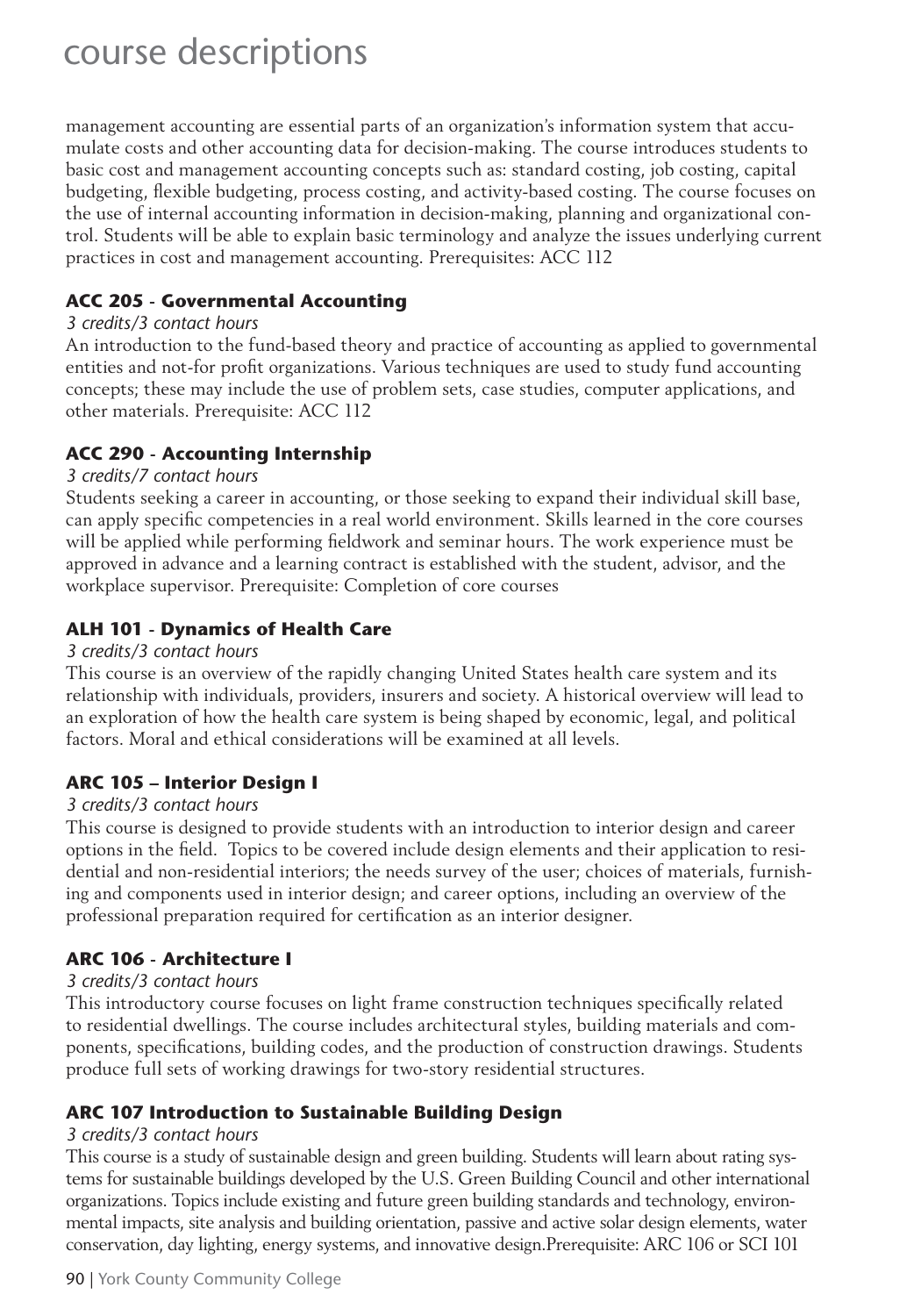management accounting are essential parts of an organization's information system that accumulate costs and other accounting data for decision-making. The course introduces students to basic cost and management accounting concepts such as: standard costing, job costing, capital budgeting, flexible budgeting, process costing, and activity-based costing. The course focuses on the use of internal accounting information in decision-making, planning and organizational control. Students will be able to explain basic terminology and analyze the issues underlying current practices in cost and management accounting. Prerequisites: ACC 112

#### **ACC 205 - Governmental Accounting**

#### *3 credits/3 contact hours*

An introduction to the fund-based theory and practice of accounting as applied to governmental entities and not-for profit organizations. Various techniques are used to study fund accounting concepts; these may include the use of problem sets, case studies, computer applications, and other materials. Prerequisite: ACC 112

#### **ACC 290 - Accounting Internship**

#### *3 credits/7 contact hours*

Students seeking a career in accounting, or those seeking to expand their individual skill base, can apply specific competencies in a real world environment. Skills learned in the core courses will be applied while performing fieldwork and seminar hours. The work experience must be approved in advance and a learning contract is established with the student, advisor, and the workplace supervisor. Prerequisite: Completion of core courses

#### **ALH 101 - Dynamics of Health Care**

#### *3 credits/3 contact hours*

This course is an overview of the rapidly changing United States health care system and its relationship with individuals, providers, insurers and society. A historical overview will lead to an exploration of how the health care system is being shaped by economic, legal, and political factors. Moral and ethical considerations will be examined at all levels.

#### **ARC 105 – Interior Design I**

#### *3 credits/3 contact hours*

This course is designed to provide students with an introduction to interior design and career options in the field. Topics to be covered include design elements and their application to residential and non-residential interiors; the needs survey of the user; choices of materials, furnishing and components used in interior design; and career options, including an overview of the professional preparation required for certification as an interior designer.

#### **ARC 106 - Architecture I**

#### *3 credits/3 contact hours*

This introductory course focuses on light frame construction techniques specifically related to residential dwellings. The course includes architectural styles, building materials and components, specifications, building codes, and the production of construction drawings. Students produce full sets of working drawings for two-story residential structures.

#### **ARC 107 Introduction to Sustainable Building Design**

#### *3 credits/3 contact hours*

This course is a study of sustainable design and green building. Students will learn about rating systems for sustainable buildings developed by the U.S. Green Building Council and other international organizations. Topics include existing and future green building standards and technology, environmental impacts, site analysis and building orientation, passive and active solar design elements, water conservation, day lighting, energy systems, and innovative design.Prerequisite: ARC 106 or SCI 101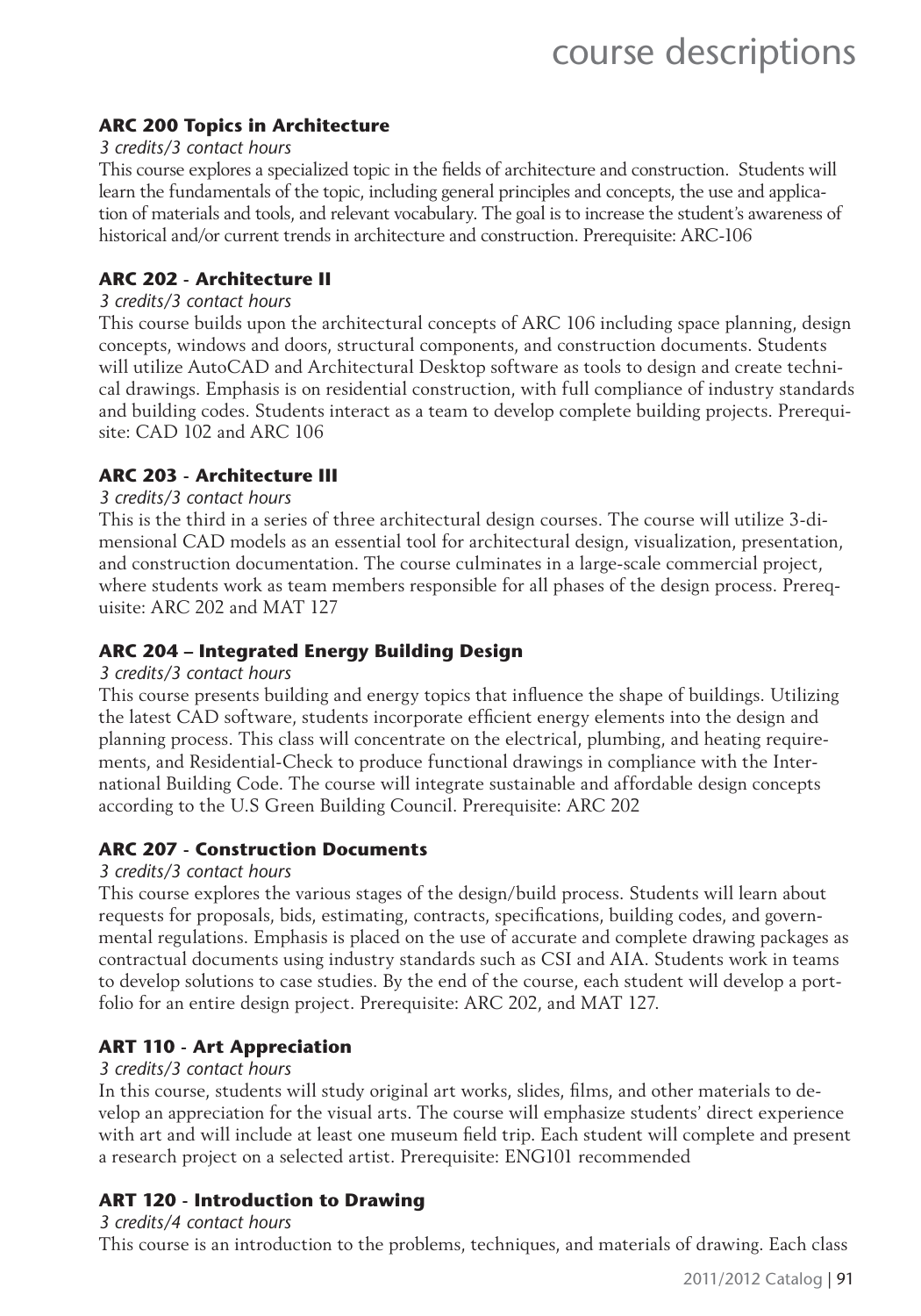#### **ARC 200 Topics in Architecture**

#### *3 credits/3 contact hours*

This course explores a specialized topic in the fields of architecture and construction. Students will learn the fundamentals of the topic, including general principles and concepts, the use and application of materials and tools, and relevant vocabulary. The goal is to increase the student's awareness of historical and/or current trends in architecture and construction. Prerequisite: ARC-106

#### **ARC 202 - Architecture II**

#### *3 credits/3 contact hours*

This course builds upon the architectural concepts of ARC 106 including space planning, design concepts, windows and doors, structural components, and construction documents. Students will utilize AutoCAD and Architectural Desktop software as tools to design and create technical drawings. Emphasis is on residential construction, with full compliance of industry standards and building codes. Students interact as a team to develop complete building projects. Prerequisite: CAD 102 and ARC 106

#### **ARC 203 - Architecture III**

#### *3 credits/3 contact hours*

This is the third in a series of three architectural design courses. The course will utilize 3-dimensional CAD models as an essential tool for architectural design, visualization, presentation, and construction documentation. The course culminates in a large-scale commercial project, where students work as team members responsible for all phases of the design process. Prerequisite: ARC 202 and MAT 127

#### **ARC 204 – Integrated Energy Building Design**

#### *3 credits/3 contact hours*

This course presents building and energy topics that influence the shape of buildings. Utilizing the latest CAD software, students incorporate efficient energy elements into the design and planning process. This class will concentrate on the electrical, plumbing, and heating requirements, and Residential-Check to produce functional drawings in compliance with the International Building Code. The course will integrate sustainable and affordable design concepts according to the U.S Green Building Council. Prerequisite: ARC 202

#### **ARC 207 - Construction Documents**

#### *3 credits/3 contact hours*

This course explores the various stages of the design/build process. Students will learn about requests for proposals, bids, estimating, contracts, specifications, building codes, and governmental regulations. Emphasis is placed on the use of accurate and complete drawing packages as contractual documents using industry standards such as CSI and AIA. Students work in teams to develop solutions to case studies. By the end of the course, each student will develop a portfolio for an entire design project. Prerequisite: ARC 202, and MAT 127.

#### **ART 110 - Art Appreciation**

#### *3 credits/3 contact hours*

In this course, students will study original art works, slides, films, and other materials to develop an appreciation for the visual arts. The course will emphasize students' direct experience with art and will include at least one museum field trip. Each student will complete and present a research project on a selected artist. Prerequisite: ENG101 recommended

#### **ART 120 - Introduction to Drawing**

#### *3 credits/4 contact hours*

This course is an introduction to the problems, techniques, and materials of drawing. Each class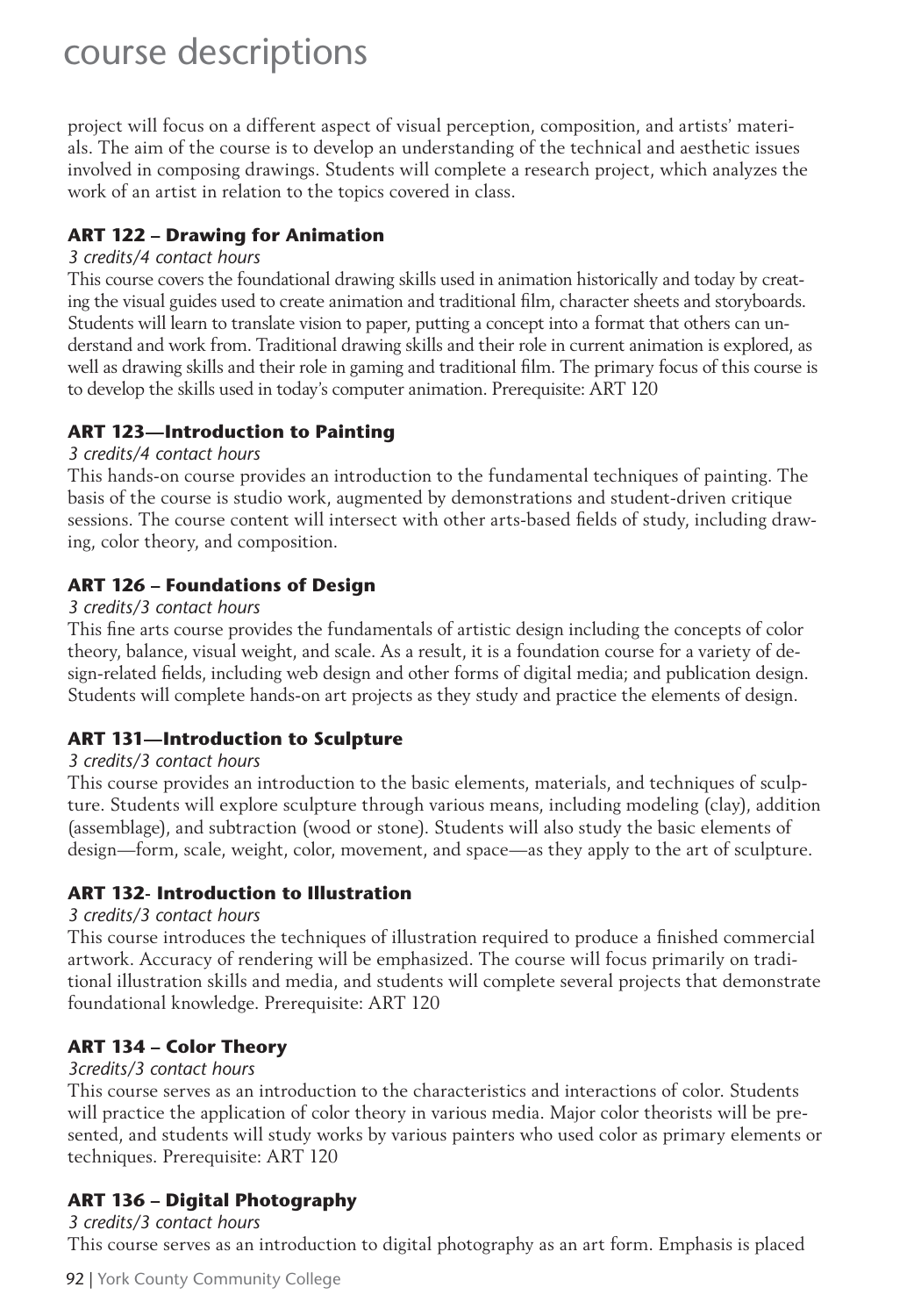project will focus on a different aspect of visual perception, composition, and artists' materials. The aim of the course is to develop an understanding of the technical and aesthetic issues involved in composing drawings. Students will complete a research project, which analyzes the work of an artist in relation to the topics covered in class.

#### **ART 122 – Drawing for Animation**

#### *3 credits/4 contact hours*

This course covers the foundational drawing skills used in animation historically and today by creating the visual guides used to create animation and traditional film, character sheets and storyboards. Students will learn to translate vision to paper, putting a concept into a format that others can understand and work from. Traditional drawing skills and their role in current animation is explored, as well as drawing skills and their role in gaming and traditional film. The primary focus of this course is to develop the skills used in today's computer animation. Prerequisite: ART 120

#### **ART 123—Introduction to Painting**

#### *3 credits/4 contact hours*

This hands-on course provides an introduction to the fundamental techniques of painting. The basis of the course is studio work, augmented by demonstrations and student-driven critique sessions. The course content will intersect with other arts-based fields of study, including drawing, color theory, and composition.

#### **ART 126 – Foundations of Design**

#### *3 credits/3 contact hours*

This fine arts course provides the fundamentals of artistic design including the concepts of color theory, balance, visual weight, and scale. As a result, it is a foundation course for a variety of design-related fields, including web design and other forms of digital media; and publication design. Students will complete hands-on art projects as they study and practice the elements of design.

#### **ART 131—Introduction to Sculpture**

#### *3 credits/3 contact hours*

This course provides an introduction to the basic elements, materials, and techniques of sculpture. Students will explore sculpture through various means, including modeling (clay), addition (assemblage), and subtraction (wood or stone). Students will also study the basic elements of design—form, scale, weight, color, movement, and space—as they apply to the art of sculpture.

#### **ART 132- Introduction to Illustration**

#### *3 credits/3 contact hours*

This course introduces the techniques of illustration required to produce a finished commercial artwork. Accuracy of rendering will be emphasized. The course will focus primarily on traditional illustration skills and media, and students will complete several projects that demonstrate foundational knowledge. Prerequisite: ART 120

#### **ART 134 – Color Theory**

#### *3credits/3 contact hours*

This course serves as an introduction to the characteristics and interactions of color. Students will practice the application of color theory in various media. Major color theorists will be presented, and students will study works by various painters who used color as primary elements or techniques. Prerequisite: ART 120

#### **ART 136 – Digital Photography** *3 credits/3 contact hours*

This course serves as an introduction to digital photography as an art form. Emphasis is placed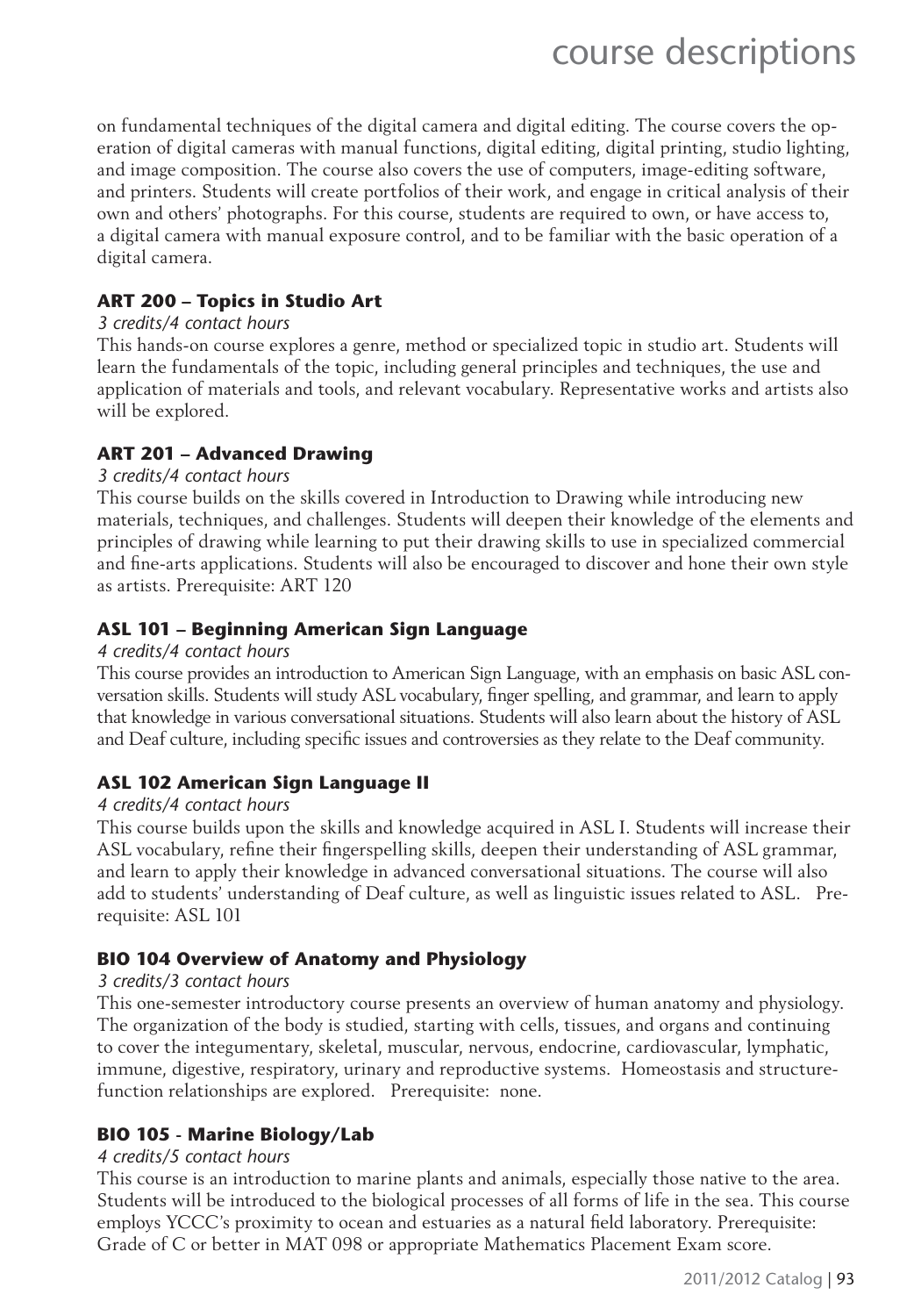on fundamental techniques of the digital camera and digital editing. The course covers the operation of digital cameras with manual functions, digital editing, digital printing, studio lighting, and image composition. The course also covers the use of computers, image-editing software, and printers. Students will create portfolios of their work, and engage in critical analysis of their own and others' photographs. For this course, students are required to own, or have access to, a digital camera with manual exposure control, and to be familiar with the basic operation of a digital camera.

#### **ART 200 – Topics in Studio Art**

#### *3 credits/4 contact hours*

This hands-on course explores a genre, method or specialized topic in studio art. Students will learn the fundamentals of the topic, including general principles and techniques, the use and application of materials and tools, and relevant vocabulary. Representative works and artists also will be explored.

#### **ART 201 – Advanced Drawing**

#### *3 credits/4 contact hours*

This course builds on the skills covered in Introduction to Drawing while introducing new materials, techniques, and challenges. Students will deepen their knowledge of the elements and principles of drawing while learning to put their drawing skills to use in specialized commercial and fine-arts applications. Students will also be encouraged to discover and hone their own style as artists. Prerequisite: ART 120

#### **ASL 101 – Beginning American Sign Language**

#### *4 credits/4 contact hours*

This course provides an introduction to American Sign Language, with an emphasis on basic ASL conversation skills. Students will study ASL vocabulary, finger spelling, and grammar, and learn to apply that knowledge in various conversational situations. Students will also learn about the history of ASL and Deaf culture, including specific issues and controversies as they relate to the Deaf community.

#### **ASL 102 American Sign Language II**

#### *4 credits/4 contact hours*

This course builds upon the skills and knowledge acquired in ASL I. Students will increase their ASL vocabulary, refine their fingerspelling skills, deepen their understanding of ASL grammar, and learn to apply their knowledge in advanced conversational situations. The course will also add to students' understanding of Deaf culture, as well as linguistic issues related to ASL. Prerequisite: ASL 101

#### **BIO 104 Overview of Anatomy and Physiology**

#### *3 credits/3 contact hours*

This one-semester introductory course presents an overview of human anatomy and physiology. The organization of the body is studied, starting with cells, tissues, and organs and continuing to cover the integumentary, skeletal, muscular, nervous, endocrine, cardiovascular, lymphatic, immune, digestive, respiratory, urinary and reproductive systems. Homeostasis and structurefunction relationships are explored. Prerequisite: none.

#### **BIO 105 - Marine Biology/Lab**

#### *4 credits/5 contact hours*

This course is an introduction to marine plants and animals, especially those native to the area. Students will be introduced to the biological processes of all forms of life in the sea. This course employs YCCC's proximity to ocean and estuaries as a natural field laboratory. Prerequisite: Grade of C or better in MAT 098 or appropriate Mathematics Placement Exam score.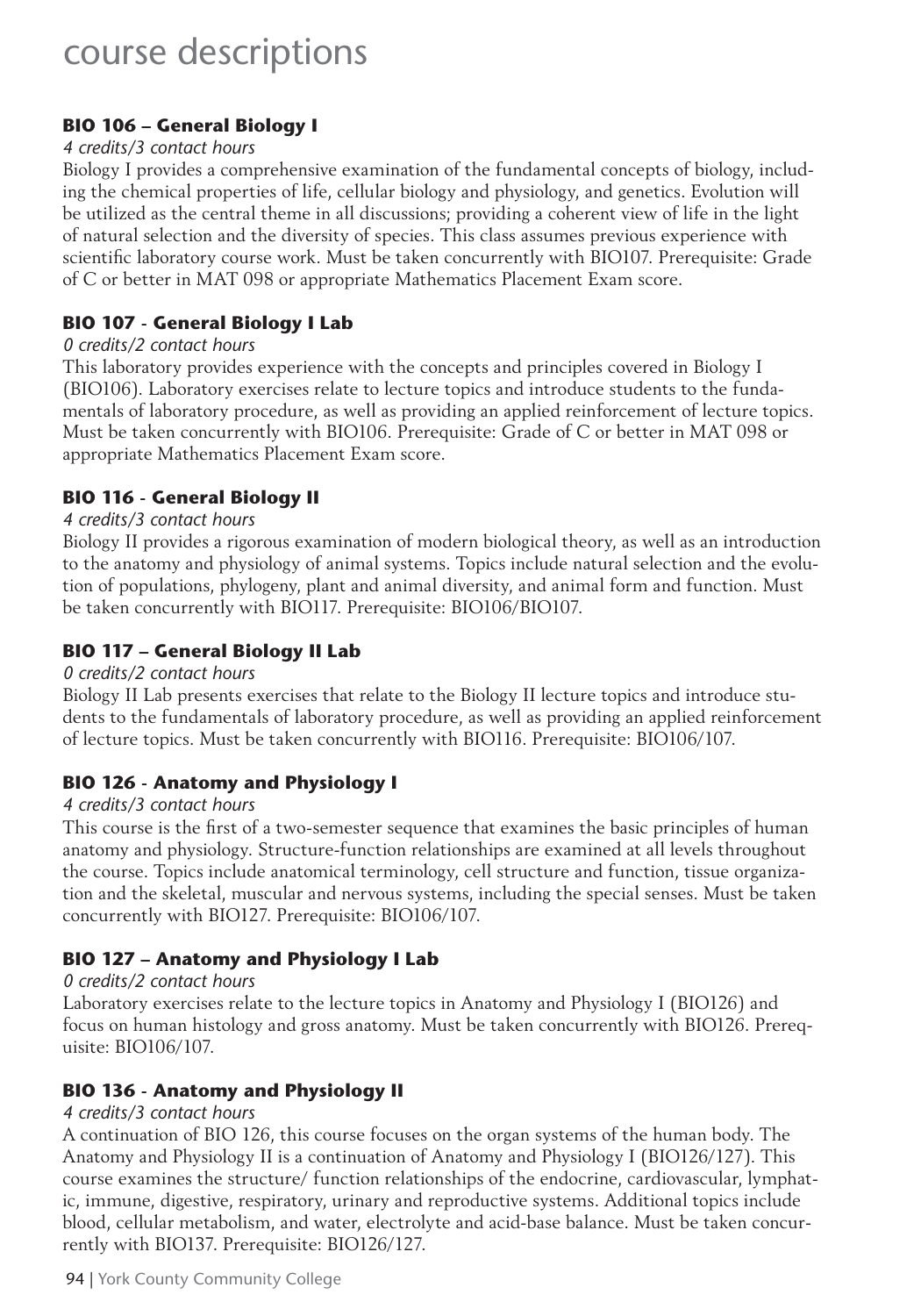#### **BIO 106 – General Biology I**

#### *4 credits/3 contact hours*

Biology I provides a comprehensive examination of the fundamental concepts of biology, including the chemical properties of life, cellular biology and physiology, and genetics. Evolution will be utilized as the central theme in all discussions; providing a coherent view of life in the light of natural selection and the diversity of species. This class assumes previous experience with scientific laboratory course work. Must be taken concurrently with BIO107. Prerequisite: Grade of C or better in MAT 098 or appropriate Mathematics Placement Exam score.

#### **BIO 107 - General Biology I Lab**

#### *0 credits/2 contact hours*

This laboratory provides experience with the concepts and principles covered in Biology I (BIO106). Laboratory exercises relate to lecture topics and introduce students to the fundamentals of laboratory procedure, as well as providing an applied reinforcement of lecture topics. Must be taken concurrently with BIO106. Prerequisite: Grade of C or better in MAT 098 or appropriate Mathematics Placement Exam score.

#### **BIO 116 - General Biology II**

#### *4 credits/3 contact hours*

Biology II provides a rigorous examination of modern biological theory, as well as an introduction to the anatomy and physiology of animal systems. Topics include natural selection and the evolution of populations, phylogeny, plant and animal diversity, and animal form and function. Must be taken concurrently with BIO117. Prerequisite: BIO106/BIO107.

#### **BIO 117 – General Biology II Lab**

#### *0 credits/2 contact hours*

Biology II Lab presents exercises that relate to the Biology II lecture topics and introduce students to the fundamentals of laboratory procedure, as well as providing an applied reinforcement of lecture topics. Must be taken concurrently with BIO116. Prerequisite: BIO106/107.

#### **BIO 126 - Anatomy and Physiology I**

#### *4 credits/3 contact hours*

This course is the first of a two-semester sequence that examines the basic principles of human anatomy and physiology. Structure-function relationships are examined at all levels throughout the course. Topics include anatomical terminology, cell structure and function, tissue organization and the skeletal, muscular and nervous systems, including the special senses. Must be taken concurrently with BIO127. Prerequisite: BIO106/107.

#### **BIO 127 – Anatomy and Physiology I Lab**

#### *0 credits/2 contact hours*

Laboratory exercises relate to the lecture topics in Anatomy and Physiology I (BIO126) and focus on human histology and gross anatomy. Must be taken concurrently with BIO126. Prerequisite: BIO106/107.

#### **BIO 136 - Anatomy and Physiology II**

#### *4 credits/3 contact hours*

A continuation of BIO 126, this course focuses on the organ systems of the human body. The Anatomy and Physiology II is a continuation of Anatomy and Physiology I (BIO126/127). This course examines the structure/ function relationships of the endocrine, cardiovascular, lymphatic, immune, digestive, respiratory, urinary and reproductive systems. Additional topics include blood, cellular metabolism, and water, electrolyte and acid-base balance. Must be taken concurrently with BIO137. Prerequisite: BIO126/127.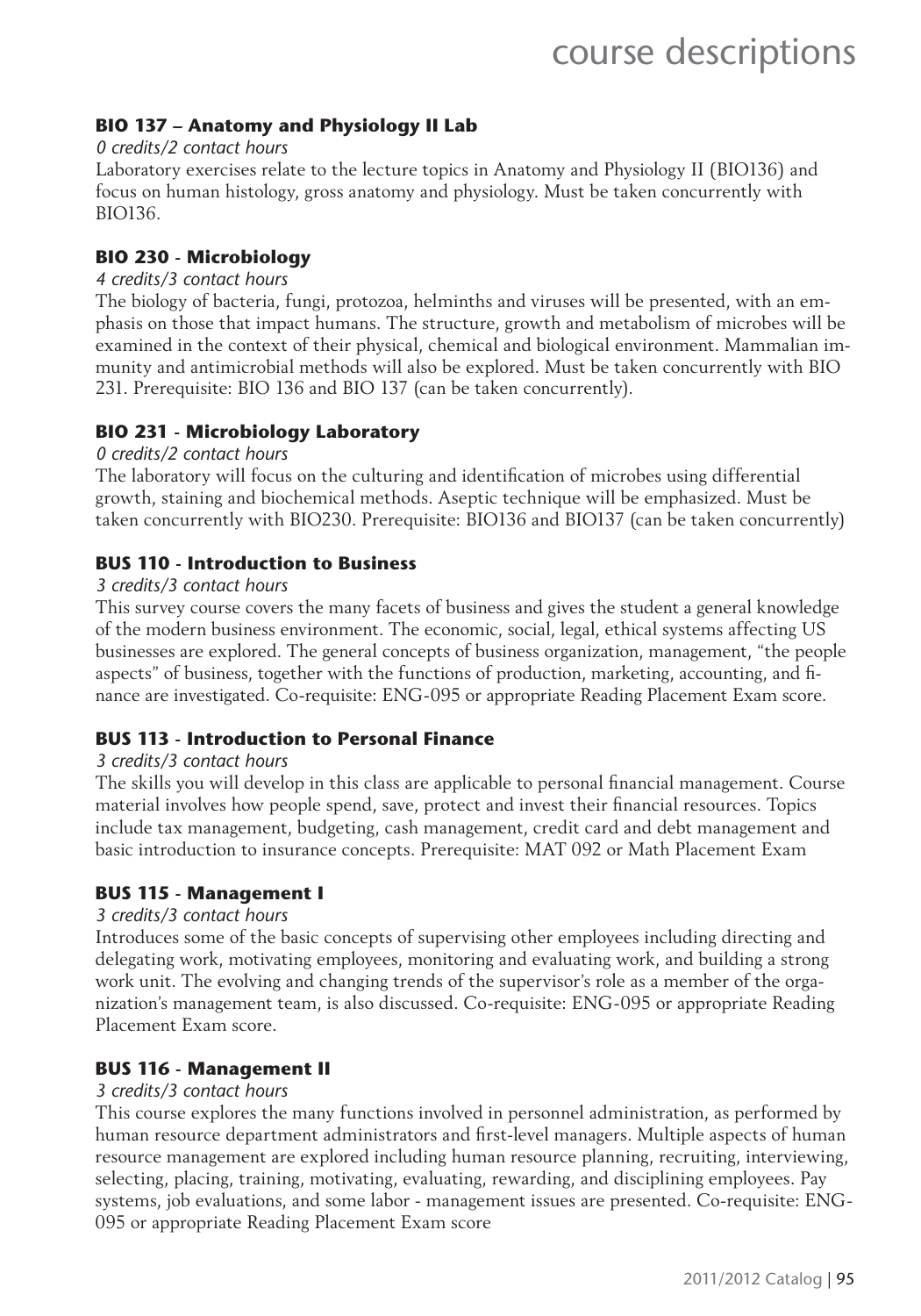#### **BIO 137 – Anatomy and Physiology II Lab**

#### *0 credits/2 contact hours*

Laboratory exercises relate to the lecture topics in Anatomy and Physiology II (BIO136) and focus on human histology, gross anatomy and physiology. Must be taken concurrently with BIO136.

#### **BIO 230 - Microbiology**

#### *4 credits/3 contact hours*

The biology of bacteria, fungi, protozoa, helminths and viruses will be presented, with an emphasis on those that impact humans. The structure, growth and metabolism of microbes will be examined in the context of their physical, chemical and biological environment. Mammalian immunity and antimicrobial methods will also be explored. Must be taken concurrently with BIO 231. Prerequisite: BIO 136 and BIO 137 (can be taken concurrently).

#### **BIO 231 - Microbiology Laboratory**

#### *0 credits/2 contact hours*

The laboratory will focus on the culturing and identification of microbes using differential growth, staining and biochemical methods. Aseptic technique will be emphasized. Must be taken concurrently with BIO230. Prerequisite: BIO136 and BIO137 (can be taken concurrently)

#### **BUS 110 - Introduction to Business**

#### *3 credits/3 contact hours*

This survey course covers the many facets of business and gives the student a general knowledge of the modern business environment. The economic, social, legal, ethical systems affecting US businesses are explored. The general concepts of business organization, management, "the people aspects" of business, together with the functions of production, marketing, accounting, and finance are investigated. Co-requisite: ENG-095 or appropriate Reading Placement Exam score.

#### **BUS 113 - Introduction to Personal Finance**

#### *3 credits/3 contact hours*

The skills you will develop in this class are applicable to personal financial management. Course material involves how people spend, save, protect and invest their financial resources. Topics include tax management, budgeting, cash management, credit card and debt management and basic introduction to insurance concepts. Prerequisite: MAT 092 or Math Placement Exam

#### **BUS 115 - Management I**

#### *3 credits/3 contact hours*

Introduces some of the basic concepts of supervising other employees including directing and delegating work, motivating employees, monitoring and evaluating work, and building a strong work unit. The evolving and changing trends of the supervisor's role as a member of the organization's management team, is also discussed. Co-requisite: ENG-095 or appropriate Reading Placement Exam score.

#### **BUS 116 - Management II**

#### *3 credits/3 contact hours*

This course explores the many functions involved in personnel administration, as performed by human resource department administrators and first-level managers. Multiple aspects of human resource management are explored including human resource planning, recruiting, interviewing, selecting, placing, training, motivating, evaluating, rewarding, and disciplining employees. Pay systems, job evaluations, and some labor - management issues are presented. Co-requisite: ENG-095 or appropriate Reading Placement Exam score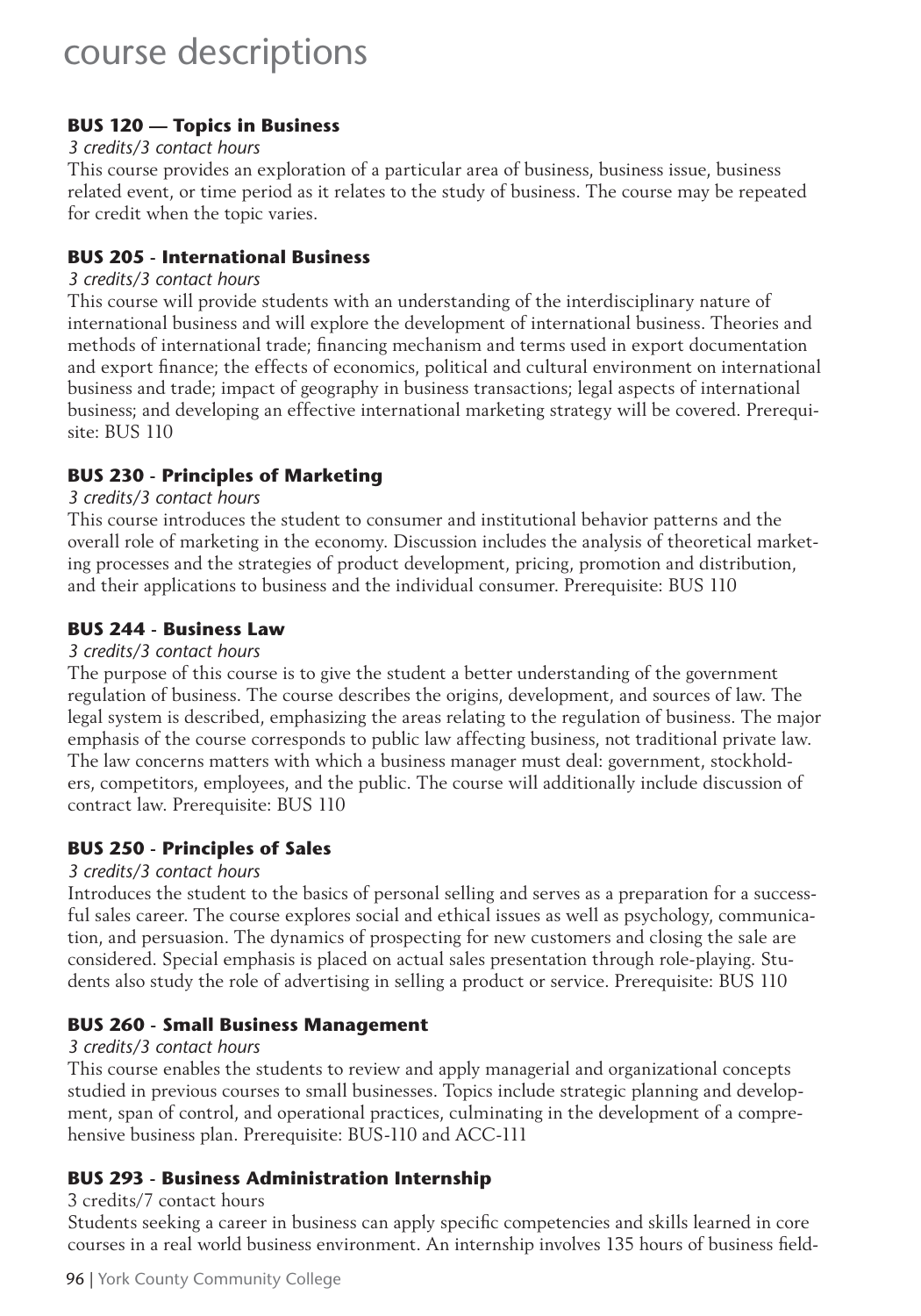#### **BUS 120 — Topics in Business**

#### *3 credits/3 contact hours*

This course provides an exploration of a particular area of business, business issue, business related event, or time period as it relates to the study of business. The course may be repeated for credit when the topic varies.

#### **BUS 205 - International Business**

#### *3 credits/3 contact hours*

This course will provide students with an understanding of the interdisciplinary nature of international business and will explore the development of international business. Theories and methods of international trade; financing mechanism and terms used in export documentation and export finance; the effects of economics, political and cultural environment on international business and trade; impact of geography in business transactions; legal aspects of international business; and developing an effective international marketing strategy will be covered. Prerequisite: BUS 110

#### **BUS 230 - Principles of Marketing**

#### *3 credits/3 contact hours*

This course introduces the student to consumer and institutional behavior patterns and the overall role of marketing in the economy. Discussion includes the analysis of theoretical marketing processes and the strategies of product development, pricing, promotion and distribution, and their applications to business and the individual consumer. Prerequisite: BUS 110

#### **BUS 244 - Business Law**

#### *3 credits/3 contact hours*

The purpose of this course is to give the student a better understanding of the government regulation of business. The course describes the origins, development, and sources of law. The legal system is described, emphasizing the areas relating to the regulation of business. The major emphasis of the course corresponds to public law affecting business, not traditional private law. The law concerns matters with which a business manager must deal: government, stockholders, competitors, employees, and the public. The course will additionally include discussion of contract law. Prerequisite: BUS 110

#### **BUS 250 - Principles of Sales**

#### *3 credits/3 contact hours*

Introduces the student to the basics of personal selling and serves as a preparation for a successful sales career. The course explores social and ethical issues as well as psychology, communication, and persuasion. The dynamics of prospecting for new customers and closing the sale are considered. Special emphasis is placed on actual sales presentation through role-playing. Students also study the role of advertising in selling a product or service. Prerequisite: BUS 110

#### **BUS 260 - Small Business Management**

#### *3 credits/3 contact hours*

This course enables the students to review and apply managerial and organizational concepts studied in previous courses to small businesses. Topics include strategic planning and development, span of control, and operational practices, culminating in the development of a comprehensive business plan. Prerequisite: BUS-110 and ACC-111

#### **BUS 293 - Business Administration Internship**

#### 3 credits/7 contact hours

Students seeking a career in business can apply specific competencies and skills learned in core courses in a real world business environment. An internship involves 135 hours of business field-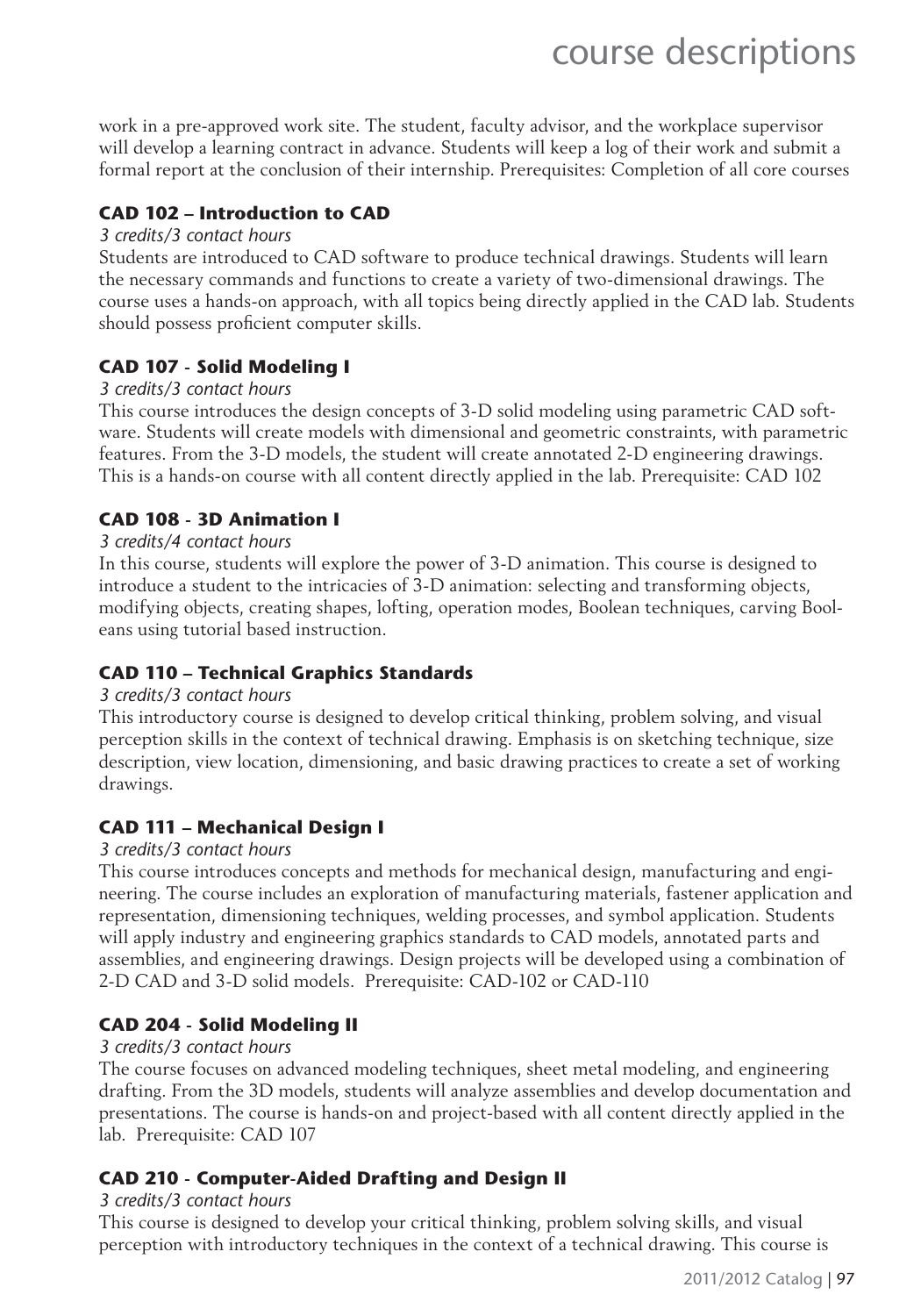work in a pre-approved work site. The student, faculty advisor, and the workplace supervisor will develop a learning contract in advance. Students will keep a log of their work and submit a formal report at the conclusion of their internship. Prerequisites: Completion of all core courses

#### **CAD 102 – Introduction to CAD**

#### *3 credits/3 contact hours*

Students are introduced to CAD software to produce technical drawings. Students will learn the necessary commands and functions to create a variety of two-dimensional drawings. The course uses a hands-on approach, with all topics being directly applied in the CAD lab. Students should possess proficient computer skills.

#### **CAD 107 - Solid Modeling I**

#### *3 credits/3 contact hours*

This course introduces the design concepts of 3-D solid modeling using parametric CAD software. Students will create models with dimensional and geometric constraints, with parametric features. From the 3-D models, the student will create annotated 2-D engineering drawings. This is a hands-on course with all content directly applied in the lab. Prerequisite: CAD 102

#### **CAD 108 - 3D Animation I**

#### *3 credits/4 contact hours*

In this course, students will explore the power of 3-D animation. This course is designed to introduce a student to the intricacies of 3-D animation: selecting and transforming objects, modifying objects, creating shapes, lofting, operation modes, Boolean techniques, carving Booleans using tutorial based instruction.

#### **CAD 110 – Technical Graphics Standards**

#### *3 credits/3 contact hours*

This introductory course is designed to develop critical thinking, problem solving, and visual perception skills in the context of technical drawing. Emphasis is on sketching technique, size description, view location, dimensioning, and basic drawing practices to create a set of working drawings.

#### **CAD 111 – Mechanical Design I**

#### *3 credits/3 contact hours*

This course introduces concepts and methods for mechanical design, manufacturing and engineering. The course includes an exploration of manufacturing materials, fastener application and representation, dimensioning techniques, welding processes, and symbol application. Students will apply industry and engineering graphics standards to CAD models, annotated parts and assemblies, and engineering drawings. Design projects will be developed using a combination of 2-D CAD and 3-D solid models. Prerequisite: CAD-102 or CAD-110

#### **CAD 204 - Solid Modeling II**

#### *3 credits/3 contact hours*

The course focuses on advanced modeling techniques, sheet metal modeling, and engineering drafting. From the 3D models, students will analyze assemblies and develop documentation and presentations. The course is hands-on and project-based with all content directly applied in the lab. Prerequisite: CAD 107

#### **CAD 210 - Computer-Aided Drafting and Design II**

#### *3 credits/3 contact hours*

This course is designed to develop your critical thinking, problem solving skills, and visual perception with introductory techniques in the context of a technical drawing. This course is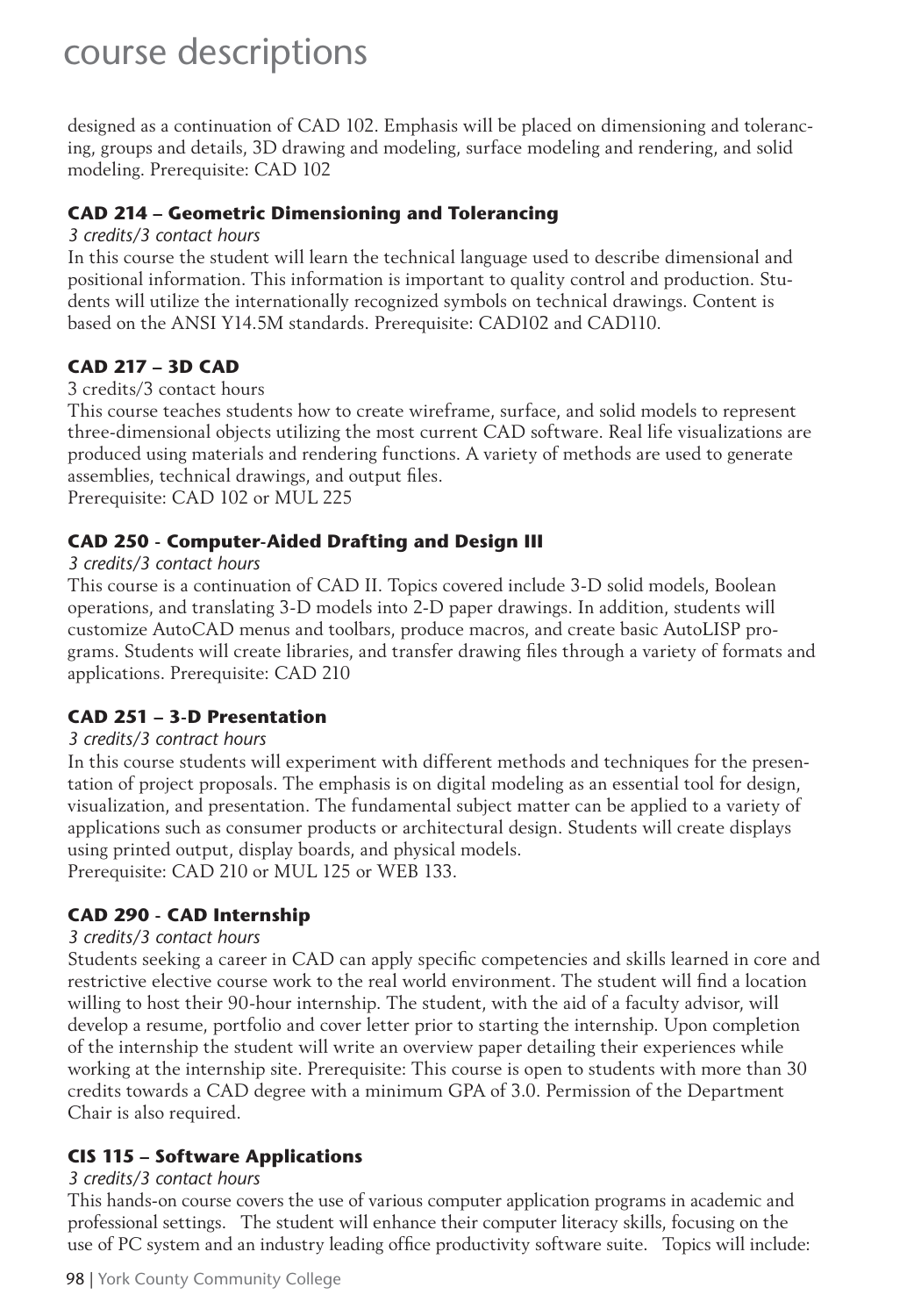designed as a continuation of CAD 102. Emphasis will be placed on dimensioning and tolerancing, groups and details, 3D drawing and modeling, surface modeling and rendering, and solid modeling. Prerequisite: CAD 102

#### **CAD 214 – Geometric Dimensioning and Tolerancing**

#### *3 credits/3 contact hours*

In this course the student will learn the technical language used to describe dimensional and positional information. This information is important to quality control and production. Students will utilize the internationally recognized symbols on technical drawings. Content is based on the ANSI Y14.5M standards. Prerequisite: CAD102 and CAD110.

#### **CAD 217 – 3D CAD**

#### 3 credits/3 contact hours

This course teaches students how to create wireframe, surface, and solid models to represent three-dimensional objects utilizing the most current CAD software. Real life visualizations are produced using materials and rendering functions. A variety of methods are used to generate assemblies, technical drawings, and output files.

Prerequisite: CAD 102 or MUL 225

#### **CAD 250 - Computer-Aided Drafting and Design III**

#### *3 credits/3 contact hours*

This course is a continuation of CAD II. Topics covered include 3-D solid models, Boolean operations, and translating 3-D models into 2-D paper drawings. In addition, students will customize AutoCAD menus and toolbars, produce macros, and create basic AutoLISP programs. Students will create libraries, and transfer drawing files through a variety of formats and applications. Prerequisite: CAD 210

#### **CAD 251 – 3-D Presentation**

#### *3 credits/3 contract hours*

In this course students will experiment with different methods and techniques for the presentation of project proposals. The emphasis is on digital modeling as an essential tool for design, visualization, and presentation. The fundamental subject matter can be applied to a variety of applications such as consumer products or architectural design. Students will create displays using printed output, display boards, and physical models. Prerequisite: CAD 210 or MUL 125 or WEB 133.

#### **CAD 290 - CAD Internship**

#### *3 credits/3 contact hours*

Students seeking a career in CAD can apply specific competencies and skills learned in core and restrictive elective course work to the real world environment. The student will find a location willing to host their 90-hour internship. The student, with the aid of a faculty advisor, will develop a resume, portfolio and cover letter prior to starting the internship. Upon completion of the internship the student will write an overview paper detailing their experiences while working at the internship site. Prerequisite: This course is open to students with more than 30 credits towards a CAD degree with a minimum GPA of 3.0. Permission of the Department Chair is also required.

#### **CIS 115 – Software Applications**

#### *3 credits/3 contact hours*

This hands-on course covers the use of various computer application programs in academic and professional settings. The student will enhance their computer literacy skills, focusing on the use of PC system and an industry leading office productivity software suite. Topics will include: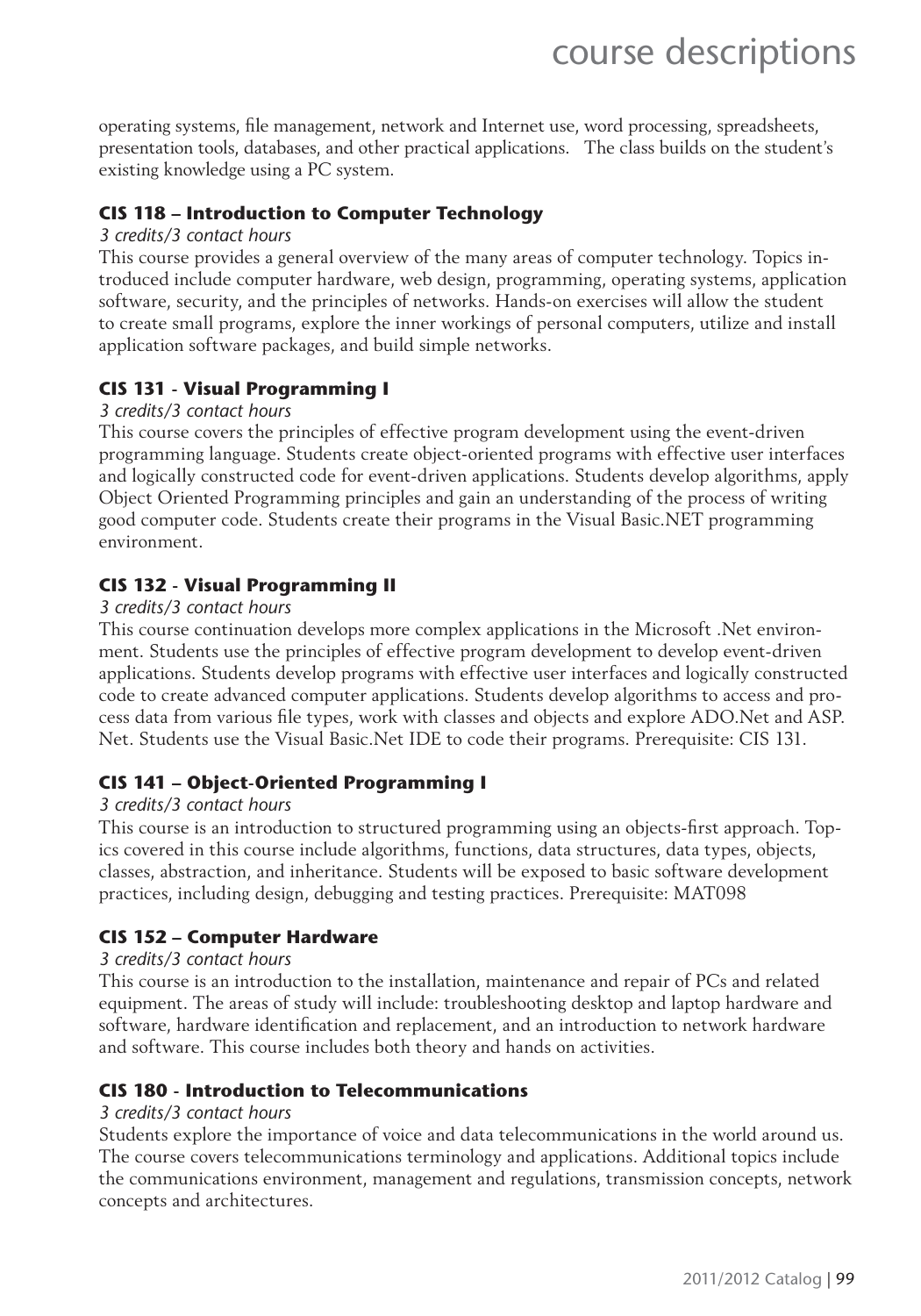operating systems, file management, network and Internet use, word processing, spreadsheets, presentation tools, databases, and other practical applications. The class builds on the student's existing knowledge using a PC system.

#### **CIS 118 – Introduction to Computer Technology**

#### *3 credits/3 contact hours*

This course provides a general overview of the many areas of computer technology. Topics introduced include computer hardware, web design, programming, operating systems, application software, security, and the principles of networks. Hands-on exercises will allow the student to create small programs, explore the inner workings of personal computers, utilize and install application software packages, and build simple networks.

#### **CIS 131 - Visual Programming I**

#### *3 credits/3 contact hours*

This course covers the principles of effective program development using the event-driven programming language. Students create object-oriented programs with effective user interfaces and logically constructed code for event-driven applications. Students develop algorithms, apply Object Oriented Programming principles and gain an understanding of the process of writing good computer code. Students create their programs in the Visual Basic.NET programming environment.

#### **CIS 132 - Visual Programming II**

#### *3 credits/3 contact hours*

This course continuation develops more complex applications in the Microsoft .Net environment. Students use the principles of effective program development to develop event-driven applications. Students develop programs with effective user interfaces and logically constructed code to create advanced computer applications. Students develop algorithms to access and process data from various file types, work with classes and objects and explore ADO.Net and ASP. Net. Students use the Visual Basic.Net IDE to code their programs. Prerequisite: CIS 131.

#### **CIS 141 – Object-Oriented Programming I**

#### *3 credits/3 contact hours*

This course is an introduction to structured programming using an objects-first approach. Topics covered in this course include algorithms, functions, data structures, data types, objects, classes, abstraction, and inheritance. Students will be exposed to basic software development practices, including design, debugging and testing practices. Prerequisite: MAT098

#### **CIS 152 – Computer Hardware**

#### *3 credits/3 contact hours*

This course is an introduction to the installation, maintenance and repair of PCs and related equipment. The areas of study will include: troubleshooting desktop and laptop hardware and software, hardware identification and replacement, and an introduction to network hardware and software. This course includes both theory and hands on activities.

#### **CIS 180 - Introduction to Telecommunications**

#### *3 credits/3 contact hours*

Students explore the importance of voice and data telecommunications in the world around us. The course covers telecommunications terminology and applications. Additional topics include the communications environment, management and regulations, transmission concepts, network concepts and architectures.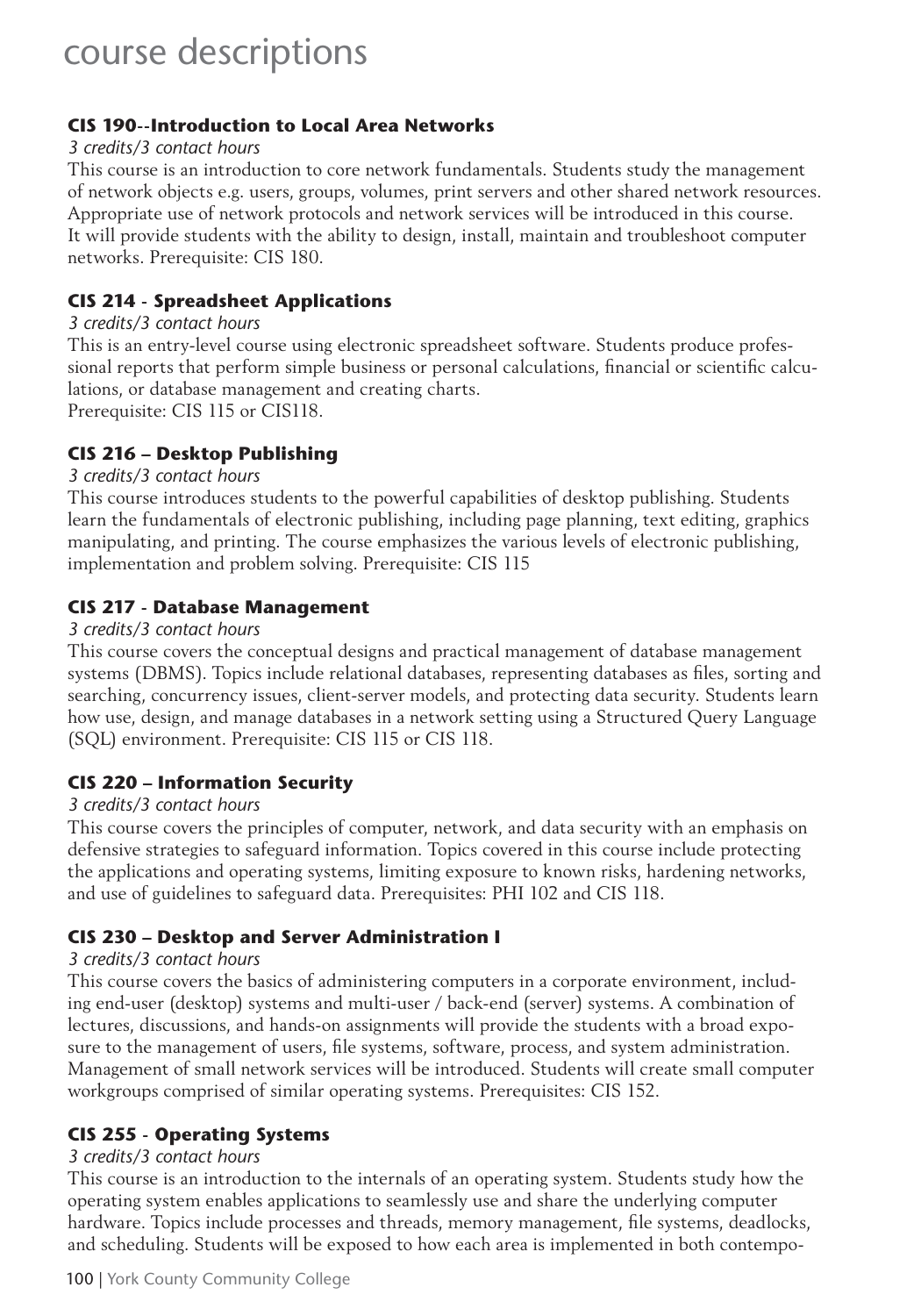#### **CIS 190--Introduction to Local Area Networks**

#### *3 credits/3 contact hours*

This course is an introduction to core network fundamentals. Students study the management of network objects e.g. users, groups, volumes, print servers and other shared network resources. Appropriate use of network protocols and network services will be introduced in this course. It will provide students with the ability to design, install, maintain and troubleshoot computer networks. Prerequisite: CIS 180.

#### **CIS 214 - Spreadsheet Applications**

*3 credits/3 contact hours*

This is an entry-level course using electronic spreadsheet software. Students produce professional reports that perform simple business or personal calculations, financial or scientific calculations, or database management and creating charts.

Prerequisite: CIS 115 or CIS118.

#### **CIS 216 – Desktop Publishing**

#### *3 credits/3 contact hours*

This course introduces students to the powerful capabilities of desktop publishing. Students learn the fundamentals of electronic publishing, including page planning, text editing, graphics manipulating, and printing. The course emphasizes the various levels of electronic publishing, implementation and problem solving. Prerequisite: CIS 115

#### **CIS 217 - Database Management**

#### *3 credits/3 contact hours*

This course covers the conceptual designs and practical management of database management systems (DBMS). Topics include relational databases, representing databases as files, sorting and searching, concurrency issues, client-server models, and protecting data security. Students learn how use, design, and manage databases in a network setting using a Structured Query Language (SQL) environment. Prerequisite: CIS 115 or CIS 118.

#### **CIS 220 – Information Security**

#### *3 credits/3 contact hours*

This course covers the principles of computer, network, and data security with an emphasis on defensive strategies to safeguard information. Topics covered in this course include protecting the applications and operating systems, limiting exposure to known risks, hardening networks, and use of guidelines to safeguard data. Prerequisites: PHI 102 and CIS 118.

#### **CIS 230 – Desktop and Server Administration I**

#### *3 credits/3 contact hours*

This course covers the basics of administering computers in a corporate environment, including end-user (desktop) systems and multi-user / back-end (server) systems. A combination of lectures, discussions, and hands-on assignments will provide the students with a broad exposure to the management of users, file systems, software, process, and system administration. Management of small network services will be introduced. Students will create small computer workgroups comprised of similar operating systems. Prerequisites: CIS 152.

#### **CIS 255 - Operating Systems**

#### *3 credits/3 contact hours*

This course is an introduction to the internals of an operating system. Students study how the operating system enables applications to seamlessly use and share the underlying computer hardware. Topics include processes and threads, memory management, file systems, deadlocks, and scheduling. Students will be exposed to how each area is implemented in both contempo-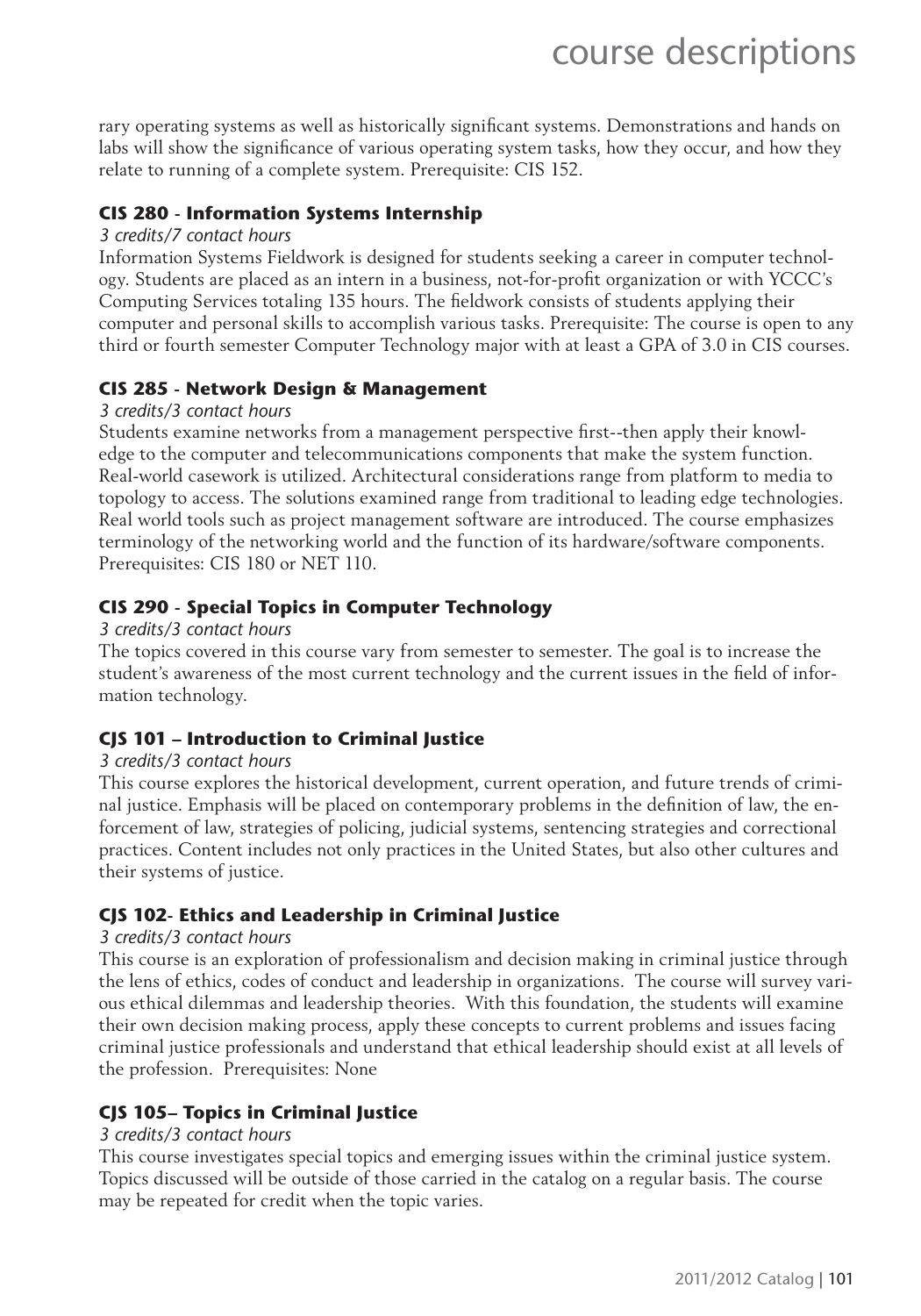rary operating systems as well as historically significant systems. Demonstrations and hands on labs will show the significance of various operating system tasks, how they occur, and how they relate to running of a complete system. Prerequisite: CIS 152.

#### **CIS 280 - Information Systems Internship**

#### *3 credits/7 contact hours*

Information Systems Fieldwork is designed for students seeking a career in computer technology. Students are placed as an intern in a business, not-for-profi t organization or with YCCC's Computing Services totaling 135 hours. The fieldwork consists of students applying their computer and personal skills to accomplish various tasks. Prerequisite: The course is open to any third or fourth semester Computer Technology major with at least a GPA of 3.0 in CIS courses.

#### **CIS 285 - Network Design & Management**

#### *3 credits/3 contact hours*

Students examine networks from a management perspective first--then apply their knowledge to the computer and telecommunications components that make the system function. Real-world casework is utilized. Architectural considerations range from platform to media to topology to access. The solutions examined range from traditional to leading edge technologies. Real world tools such as project management software are introduced. The course emphasizes terminology of the networking world and the function of its hardware/software components. Prerequisites: CIS 180 or NET 110.

#### **CIS 290 - Special Topics in Computer Technology**

#### *3 credits/3 contact hours*

The topics covered in this course vary from semester to semester. The goal is to increase the student's awareness of the most current technology and the current issues in the field of information technology.

#### **CJS 101 – Introduction to Criminal Justice**

#### *3 credits/3 contact hours*

This course explores the historical development, current operation, and future trends of criminal justice. Emphasis will be placed on contemporary problems in the definition of law, the enforcement of law, strategies of policing, judicial systems, sentencing strategies and correctional practices. Content includes not only practices in the United States, but also other cultures and their systems of justice.

#### **CJS 102- Ethics and Leadership in Criminal Justice**

#### *3 credits/3 contact hours*

This course is an exploration of professionalism and decision making in criminal justice through the lens of ethics, codes of conduct and leadership in organizations. The course will survey various ethical dilemmas and leadership theories. With this foundation, the students will examine their own decision making process, apply these concepts to current problems and issues facing criminal justice professionals and understand that ethical leadership should exist at all levels of the profession. Prerequisites: None

#### **CJS 105– Topics in Criminal Justice**

#### *3 credits/3 contact hours*

This course investigates special topics and emerging issues within the criminal justice system. Topics discussed will be outside of those carried in the catalog on a regular basis. The course may be repeated for credit when the topic varies.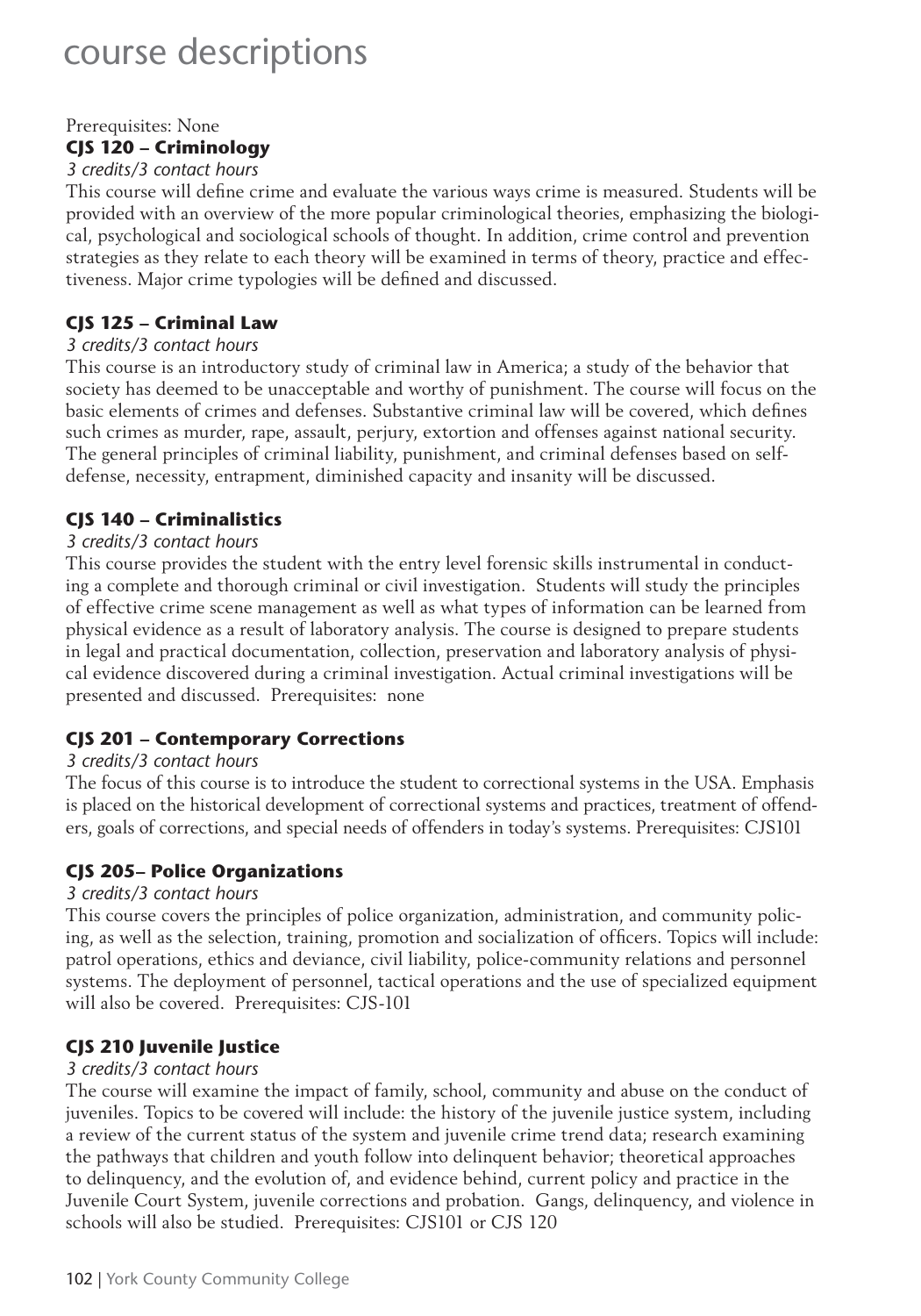#### Prerequisites: None **CJS 120 – Criminology**

#### *3 credits/3 contact hours*

This course will define crime and evaluate the various ways crime is measured. Students will be provided with an overview of the more popular criminological theories, emphasizing the biological, psychological and sociological schools of thought. In addition, crime control and prevention strategies as they relate to each theory will be examined in terms of theory, practice and effectiveness. Major crime typologies will be defined and discussed.

#### **CJS 125 – Criminal Law**

#### *3 credits/3 contact hours*

This course is an introductory study of criminal law in America; a study of the behavior that society has deemed to be unacceptable and worthy of punishment. The course will focus on the basic elements of crimes and defenses. Substantive criminal law will be covered, which defines such crimes as murder, rape, assault, perjury, extortion and offenses against national security. The general principles of criminal liability, punishment, and criminal defenses based on selfdefense, necessity, entrapment, diminished capacity and insanity will be discussed.

#### **CJS 140 – Criminalistics**

#### *3 credits/3 contact hours*

This course provides the student with the entry level forensic skills instrumental in conducting a complete and thorough criminal or civil investigation. Students will study the principles of effective crime scene management as well as what types of information can be learned from physical evidence as a result of laboratory analysis. The course is designed to prepare students in legal and practical documentation, collection, preservation and laboratory analysis of physical evidence discovered during a criminal investigation. Actual criminal investigations will be presented and discussed. Prerequisites: none

#### **CJS 201 – Contemporary Corrections**

#### *3 credits/3 contact hours*

The focus of this course is to introduce the student to correctional systems in the USA. Emphasis is placed on the historical development of correctional systems and practices, treatment of offenders, goals of corrections, and special needs of offenders in today's systems. Prerequisites: CJS101

#### **CJS 205– Police Organizations**

#### *3 credits/3 contact hours*

This course covers the principles of police organization, administration, and community policing, as well as the selection, training, promotion and socialization of officers. Topics will include: patrol operations, ethics and deviance, civil liability, police-community relations and personnel systems. The deployment of personnel, tactical operations and the use of specialized equipment will also be covered. Prerequisites: CJS-101

#### **CJS 210 Juvenile Justice**

#### *3 credits/3 contact hours*

The course will examine the impact of family, school, community and abuse on the conduct of juveniles. Topics to be covered will include: the history of the juvenile justice system, including a review of the current status of the system and juvenile crime trend data; research examining the pathways that children and youth follow into delinquent behavior; theoretical approaches to delinquency, and the evolution of, and evidence behind, current policy and practice in the Juvenile Court System, juvenile corrections and probation. Gangs, delinquency, and violence in schools will also be studied. Prerequisites: CJS101 or CJS 120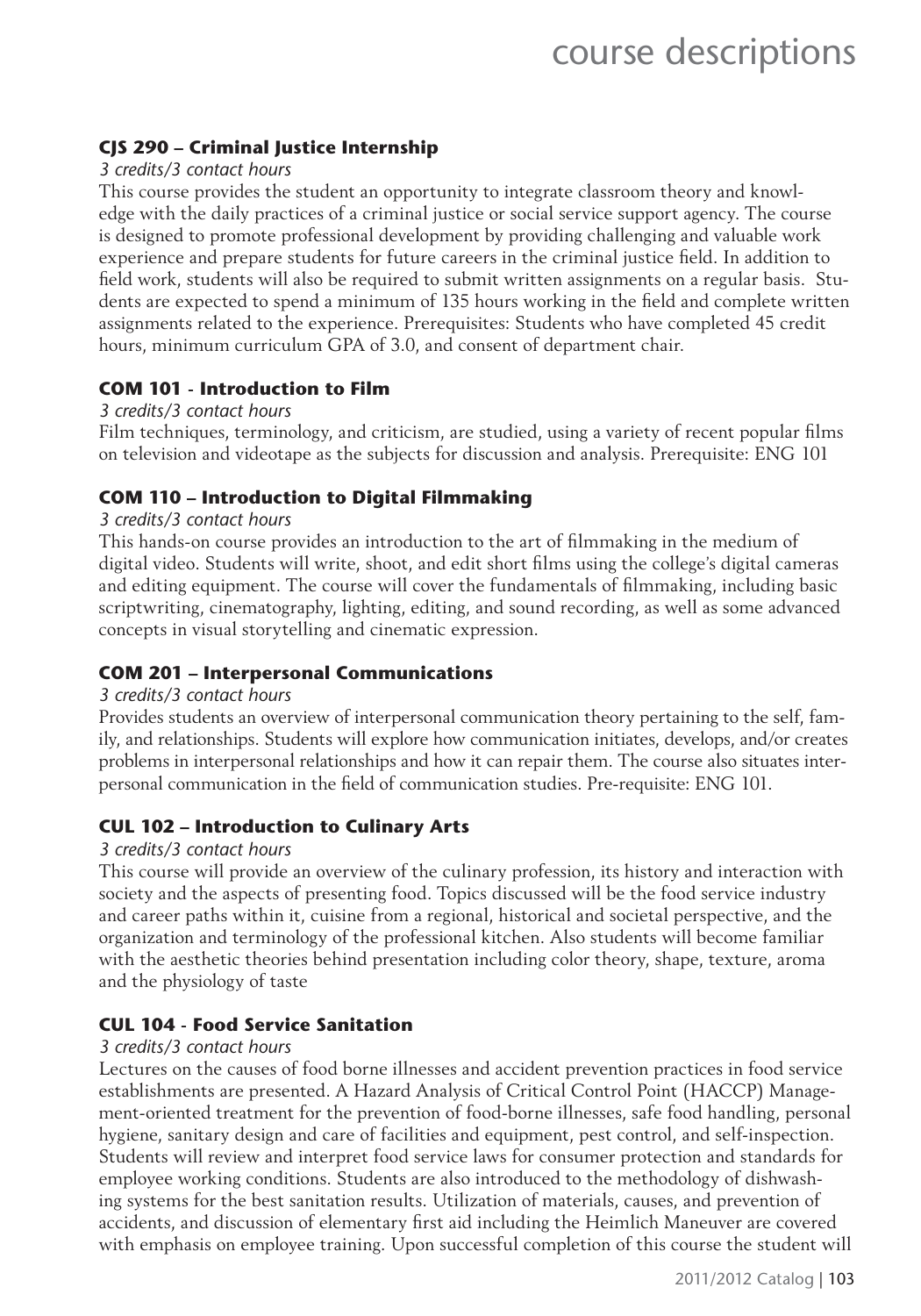#### **CJS 290 – Criminal Justice Internship**

#### *3 credits/3 contact hours*

This course provides the student an opportunity to integrate classroom theory and knowledge with the daily practices of a criminal justice or social service support agency. The course is designed to promote professional development by providing challenging and valuable work experience and prepare students for future careers in the criminal justice field. In addition to field work, students will also be required to submit written assignments on a regular basis. Students are expected to spend a minimum of 135 hours working in the field and complete written assignments related to the experience. Prerequisites: Students who have completed 45 credit hours, minimum curriculum GPA of 3.0, and consent of department chair.

#### **COM 101 - Introduction to Film**

#### *3 credits/3 contact hours*

Film techniques, terminology, and criticism, are studied, using a variety of recent popular films on television and videotape as the subjects for discussion and analysis. Prerequisite: ENG 101

#### **COM 110 – Introduction to Digital Filmmaking**

#### *3 credits/3 contact hours*

This hands-on course provides an introduction to the art of filmmaking in the medium of digital video. Students will write, shoot, and edit short films using the college's digital cameras and editing equipment. The course will cover the fundamentals of filmmaking, including basic scriptwriting, cinematography, lighting, editing, and sound recording, as well as some advanced concepts in visual storytelling and cinematic expression.

#### **COM 201 – Interpersonal Communications**

#### *3 credits/3 contact hours*

Provides students an overview of interpersonal communication theory pertaining to the self, family, and relationships. Students will explore how communication initiates, develops, and/or creates problems in interpersonal relationships and how it can repair them. The course also situates interpersonal communication in the field of communication studies. Pre-requisite: ENG 101.

#### **CUL 102 – Introduction to Culinary Arts**

#### *3 credits/3 contact hours*

This course will provide an overview of the culinary profession, its history and interaction with society and the aspects of presenting food. Topics discussed will be the food service industry and career paths within it, cuisine from a regional, historical and societal perspective, and the organization and terminology of the professional kitchen. Also students will become familiar with the aesthetic theories behind presentation including color theory, shape, texture, aroma and the physiology of taste

#### **CUL 104 - Food Service Sanitation**

#### *3 credits/3 contact hours*

Lectures on the causes of food borne illnesses and accident prevention practices in food service establishments are presented. A Hazard Analysis of Critical Control Point (HACCP) Management-oriented treatment for the prevention of food-borne illnesses, safe food handling, personal hygiene, sanitary design and care of facilities and equipment, pest control, and self-inspection. Students will review and interpret food service laws for consumer protection and standards for employee working conditions. Students are also introduced to the methodology of dishwashing systems for the best sanitation results. Utilization of materials, causes, and prevention of accidents, and discussion of elementary first aid including the Heimlich Maneuver are covered with emphasis on employee training. Upon successful completion of this course the student will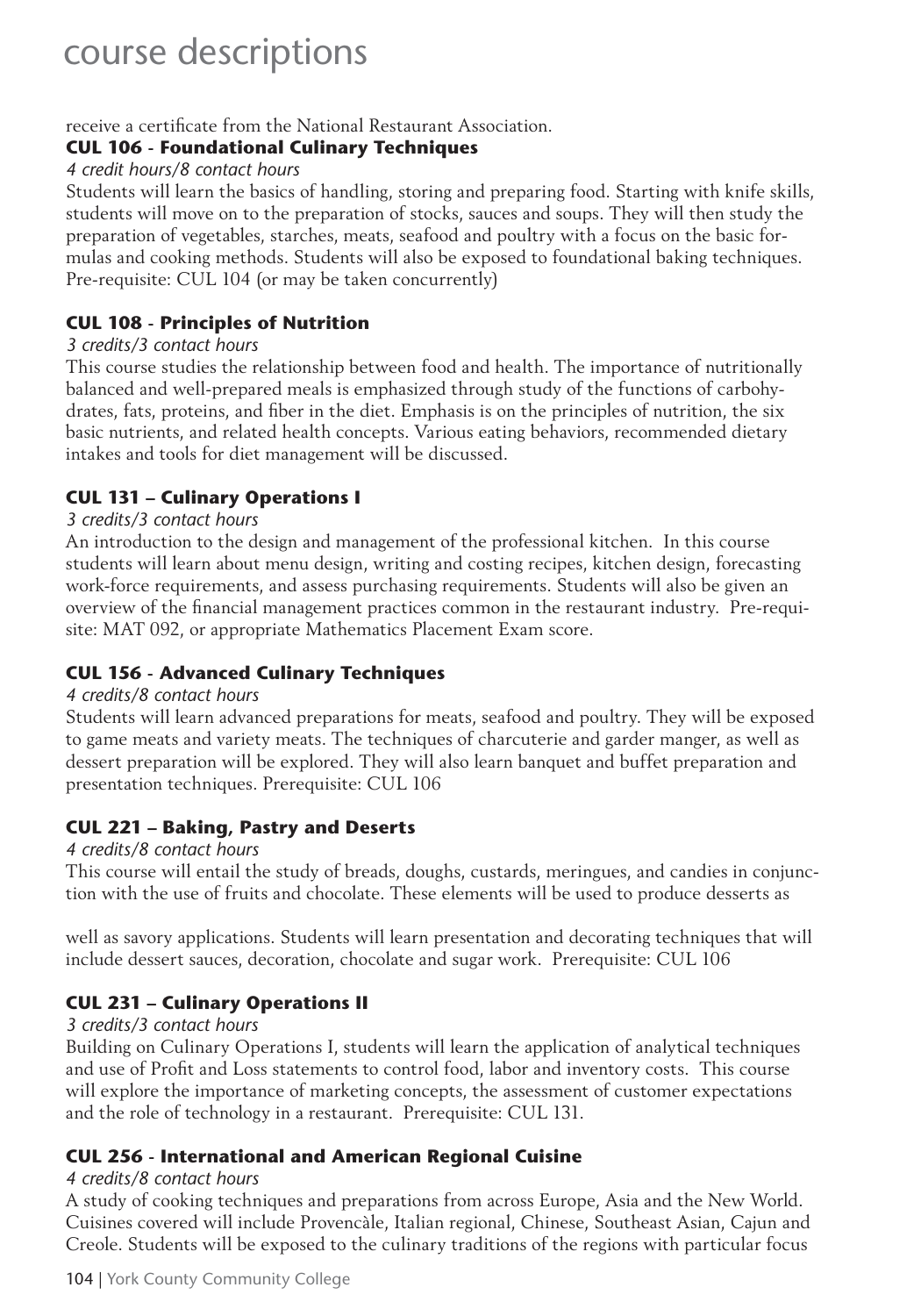receive a certificate from the National Restaurant Association.

#### **CUL 106 - Foundational Culinary Techniques**

#### *4 credit hours/8 contact hours*

Students will learn the basics of handling, storing and preparing food. Starting with knife skills, students will move on to the preparation of stocks, sauces and soups. They will then study the preparation of vegetables, starches, meats, seafood and poultry with a focus on the basic formulas and cooking methods. Students will also be exposed to foundational baking techniques. Pre-requisite: CUL 104 (or may be taken concurrently)

#### **CUL 108 - Principles of Nutrition**

#### *3 credits/3 contact hours*

This course studies the relationship between food and health. The importance of nutritionally balanced and well-prepared meals is emphasized through study of the functions of carbohydrates, fats, proteins, and fiber in the diet. Emphasis is on the principles of nutrition, the six basic nutrients, and related health concepts. Various eating behaviors, recommended dietary intakes and tools for diet management will be discussed.

#### **CUL 131 – Culinary Operations I**

#### *3 credits/3 contact hours*

An introduction to the design and management of the professional kitchen. In this course students will learn about menu design, writing and costing recipes, kitchen design, forecasting work-force requirements, and assess purchasing requirements. Students will also be given an overview of the financial management practices common in the restaurant industry. Pre-requisite: MAT 092, or appropriate Mathematics Placement Exam score.

#### **CUL 156 - Advanced Culinary Techniques**

#### *4 credits/8 contact hours*

Students will learn advanced preparations for meats, seafood and poultry. They will be exposed to game meats and variety meats. The techniques of charcuterie and garder manger, as well as dessert preparation will be explored. They will also learn banquet and buffet preparation and presentation techniques. Prerequisite: CUL 106

#### **CUL 221 – Baking, Pastry and Deserts**

#### *4 credits/8 contact hours*

This course will entail the study of breads, doughs, custards, meringues, and candies in conjunction with the use of fruits and chocolate. These elements will be used to produce desserts as

well as savory applications. Students will learn presentation and decorating techniques that will include dessert sauces, decoration, chocolate and sugar work. Prerequisite: CUL 106

#### **CUL 231 – Culinary Operations II**

#### *3 credits/3 contact hours*

Building on Culinary Operations I, students will learn the application of analytical techniques and use of Profit and Loss statements to control food, labor and inventory costs. This course will explore the importance of marketing concepts, the assessment of customer expectations and the role of technology in a restaurant. Prerequisite: CUL 131.

#### **CUL 256 - International and American Regional Cuisine**

#### *4 credits/8 contact hours*

A study of cooking techniques and preparations from across Europe, Asia and the New World. Cuisines covered will include Provencàle, Italian regional, Chinese, Southeast Asian, Cajun and Creole. Students will be exposed to the culinary traditions of the regions with particular focus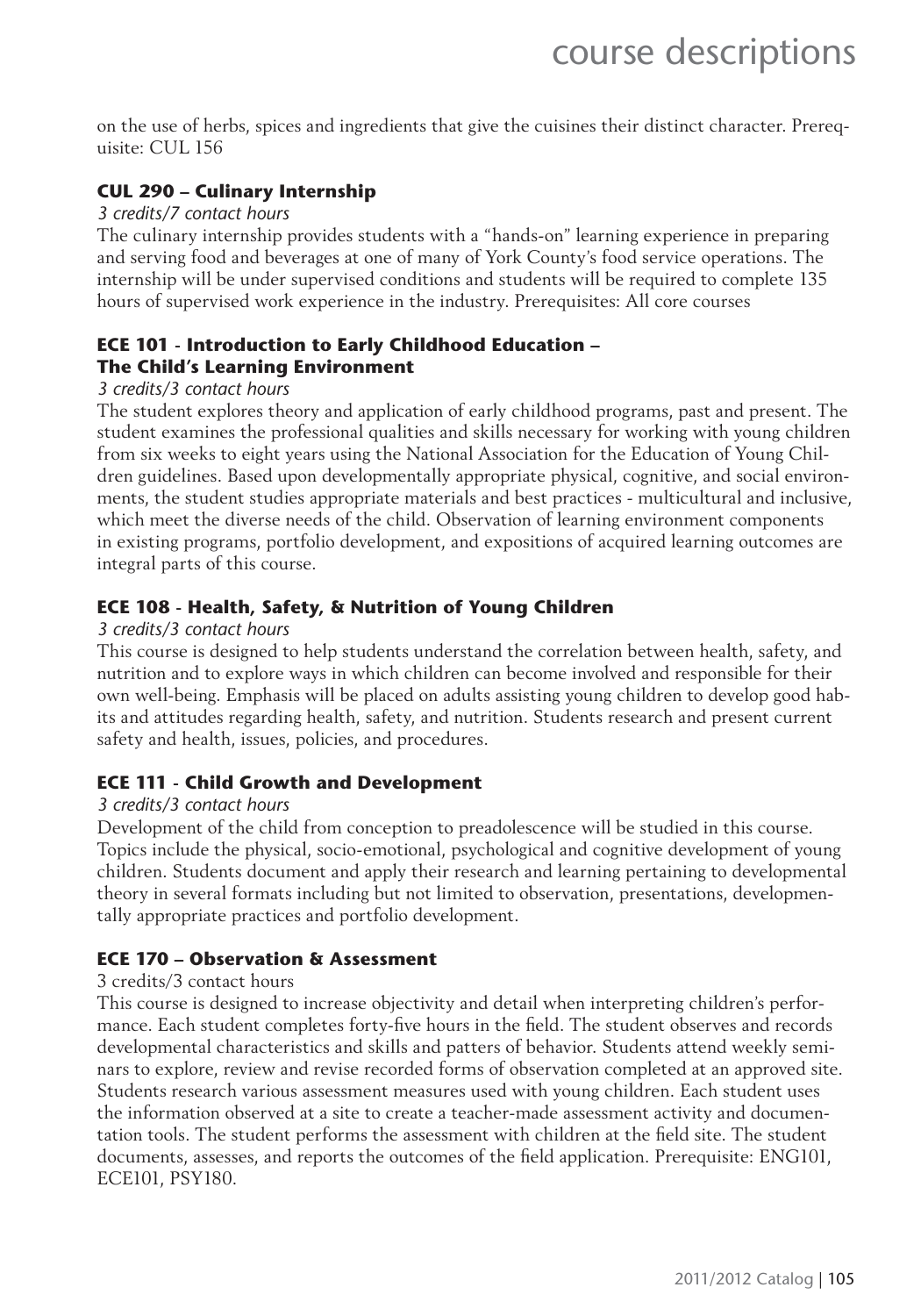on the use of herbs, spices and ingredients that give the cuisines their distinct character. Prerequisite: CUL 156

#### **CUL 290 – Culinary Internship**

#### *3 credits/7 contact hours*

The culinary internship provides students with a "hands-on" learning experience in preparing and serving food and beverages at one of many of York County's food service operations. The internship will be under supervised conditions and students will be required to complete 135 hours of supervised work experience in the industry. Prerequisites: All core courses

#### **ECE 101 - Introduction to Early Childhood Education – The Child's Learning Environment**

#### *3 credits/3 contact hours*

The student explores theory and application of early childhood programs, past and present. The student examines the professional qualities and skills necessary for working with young children from six weeks to eight years using the National Association for the Education of Young Children guidelines. Based upon developmentally appropriate physical, cognitive, and social environments, the student studies appropriate materials and best practices - multicultural and inclusive, which meet the diverse needs of the child. Observation of learning environment components in existing programs, portfolio development, and expositions of acquired learning outcomes are integral parts of this course.

#### **ECE 108 - Health, Safety, & Nutrition of Young Children**

#### *3 credits/3 contact hours*

This course is designed to help students understand the correlation between health, safety, and nutrition and to explore ways in which children can become involved and responsible for their own well-being. Emphasis will be placed on adults assisting young children to develop good habits and attitudes regarding health, safety, and nutrition. Students research and present current safety and health, issues, policies, and procedures.

#### **ECE 111 - Child Growth and Development**

#### *3 credits/3 contact hours*

Development of the child from conception to preadolescence will be studied in this course. Topics include the physical, socio-emotional, psychological and cognitive development of young children. Students document and apply their research and learning pertaining to developmental theory in several formats including but not limited to observation, presentations, developmentally appropriate practices and portfolio development.

#### **ECE 170 – Observation & Assessment**

#### 3 credits/3 contact hours

This course is designed to increase objectivity and detail when interpreting children's performance. Each student completes forty-five hours in the field. The student observes and records developmental characteristics and skills and patters of behavior. Students attend weekly seminars to explore, review and revise recorded forms of observation completed at an approved site. Students research various assessment measures used with young children. Each student uses the information observed at a site to create a teacher-made assessment activity and documentation tools. The student performs the assessment with children at the field site. The student documents, assesses, and reports the outcomes of the field application. Prerequisite: ENG101, ECE101, PSY180.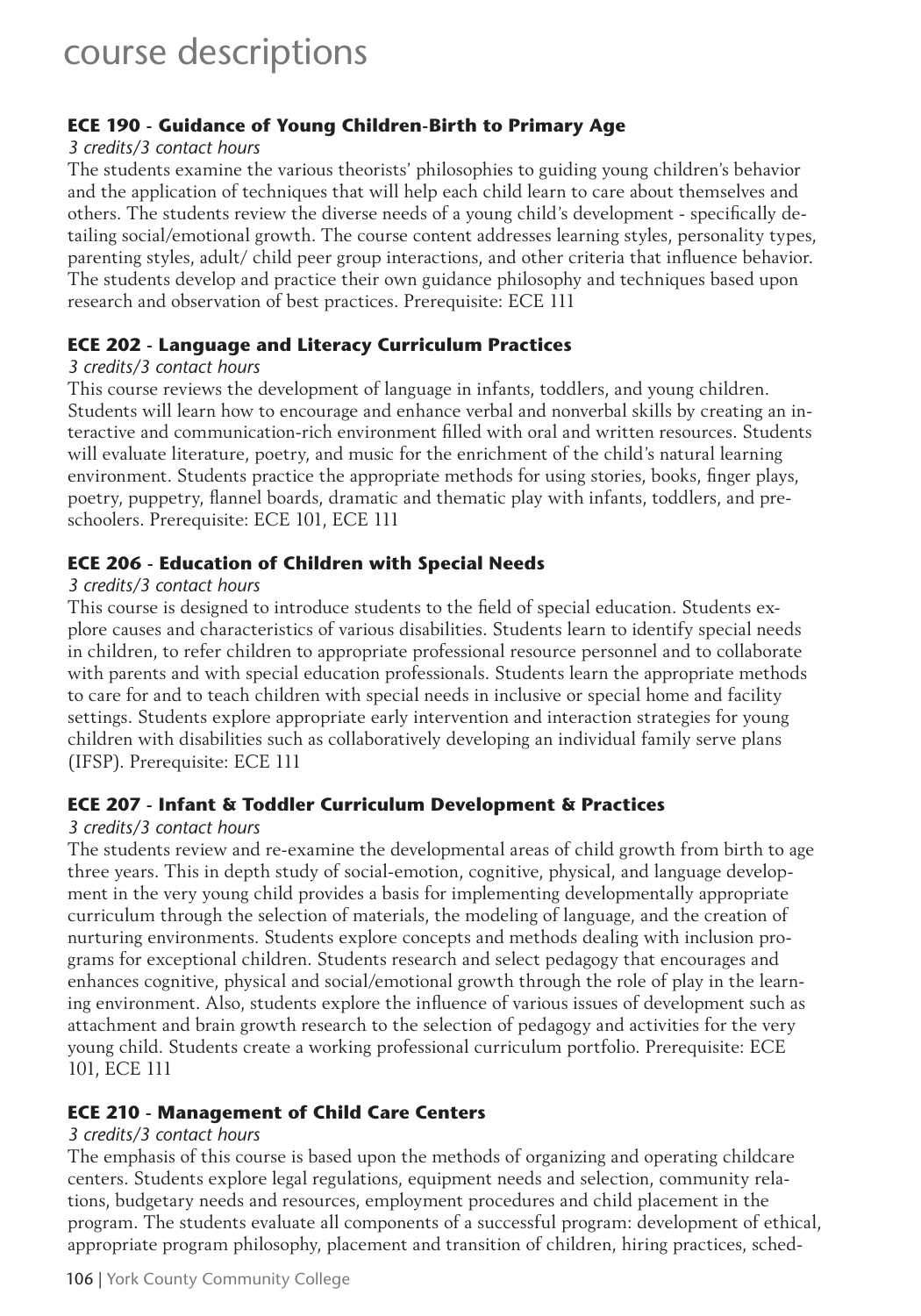#### **ECE 190 - Guidance of Young Children-Birth to Primary Age**

#### *3 credits/3 contact hours*

The students examine the various theorists' philosophies to guiding young children's behavior and the application of techniques that will help each child learn to care about themselves and others. The students review the diverse needs of a young child's development - specifically detailing social/emotional growth. The course content addresses learning styles, personality types, parenting styles, adult/ child peer group interactions, and other criteria that influence behavior. The students develop and practice their own guidance philosophy and techniques based upon research and observation of best practices. Prerequisite: ECE 111

#### **ECE 202 - Language and Literacy Curriculum Practices**

#### *3 credits/3 contact hours*

This course reviews the development of language in infants, toddlers, and young children. Students will learn how to encourage and enhance verbal and nonverbal skills by creating an interactive and communication-rich environment filled with oral and written resources. Students will evaluate literature, poetry, and music for the enrichment of the child's natural learning environment. Students practice the appropriate methods for using stories, books, finger plays, poetry, puppetry, flannel boards, dramatic and thematic play with infants, toddlers, and preschoolers. Prerequisite: ECE 101, ECE 111

#### **ECE 206 - Education of Children with Special Needs**

#### *3 credits/3 contact hours*

This course is designed to introduce students to the field of special education. Students explore causes and characteristics of various disabilities. Students learn to identify special needs in children, to refer children to appropriate professional resource personnel and to collaborate with parents and with special education professionals. Students learn the appropriate methods to care for and to teach children with special needs in inclusive or special home and facility settings. Students explore appropriate early intervention and interaction strategies for young children with disabilities such as collaboratively developing an individual family serve plans (IFSP). Prerequisite: ECE 111

#### **ECE 207 - Infant & Toddler Curriculum Development & Practices**

#### *3 credits/3 contact hours*

The students review and re-examine the developmental areas of child growth from birth to age three years. This in depth study of social-emotion, cognitive, physical, and language development in the very young child provides a basis for implementing developmentally appropriate curriculum through the selection of materials, the modeling of language, and the creation of nurturing environments. Students explore concepts and methods dealing with inclusion programs for exceptional children. Students research and select pedagogy that encourages and enhances cognitive, physical and social/emotional growth through the role of play in the learning environment. Also, students explore the influence of various issues of development such as attachment and brain growth research to the selection of pedagogy and activities for the very young child. Students create a working professional curriculum portfolio. Prerequisite: ECE 101, ECE 111

#### **ECE 210 - Management of Child Care Centers**

#### *3 credits/3 contact hours*

The emphasis of this course is based upon the methods of organizing and operating childcare centers. Students explore legal regulations, equipment needs and selection, community relations, budgetary needs and resources, employment procedures and child placement in the program. The students evaluate all components of a successful program: development of ethical, appropriate program philosophy, placement and transition of children, hiring practices, sched-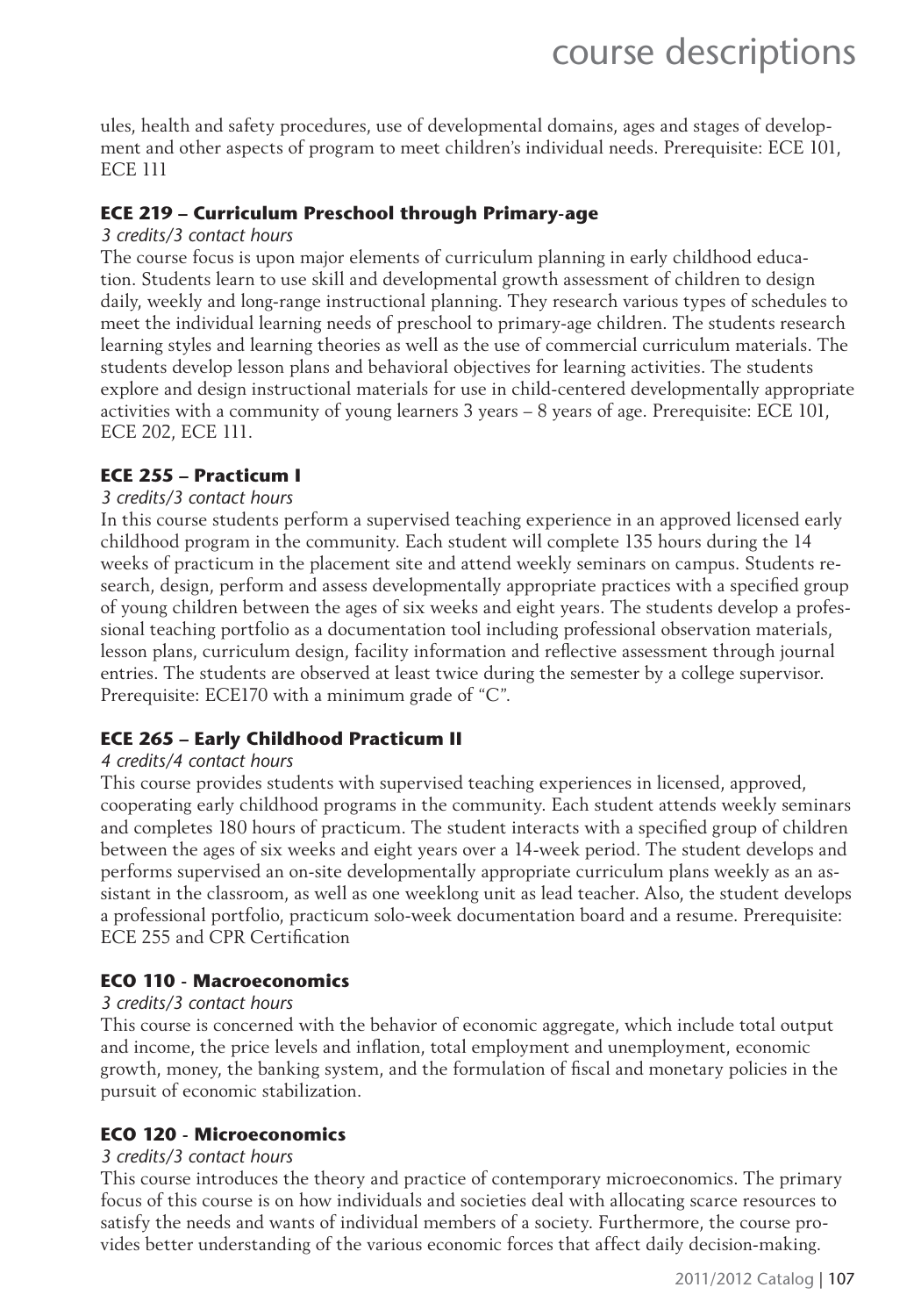ules, health and safety procedures, use of developmental domains, ages and stages of development and other aspects of program to meet children's individual needs. Prerequisite: ECE 101, ECE 111

#### **ECE 219 – Curriculum Preschool through Primary-age**

#### *3 credits/3 contact hours*

The course focus is upon major elements of curriculum planning in early childhood education. Students learn to use skill and developmental growth assessment of children to design daily, weekly and long-range instructional planning. They research various types of schedules to meet the individual learning needs of preschool to primary-age children. The students research learning styles and learning theories as well as the use of commercial curriculum materials. The students develop lesson plans and behavioral objectives for learning activities. The students explore and design instructional materials for use in child-centered developmentally appropriate activities with a community of young learners 3 years – 8 years of age. Prerequisite: ECE 101, ECE 202, ECE 111.

#### **ECE 255 – Practicum I**

#### *3 credits/3 contact hours*

In this course students perform a supervised teaching experience in an approved licensed early childhood program in the community. Each student will complete 135 hours during the 14 weeks of practicum in the placement site and attend weekly seminars on campus. Students research, design, perform and assess developmentally appropriate practices with a specified group of young children between the ages of six weeks and eight years. The students develop a professional teaching portfolio as a documentation tool including professional observation materials, lesson plans, curriculum design, facility information and reflective assessment through journal entries. The students are observed at least twice during the semester by a college supervisor. Prerequisite: ECE170 with a minimum grade of "C".

#### **ECE 265 – Early Childhood Practicum II**

#### *4 credits/4 contact hours*

This course provides students with supervised teaching experiences in licensed, approved, cooperating early childhood programs in the community. Each student attends weekly seminars and completes 180 hours of practicum. The student interacts with a specified group of children between the ages of six weeks and eight years over a 14-week period. The student develops and performs supervised an on-site developmentally appropriate curriculum plans weekly as an assistant in the classroom, as well as one weeklong unit as lead teacher. Also, the student develops a professional portfolio, practicum solo-week documentation board and a resume. Prerequisite: ECE 255 and CPR Certification

#### **ECO 110 - Macroeconomics**

#### *3 credits/3 contact hours*

This course is concerned with the behavior of economic aggregate, which include total output and income, the price levels and inflation, total employment and unemployment, economic growth, money, the banking system, and the formulation of fiscal and monetary policies in the pursuit of economic stabilization.

#### **ECO 120 - Microeconomics**

#### *3 credits/3 contact hours*

This course introduces the theory and practice of contemporary microeconomics. The primary focus of this course is on how individuals and societies deal with allocating scarce resources to satisfy the needs and wants of individual members of a society. Furthermore, the course provides better understanding of the various economic forces that affect daily decision-making.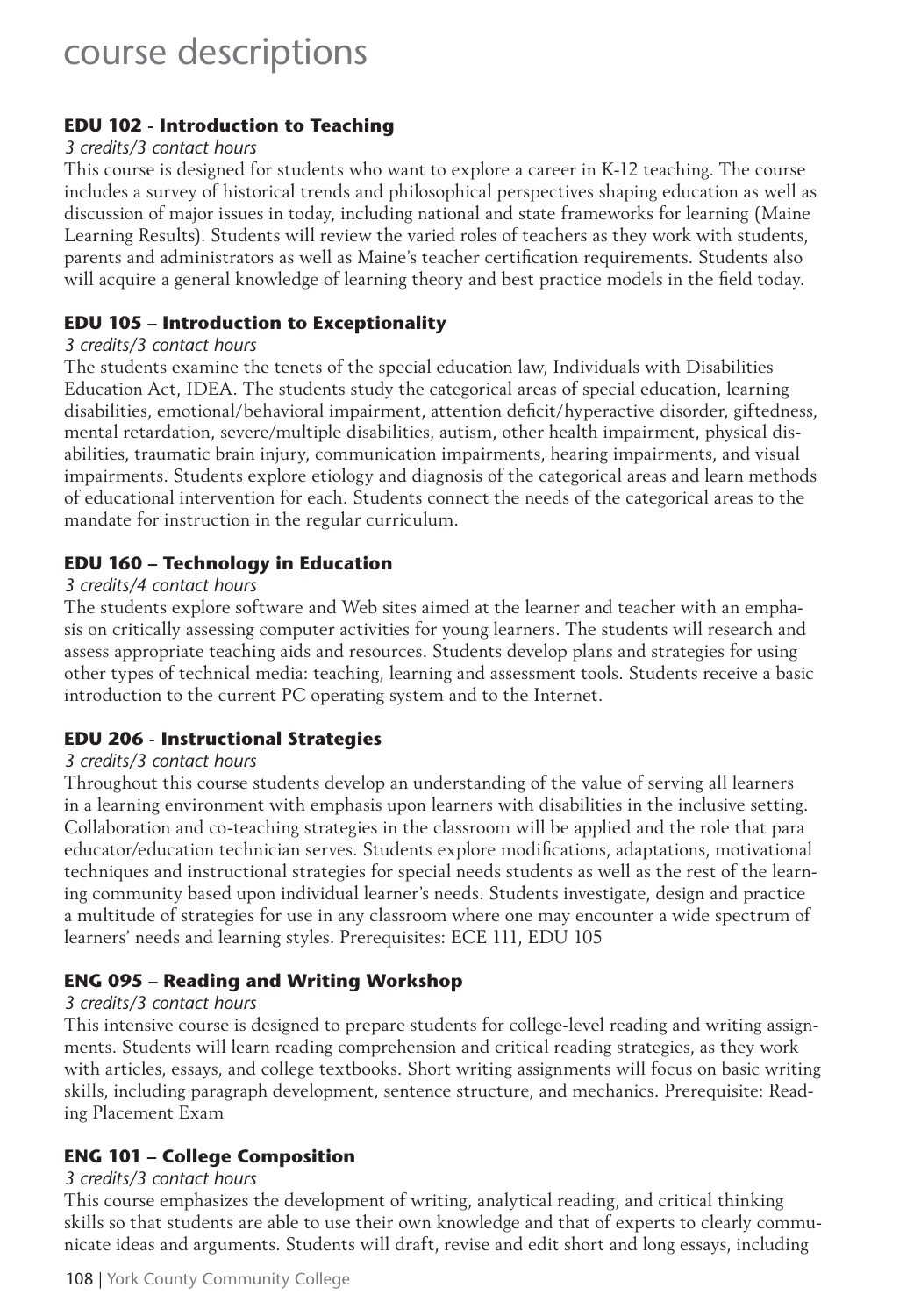#### **EDU 102 - Introduction to Teaching**

#### *3 credits/3 contact hours*

This course is designed for students who want to explore a career in K-12 teaching. The course includes a survey of historical trends and philosophical perspectives shaping education as well as discussion of major issues in today, including national and state frameworks for learning (Maine Learning Results). Students will review the varied roles of teachers as they work with students, parents and administrators as well as Maine's teacher certification requirements. Students also will acquire a general knowledge of learning theory and best practice models in the field today.

#### **EDU 105 – Introduction to Exceptionality**

#### *3 credits/3 contact hours*

The students examine the tenets of the special education law, Individuals with Disabilities Education Act, IDEA. The students study the categorical areas of special education, learning disabilities, emotional/behavioral impairment, attention deficit/hyperactive disorder, giftedness, mental retardation, severe/multiple disabilities, autism, other health impairment, physical disabilities, traumatic brain injury, communication impairments, hearing impairments, and visual impairments. Students explore etiology and diagnosis of the categorical areas and learn methods of educational intervention for each. Students connect the needs of the categorical areas to the mandate for instruction in the regular curriculum.

#### **EDU 160 – Technology in Education**

#### *3 credits/4 contact hours*

The students explore software and Web sites aimed at the learner and teacher with an emphasis on critically assessing computer activities for young learners. The students will research and assess appropriate teaching aids and resources. Students develop plans and strategies for using other types of technical media: teaching, learning and assessment tools. Students receive a basic introduction to the current PC operating system and to the Internet.

#### **EDU 206 - Instructional Strategies**

#### *3 credits/3 contact hours*

Throughout this course students develop an understanding of the value of serving all learners in a learning environment with emphasis upon learners with disabilities in the inclusive setting. Collaboration and co-teaching strategies in the classroom will be applied and the role that para educator/education technician serves. Students explore modifications, adaptations, motivational techniques and instructional strategies for special needs students as well as the rest of the learning community based upon individual learner's needs. Students investigate, design and practice a multitude of strategies for use in any classroom where one may encounter a wide spectrum of learners' needs and learning styles. Prerequisites: ECE 111, EDU 105

#### **ENG 095 – Reading and Writing Workshop**

#### *3 credits/3 contact hours*

This intensive course is designed to prepare students for college-level reading and writing assignments. Students will learn reading comprehension and critical reading strategies, as they work with articles, essays, and college textbooks. Short writing assignments will focus on basic writing skills, including paragraph development, sentence structure, and mechanics. Prerequisite: Reading Placement Exam

#### **ENG 101 – College Composition**

#### *3 credits/3 contact hours*

This course emphasizes the development of writing, analytical reading, and critical thinking skills so that students are able to use their own knowledge and that of experts to clearly communicate ideas and arguments. Students will draft, revise and edit short and long essays, including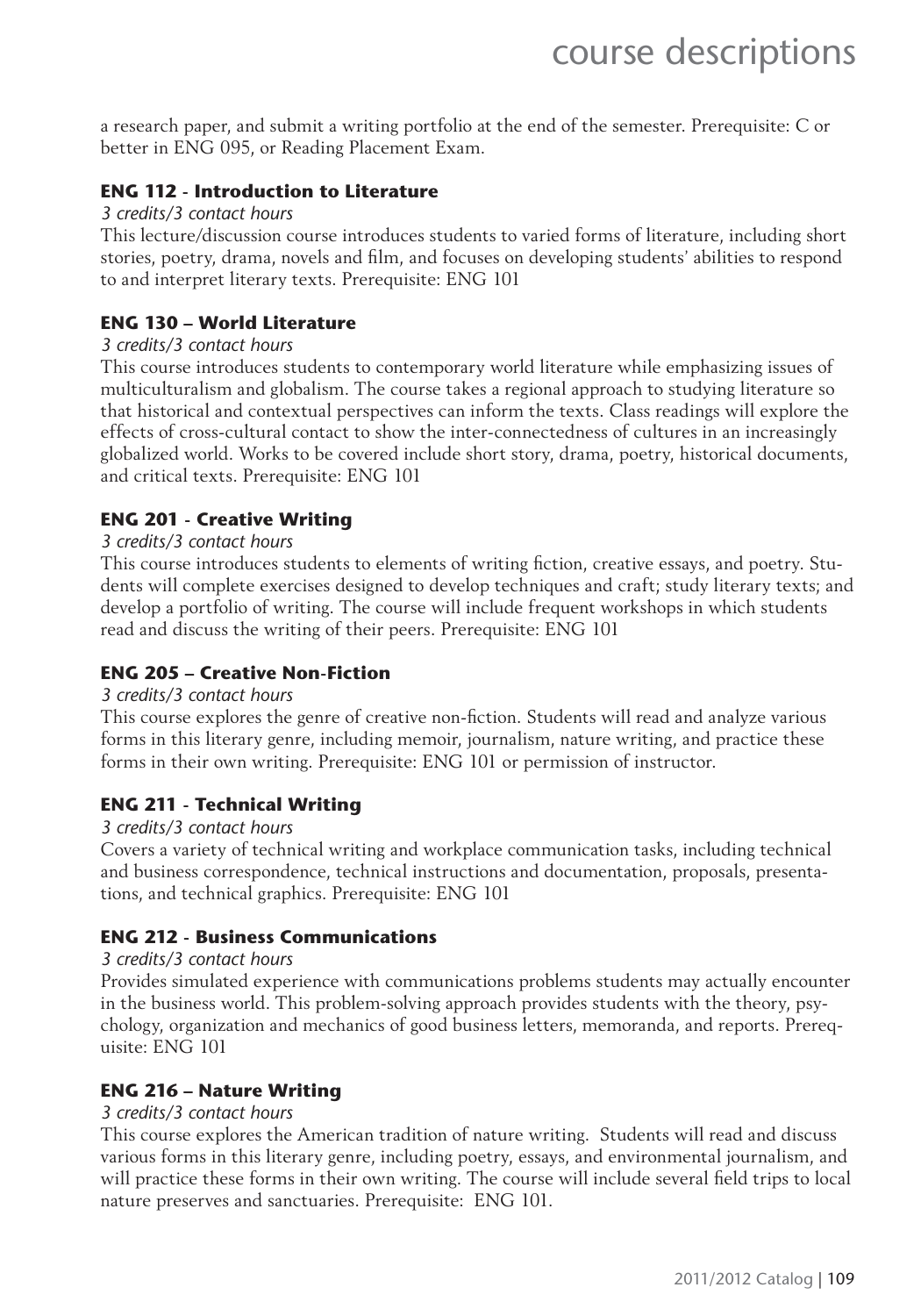a research paper, and submit a writing portfolio at the end of the semester. Prerequisite: C or better in ENG 095, or Reading Placement Exam.

#### **ENG 112 - Introduction to Literature**

#### *3 credits/3 contact hours*

This lecture/discussion course introduces students to varied forms of literature, including short stories, poetry, drama, novels and film, and focuses on developing students' abilities to respond to and interpret literary texts. Prerequisite: ENG 101

#### **ENG 130 – World Literature**

#### *3 credits/3 contact hours*

This course introduces students to contemporary world literature while emphasizing issues of multiculturalism and globalism. The course takes a regional approach to studying literature so that historical and contextual perspectives can inform the texts. Class readings will explore the effects of cross-cultural contact to show the inter-connectedness of cultures in an increasingly globalized world. Works to be covered include short story, drama, poetry, historical documents, and critical texts. Prerequisite: ENG 101

#### **ENG 201 - Creative Writing**

#### *3 credits/3 contact hours*

This course introduces students to elements of writing fiction, creative essays, and poetry. Students will complete exercises designed to develop techniques and craft; study literary texts; and develop a portfolio of writing. The course will include frequent workshops in which students read and discuss the writing of their peers. Prerequisite: ENG 101

#### **ENG 205 – Creative Non-Fiction**

#### *3 credits/3 contact hours*

This course explores the genre of creative non-fiction. Students will read and analyze various forms in this literary genre, including memoir, journalism, nature writing, and practice these forms in their own writing. Prerequisite: ENG 101 or permission of instructor.

#### **ENG 211 - Technical Writing**

#### *3 credits/3 contact hours*

Covers a variety of technical writing and workplace communication tasks, including technical and business correspondence, technical instructions and documentation, proposals, presentations, and technical graphics. Prerequisite: ENG 101

#### **ENG 212 - Business Communications**

#### *3 credits/3 contact hours*

Provides simulated experience with communications problems students may actually encounter in the business world. This problem-solving approach provides students with the theory, psychology, organization and mechanics of good business letters, memoranda, and reports. Prerequisite: ENG 101

#### **ENG 216 – Nature Writing**

#### *3 credits/3 contact hours*

This course explores the American tradition of nature writing. Students will read and discuss various forms in this literary genre, including poetry, essays, and environmental journalism, and will practice these forms in their own writing. The course will include several field trips to local nature preserves and sanctuaries. Prerequisite: ENG 101.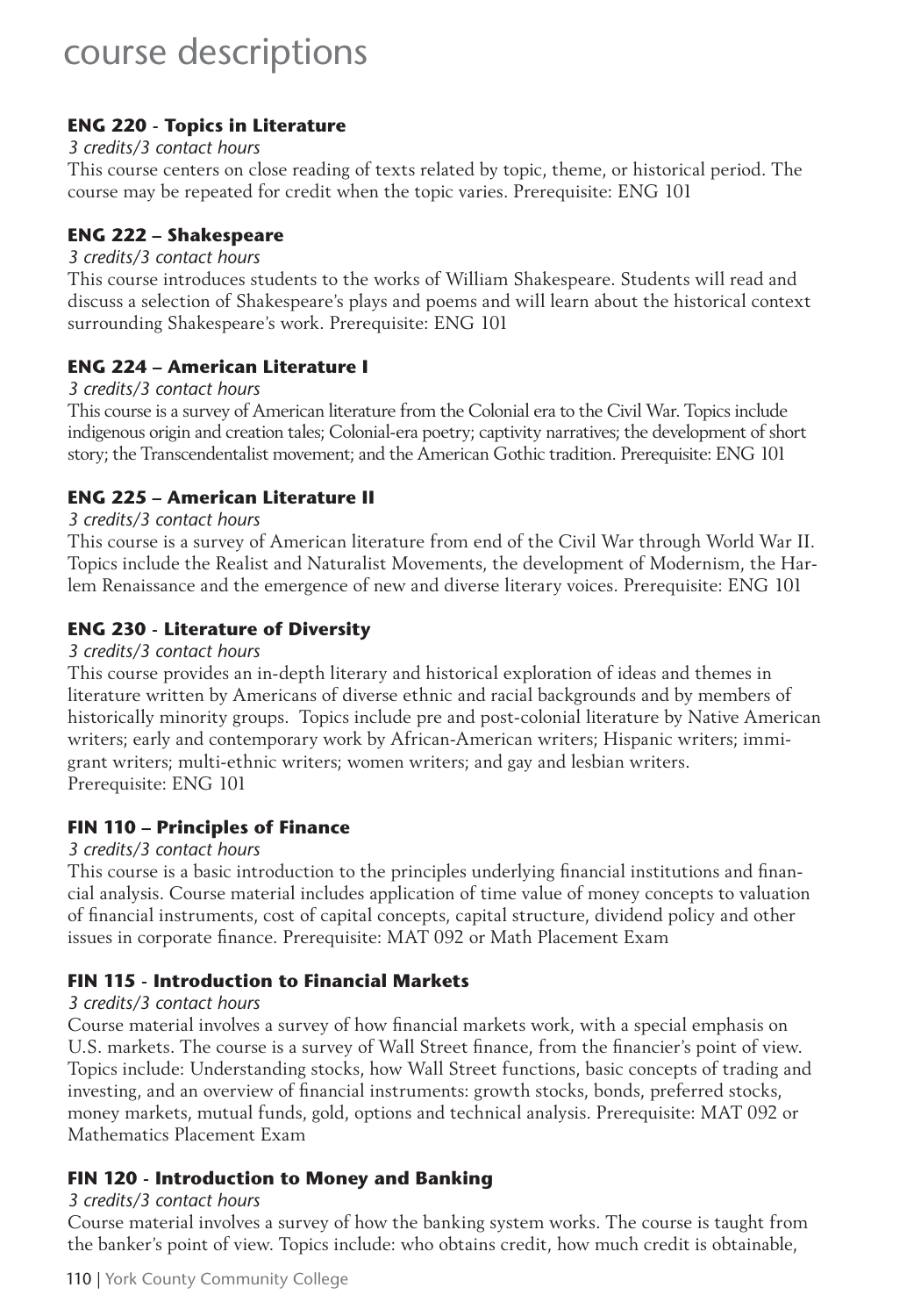#### **ENG 220 - Topics in Literature**

#### *3 credits/3 contact hours*

This course centers on close reading of texts related by topic, theme, or historical period. The course may be repeated for credit when the topic varies. Prerequisite: ENG 101

#### **ENG 222 – Shakespeare**

#### *3 credits/3 contact hours*

This course introduces students to the works of William Shakespeare. Students will read and discuss a selection of Shakespeare's plays and poems and will learn about the historical context surrounding Shakespeare's work. Prerequisite: ENG 101

#### **ENG 224 – American Literature I**

#### *3 credits/3 contact hours*

This course is a survey of American literature from the Colonial era to the Civil War. Topics include indigenous origin and creation tales; Colonial-era poetry; captivity narratives; the development of short story; the Transcendentalist movement; and the American Gothic tradition. Prerequisite: ENG 101

#### **ENG 225 – American Literature II**

#### *3 credits/3 contact hours*

This course is a survey of American literature from end of the Civil War through World War II. Topics include the Realist and Naturalist Movements, the development of Modernism, the Harlem Renaissance and the emergence of new and diverse literary voices. Prerequisite: ENG 101

#### **ENG 230 - Literature of Diversity**

#### *3 credits/3 contact hours*

This course provides an in-depth literary and historical exploration of ideas and themes in literature written by Americans of diverse ethnic and racial backgrounds and by members of historically minority groups. Topics include pre and post-colonial literature by Native American writers; early and contemporary work by African-American writers; Hispanic writers; immigrant writers; multi-ethnic writers; women writers; and gay and lesbian writers. Prerequisite: ENG 101

#### **FIN 110 – Principles of Finance**

#### *3 credits/3 contact hours*

This course is a basic introduction to the principles underlying financial institutions and financial analysis. Course material includes application of time value of money concepts to valuation of financial instruments, cost of capital concepts, capital structure, dividend policy and other issues in corporate finance. Prerequisite: MAT 092 or Math Placement Exam

#### **FIN 115 - Introduction to Financial Markets**

#### *3 credits/3 contact hours*

Course material involves a survey of how financial markets work, with a special emphasis on U.S. markets. The course is a survey of Wall Street finance, from the financier's point of view. Topics include: Understanding stocks, how Wall Street functions, basic concepts of trading and investing, and an overview of financial instruments: growth stocks, bonds, preferred stocks, money markets, mutual funds, gold, options and technical analysis. Prerequisite: MAT 092 or Mathematics Placement Exam

#### **FIN 120 - Introduction to Money and Banking**

#### *3 credits/3 contact hours*

Course material involves a survey of how the banking system works. The course is taught from the banker's point of view. Topics include: who obtains credit, how much credit is obtainable,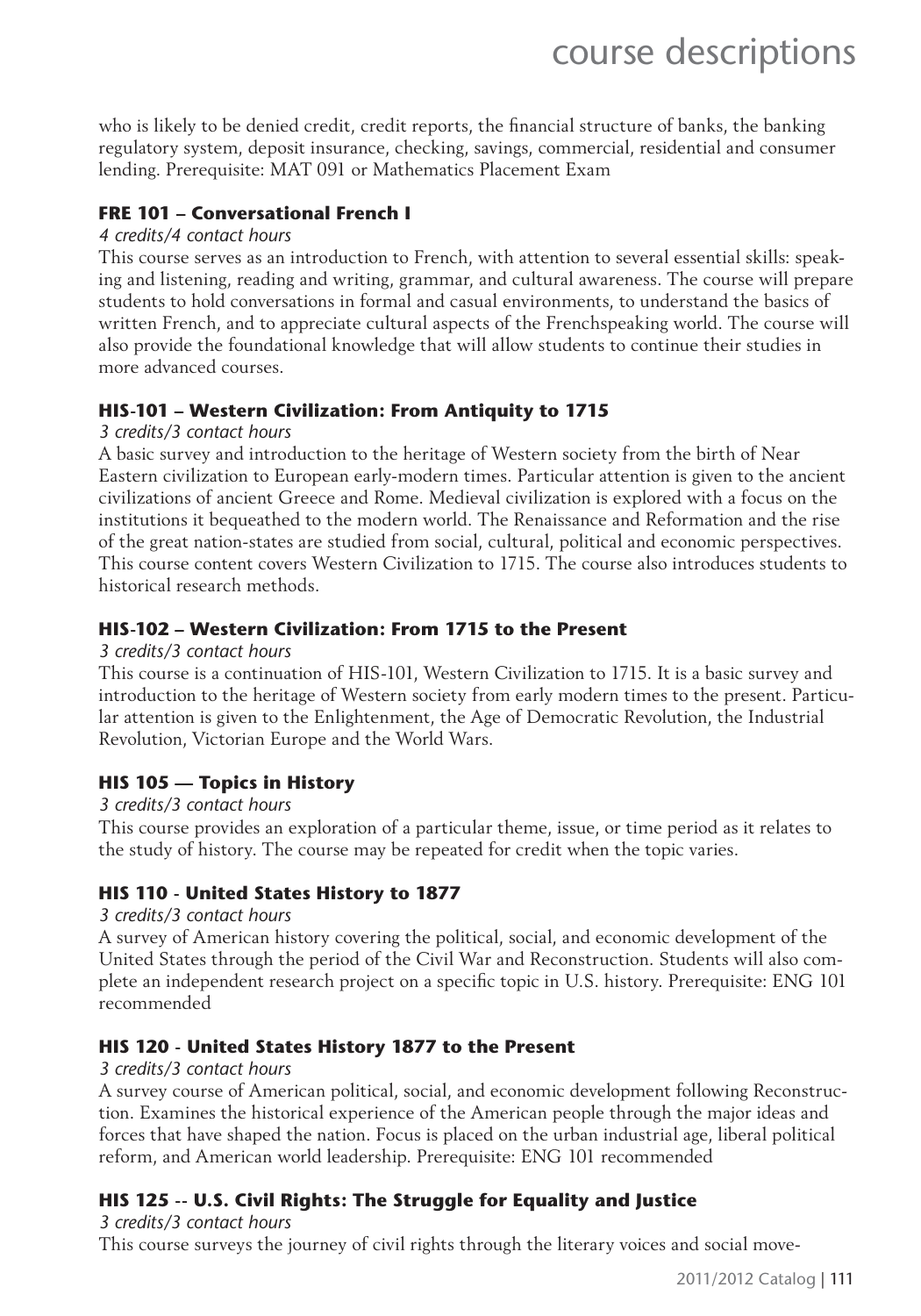who is likely to be denied credit, credit reports, the financial structure of banks, the banking regulatory system, deposit insurance, checking, savings, commercial, residential and consumer lending. Prerequisite: MAT 091 or Mathematics Placement Exam

#### **FRE 101 – Conversational French I**

#### *4 credits/4 contact hours*

This course serves as an introduction to French, with attention to several essential skills: speaking and listening, reading and writing, grammar, and cultural awareness. The course will prepare students to hold conversations in formal and casual environments, to understand the basics of written French, and to appreciate cultural aspects of the Frenchspeaking world. The course will also provide the foundational knowledge that will allow students to continue their studies in more advanced courses.

#### **HIS-101 – Western Civilization: From Antiquity to 1715**

#### *3 credits/3 contact hours*

A basic survey and introduction to the heritage of Western society from the birth of Near Eastern civilization to European early-modern times. Particular attention is given to the ancient civilizations of ancient Greece and Rome. Medieval civilization is explored with a focus on the institutions it bequeathed to the modern world. The Renaissance and Reformation and the rise of the great nation-states are studied from social, cultural, political and economic perspectives. This course content covers Western Civilization to 1715. The course also introduces students to historical research methods.

#### **HIS-102 – Western Civilization: From 1715 to the Present**

#### *3 credits/3 contact hours*

This course is a continuation of HIS-101, Western Civilization to 1715. It is a basic survey and introduction to the heritage of Western society from early modern times to the present. Particular attention is given to the Enlightenment, the Age of Democratic Revolution, the Industrial Revolution, Victorian Europe and the World Wars.

#### **HIS 105 — Topics in History**

#### *3 credits/3 contact hours*

This course provides an exploration of a particular theme, issue, or time period as it relates to the study of history. The course may be repeated for credit when the topic varies.

#### **HIS 110 - United States History to 1877**

#### *3 credits/3 contact hours*

A survey of American history covering the political, social, and economic development of the United States through the period of the Civil War and Reconstruction. Students will also complete an independent research project on a specific topic in U.S. history. Prerequisite: ENG 101 recommended

#### **HIS 120 - United States History 1877 to the Present**

#### *3 credits/3 contact hours*

A survey course of American political, social, and economic development following Reconstruction. Examines the historical experience of the American people through the major ideas and forces that have shaped the nation. Focus is placed on the urban industrial age, liberal political reform, and American world leadership. Prerequisite: ENG 101 recommended

#### **HIS 125 -- U.S. Civil Rights: The Struggle for Equality and Justice**

*3 credits/3 contact hours*

This course surveys the journey of civil rights through the literary voices and social move-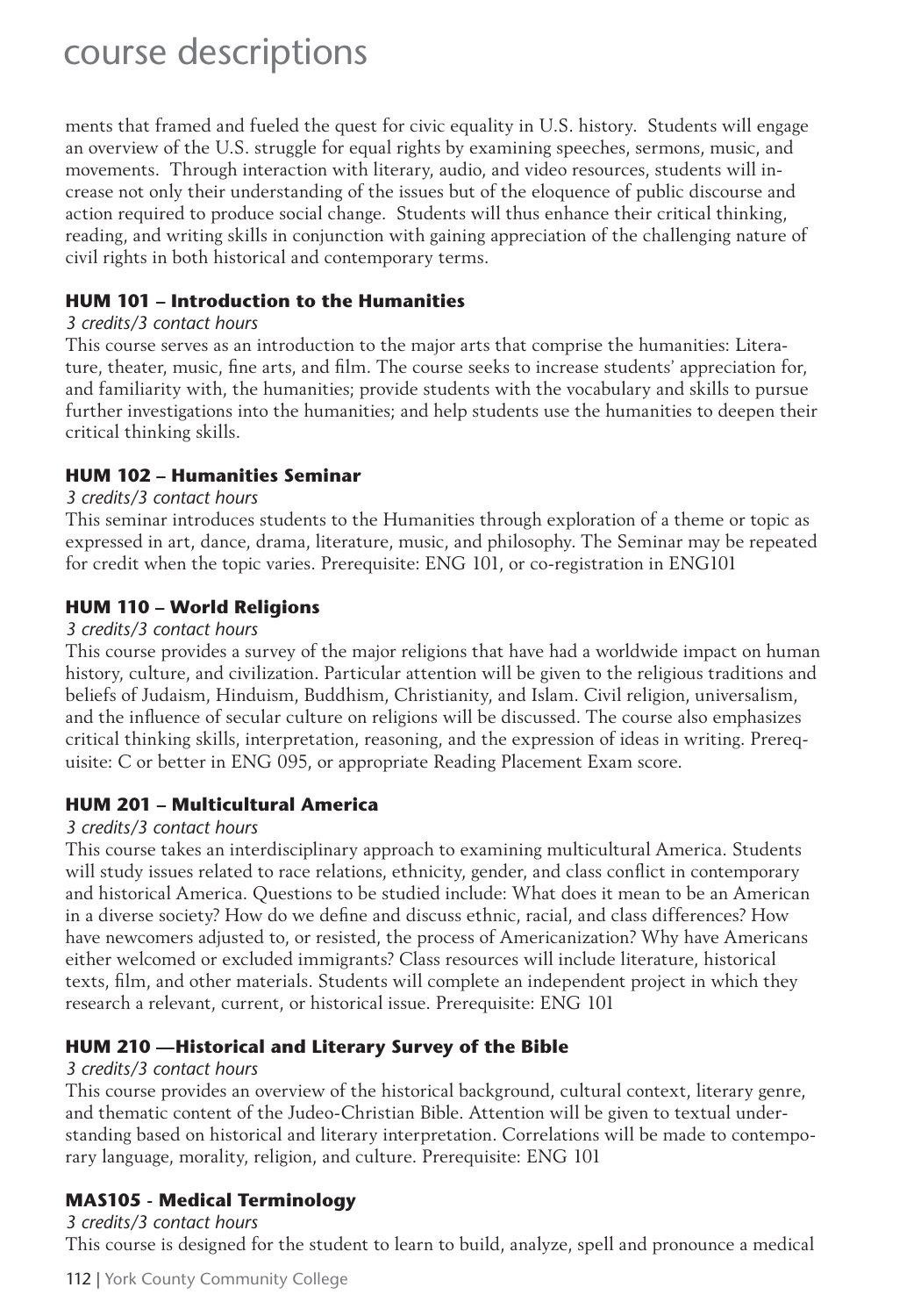ments that framed and fueled the quest for civic equality in U.S. history. Students will engage an overview of the U.S. struggle for equal rights by examining speeches, sermons, music, and movements. Through interaction with literary, audio, and video resources, students will increase not only their understanding of the issues but of the eloquence of public discourse and action required to produce social change. Students will thus enhance their critical thinking, reading, and writing skills in conjunction with gaining appreciation of the challenging nature of civil rights in both historical and contemporary terms.

#### **HUM 101 – Introduction to the Humanities**

#### *3 credits/3 contact hours*

This course serves as an introduction to the major arts that comprise the humanities: Literature, theater, music, fine arts, and film. The course seeks to increase students' appreciation for, and familiarity with, the humanities; provide students with the vocabulary and skills to pursue further investigations into the humanities; and help students use the humanities to deepen their critical thinking skills.

#### **HUM 102 – Humanities Seminar**

#### *3 credits/3 contact hours*

This seminar introduces students to the Humanities through exploration of a theme or topic as expressed in art, dance, drama, literature, music, and philosophy. The Seminar may be repeated for credit when the topic varies. Prerequisite: ENG 101, or co-registration in ENG101

#### **HUM 110 – World Religions**

#### *3 credits/3 contact hours*

This course provides a survey of the major religions that have had a worldwide impact on human history, culture, and civilization. Particular attention will be given to the religious traditions and beliefs of Judaism, Hinduism, Buddhism, Christianity, and Islam. Civil religion, universalism, and the influence of secular culture on religions will be discussed. The course also emphasizes critical thinking skills, interpretation, reasoning, and the expression of ideas in writing. Prerequisite: C or better in ENG 095, or appropriate Reading Placement Exam score.

#### **HUM 201 – Multicultural America**

#### *3 credits/3 contact hours*

This course takes an interdisciplinary approach to examining multicultural America. Students will study issues related to race relations, ethnicity, gender, and class conflict in contemporary and historical America. Questions to be studied include: What does it mean to be an American in a diverse society? How do we define and discuss ethnic, racial, and class differences? How have newcomers adjusted to, or resisted, the process of Americanization? Why have Americans either welcomed or excluded immigrants? Class resources will include literature, historical texts, film, and other materials. Students will complete an independent project in which they research a relevant, current, or historical issue. Prerequisite: ENG 101

#### **HUM 210 —Historical and Literary Survey of the Bible**

#### *3 credits/3 contact hours*

This course provides an overview of the historical background, cultural context, literary genre, and thematic content of the Judeo-Christian Bible. Attention will be given to textual understanding based on historical and literary interpretation. Correlations will be made to contemporary language, morality, religion, and culture. Prerequisite: ENG 101

#### **MAS105 - Medical Terminology**

*3 credits/3 contact hours* This course is designed for the student to learn to build, analyze, spell and pronounce a medical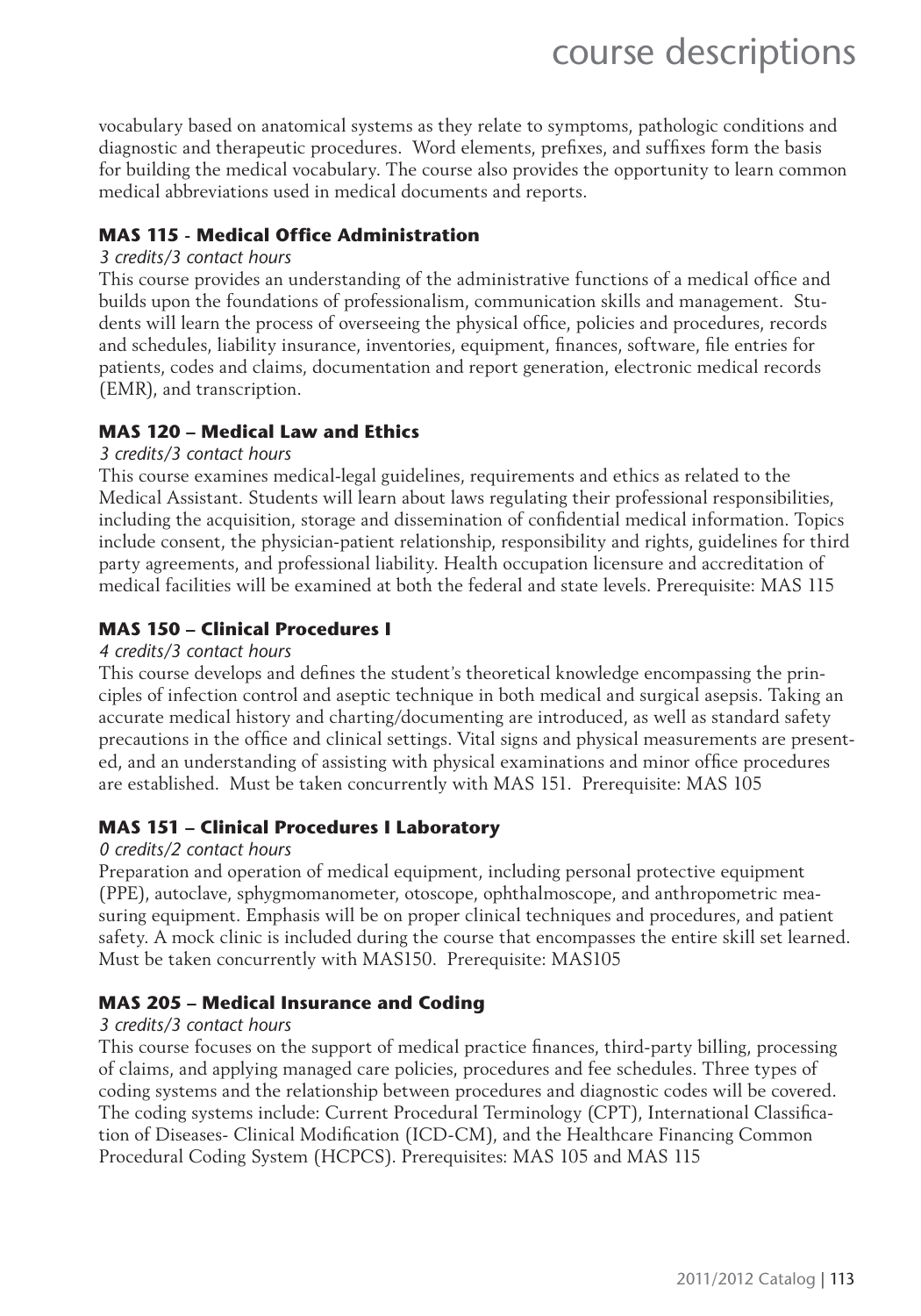vocabulary based on anatomical systems as they relate to symptoms, pathologic conditions and diagnostic and therapeutic procedures. Word elements, prefixes, and suffixes form the basis for building the medical vocabulary. The course also provides the opportunity to learn common medical abbreviations used in medical documents and reports.

#### **MAS 115 - Medical Office Administration**

#### *3 credits/3 contact hours*

This course provides an understanding of the administrative functions of a medical office and builds upon the foundations of professionalism, communication skills and management. Students will learn the process of overseeing the physical office, policies and procedures, records and schedules, liability insurance, inventories, equipment, finances, software, file entries for patients, codes and claims, documentation and report generation, electronic medical records (EMR), and transcription.

#### **MAS 120 – Medical Law and Ethics**

#### *3 credits/3 contact hours*

This course examines medical-legal guidelines, requirements and ethics as related to the Medical Assistant. Students will learn about laws regulating their professional responsibilities, including the acquisition, storage and dissemination of confidential medical information. Topics include consent, the physician-patient relationship, responsibility and rights, guidelines for third party agreements, and professional liability. Health occupation licensure and accreditation of medical facilities will be examined at both the federal and state levels. Prerequisite: MAS 115

#### **MAS 150 – Clinical Procedures I**

#### *4 credits/3 contact hours*

This course develops and defines the student's theoretical knowledge encompassing the principles of infection control and aseptic technique in both medical and surgical asepsis. Taking an accurate medical history and charting/documenting are introduced, as well as standard safety precautions in the office and clinical settings. Vital signs and physical measurements are presented, and an understanding of assisting with physical examinations and minor office procedures are established. Must be taken concurrently with MAS 151. Prerequisite: MAS 105

#### **MAS 151 – Clinical Procedures I Laboratory**

#### *0 credits/2 contact hours*

Preparation and operation of medical equipment, including personal protective equipment (PPE), autoclave, sphygmomanometer, otoscope, ophthalmoscope, and anthropometric measuring equipment. Emphasis will be on proper clinical techniques and procedures, and patient safety. A mock clinic is included during the course that encompasses the entire skill set learned. Must be taken concurrently with MAS150. Prerequisite: MAS105

#### **MAS 205 – Medical Insurance and Coding**

#### *3 credits/3 contact hours*

This course focuses on the support of medical practice finances, third-party billing, processing of claims, and applying managed care policies, procedures and fee schedules. Three types of coding systems and the relationship between procedures and diagnostic codes will be covered. The coding systems include: Current Procedural Terminology (CPT), International Classification of Diseases- Clinical Modification (ICD-CM), and the Healthcare Financing Common Procedural Coding System (HCPCS). Prerequisites: MAS 105 and MAS 115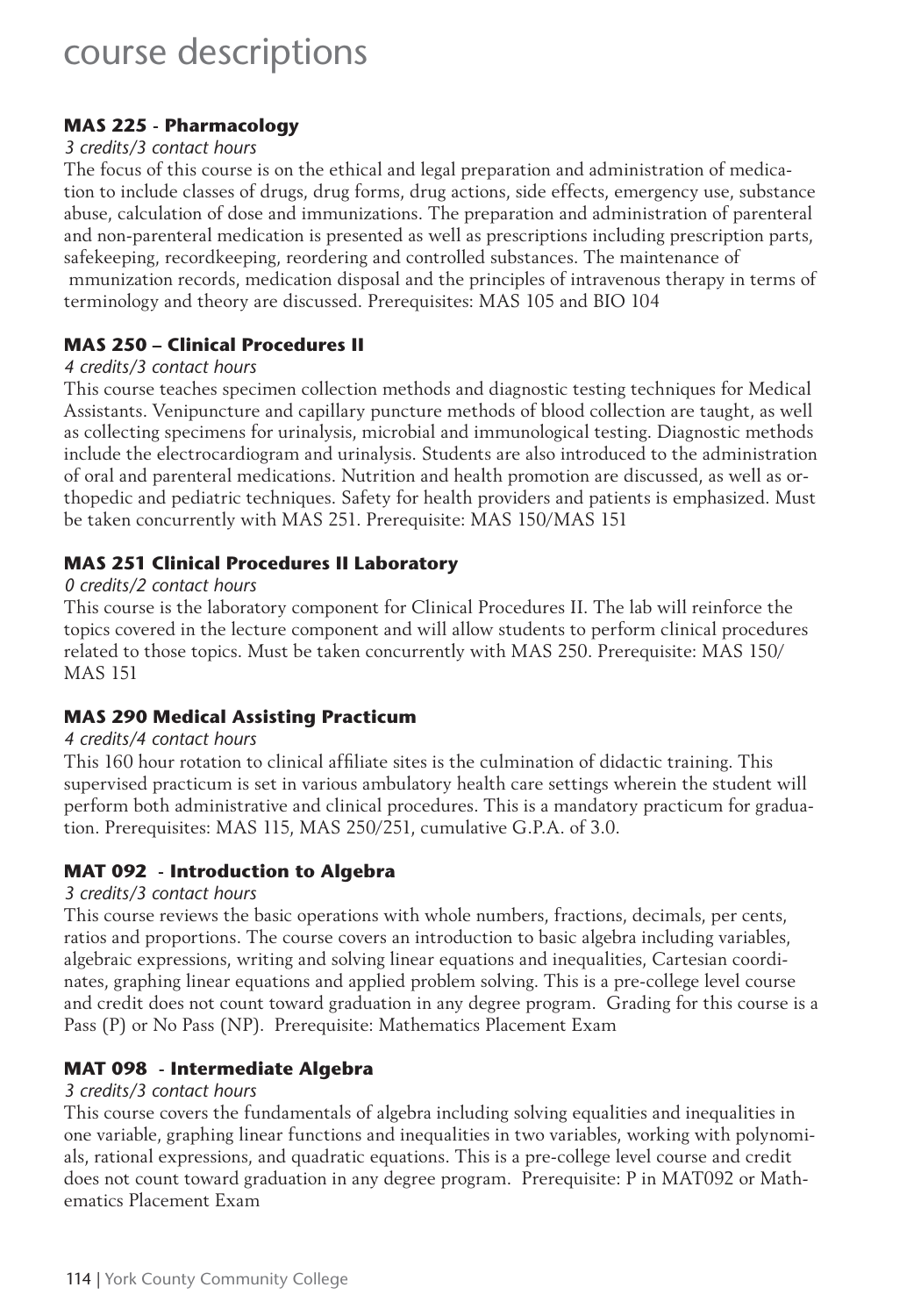#### **MAS 225 - Pharmacology**

#### *3 credits/3 contact hours*

The focus of this course is on the ethical and legal preparation and administration of medication to include classes of drugs, drug forms, drug actions, side effects, emergency use, substance abuse, calculation of dose and immunizations. The preparation and administration of parenteral and non-parenteral medication is presented as well as prescriptions including prescription parts, safekeeping, recordkeeping, reordering and controlled substances. The maintenance of mmunization records, medication disposal and the principles of intravenous therapy in terms of terminology and theory are discussed. Prerequisites: MAS 105 and BIO 104

#### **MAS 250 – Clinical Procedures II**

#### *4 credits/3 contact hours*

This course teaches specimen collection methods and diagnostic testing techniques for Medical Assistants. Venipuncture and capillary puncture methods of blood collection are taught, as well as collecting specimens for urinalysis, microbial and immunological testing. Diagnostic methods include the electrocardiogram and urinalysis. Students are also introduced to the administration of oral and parenteral medications. Nutrition and health promotion are discussed, as well as orthopedic and pediatric techniques. Safety for health providers and patients is emphasized. Must be taken concurrently with MAS 251. Prerequisite: MAS 150/MAS 151

#### **MAS 251 Clinical Procedures II Laboratory**

#### *0 credits/2 contact hours*

This course is the laboratory component for Clinical Procedures II. The lab will reinforce the topics covered in the lecture component and will allow students to perform clinical procedures related to those topics. Must be taken concurrently with MAS 250. Prerequisite: MAS 150/ MAS 151

#### **MAS 290 Medical Assisting Practicum**

#### *4 credits/4 contact hours*

This 160 hour rotation to clinical affiliate sites is the culmination of didactic training. This supervised practicum is set in various ambulatory health care settings wherein the student will perform both administrative and clinical procedures. This is a mandatory practicum for graduation. Prerequisites: MAS 115, MAS 250/251, cumulative G.P.A. of 3.0.

#### **MAT 092 - Introduction to Algebra**

#### *3 credits/3 contact hours*

This course reviews the basic operations with whole numbers, fractions, decimals, per cents, ratios and proportions. The course covers an introduction to basic algebra including variables, algebraic expressions, writing and solving linear equations and inequalities, Cartesian coordinates, graphing linear equations and applied problem solving. This is a pre-college level course and credit does not count toward graduation in any degree program. Grading for this course is a Pass (P) or No Pass (NP). Prerequisite: Mathematics Placement Exam

#### **MAT 098 - Intermediate Algebra**

#### *3 credits/3 contact hours*

This course covers the fundamentals of algebra including solving equalities and inequalities in one variable, graphing linear functions and inequalities in two variables, working with polynomials, rational expressions, and quadratic equations. This is a pre-college level course and credit does not count toward graduation in any degree program. Prerequisite: P in MAT092 or Mathematics Placement Exam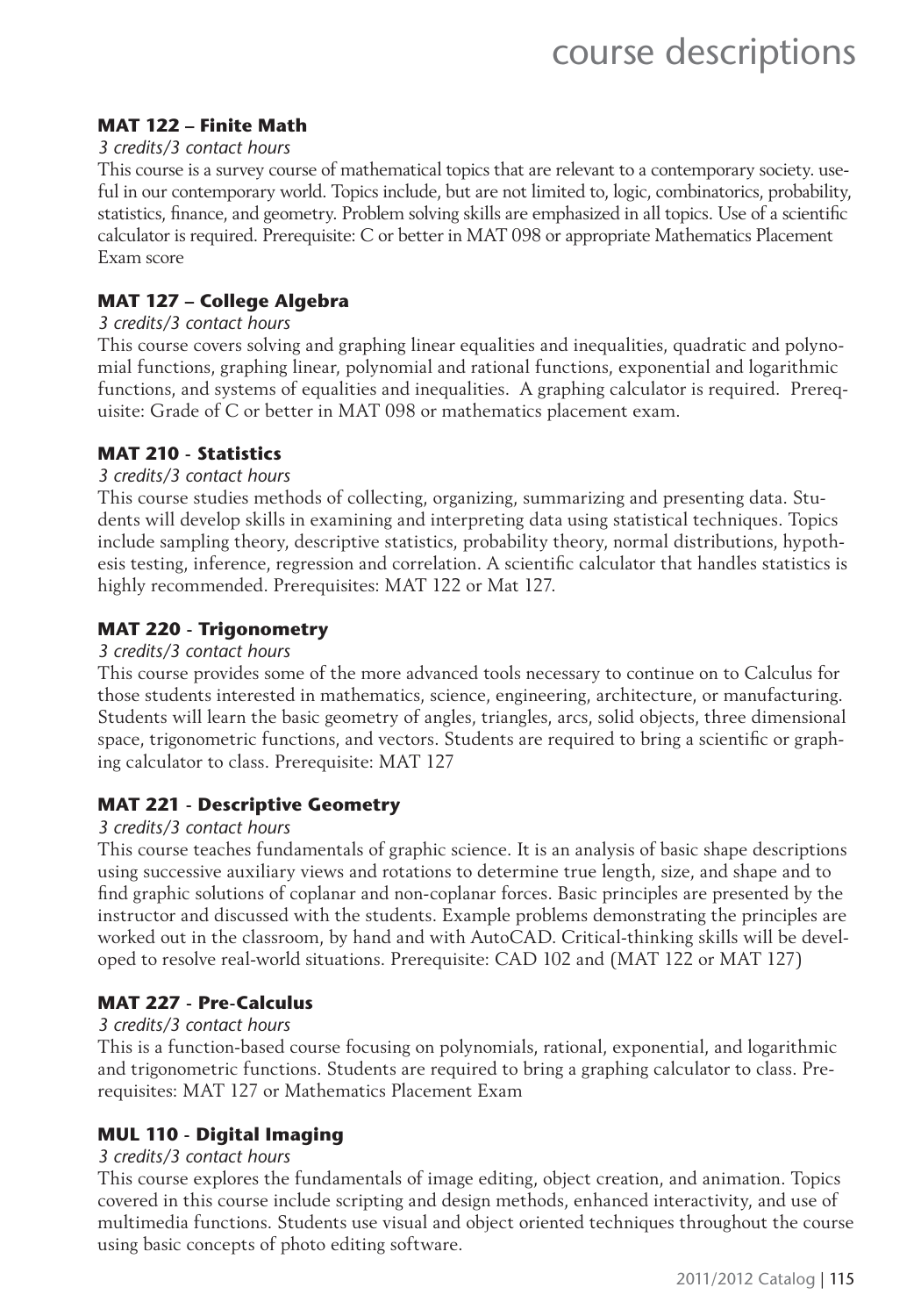#### **MAT 122 – Finite Math**

#### *3 credits/3 contact hours*

This course is a survey course of mathematical topics that are relevant to a contemporary society. useful in our contemporary world. Topics include, but are not limited to, logic, combinatorics, probability, statistics, finance, and geometry. Problem solving skills are emphasized in all topics. Use of a scientific calculator is required. Prerequisite: C or better in MAT 098 or appropriate Mathematics Placement Exam score

#### **MAT 127 – College Algebra**

#### *3 credits/3 contact hours*

This course covers solving and graphing linear equalities and inequalities, quadratic and polynomial functions, graphing linear, polynomial and rational functions, exponential and logarithmic functions, and systems of equalities and inequalities. A graphing calculator is required. Prerequisite: Grade of C or better in MAT 098 or mathematics placement exam.

#### **MAT 210 - Statistics**

#### *3 credits/3 contact hours*

This course studies methods of collecting, organizing, summarizing and presenting data. Students will develop skills in examining and interpreting data using statistical techniques. Topics include sampling theory, descriptive statistics, probability theory, normal distributions, hypothesis testing, inference, regression and correlation. A scientific calculator that handles statistics is highly recommended. Prerequisites: MAT 122 or Mat 127.

#### **MAT 220 - Trigonometry**

#### *3 credits/3 contact hours*

This course provides some of the more advanced tools necessary to continue on to Calculus for those students interested in mathematics, science, engineering, architecture, or manufacturing. Students will learn the basic geometry of angles, triangles, arcs, solid objects, three dimensional space, trigonometric functions, and vectors. Students are required to bring a scientific or graphing calculator to class. Prerequisite: MAT 127

#### **MAT 221 - Descriptive Geometry**

#### *3 credits/3 contact hours*

This course teaches fundamentals of graphic science. It is an analysis of basic shape descriptions using successive auxiliary views and rotations to determine true length, size, and shape and to find graphic solutions of coplanar and non-coplanar forces. Basic principles are presented by the instructor and discussed with the students. Example problems demonstrating the principles are worked out in the classroom, by hand and with AutoCAD. Critical-thinking skills will be developed to resolve real-world situations. Prerequisite: CAD 102 and (MAT 122 or MAT 127)

#### **MAT 227 - Pre-Calculus**

#### *3 credits/3 contact hours*

This is a function-based course focusing on polynomials, rational, exponential, and logarithmic and trigonometric functions. Students are required to bring a graphing calculator to class. Prerequisites: MAT 127 or Mathematics Placement Exam

#### **MUL 110 - Digital Imaging**

#### *3 credits/3 contact hours*

This course explores the fundamentals of image editing, object creation, and animation. Topics covered in this course include scripting and design methods, enhanced interactivity, and use of multimedia functions. Students use visual and object oriented techniques throughout the course using basic concepts of photo editing software.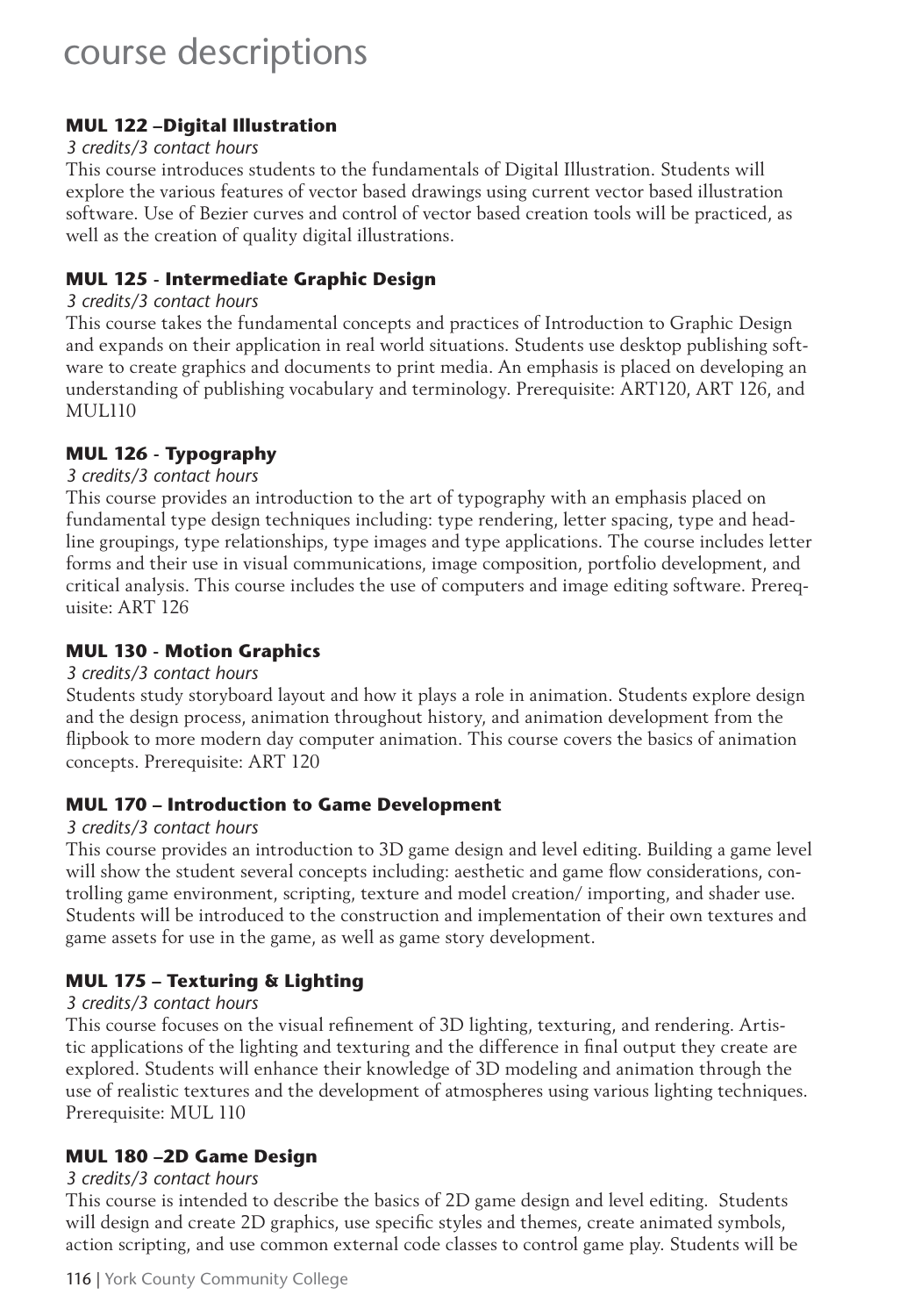#### **MUL 122 –Digital Illustration**

#### *3 credits/3 contact hours*

This course introduces students to the fundamentals of Digital Illustration. Students will explore the various features of vector based drawings using current vector based illustration software. Use of Bezier curves and control of vector based creation tools will be practiced, as well as the creation of quality digital illustrations.

#### **MUL 125 - Intermediate Graphic Design**

#### *3 credits/3 contact hours*

This course takes the fundamental concepts and practices of Introduction to Graphic Design and expands on their application in real world situations. Students use desktop publishing software to create graphics and documents to print media. An emphasis is placed on developing an understanding of publishing vocabulary and terminology. Prerequisite: ART120, ART 126, and MUL110

#### **MUL 126 - Typography**

#### *3 credits/3 contact hours*

This course provides an introduction to the art of typography with an emphasis placed on fundamental type design techniques including: type rendering, letter spacing, type and headline groupings, type relationships, type images and type applications. The course includes letter forms and their use in visual communications, image composition, portfolio development, and critical analysis. This course includes the use of computers and image editing software. Prerequisite: ART 126

#### **MUL 130 - Motion Graphics**

#### *3 credits/3 contact hours*

Students study storyboard layout and how it plays a role in animation. Students explore design and the design process, animation throughout history, and animation development from the flipbook to more modern day computer animation. This course covers the basics of animation concepts. Prerequisite: ART 120

#### **MUL 170 – Introduction to Game Development**

#### *3 credits/3 contact hours*

This course provides an introduction to 3D game design and level editing. Building a game level will show the student several concepts including: aesthetic and game flow considerations, controlling game environment, scripting, texture and model creation/ importing, and shader use. Students will be introduced to the construction and implementation of their own textures and game assets for use in the game, as well as game story development.

#### **MUL 175 – Texturing & Lighting**

#### *3 credits/3 contact hours*

This course focuses on the visual refinement of 3D lighting, texturing, and rendering. Artistic applications of the lighting and texturing and the difference in final output they create are explored. Students will enhance their knowledge of 3D modeling and animation through the use of realistic textures and the development of atmospheres using various lighting techniques. Prerequisite: MUL 110

#### **MUL 180 –2D Game Design**

#### *3 credits/3 contact hours*

This course is intended to describe the basics of 2D game design and level editing. Students will design and create 2D graphics, use specific styles and themes, create animated symbols, action scripting, and use common external code classes to control game play. Students will be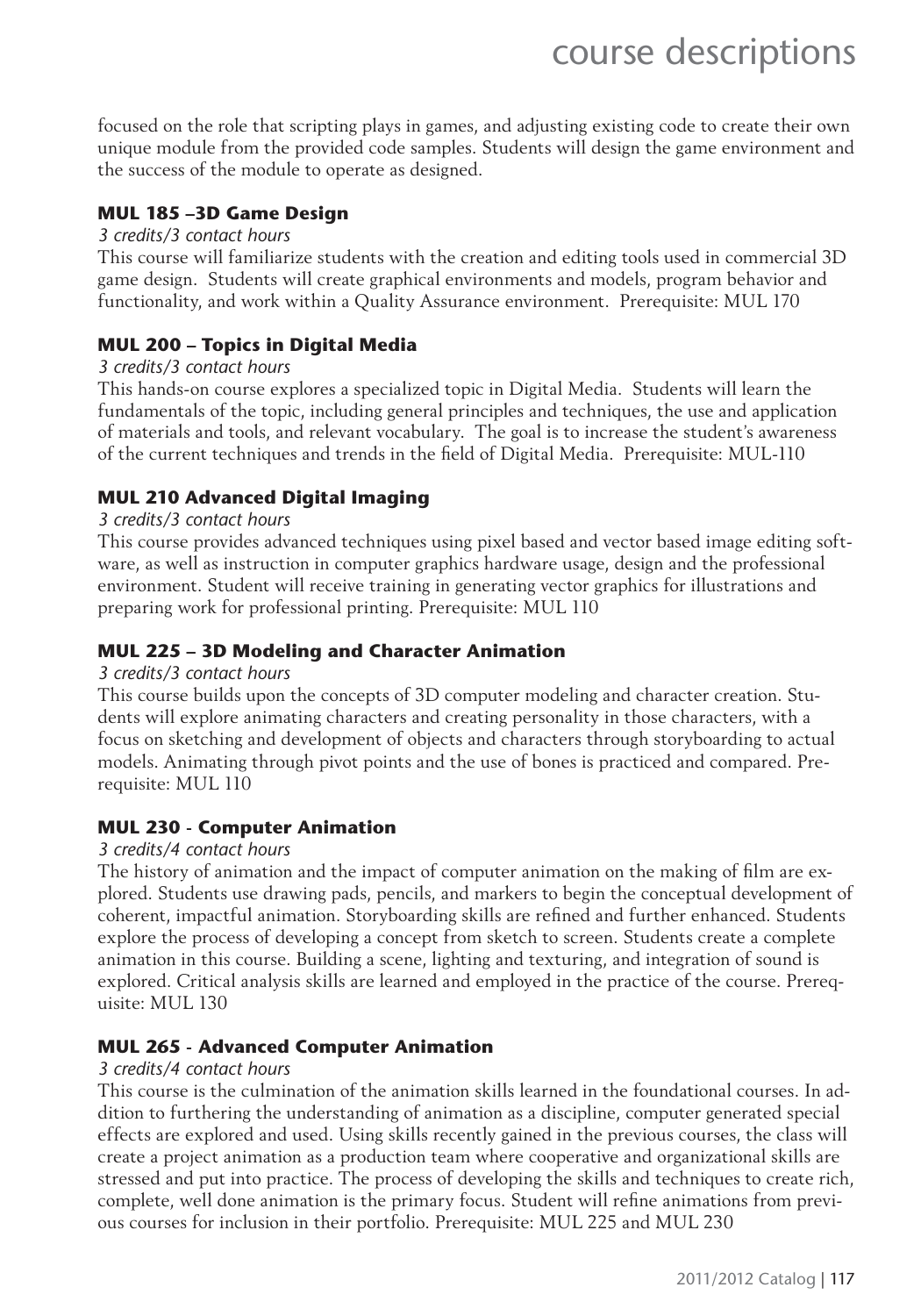focused on the role that scripting plays in games, and adjusting existing code to create their own unique module from the provided code samples. Students will design the game environment and the success of the module to operate as designed.

#### **MUL 185 –3D Game Design**

#### *3 credits/3 contact hours*

This course will familiarize students with the creation and editing tools used in commercial 3D game design. Students will create graphical environments and models, program behavior and functionality, and work within a Quality Assurance environment. Prerequisite: MUL 170

#### **MUL 200 – Topics in Digital Media**

#### *3 credits/3 contact hours*

This hands-on course explores a specialized topic in Digital Media. Students will learn the fundamentals of the topic, including general principles and techniques, the use and application of materials and tools, and relevant vocabulary. The goal is to increase the student's awareness of the current techniques and trends in the field of Digital Media. Prerequisite: MUL-110

#### **MUL 210 Advanced Digital Imaging**

#### *3 credits/3 contact hours*

This course provides advanced techniques using pixel based and vector based image editing software, as well as instruction in computer graphics hardware usage, design and the professional environment. Student will receive training in generating vector graphics for illustrations and preparing work for professional printing. Prerequisite: MUL 110

#### **MUL 225 – 3D Modeling and Character Animation**

#### *3 credits/3 contact hours*

This course builds upon the concepts of 3D computer modeling and character creation. Students will explore animating characters and creating personality in those characters, with a focus on sketching and development of objects and characters through storyboarding to actual models. Animating through pivot points and the use of bones is practiced and compared. Prerequisite: MUL 110

#### **MUL 230 - Computer Animation**

#### *3 credits/4 contact hours*

The history of animation and the impact of computer animation on the making of film are explored. Students use drawing pads, pencils, and markers to begin the conceptual development of coherent, impactful animation. Storyboarding skills are refined and further enhanced. Students explore the process of developing a concept from sketch to screen. Students create a complete animation in this course. Building a scene, lighting and texturing, and integration of sound is explored. Critical analysis skills are learned and employed in the practice of the course. Prerequisite: MUL 130

#### **MUL 265 - Advanced Computer Animation**

#### *3 credits/4 contact hours*

This course is the culmination of the animation skills learned in the foundational courses. In addition to furthering the understanding of animation as a discipline, computer generated special effects are explored and used. Using skills recently gained in the previous courses, the class will create a project animation as a production team where cooperative and organizational skills are stressed and put into practice. The process of developing the skills and techniques to create rich, complete, well done animation is the primary focus. Student will refine animations from previous courses for inclusion in their portfolio. Prerequisite: MUL 225 and MUL 230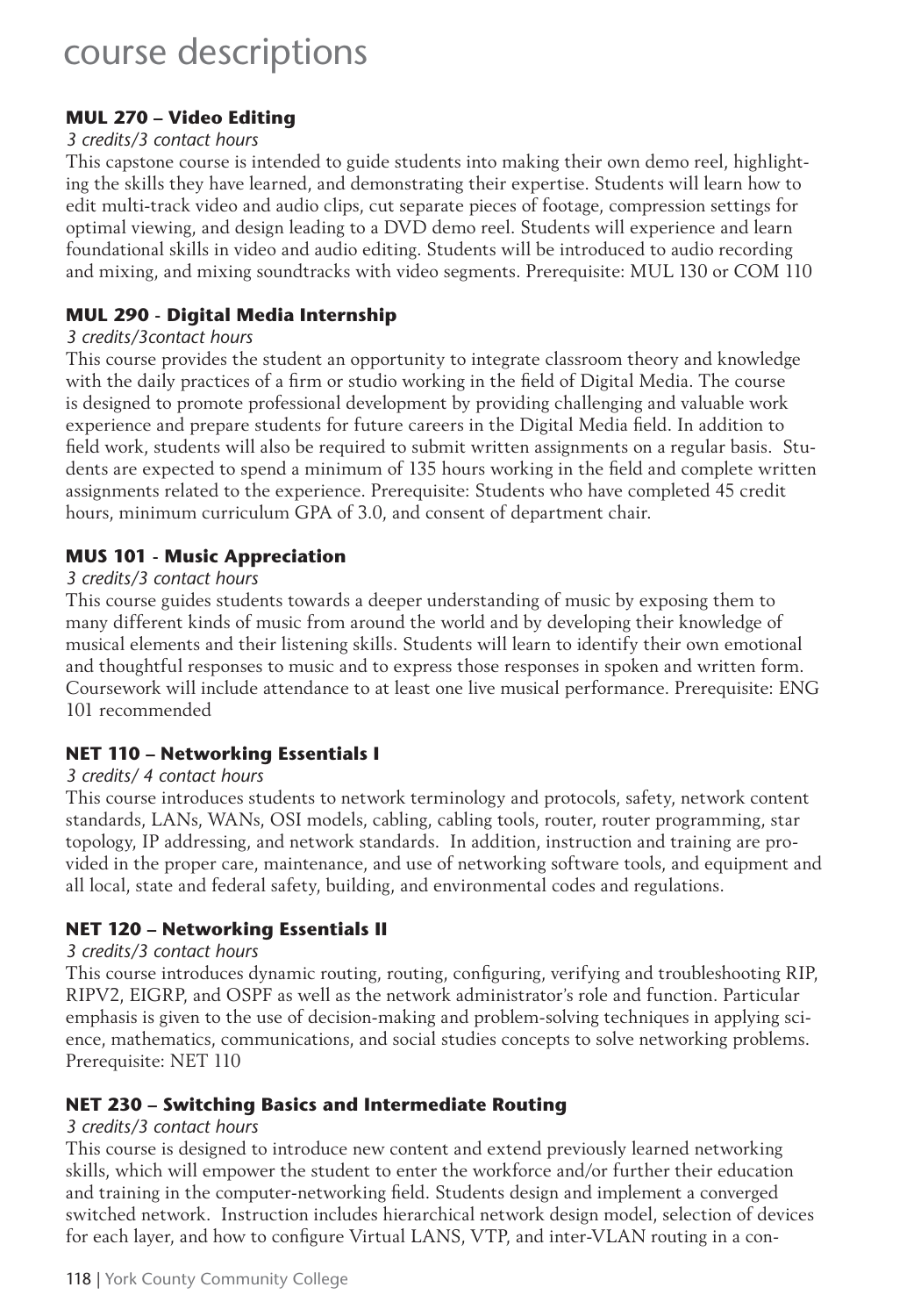#### **MUL 270 – Video Editing**

#### *3 credits/3 contact hours*

This capstone course is intended to guide students into making their own demo reel, highlighting the skills they have learned, and demonstrating their expertise. Students will learn how to edit multi-track video and audio clips, cut separate pieces of footage, compression settings for optimal viewing, and design leading to a DVD demo reel. Students will experience and learn foundational skills in video and audio editing. Students will be introduced to audio recording and mixing, and mixing soundtracks with video segments. Prerequisite: MUL 130 or COM 110

#### **MUL 290 - Digital Media Internship**

#### *3 credits/3contact hours*

This course provides the student an opportunity to integrate classroom theory and knowledge with the daily practices of a firm or studio working in the field of Digital Media. The course is designed to promote professional development by providing challenging and valuable work experience and prepare students for future careers in the Digital Media field. In addition to field work, students will also be required to submit written assignments on a regular basis. Students are expected to spend a minimum of 135 hours working in the field and complete written assignments related to the experience. Prerequisite: Students who have completed 45 credit hours, minimum curriculum GPA of 3.0, and consent of department chair.

#### **MUS 101 - Music Appreciation**

#### *3 credits/3 contact hours*

This course guides students towards a deeper understanding of music by exposing them to many different kinds of music from around the world and by developing their knowledge of musical elements and their listening skills. Students will learn to identify their own emotional and thoughtful responses to music and to express those responses in spoken and written form. Coursework will include attendance to at least one live musical performance. Prerequisite: ENG 101 recommended

#### **NET 110 – Networking Essentials I**

#### *3 credits/ 4 contact hours*

This course introduces students to network terminology and protocols, safety, network content standards, LANs, WANs, OSI models, cabling, cabling tools, router, router programming, star topology, IP addressing, and network standards. In addition, instruction and training are provided in the proper care, maintenance, and use of networking software tools, and equipment and all local, state and federal safety, building, and environmental codes and regulations.

#### **NET 120 – Networking Essentials II**

#### *3 credits/3 contact hours*

This course introduces dynamic routing, routing, configuring, verifying and troubleshooting RIP, RIPV2, EIGRP, and OSPF as well as the network administrator's role and function. Particular emphasis is given to the use of decision-making and problem-solving techniques in applying science, mathematics, communications, and social studies concepts to solve networking problems. Prerequisite: NET 110

#### **NET 230 – Switching Basics and Intermediate Routing**

#### *3 credits/3 contact hours*

This course is designed to introduce new content and extend previously learned networking skills, which will empower the student to enter the workforce and/or further their education and training in the computer-networking field. Students design and implement a converged switched network. Instruction includes hierarchical network design model, selection of devices for each layer, and how to configure Virtual LANS, VTP, and inter-VLAN routing in a con-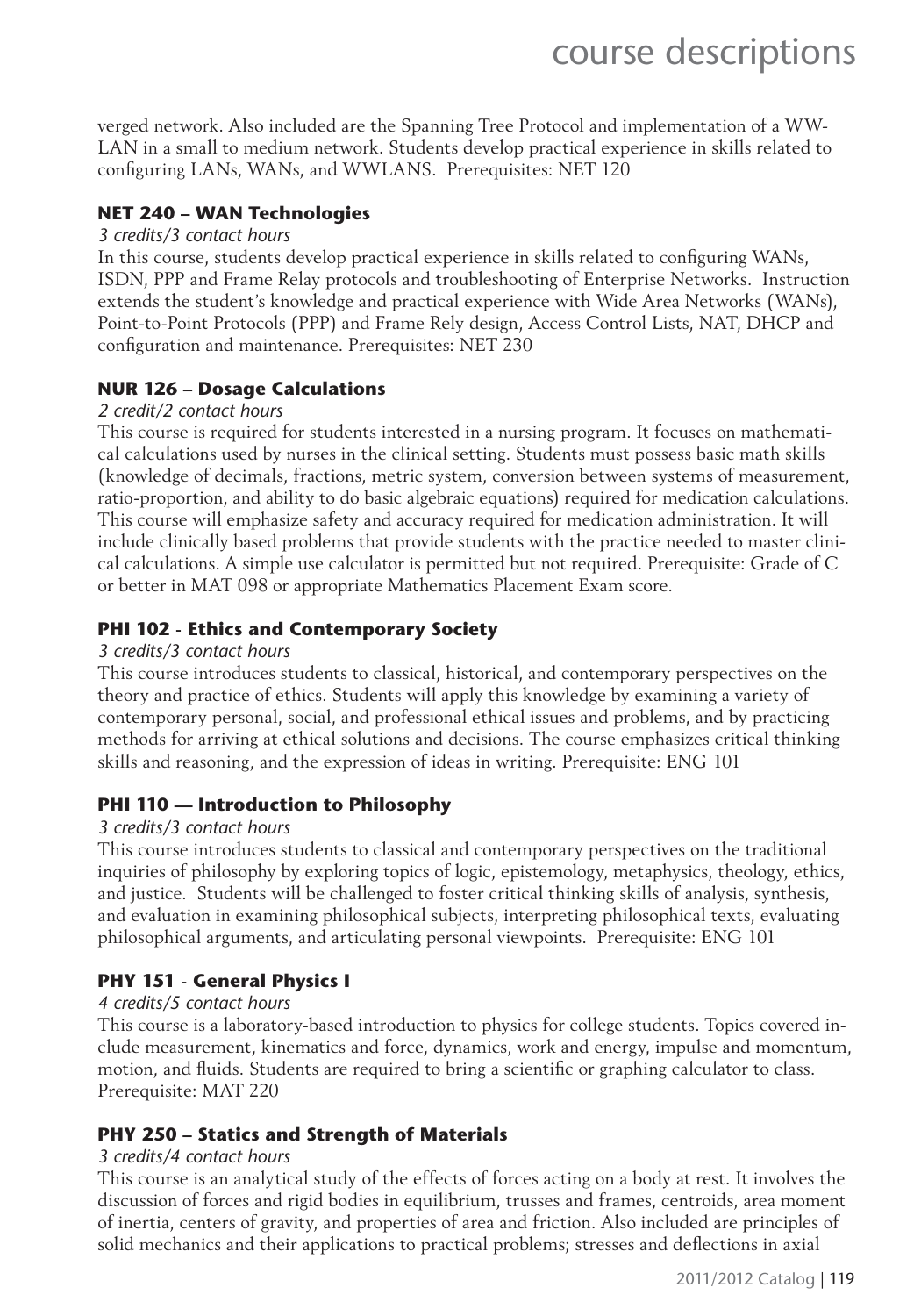verged network. Also included are the Spanning Tree Protocol and implementation of a WW-LAN in a small to medium network. Students develop practical experience in skills related to configuring LANs, WANs, and WWLANS. Prerequisites: NET 120

#### **NET 240 – WAN Technologies**

#### *3 credits/3 contact hours*

In this course, students develop practical experience in skills related to configuring WANs, ISDN, PPP and Frame Relay protocols and troubleshooting of Enterprise Networks. Instruction extends the student's knowledge and practical experience with Wide Area Networks (WANs), Point-to-Point Protocols (PPP) and Frame Rely design, Access Control Lists, NAT, DHCP and configuration and maintenance. Prerequisites: NET 230

#### **NUR 126 – Dosage Calculations**

#### *2 credit/2 contact hours*

This course is required for students interested in a nursing program. It focuses on mathematical calculations used by nurses in the clinical setting. Students must possess basic math skills (knowledge of decimals, fractions, metric system, conversion between systems of measurement, ratio-proportion, and ability to do basic algebraic equations) required for medication calculations. This course will emphasize safety and accuracy required for medication administration. It will include clinically based problems that provide students with the practice needed to master clinical calculations. A simple use calculator is permitted but not required. Prerequisite: Grade of C or better in MAT 098 or appropriate Mathematics Placement Exam score.

#### **PHI 102 - Ethics and Contemporary Society**

#### *3 credits/3 contact hours*

This course introduces students to classical, historical, and contemporary perspectives on the theory and practice of ethics. Students will apply this knowledge by examining a variety of contemporary personal, social, and professional ethical issues and problems, and by practicing methods for arriving at ethical solutions and decisions. The course emphasizes critical thinking skills and reasoning, and the expression of ideas in writing. Prerequisite: ENG 101

#### **PHI 110 — Introduction to Philosophy**

#### *3 credits/3 contact hours*

This course introduces students to classical and contemporary perspectives on the traditional inquiries of philosophy by exploring topics of logic, epistemology, metaphysics, theology, ethics, and justice. Students will be challenged to foster critical thinking skills of analysis, synthesis, and evaluation in examining philosophical subjects, interpreting philosophical texts, evaluating philosophical arguments, and articulating personal viewpoints. Prerequisite: ENG 101

#### **PHY 151 - General Physics I**

#### *4 credits/5 contact hours*

This course is a laboratory-based introduction to physics for college students. Topics covered include measurement, kinematics and force, dynamics, work and energy, impulse and momentum, motion, and fluids. Students are required to bring a scientific or graphing calculator to class. Prerequisite: MAT 220

#### **PHY 250 – Statics and Strength of Materials**

#### *3 credits/4 contact hours*

This course is an analytical study of the effects of forces acting on a body at rest. It involves the discussion of forces and rigid bodies in equilibrium, trusses and frames, centroids, area moment of inertia, centers of gravity, and properties of area and friction. Also included are principles of solid mechanics and their applications to practical problems; stresses and deflections in axial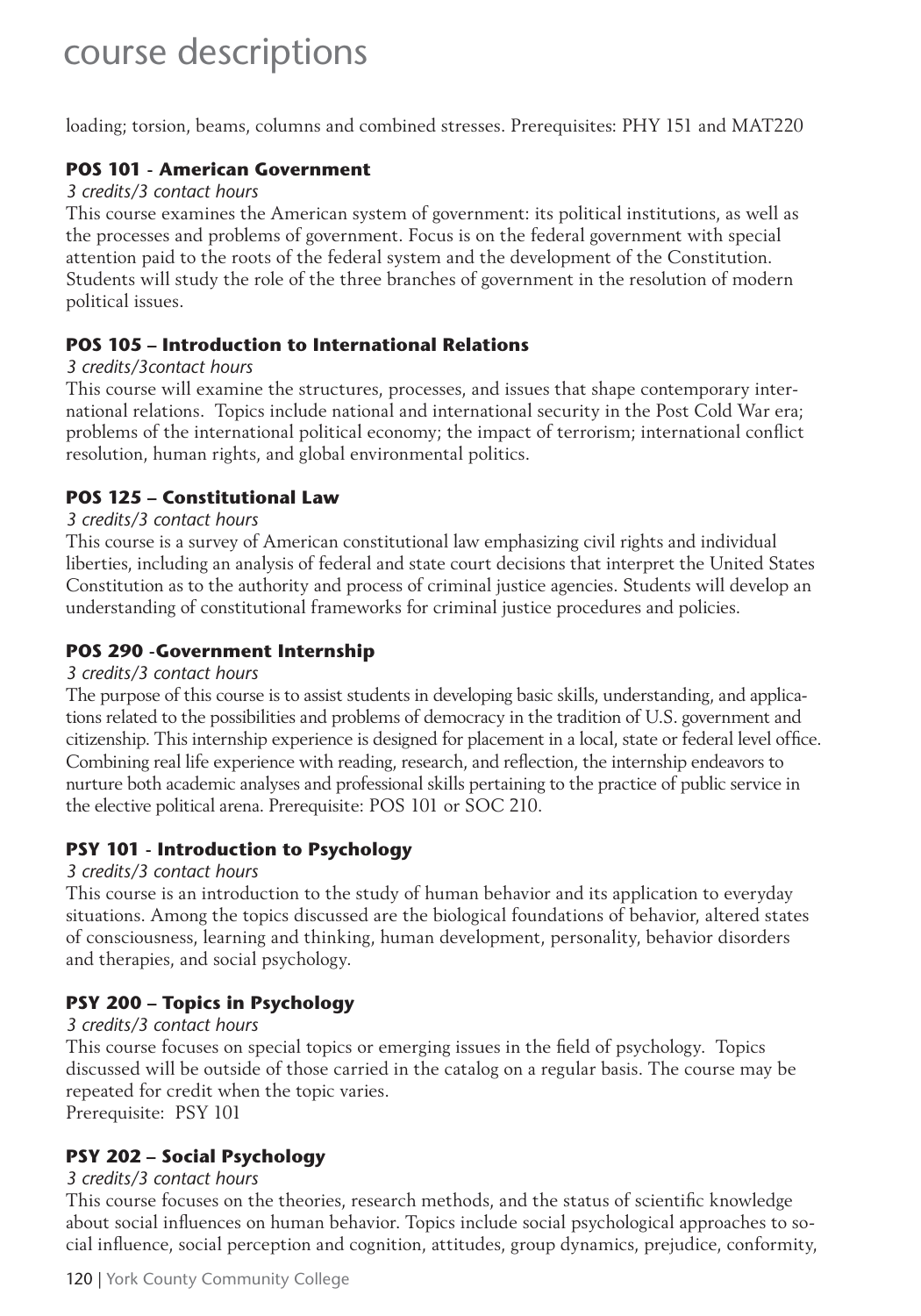loading; torsion, beams, columns and combined stresses. Prerequisites: PHY 151 and MAT220

#### **POS 101 - American Government**

#### *3 credits/3 contact hours*

This course examines the American system of government: its political institutions, as well as the processes and problems of government. Focus is on the federal government with special attention paid to the roots of the federal system and the development of the Constitution. Students will study the role of the three branches of government in the resolution of modern political issues.

#### **POS 105 – Introduction to International Relations**

#### *3 credits/3contact hours*

This course will examine the structures, processes, and issues that shape contemporary international relations. Topics include national and international security in the Post Cold War era; problems of the international political economy; the impact of terrorism; international conflict resolution, human rights, and global environmental politics.

#### **POS 125 – Constitutional Law**

#### *3 credits/3 contact hours*

This course is a survey of American constitutional law emphasizing civil rights and individual liberties, including an analysis of federal and state court decisions that interpret the United States Constitution as to the authority and process of criminal justice agencies. Students will develop an understanding of constitutional frameworks for criminal justice procedures and policies.

#### **POS 290 -Government Internship**

#### *3 credits/3 contact hours*

The purpose of this course is to assist students in developing basic skills, understanding, and applications related to the possibilities and problems of democracy in the tradition of U.S. government and citizenship. This internship experience is designed for placement in a local, state or federal level office. Combining real life experience with reading, research, and reflection, the internship endeavors to nurture both academic analyses and professional skills pertaining to the practice of public service in the elective political arena. Prerequisite: POS 101 or SOC 210.

#### **PSY 101 - Introduction to Psychology**

#### *3 credits/3 contact hours*

This course is an introduction to the study of human behavior and its application to everyday situations. Among the topics discussed are the biological foundations of behavior, altered states of consciousness, learning and thinking, human development, personality, behavior disorders and therapies, and social psychology.

#### **PSY 200 – Topics in Psychology**

#### *3 credits/3 contact hours*

This course focuses on special topics or emerging issues in the field of psychology. Topics discussed will be outside of those carried in the catalog on a regular basis. The course may be repeated for credit when the topic varies.

Prerequisite: PSY 101

#### **PSY 202 – Social Psychology**

#### *3 credits/3 contact hours*

This course focuses on the theories, research methods, and the status of scientific knowledge about social influences on human behavior. Topics include social psychological approaches to social influence, social perception and cognition, attitudes, group dynamics, prejudice, conformity,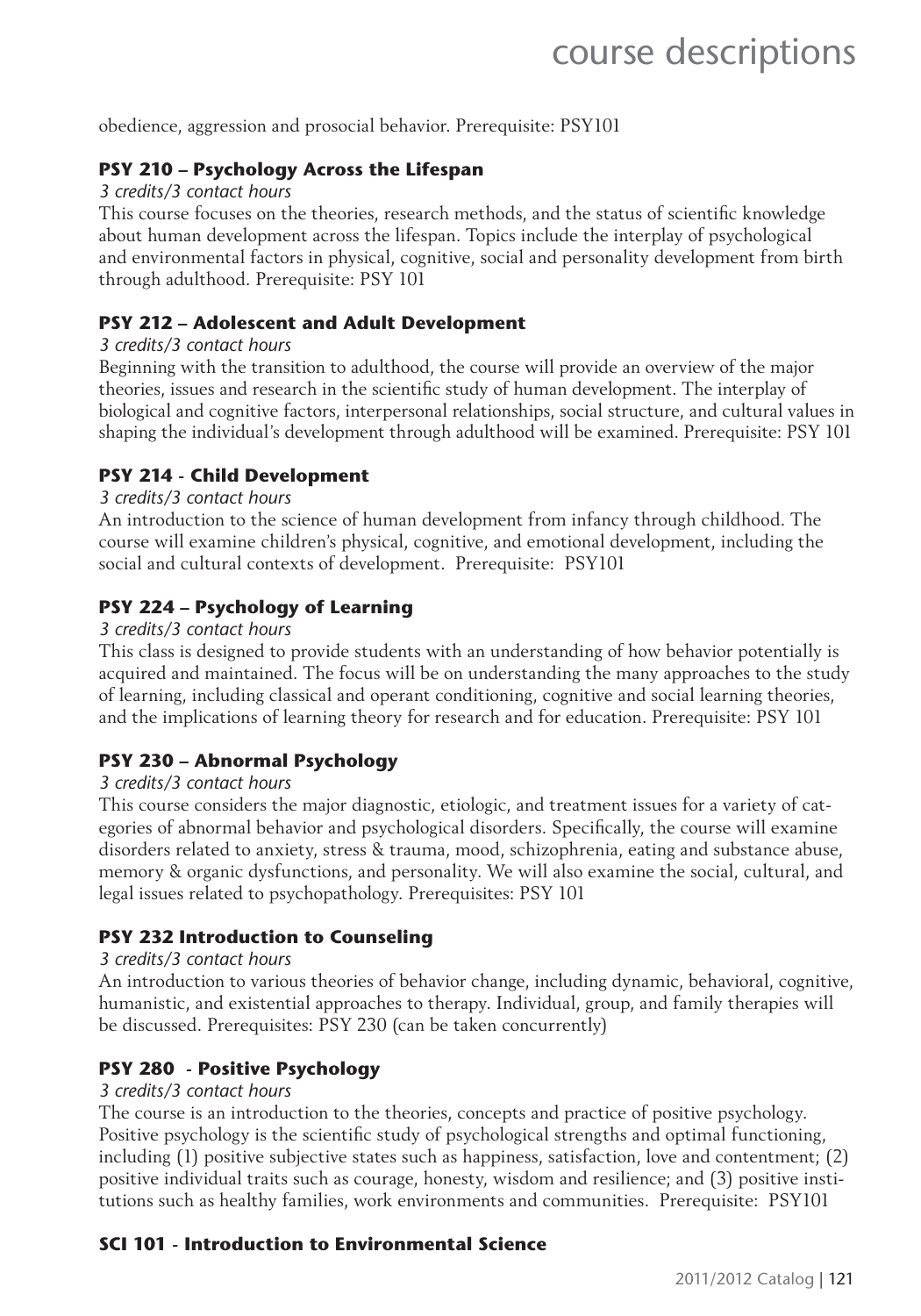obedience, aggression and prosocial behavior. Prerequisite: PSY101

#### **PSY 210 – Psychology Across the Lifespan**

#### *3 credits/3 contact hours*

This course focuses on the theories, research methods, and the status of scientific knowledge about human development across the lifespan. Topics include the interplay of psychological and environmental factors in physical, cognitive, social and personality development from birth through adulthood. Prerequisite: PSY 101

#### **PSY 212 – Adolescent and Adult Development**

#### *3 credits/3 contact hours*

Beginning with the transition to adulthood, the course will provide an overview of the major theories, issues and research in the scientific study of human development. The interplay of biological and cognitive factors, interpersonal relationships, social structure, and cultural values in shaping the individual's development through adulthood will be examined. Prerequisite: PSY 101

#### **PSY 214 - Child Development**

#### *3 credits/3 contact hours*

An introduction to the science of human development from infancy through childhood. The course will examine children's physical, cognitive, and emotional development, including the social and cultural contexts of development. Prerequisite: PSY101

#### **PSY 224 – Psychology of Learning**

#### *3 credits/3 contact hours*

This class is designed to provide students with an understanding of how behavior potentially is acquired and maintained. The focus will be on understanding the many approaches to the study of learning, including classical and operant conditioning, cognitive and social learning theories, and the implications of learning theory for research and for education. Prerequisite: PSY 101

#### **PSY 230 – Abnormal Psychology**

#### *3 credits/3 contact hours*

This course considers the major diagnostic, etiologic, and treatment issues for a variety of categories of abnormal behavior and psychological disorders. Specifically, the course will examine disorders related to anxiety, stress & trauma, mood, schizophrenia, eating and substance abuse, memory & organic dysfunctions, and personality. We will also examine the social, cultural, and legal issues related to psychopathology. Prerequisites: PSY 101

#### **PSY 232 Introduction to Counseling**

#### *3 credits/3 contact hours*

An introduction to various theories of behavior change, including dynamic, behavioral, cognitive, humanistic, and existential approaches to therapy. Individual, group, and family therapies will be discussed. Prerequisites: PSY 230 (can be taken concurrently)

#### **PSY 280 - Positive Psychology**

#### *3 credits/3 contact hours*

The course is an introduction to the theories, concepts and practice of positive psychology. Positive psychology is the scientific study of psychological strengths and optimal functioning, including (1) positive subjective states such as happiness, satisfaction, love and contentment; (2) positive individual traits such as courage, honesty, wisdom and resilience; and (3) positive institutions such as healthy families, work environments and communities. Prerequisite: PSY101

#### **SCI 101 - Introduction to Environmental Science**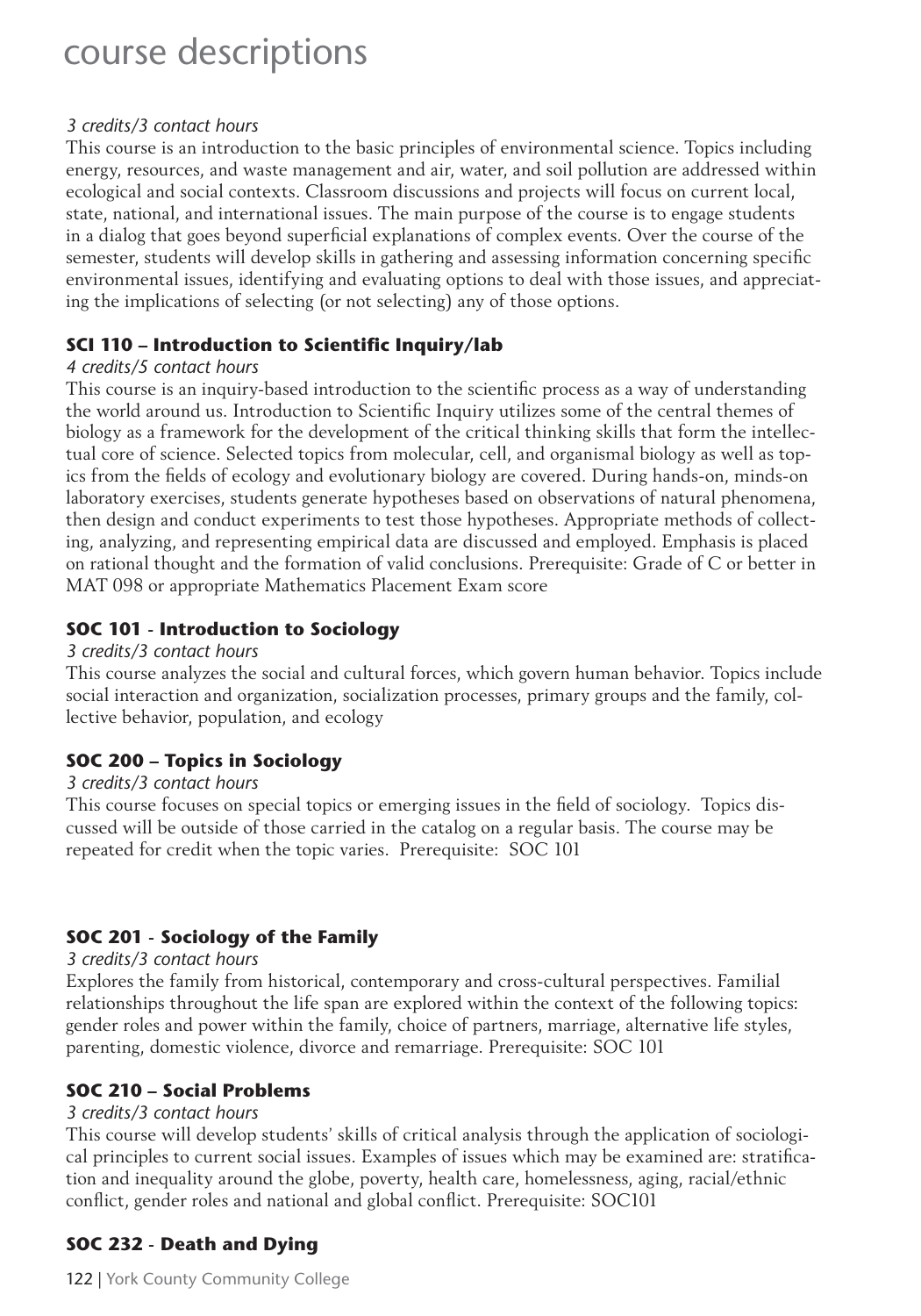#### *3 credits/3 contact hours*

This course is an introduction to the basic principles of environmental science. Topics including energy, resources, and waste management and air, water, and soil pollution are addressed within ecological and social contexts. Classroom discussions and projects will focus on current local, state, national, and international issues. The main purpose of the course is to engage students in a dialog that goes beyond superficial explanations of complex events. Over the course of the semester, students will develop skills in gathering and assessing information concerning specific environmental issues, identifying and evaluating options to deal with those issues, and appreciating the implications of selecting (or not selecting) any of those options.

#### **SCI 110 - Introduction to Scientific Inquiry/lab**

#### *4 credits/5 contact hours*

This course is an inquiry-based introduction to the scientific process as a way of understanding the world around us. Introduction to Scientific Inquiry utilizes some of the central themes of biology as a framework for the development of the critical thinking skills that form the intellectual core of science. Selected topics from molecular, cell, and organismal biology as well as topics from the fields of ecology and evolutionary biology are covered. During hands-on, minds-on laboratory exercises, students generate hypotheses based on observations of natural phenomena, then design and conduct experiments to test those hypotheses. Appropriate methods of collecting, analyzing, and representing empirical data are discussed and employed. Emphasis is placed on rational thought and the formation of valid conclusions. Prerequisite: Grade of C or better in MAT 098 or appropriate Mathematics Placement Exam score

#### **SOC 101 - Introduction to Sociology**

#### *3 credits/3 contact hours*

This course analyzes the social and cultural forces, which govern human behavior. Topics include social interaction and organization, socialization processes, primary groups and the family, collective behavior, population, and ecology

#### **SOC 200 – Topics in Sociology**

#### *3 credits/3 contact hours*

This course focuses on special topics or emerging issues in the field of sociology. Topics discussed will be outside of those carried in the catalog on a regular basis. The course may be repeated for credit when the topic varies. Prerequisite: SOC 101

#### **SOC 201 - Sociology of the Family**

#### *3 credits/3 contact hours*

Explores the family from historical, contemporary and cross-cultural perspectives. Familial relationships throughout the life span are explored within the context of the following topics: gender roles and power within the family, choice of partners, marriage, alternative life styles, parenting, domestic violence, divorce and remarriage. Prerequisite: SOC 101

#### **SOC 210 – Social Problems**

#### *3 credits/3 contact hours*

This course will develop students' skills of critical analysis through the application of sociological principles to current social issues. Examples of issues which may be examined are: stratification and inequality around the globe, poverty, health care, homelessness, aging, racial/ethnic conflict, gender roles and national and global conflict. Prerequisite: SOC101

#### **SOC 232 - Death and Dying**

122 | York County Community College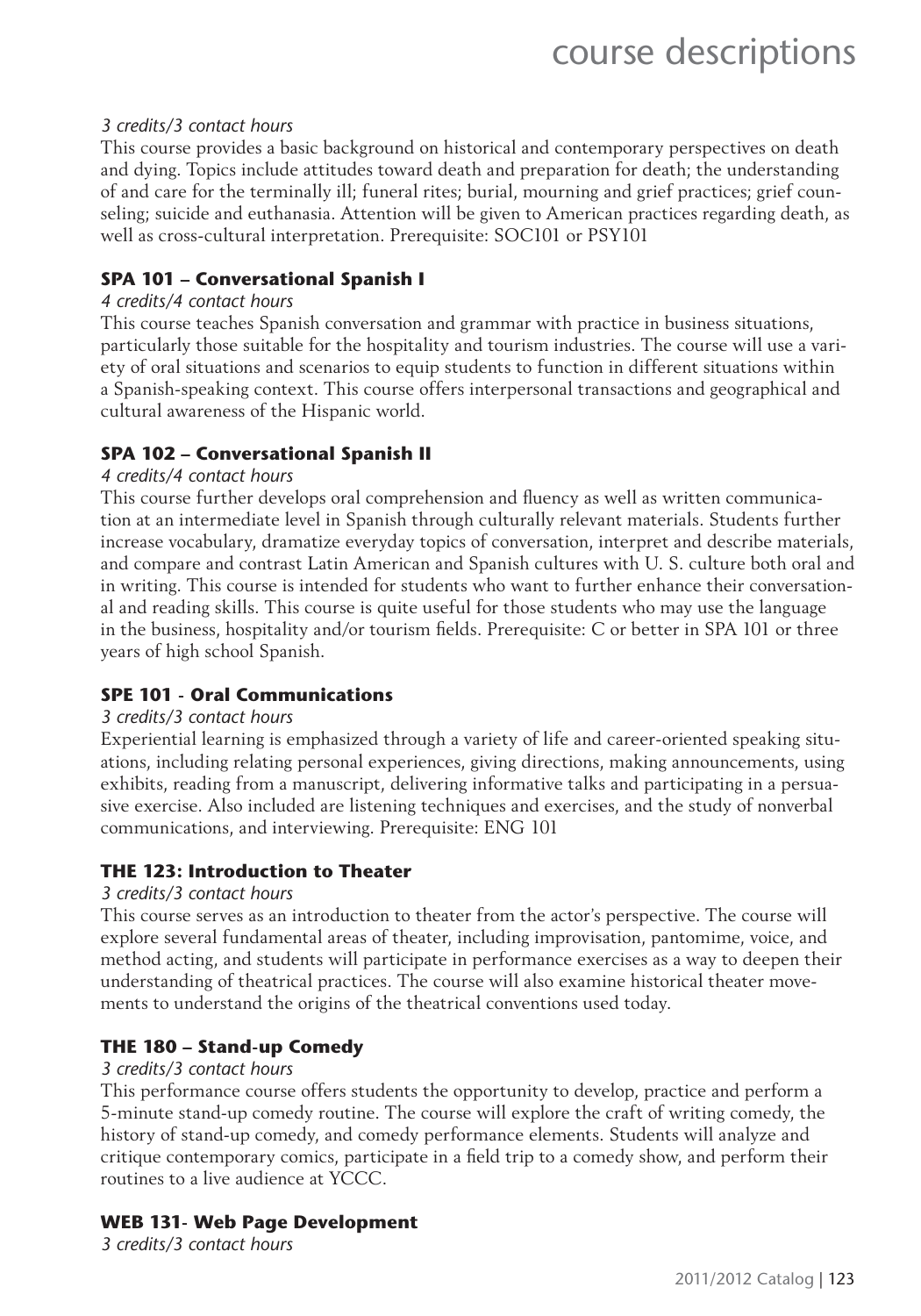#### *3 credits/3 contact hours*

This course provides a basic background on historical and contemporary perspectives on death and dying. Topics include attitudes toward death and preparation for death; the understanding of and care for the terminally ill; funeral rites; burial, mourning and grief practices; grief counseling; suicide and euthanasia. Attention will be given to American practices regarding death, as well as cross-cultural interpretation. Prerequisite: SOC101 or PSY101

#### **SPA 101 – Conversational Spanish I**

#### *4 credits/4 contact hours*

This course teaches Spanish conversation and grammar with practice in business situations, particularly those suitable for the hospitality and tourism industries. The course will use a variety of oral situations and scenarios to equip students to function in different situations within a Spanish-speaking context. This course offers interpersonal transactions and geographical and cultural awareness of the Hispanic world.

#### **SPA 102 – Conversational Spanish II**

#### *4 credits/4 contact hours*

This course further develops oral comprehension and fluency as well as written communication at an intermediate level in Spanish through culturally relevant materials. Students further increase vocabulary, dramatize everyday topics of conversation, interpret and describe materials, and compare and contrast Latin American and Spanish cultures with U. S. culture both oral and in writing. This course is intended for students who want to further enhance their conversational and reading skills. This course is quite useful for those students who may use the language in the business, hospitality and/or tourism fields. Prerequisite: C or better in SPA 101 or three years of high school Spanish.

#### **SPE 101 - Oral Communications**

#### *3 credits/3 contact hours*

Experiential learning is emphasized through a variety of life and career-oriented speaking situations, including relating personal experiences, giving directions, making announcements, using exhibits, reading from a manuscript, delivering informative talks and participating in a persuasive exercise. Also included are listening techniques and exercises, and the study of nonverbal communications, and interviewing. Prerequisite: ENG 101

#### **THE 123: Introduction to Theater**

#### *3 credits/3 contact hours*

This course serves as an introduction to theater from the actor's perspective. The course will explore several fundamental areas of theater, including improvisation, pantomime, voice, and method acting, and students will participate in performance exercises as a way to deepen their understanding of theatrical practices. The course will also examine historical theater movements to understand the origins of the theatrical conventions used today.

#### **THE 180 – Stand-up Comedy**

#### *3 credits/3 contact hours*

This performance course offers students the opportunity to develop, practice and perform a 5-minute stand-up comedy routine. The course will explore the craft of writing comedy, the history of stand-up comedy, and comedy performance elements. Students will analyze and critique contemporary comics, participate in a field trip to a comedy show, and perform their routines to a live audience at YCCC.

#### **WEB 131- Web Page Development**

*3 credits/3 contact hours*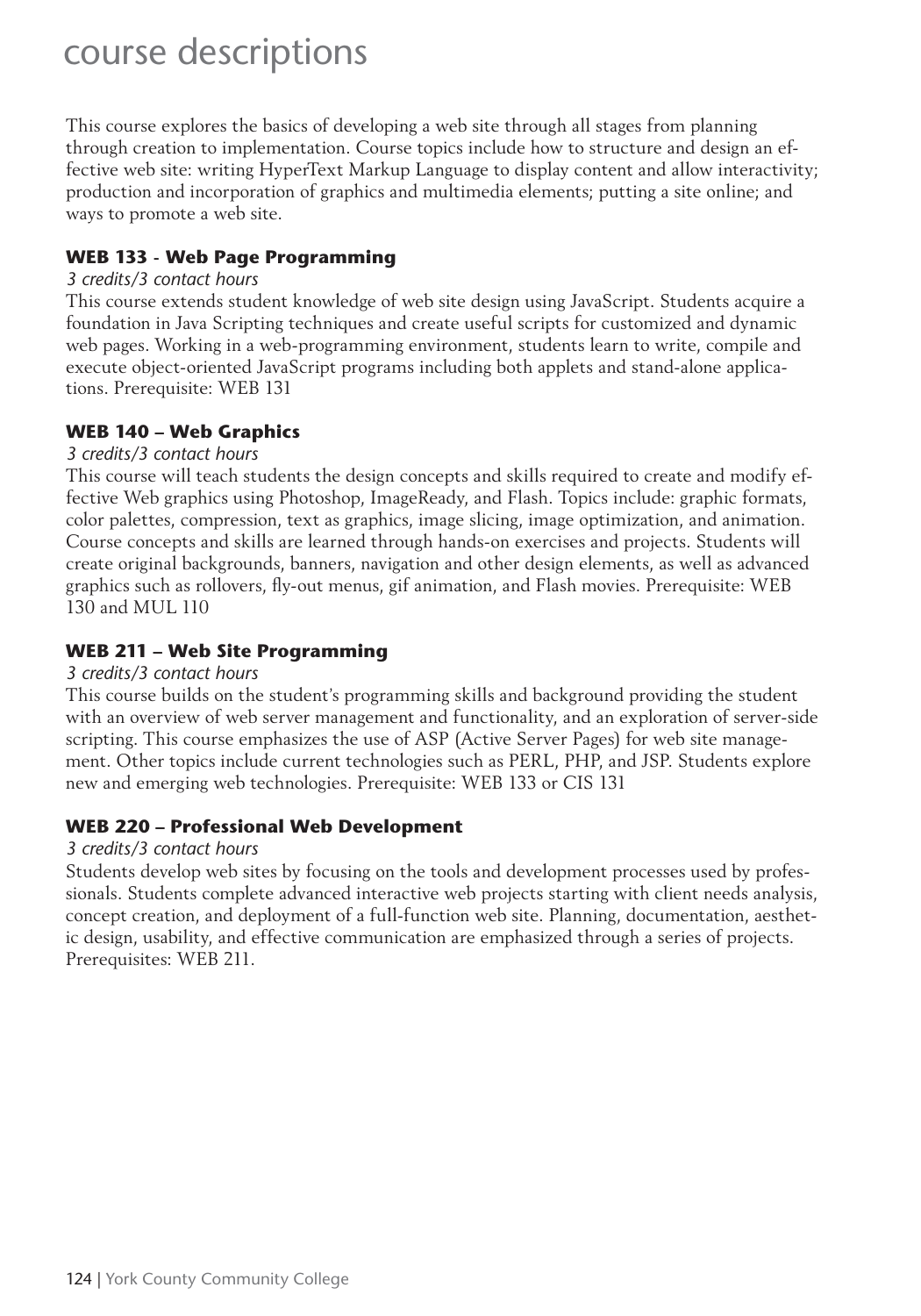This course explores the basics of developing a web site through all stages from planning through creation to implementation. Course topics include how to structure and design an effective web site: writing HyperText Markup Language to display content and allow interactivity; production and incorporation of graphics and multimedia elements; putting a site online; and ways to promote a web site.

#### **WEB 133 - Web Page Programming**

#### *3 credits/3 contact hours*

This course extends student knowledge of web site design using JavaScript. Students acquire a foundation in Java Scripting techniques and create useful scripts for customized and dynamic web pages. Working in a web-programming environment, students learn to write, compile and execute object-oriented JavaScript programs including both applets and stand-alone applications. Prerequisite: WEB 131

#### **WEB 140 – Web Graphics**

#### *3 credits/3 contact hours*

This course will teach students the design concepts and skills required to create and modify effective Web graphics using Photoshop, ImageReady, and Flash. Topics include: graphic formats, color palettes, compression, text as graphics, image slicing, image optimization, and animation. Course concepts and skills are learned through hands-on exercises and projects. Students will create original backgrounds, banners, navigation and other design elements, as well as advanced graphics such as rollovers, fly-out menus, gif animation, and Flash movies. Prerequisite: WEB 130 and MUL 110

#### **WEB 211 – Web Site Programming**

#### *3 credits/3 contact hours*

This course builds on the student's programming skills and background providing the student with an overview of web server management and functionality, and an exploration of server-side scripting. This course emphasizes the use of ASP (Active Server Pages) for web site management. Other topics include current technologies such as PERL, PHP, and JSP. Students explore new and emerging web technologies. Prerequisite: WEB 133 or CIS 131

#### **WEB 220 – Professional Web Development**

#### *3 credits/3 contact hours*

Students develop web sites by focusing on the tools and development processes used by professionals. Students complete advanced interactive web projects starting with client needs analysis, concept creation, and deployment of a full-function web site. Planning, documentation, aesthetic design, usability, and effective communication are emphasized through a series of projects. Prerequisites: WEB 211.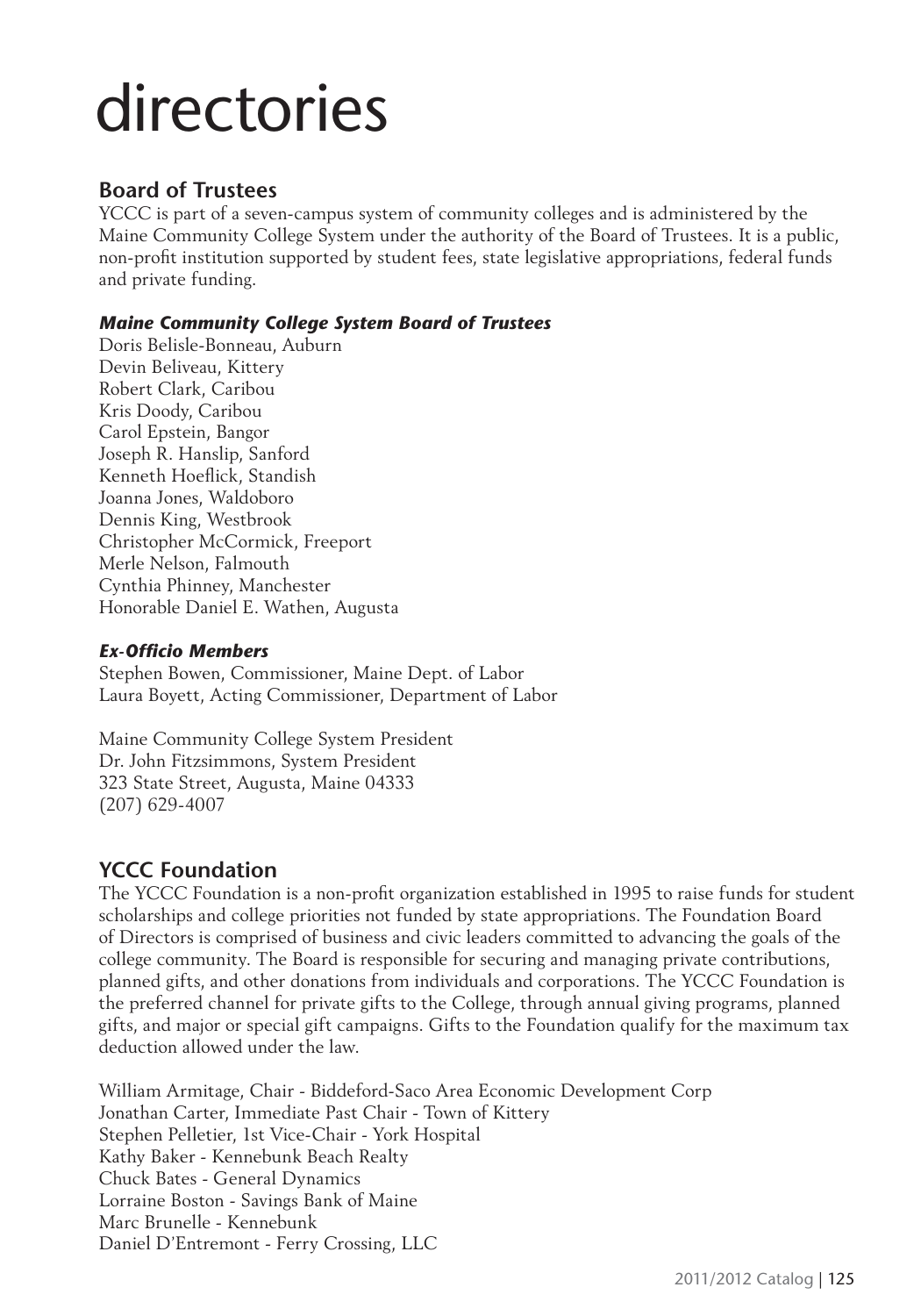#### **Board of Trustees**

YCCC is part of a seven-campus system of community colleges and is administered by the Maine Community College System under the authority of the Board of Trustees. It is a public, non-profit institution supported by student fees, state legislative appropriations, federal funds and private funding.

#### *Maine Community College System Board of Trustees*

Doris Belisle-Bonneau, Auburn Devin Beliveau, Kittery Robert Clark, Caribou Kris Doody, Caribou Carol Epstein, Bangor Joseph R. Hanslip, Sanford Kenneth Hoeflick, Standish Joanna Jones, Waldoboro Dennis King, Westbrook Christopher McCormick, Freeport Merle Nelson, Falmouth Cynthia Phinney, Manchester Honorable Daniel E. Wathen, Augusta

#### **Ex-Officio Members**

Stephen Bowen, Commissioner, Maine Dept. of Labor Laura Boyett, Acting Commissioner, Department of Labor

Maine Community College System President Dr. John Fitzsimmons, System President 323 State Street, Augusta, Maine 04333 (207) 629-4007

#### **YCCC Foundation**

The YCCC Foundation is a non-profit organization established in 1995 to raise funds for student scholarships and college priorities not funded by state appropriations. The Foundation Board of Directors is comprised of business and civic leaders committed to advancing the goals of the college community. The Board is responsible for securing and managing private contributions, planned gifts, and other donations from individuals and corporations. The YCCC Foundation is the preferred channel for private gifts to the College, through annual giving programs, planned gifts, and major or special gift campaigns. Gifts to the Foundation qualify for the maximum tax deduction allowed under the law.

William Armitage, Chair - Biddeford-Saco Area Economic Development Corp Jonathan Carter, Immediate Past Chair - Town of Kittery Stephen Pelletier, 1st Vice-Chair - York Hospital Kathy Baker - Kennebunk Beach Realty Chuck Bates - General Dynamics Lorraine Boston - Savings Bank of Maine Marc Brunelle - Kennebunk Daniel D'Entremont - Ferry Crossing, LLC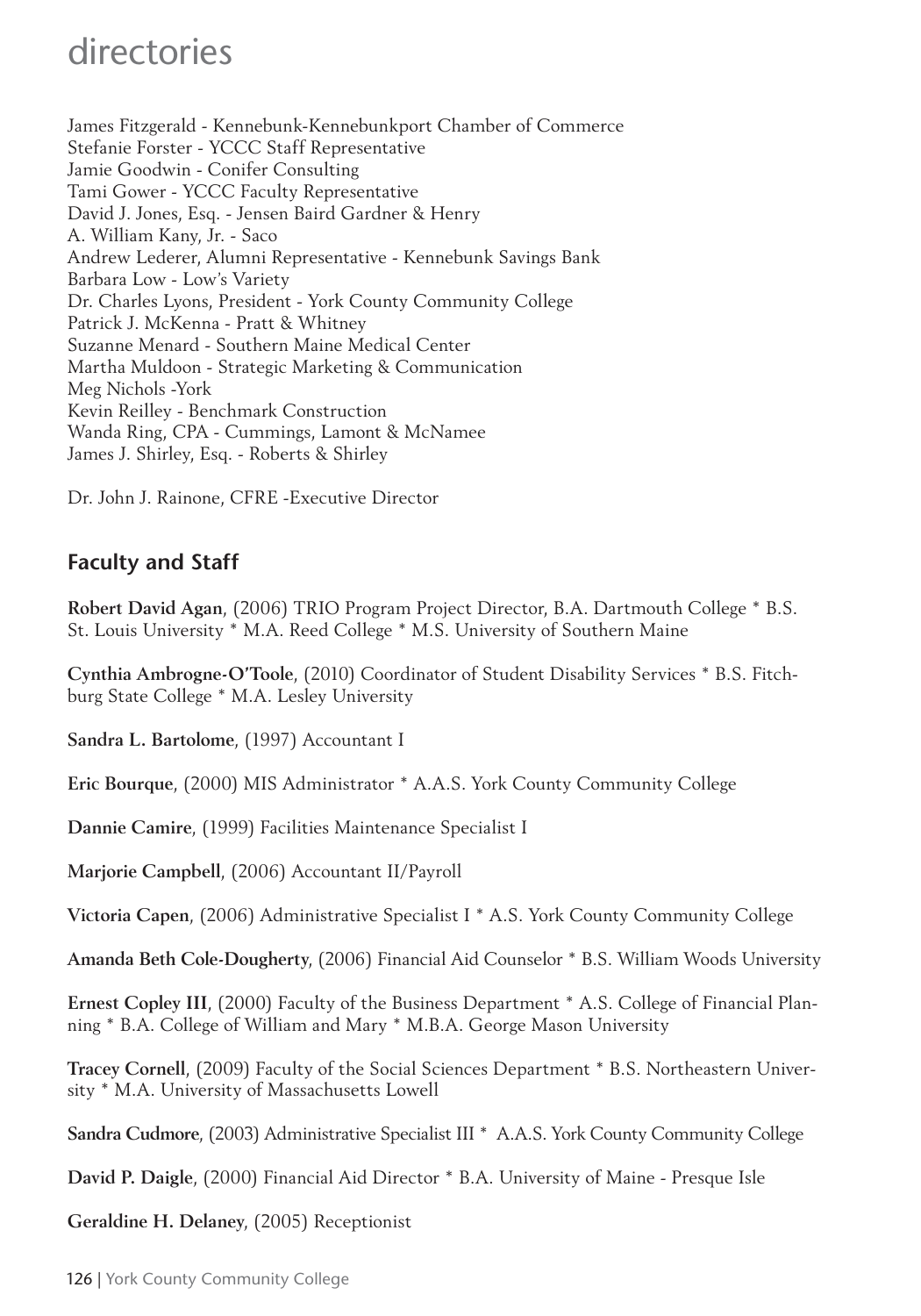James Fitzgerald - Kennebunk-Kennebunkport Chamber of Commerce Stefanie Forster - YCCC Staff Representative Jamie Goodwin - Conifer Consulting Tami Gower - YCCC Faculty Representative David J. Jones, Esq. - Jensen Baird Gardner & Henry A. William Kany, Jr. - Saco Andrew Lederer, Alumni Representative - Kennebunk Savings Bank Barbara Low - Low's Variety Dr. Charles Lyons, President - York County Community College Patrick J. McKenna - Pratt & Whitney Suzanne Menard - Southern Maine Medical Center Martha Muldoon - Strategic Marketing & Communication Meg Nichols -York Kevin Reilley - Benchmark Construction Wanda Ring, CPA - Cummings, Lamont & McNamee James J. Shirley, Esq. - Roberts & Shirley

Dr. John J. Rainone, CFRE -Executive Director

#### **Faculty and Staff**

**Robert David Agan**, (2006) TRIO Program Project Director, B.A. Dartmouth College \* B.S. St. Louis University \* M.A. Reed College \* M.S. University of Southern Maine

**Cynthia Ambrogne-O'Toole**, (2010) Coordinator of Student Disability Services \* B.S. Fitchburg State College \* M.A. Lesley University

**Sandra L. Bartolome**, (1997) Accountant I

**Eric Bourque**, (2000) MIS Administrator \* A.A.S. York County Community College

**Dannie Camire**, (1999) Facilities Maintenance Specialist I

**Marjorie Campbell**, (2006) Accountant II/Payroll

**Victoria Capen**, (2006) Administrative Specialist I \* A.S. York County Community College

**Amanda Beth Cole-Dougherty**, (2006) Financial Aid Counselor \* B.S. William Woods University

**Ernest Copley III**, (2000) Faculty of the Business Department \* A.S. College of Financial Planning \* B.A. College of William and Mary \* M.B.A. George Mason University

**Tracey Cornell**, (2009) Faculty of the Social Sciences Department \* B.S. Northeastern University \* M.A. University of Massachusetts Lowell

**Sandra Cudmore**, (2003) Administrative Specialist III \* A.A.S. York County Community College

**David P. Daigle**, (2000) Financial Aid Director \* B.A. University of Maine - Presque Isle

**Geraldine H. Delaney**, (2005) Receptionist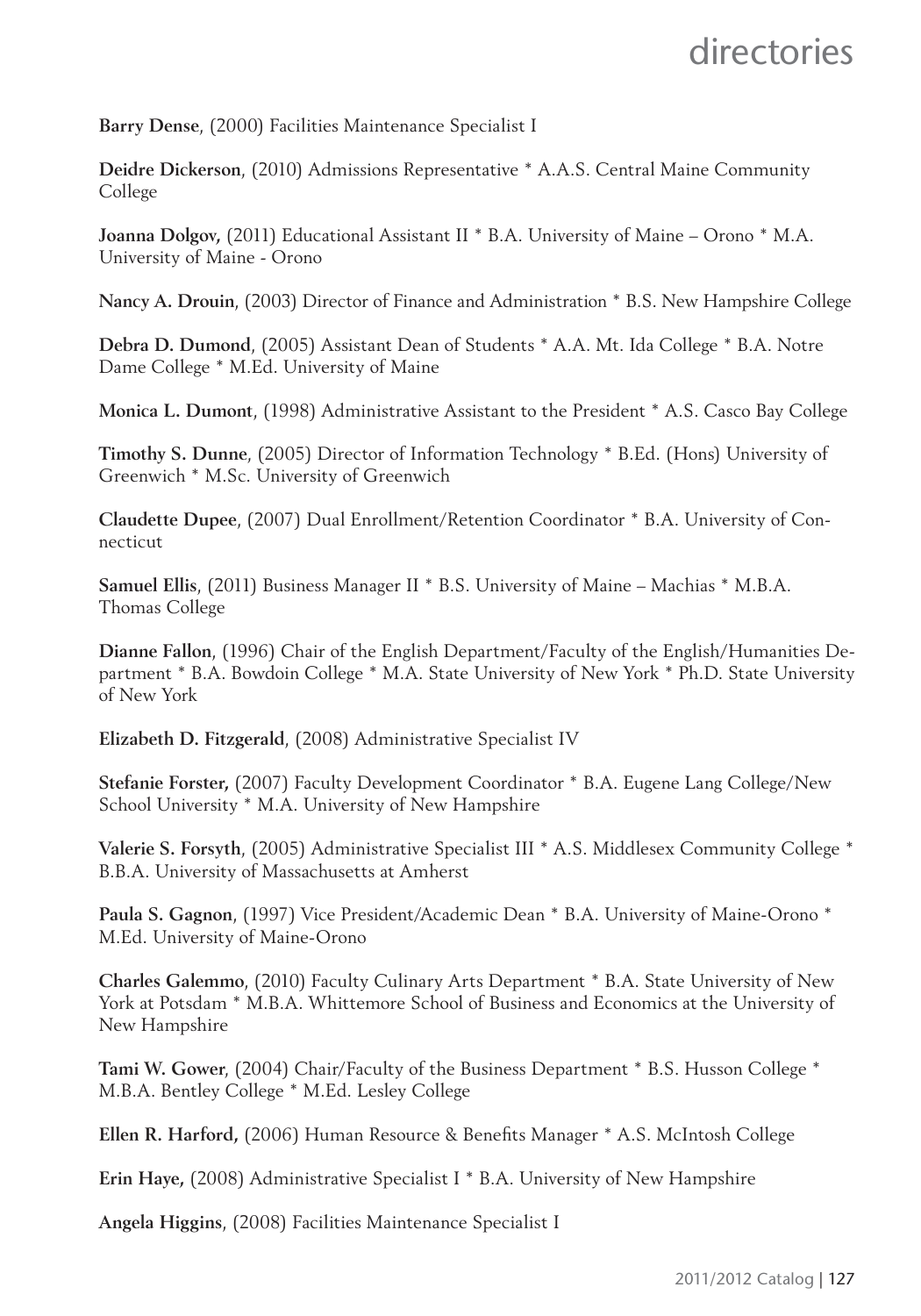**Barry Dense**, (2000) Facilities Maintenance Specialist I

**Deidre Dickerson**, (2010) Admissions Representative \* A.A.S. Central Maine Community College

**Joanna Dolgov,** (2011) Educational Assistant II \* B.A. University of Maine – Orono \* M.A. University of Maine - Orono

**Nancy A. Drouin**, (2003) Director of Finance and Administration \* B.S. New Hampshire College

**Debra D. Dumond**, (2005) Assistant Dean of Students \* A.A. Mt. Ida College \* B.A. Notre Dame College \* M.Ed. University of Maine

**Monica L. Dumont**, (1998) Administrative Assistant to the President \* A.S. Casco Bay College

**Timothy S. Dunne**, (2005) Director of Information Technology \* B.Ed. (Hons) University of Greenwich \* M.Sc. University of Greenwich

**Claudette Dupee**, (2007) Dual Enrollment/Retention Coordinator \* B.A. University of Connecticut

**Samuel Ellis**, (2011) Business Manager II \* B.S. University of Maine – Machias \* M.B.A. Thomas College

**Dianne Fallon**, (1996) Chair of the English Department/Faculty of the English/Humanities Department \* B.A. Bowdoin College \* M.A. State University of New York \* Ph.D. State University of New York

**Elizabeth D. Fitzgerald**, (2008) Administrative Specialist IV

**Stefanie Forster,** (2007) Faculty Development Coordinator \* B.A. Eugene Lang College/New School University \* M.A. University of New Hampshire

**Valerie S. Forsyth**, (2005) Administrative Specialist III \* A.S. Middlesex Community College \* B.B.A. University of Massachusetts at Amherst

**Paula S. Gagnon**, (1997) Vice President/Academic Dean \* B.A. University of Maine-Orono \* M.Ed. University of Maine-Orono

**Charles Galemmo**, (2010) Faculty Culinary Arts Department \* B.A. State University of New York at Potsdam \* M.B.A. Whittemore School of Business and Economics at the University of New Hampshire

**Tami W. Gower**, (2004) Chair/Faculty of the Business Department \* B.S. Husson College \* M.B.A. Bentley College \* M.Ed. Lesley College

**Ellen R. Harford,** (2006) Human Resource & Benefits Manager \* A.S. McIntosh College

**Erin Haye,** (2008) Administrative Specialist I \* B.A. University of New Hampshire

**Angela Higgins**, (2008) Facilities Maintenance Specialist I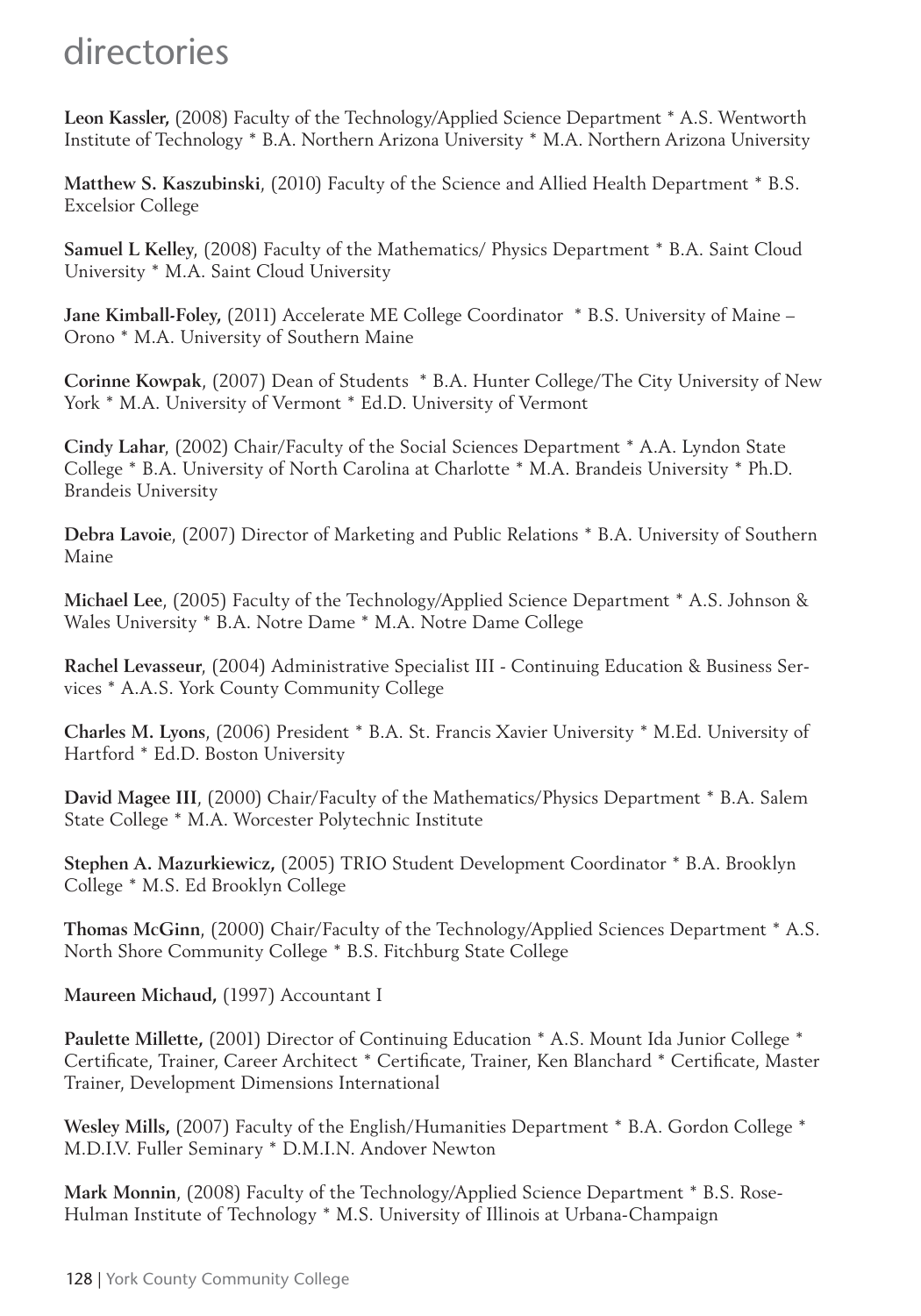**Leon Kassler,** (2008) Faculty of the Technology/Applied Science Department \* A.S. Wentworth Institute of Technology \* B.A. Northern Arizona University \* M.A. Northern Arizona University

**Matthew S. Kaszubinski**, (2010) Faculty of the Science and Allied Health Department \* B.S. Excelsior College

**Samuel L Kelley**, (2008) Faculty of the Mathematics/ Physics Department \* B.A. Saint Cloud University \* M.A. Saint Cloud University

**Jane Kimball-Foley,** (2011) Accelerate ME College Coordinator \* B.S. University of Maine – Orono \* M.A. University of Southern Maine

**Corinne Kowpak**, (2007) Dean of Students \* B.A. Hunter College/The City University of New York \* M.A. University of Vermont \* Ed.D. University of Vermont

**Cindy Lahar**, (2002) Chair/Faculty of the Social Sciences Department \* A.A. Lyndon State College \* B.A. University of North Carolina at Charlotte \* M.A. Brandeis University \* Ph.D. Brandeis University

**Debra Lavoie**, (2007) Director of Marketing and Public Relations \* B.A. University of Southern Maine

**Michael Lee**, (2005) Faculty of the Technology/Applied Science Department \* A.S. Johnson & Wales University \* B.A. Notre Dame \* M.A. Notre Dame College

**Rachel Levasseur**, (2004) Administrative Specialist III - Continuing Education & Business Services \* A.A.S. York County Community College

**Charles M. Lyons**, (2006) President \* B.A. St. Francis Xavier University \* M.Ed. University of Hartford \* Ed.D. Boston University

**David Magee III**, (2000) Chair/Faculty of the Mathematics/Physics Department \* B.A. Salem State College \* M.A. Worcester Polytechnic Institute

**Stephen A. Mazurkiewicz,** (2005) TRIO Student Development Coordinator \* B.A. Brooklyn College \* M.S. Ed Brooklyn College

**Thomas McGinn**, (2000) Chair/Faculty of the Technology/Applied Sciences Department \* A.S. North Shore Community College \* B.S. Fitchburg State College

**Maureen Michaud,** (1997) Accountant I

**Paulette Millette,** (2001) Director of Continuing Education \* A.S. Mount Ida Junior College \* Certificate, Trainer, Career Architect \* Certificate, Trainer, Ken Blanchard \* Certificate, Master Trainer, Development Dimensions International

**Wesley Mills,** (2007) Faculty of the English/Humanities Department \* B.A. Gordon College \* M.D.I.V. Fuller Seminary \* D.M.I.N. Andover Newton

**Mark Monnin**, (2008) Faculty of the Technology/Applied Science Department \* B.S. Rose-Hulman Institute of Technology \* M.S. University of Illinois at Urbana-Champaign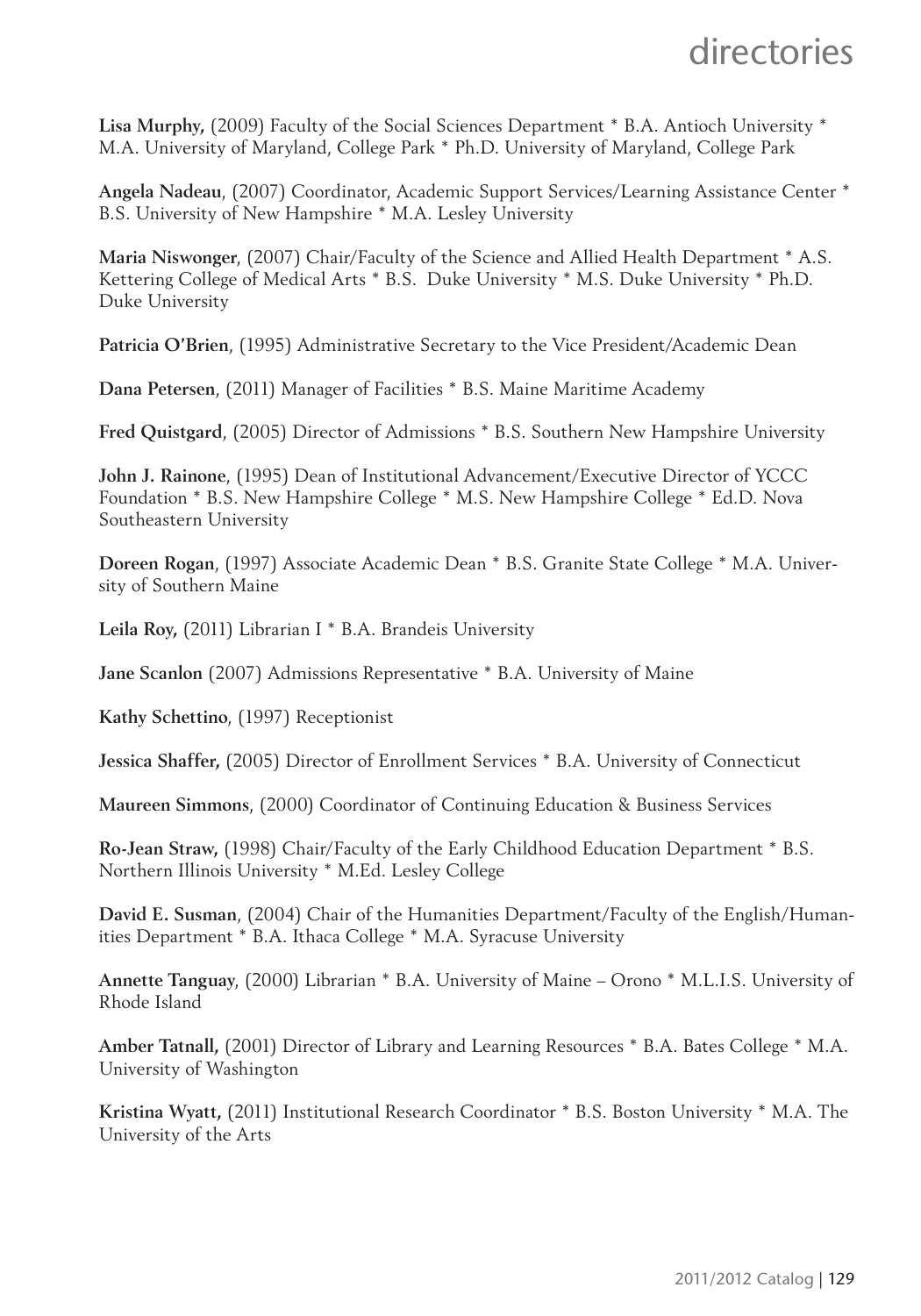**Lisa Murphy,** (2009) Faculty of the Social Sciences Department \* B.A. Antioch University \* M.A. University of Maryland, College Park \* Ph.D. University of Maryland, College Park

**Angela Nadeau**, (2007) Coordinator, Academic Support Services/Learning Assistance Center \* B.S. University of New Hampshire \* M.A. Lesley University

**Maria Niswonger**, (2007) Chair/Faculty of the Science and Allied Health Department \* A.S. Kettering College of Medical Arts \* B.S. Duke University \* M.S. Duke University \* Ph.D. Duke University

**Patricia O'Brien**, (1995) Administrative Secretary to the Vice President/Academic Dean

**Dana Petersen**, (2011) Manager of Facilities \* B.S. Maine Maritime Academy

**Fred Quistgard**, (2005) Director of Admissions \* B.S. Southern New Hampshire University

**John J. Rainone**, (1995) Dean of Institutional Advancement/Executive Director of YCCC Foundation \* B.S. New Hampshire College \* M.S. New Hampshire College \* Ed.D. Nova Southeastern University

**Doreen Rogan**, (1997) Associate Academic Dean \* B.S. Granite State College \* M.A. University of Southern Maine

**Leila Roy,** (2011) Librarian I \* B.A. Brandeis University

**Jane Scanlon** (2007) Admissions Representative \* B.A. University of Maine

**Kathy Schettino**, (1997) Receptionist

**Jessica Shaffer,** (2005) Director of Enrollment Services \* B.A. University of Connecticut

**Maureen Simmons**, (2000) Coordinator of Continuing Education & Business Services

**Ro-Jean Straw,** (1998) Chair/Faculty of the Early Childhood Education Department \* B.S. Northern Illinois University \* M.Ed. Lesley College

**David E. Susman**, (2004) Chair of the Humanities Department/Faculty of the English/Humanities Department \* B.A. Ithaca College \* M.A. Syracuse University

**Annette Tanguay**, (2000) Librarian \* B.A. University of Maine – Orono \* M.L.I.S. University of Rhode Island

**Amber Tatnall,** (2001) Director of Library and Learning Resources \* B.A. Bates College \* M.A. University of Washington

**Kristina Wyatt,** (2011) Institutional Research Coordinator \* B.S. Boston University \* M.A. The University of the Arts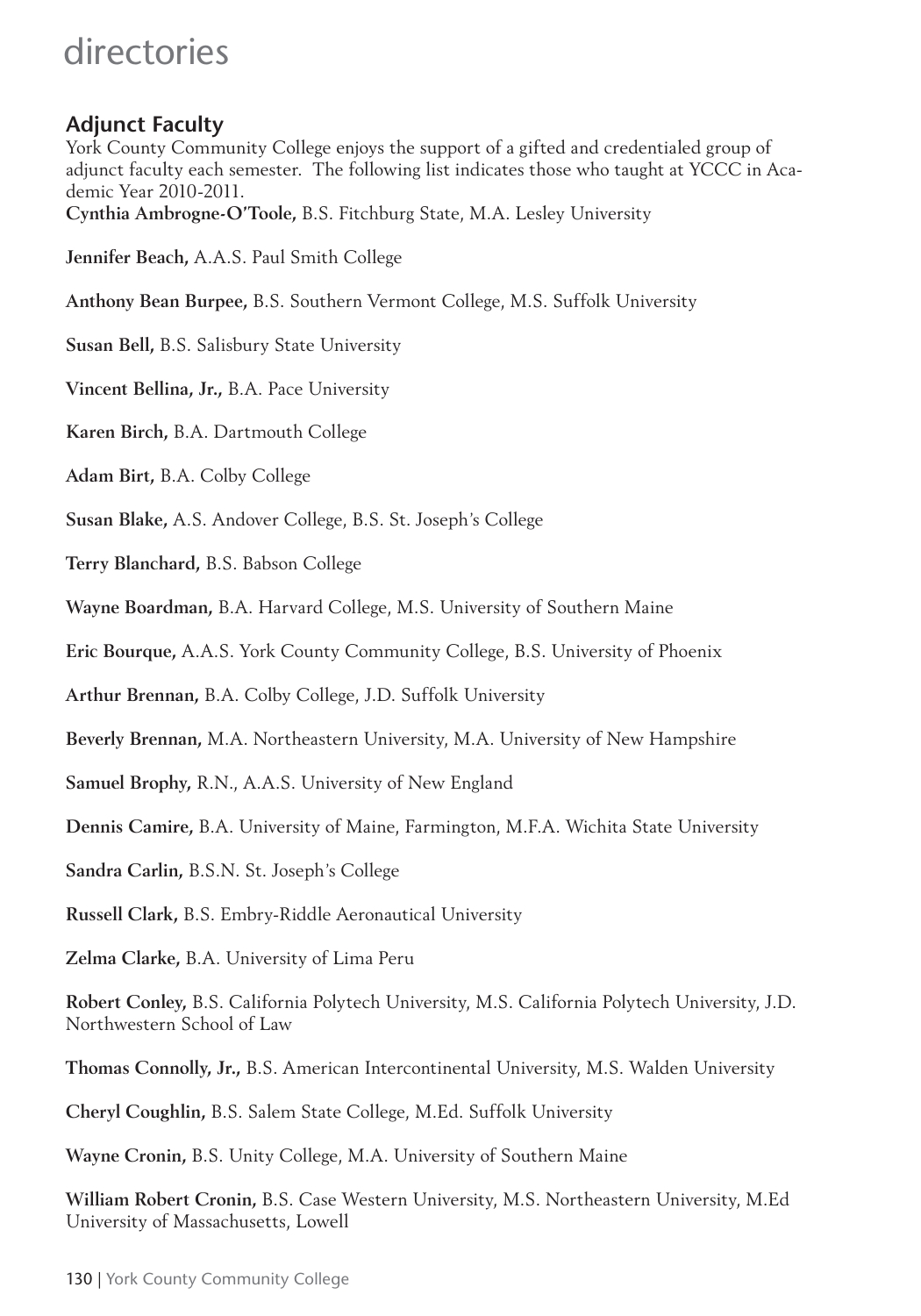#### **Adjunct Faculty**

York County Community College enjoys the support of a gifted and credentialed group of adjunct faculty each semester. The following list indicates those who taught at YCCC in Academic Year 2010-2011.

**Cynthia Ambrogne-O'Toole,** B.S. Fitchburg State, M.A. Lesley University

**Jennifer Beach,** A.A.S. Paul Smith College

**Anthony Bean Burpee,** B.S. Southern Vermont College, M.S. Suffolk University

- **Susan Bell,** B.S. Salisbury State University
- **Vincent Bellina, Jr.,** B.A. Pace University
- **Karen Birch,** B.A. Dartmouth College
- **Adam Birt,** B.A. Colby College
- **Susan Blake,** A.S. Andover College, B.S. St. Joseph's College
- **Terry Blanchard,** B.S. Babson College
- **Wayne Boardman,** B.A. Harvard College, M.S. University of Southern Maine
- **Eric Bourque,** A.A.S. York County Community College, B.S. University of Phoenix
- **Arthur Brennan,** B.A. Colby College, J.D. Suffolk University
- **Beverly Brennan,** M.A. Northeastern University, M.A. University of New Hampshire
- **Samuel Brophy,** R.N., A.A.S. University of New England
- **Dennis Camire,** B.A. University of Maine, Farmington, M.F.A. Wichita State University
- **Sandra Carlin,** B.S.N. St. Joseph's College
- **Russell Clark,** B.S. Embry-Riddle Aeronautical University
- **Zelma Clarke,** B.A. University of Lima Peru

**Robert Conley,** B.S. California Polytech University, M.S. California Polytech University, J.D. Northwestern School of Law

**Thomas Connolly, Jr.,** B.S. American Intercontinental University, M.S. Walden University

**Cheryl Coughlin,** B.S. Salem State College, M.Ed. Suffolk University

**Wayne Cronin,** B.S. Unity College, M.A. University of Southern Maine

**William Robert Cronin,** B.S. Case Western University, M.S. Northeastern University, M.Ed University of Massachusetts, Lowell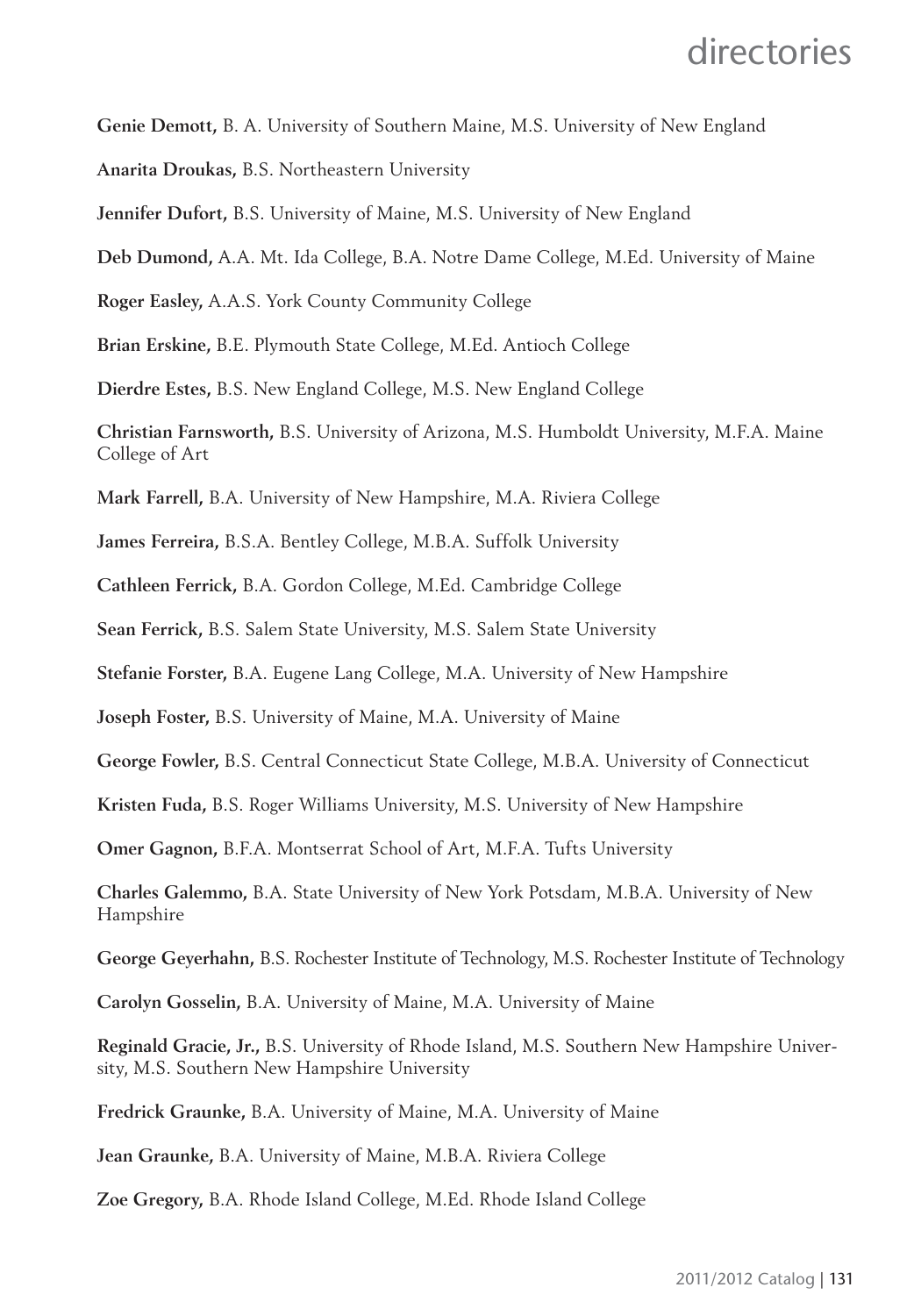**Genie Demott,** B. A. University of Southern Maine, M.S. University of New England

**Anarita Droukas,** B.S. Northeastern University

**Jennifer Dufort,** B.S. University of Maine, M.S. University of New England

**Deb Dumond,** A.A. Mt. Ida College, B.A. Notre Dame College, M.Ed. University of Maine

**Roger Easley,** A.A.S. York County Community College

**Brian Erskine,** B.E. Plymouth State College, M.Ed. Antioch College

**Dierdre Estes,** B.S. New England College, M.S. New England College

**Christian Farnsworth,** B.S. University of Arizona, M.S. Humboldt University, M.F.A. Maine College of Art

**Mark Farrell,** B.A. University of New Hampshire, M.A. Riviera College

**James Ferreira,** B.S.A. Bentley College, M.B.A. Suffolk University

**Cathleen Ferrick,** B.A. Gordon College, M.Ed. Cambridge College

**Sean Ferrick,** B.S. Salem State University, M.S. Salem State University

**Stefanie Forster,** B.A. Eugene Lang College, M.A. University of New Hampshire

**Joseph Foster,** B.S. University of Maine, M.A. University of Maine

**George Fowler,** B.S. Central Connecticut State College, M.B.A. University of Connecticut

**Kristen Fuda,** B.S. Roger Williams University, M.S. University of New Hampshire

**Omer Gagnon,** B.F.A. Montserrat School of Art, M.F.A. Tufts University

**Charles Galemmo,** B.A. State University of New York Potsdam, M.B.A. University of New Hampshire

**George Geyerhahn,** B.S. Rochester Institute of Technology, M.S. Rochester Institute of Technology

**Carolyn Gosselin,** B.A. University of Maine, M.A. University of Maine

**Reginald Gracie, Jr.,** B.S. University of Rhode Island, M.S. Southern New Hampshire University, M.S. Southern New Hampshire University

**Fredrick Graunke,** B.A. University of Maine, M.A. University of Maine

**Jean Graunke,** B.A. University of Maine, M.B.A. Riviera College

**Zoe Gregory,** B.A. Rhode Island College, M.Ed. Rhode Island College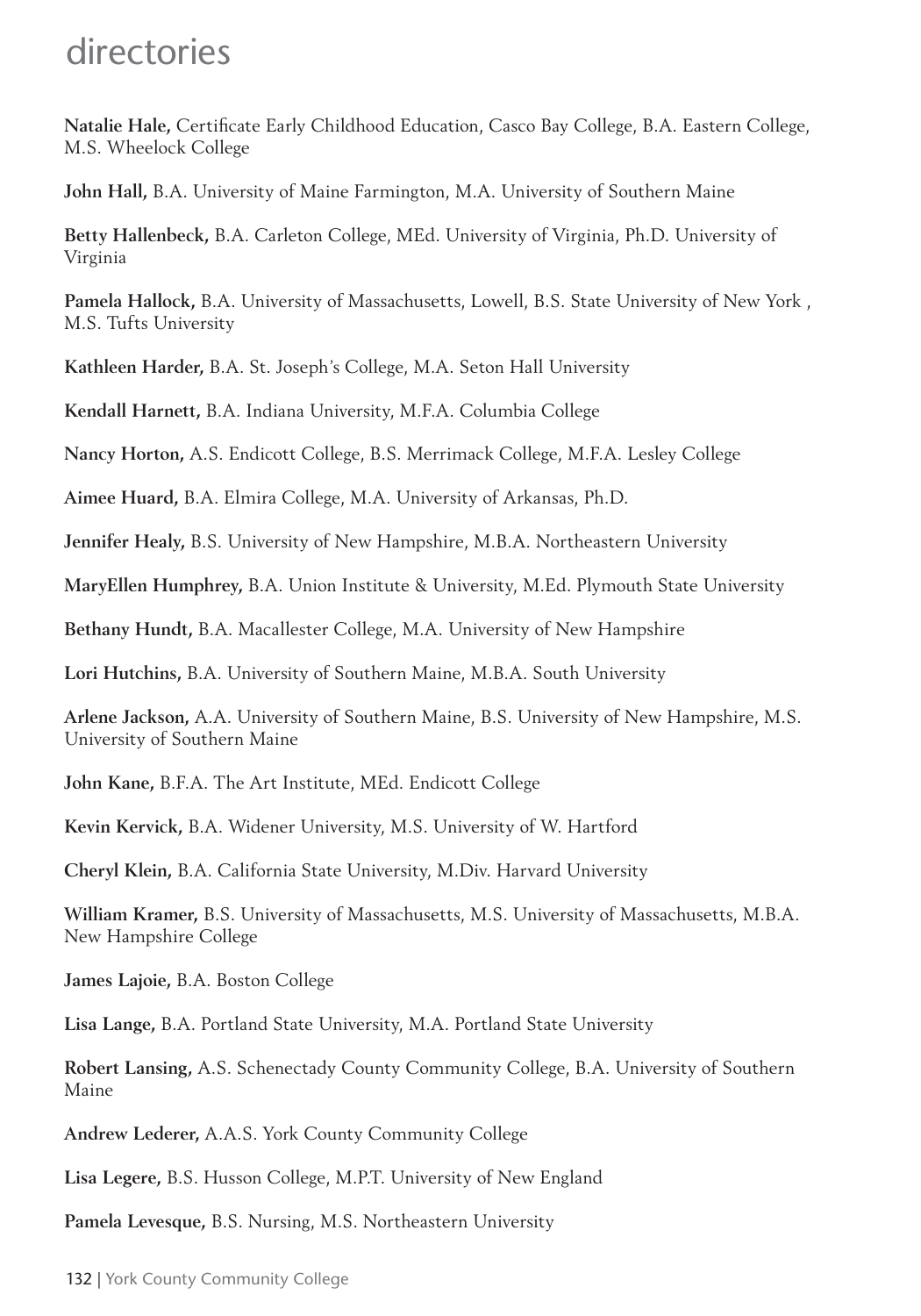Natalie Hale, Certificate Early Childhood Education, Casco Bay College, B.A. Eastern College, M.S. Wheelock College

**John Hall,** B.A. University of Maine Farmington, M.A. University of Southern Maine

**Betty Hallenbeck,** B.A. Carleton College, MEd. University of Virginia, Ph.D. University of Virginia

**Pamela Hallock,** B.A. University of Massachusetts, Lowell, B.S. State University of New York , M.S. Tufts University

**Kathleen Harder,** B.A. St. Joseph's College, M.A. Seton Hall University

**Kendall Harnett,** B.A. Indiana University, M.F.A. Columbia College

**Nancy Horton,** A.S. Endicott College, B.S. Merrimack College, M.F.A. Lesley College

**Aimee Huard,** B.A. Elmira College, M.A. University of Arkansas, Ph.D.

**Jennifer Healy,** B.S. University of New Hampshire, M.B.A. Northeastern University

**MaryEllen Humphrey,** B.A. Union Institute & University, M.Ed. Plymouth State University

**Bethany Hundt,** B.A. Macallester College, M.A. University of New Hampshire

**Lori Hutchins,** B.A. University of Southern Maine, M.B.A. South University

**Arlene Jackson,** A.A. University of Southern Maine, B.S. University of New Hampshire, M.S. University of Southern Maine

**John Kane,** B.F.A. The Art Institute, MEd. Endicott College

**Kevin Kervick,** B.A. Widener University, M.S. University of W. Hartford

**Cheryl Klein,** B.A. California State University, M.Div. Harvard University

**William Kramer,** B.S. University of Massachusetts, M.S. University of Massachusetts, M.B.A. New Hampshire College

**James Lajoie,** B.A. Boston College

**Lisa Lange,** B.A. Portland State University, M.A. Portland State University

**Robert Lansing,** A.S. Schenectady County Community College, B.A. University of Southern Maine

**Andrew Lederer,** A.A.S. York County Community College

**Lisa Legere,** B.S. Husson College, M.P.T. University of New England

**Pamela Levesque,** B.S. Nursing, M.S. Northeastern University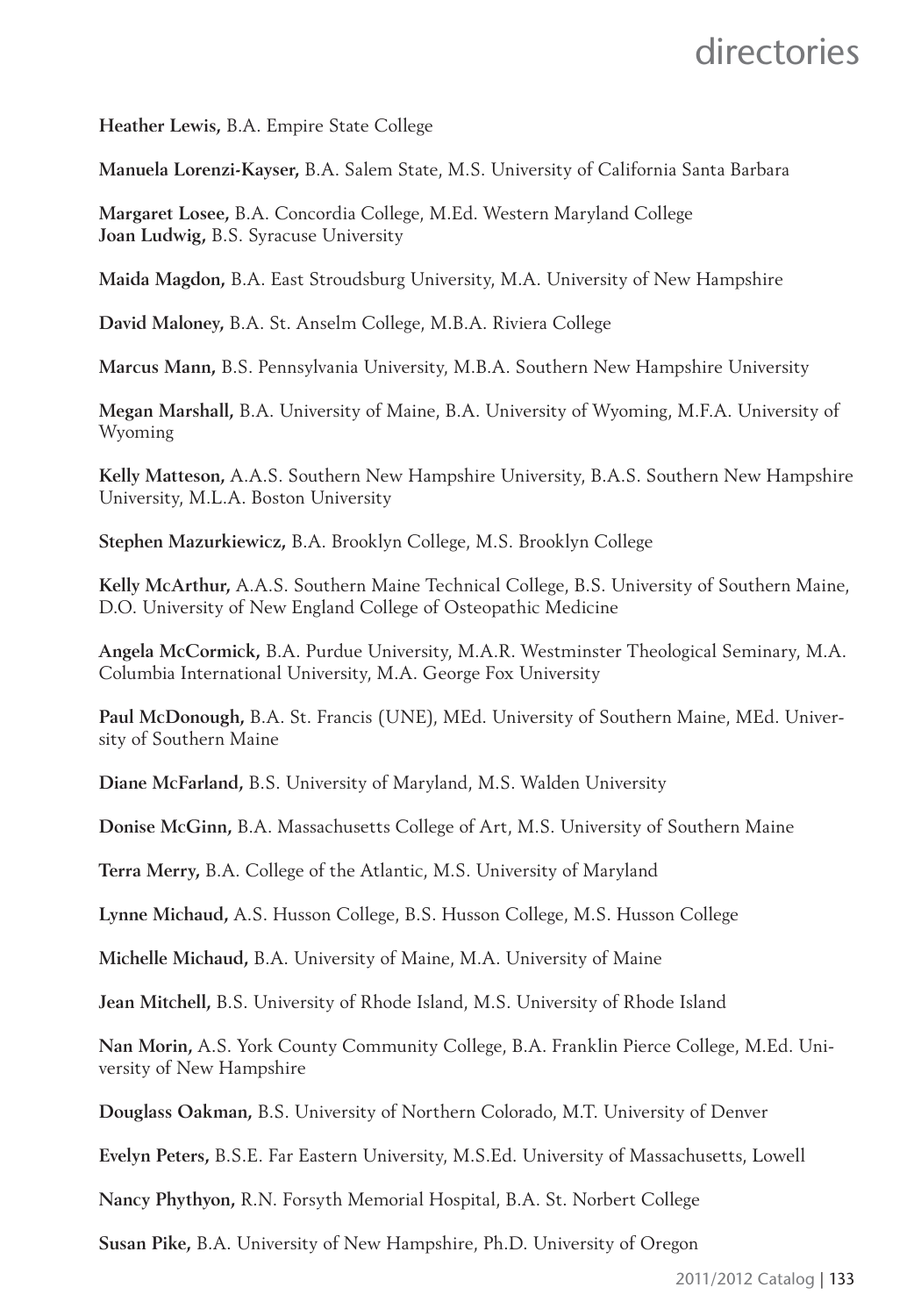**Heather Lewis,** B.A. Empire State College

**Manuela Lorenzi-Kayser,** B.A. Salem State, M.S. University of California Santa Barbara

**Margaret Losee,** B.A. Concordia College, M.Ed. Western Maryland College **Joan Ludwig,** B.S. Syracuse University

**Maida Magdon,** B.A. East Stroudsburg University, M.A. University of New Hampshire

**David Maloney,** B.A. St. Anselm College, M.B.A. Riviera College

**Marcus Mann,** B.S. Pennsylvania University, M.B.A. Southern New Hampshire University

**Megan Marshall,** B.A. University of Maine, B.A. University of Wyoming, M.F.A. University of Wyoming

**Kelly Matteson,** A.A.S. Southern New Hampshire University, B.A.S. Southern New Hampshire University, M.L.A. Boston University

**Stephen Mazurkiewicz,** B.A. Brooklyn College, M.S. Brooklyn College

**Kelly McArthur,** A.A.S. Southern Maine Technical College, B.S. University of Southern Maine, D.O. University of New England College of Osteopathic Medicine

**Angela McCormick,** B.A. Purdue University, M.A.R. Westminster Theological Seminary, M.A. Columbia International University, M.A. George Fox University

**Paul McDonough,** B.A. St. Francis (UNE), MEd. University of Southern Maine, MEd. University of Southern Maine

**Diane McFarland,** B.S. University of Maryland, M.S. Walden University

**Donise McGinn,** B.A. Massachusetts College of Art, M.S. University of Southern Maine

**Terra Merry,** B.A. College of the Atlantic, M.S. University of Maryland

**Lynne Michaud,** A.S. Husson College, B.S. Husson College, M.S. Husson College

**Michelle Michaud,** B.A. University of Maine, M.A. University of Maine

**Jean Mitchell,** B.S. University of Rhode Island, M.S. University of Rhode Island

**Nan Morin,** A.S. York County Community College, B.A. Franklin Pierce College, M.Ed. University of New Hampshire

**Douglass Oakman,** B.S. University of Northern Colorado, M.T. University of Denver

**Evelyn Peters,** B.S.E. Far Eastern University, M.S.Ed. University of Massachusetts, Lowell

**Nancy Phythyon,** R.N. Forsyth Memorial Hospital, B.A. St. Norbert College

**Susan Pike,** B.A. University of New Hampshire, Ph.D. University of Oregon

2011/2012 Catalog | 133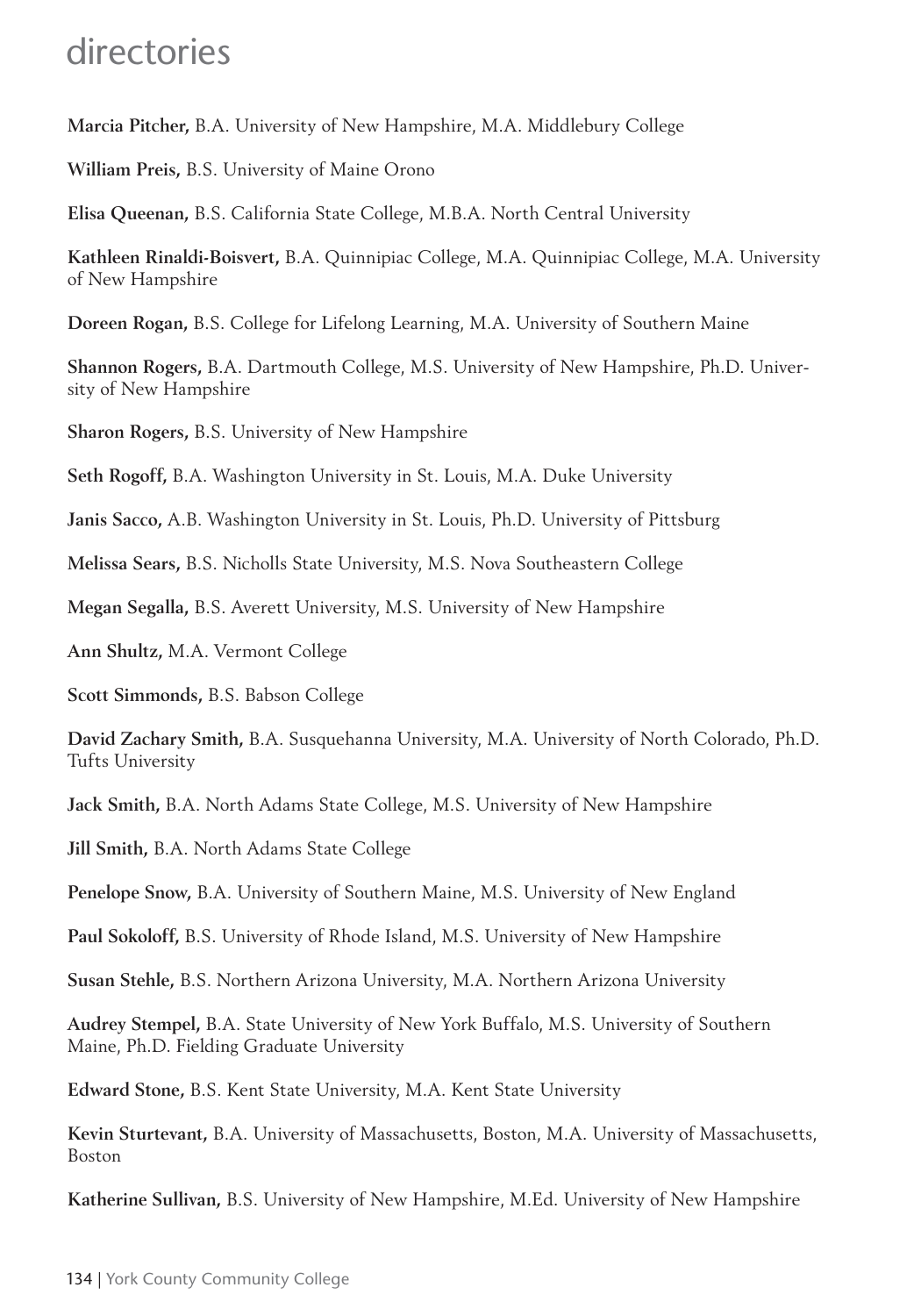**Marcia Pitcher,** B.A. University of New Hampshire, M.A. Middlebury College

**William Preis,** B.S. University of Maine Orono

**Elisa Queenan,** B.S. California State College, M.B.A. North Central University

**Kathleen Rinaldi-Boisvert,** B.A. Quinnipiac College, M.A. Quinnipiac College, M.A. University of New Hampshire

**Doreen Rogan,** B.S. College for Lifelong Learning, M.A. University of Southern Maine

**Shannon Rogers,** B.A. Dartmouth College, M.S. University of New Hampshire, Ph.D. University of New Hampshire

**Sharon Rogers,** B.S. University of New Hampshire

**Seth Rogoff,** B.A. Washington University in St. Louis, M.A. Duke University

**Janis Sacco,** A.B. Washington University in St. Louis, Ph.D. University of Pittsburg

**Melissa Sears,** B.S. Nicholls State University, M.S. Nova Southeastern College

**Megan Segalla,** B.S. Averett University, M.S. University of New Hampshire

**Ann Shultz,** M.A. Vermont College

**Scott Simmonds,** B.S. Babson College

**David Zachary Smith,** B.A. Susquehanna University, M.A. University of North Colorado, Ph.D. Tufts University

**Jack Smith,** B.A. North Adams State College, M.S. University of New Hampshire

**Jill Smith,** B.A. North Adams State College

**Penelope Snow,** B.A. University of Southern Maine, M.S. University of New England

**Paul Sokoloff,** B.S. University of Rhode Island, M.S. University of New Hampshire

**Susan Stehle,** B.S. Northern Arizona University, M.A. Northern Arizona University

**Audrey Stempel,** B.A. State University of New York Buffalo, M.S. University of Southern Maine, Ph.D. Fielding Graduate University

**Edward Stone,** B.S. Kent State University, M.A. Kent State University

**Kevin Sturtevant,** B.A. University of Massachusetts, Boston, M.A. University of Massachusetts, Boston

**Katherine Sullivan,** B.S. University of New Hampshire, M.Ed. University of New Hampshire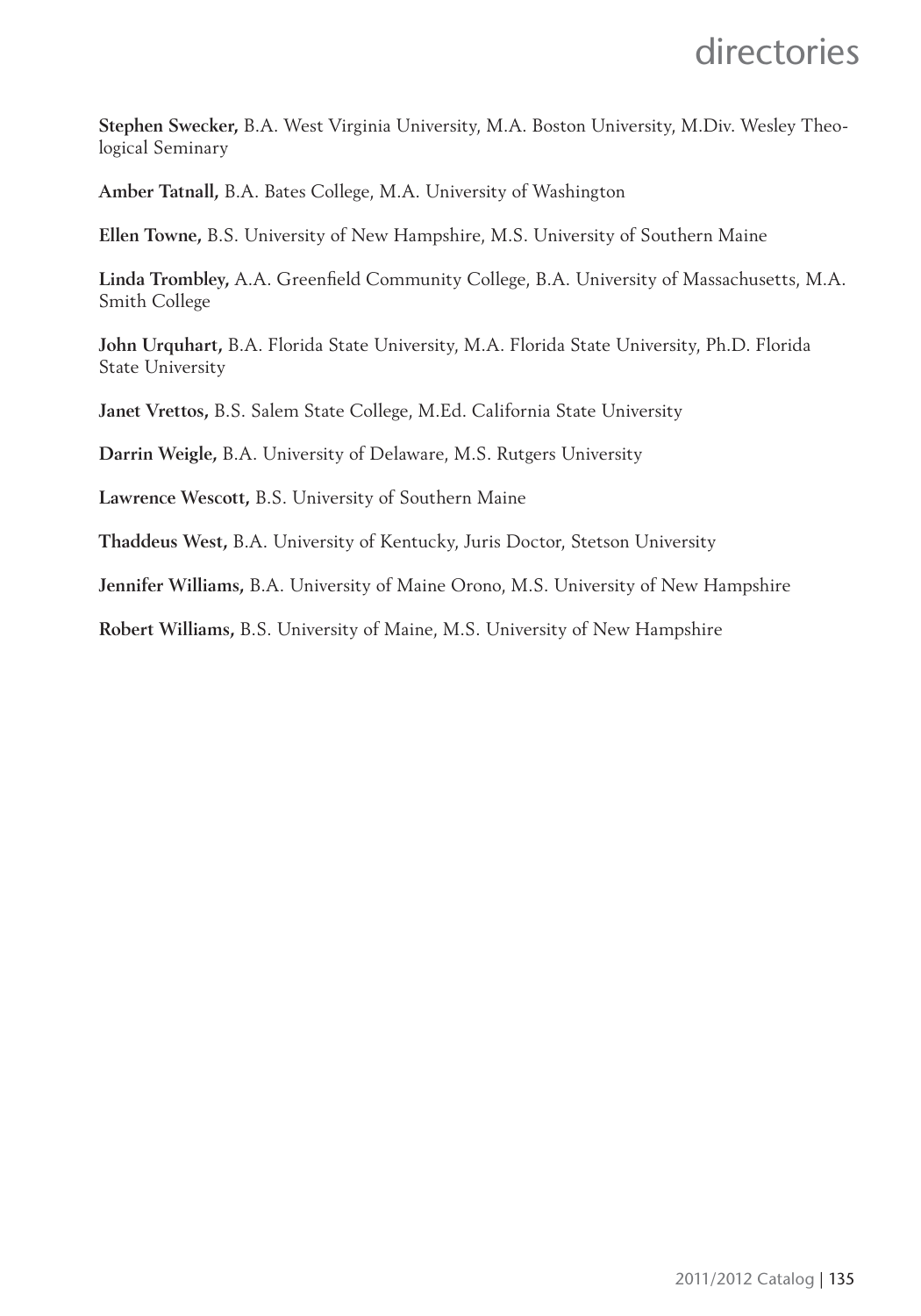**Stephen Swecker,** B.A. West Virginia University, M.A. Boston University, M.Div. Wesley Theological Seminary

**Amber Tatnall,** B.A. Bates College, M.A. University of Washington

**Ellen Towne,** B.S. University of New Hampshire, M.S. University of Southern Maine

Linda Trombley, A.A. Greenfield Community College, B.A. University of Massachusetts, M.A. Smith College

**John Urquhart,** B.A. Florida State University, M.A. Florida State University, Ph.D. Florida State University

**Janet Vrettos,** B.S. Salem State College, M.Ed. California State University

**Darrin Weigle,** B.A. University of Delaware, M.S. Rutgers University

**Lawrence Wescott,** B.S. University of Southern Maine

**Thaddeus West,** B.A. University of Kentucky, Juris Doctor, Stetson University

**Jennifer Williams,** B.A. University of Maine Orono, M.S. University of New Hampshire

**Robert Williams,** B.S. University of Maine, M.S. University of New Hampshire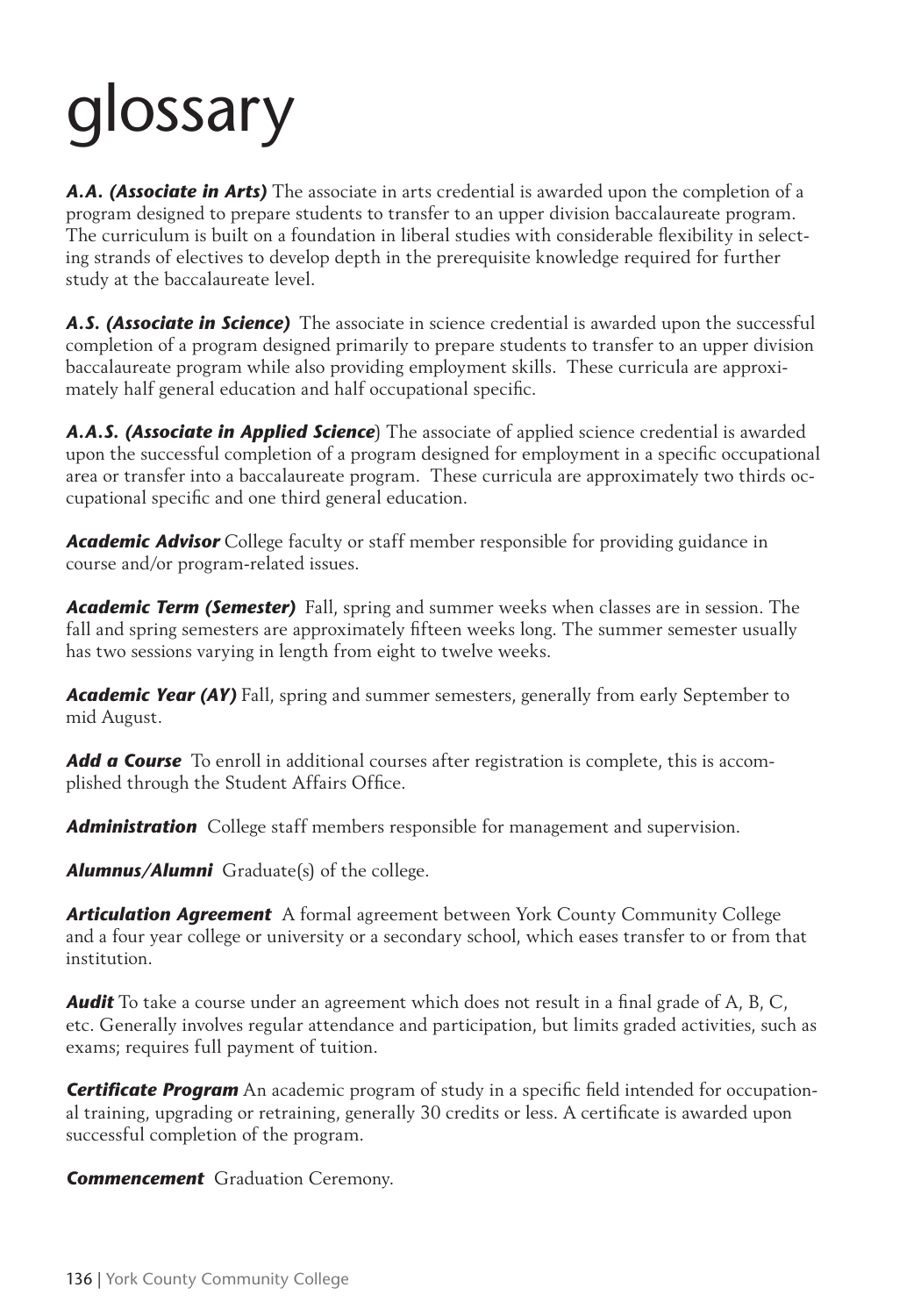# glossary

*A.A. (Associate in Arts)* The associate in arts credential is awarded upon the completion of a program designed to prepare students to transfer to an upper division baccalaureate program. The curriculum is built on a foundation in liberal studies with considerable flexibility in selecting strands of electives to develop depth in the prerequisite knowledge required for further study at the baccalaureate level.

*A.S. (Associate in Science)* The associate in science credential is awarded upon the successful completion of a program designed primarily to prepare students to transfer to an upper division baccalaureate program while also providing employment skills. These curricula are approximately half general education and half occupational specific.

*A.A.S. (Associate in Applied Science*) The associate of applied science credential is awarded upon the successful completion of a program designed for employment in a specifi c occupational area or transfer into a baccalaureate program. These curricula are approximately two thirds occupational specific and one third general education.

**Academic Advisor** College faculty or staff member responsible for providing guidance in course and/or program-related issues.

*Academic Term (Semester)* Fall, spring and summer weeks when classes are in session. The fall and spring semesters are approximately fifteen weeks long. The summer semester usually has two sessions varying in length from eight to twelve weeks.

*Academic Year (AY)* Fall, spring and summer semesters, generally from early September to mid August.

**Add a Course** To enroll in additional courses after registration is complete, this is accomplished through the Student Affairs Office.

*Administration* College staff members responsible for management and supervision.

*Alumnus/Alumni* Graduate(s) of the college.

*Articulation Agreement* A formal agreement between York County Community College and a four year college or university or a secondary school, which eases transfer to or from that institution.

**Audit** To take a course under an agreement which does not result in a final grade of A, B, C, etc. Generally involves regular attendance and participation, but limits graded activities, such as exams; requires full payment of tuition.

**Certificate Program** An academic program of study in a specific field intended for occupational training, upgrading or retraining, generally 30 credits or less. A certificate is awarded upon successful completion of the program.

*Commencement* Graduation Ceremony.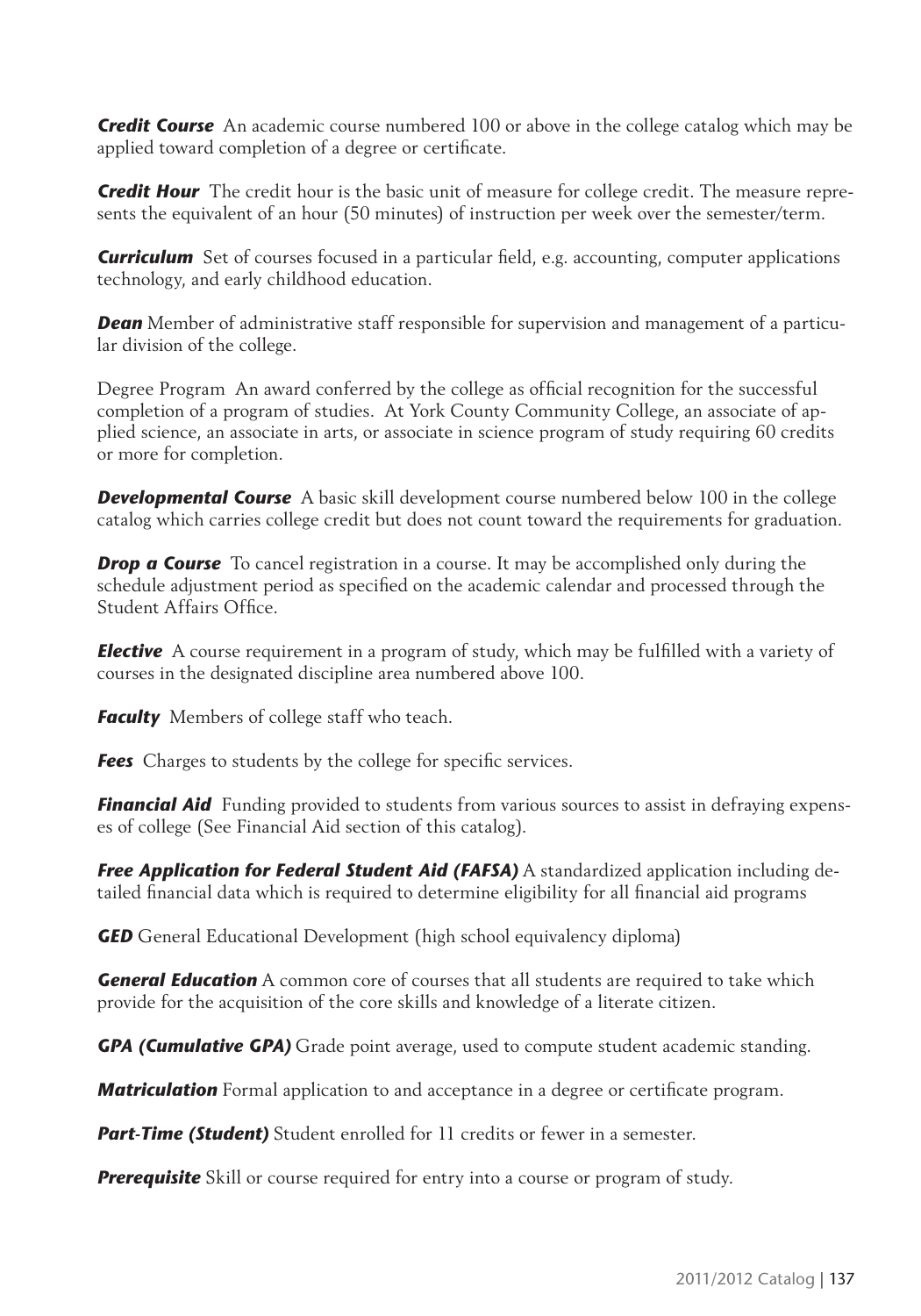*Credit Course* An academic course numbered 100 or above in the college catalog which may be applied toward completion of a degree or certificate.

*Credit Hour* The credit hour is the basic unit of measure for college credit. The measure represents the equivalent of an hour (50 minutes) of instruction per week over the semester/term.

**Curriculum** Set of courses focused in a particular field, e.g. accounting, computer applications technology, and early childhood education.

**Dean** Member of administrative staff responsible for supervision and management of a particular division of the college.

Degree Program An award conferred by the college as official recognition for the successful completion of a program of studies. At York County Community College, an associate of applied science, an associate in arts, or associate in science program of study requiring 60 credits or more for completion.

**Developmental Course** A basic skill development course numbered below 100 in the college catalog which carries college credit but does not count toward the requirements for graduation.

*Drop a Course* To cancel registration in a course. It may be accomplished only during the schedule adjustment period as specified on the academic calendar and processed through the Student Affairs Office.

**Elective** A course requirement in a program of study, which may be fulfilled with a variety of courses in the designated discipline area numbered above 100.

**Faculty** Members of college staff who teach.

**Fees** Charges to students by the college for specific services.

**Financial Aid** Funding provided to students from various sources to assist in defraying expenses of college (See Financial Aid section of this catalog).

*Free Application for Federal Student Aid (FAFSA)* A standardized application including detailed financial data which is required to determine eligibility for all financial aid programs

**GED** General Educational Development (high school equivalency diploma)

*General Education* A common core of courses that all students are required to take which provide for the acquisition of the core skills and knowledge of a literate citizen.

*GPA (Cumulative GPA)* Grade point average, used to compute student academic standing.

*Matriculation* Formal application to and acceptance in a degree or certificate program.

**Part-Time (Student)** Student enrolled for 11 credits or fewer in a semester.

**Prerequisite** Skill or course required for entry into a course or program of study.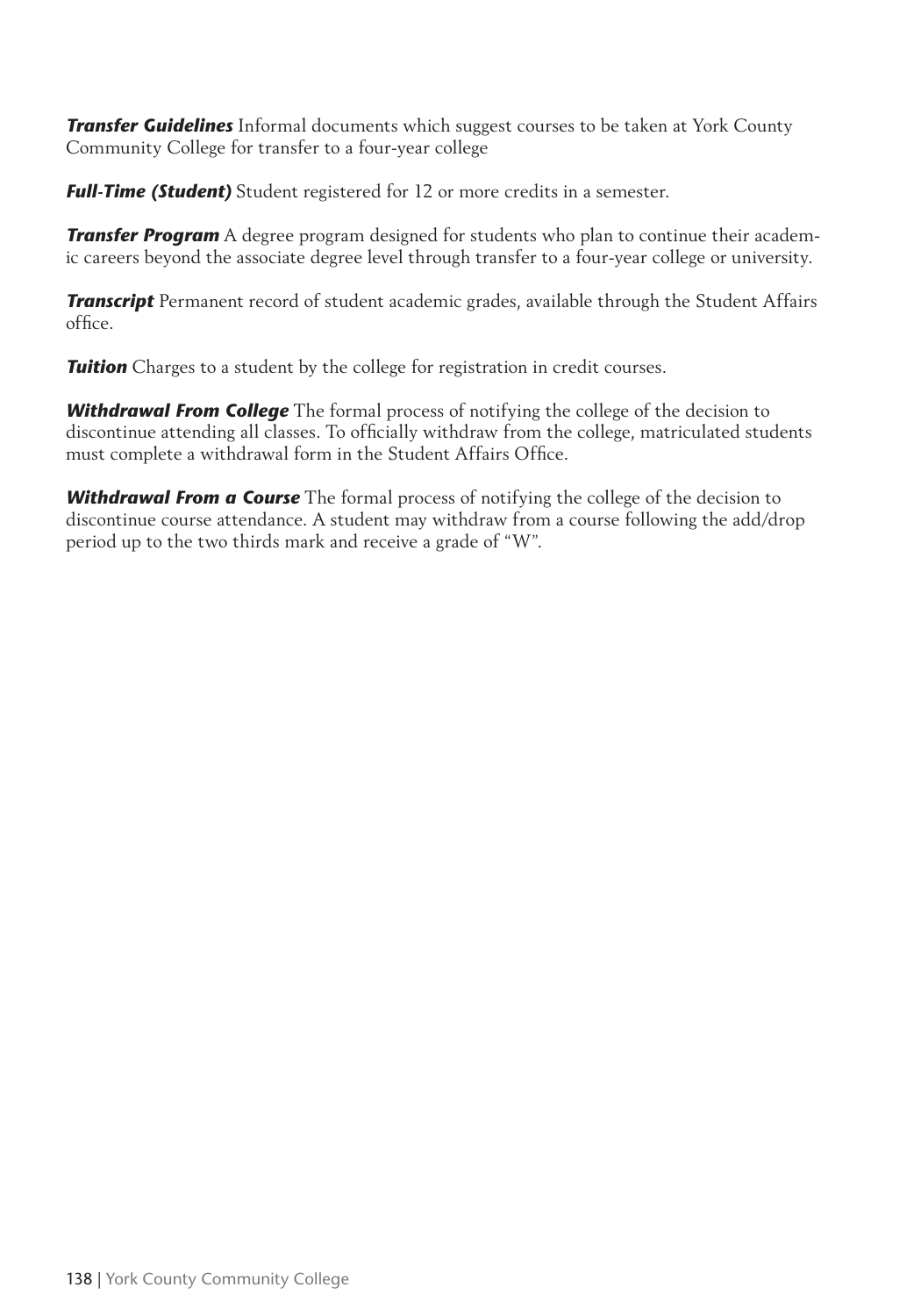*Transfer Guidelines* Informal documents which suggest courses to be taken at York County Community College for transfer to a four-year college

*Full-Time (Student)* Student registered for 12 or more credits in a semester.

*Transfer Program* A degree program designed for students who plan to continue their academic careers beyond the associate degree level through transfer to a four-year college or university.

*Transcript* Permanent record of student academic grades, available through the Student Affairs office.

**Tuition** Charges to a student by the college for registration in credit courses.

*Withdrawal From College* The formal process of notifying the college of the decision to discontinue attending all classes. To officially withdraw from the college, matriculated students must complete a withdrawal form in the Student Affairs Office.

*Withdrawal From a Course* The formal process of notifying the college of the decision to discontinue course attendance. A student may withdraw from a course following the add/drop period up to the two thirds mark and receive a grade of "W".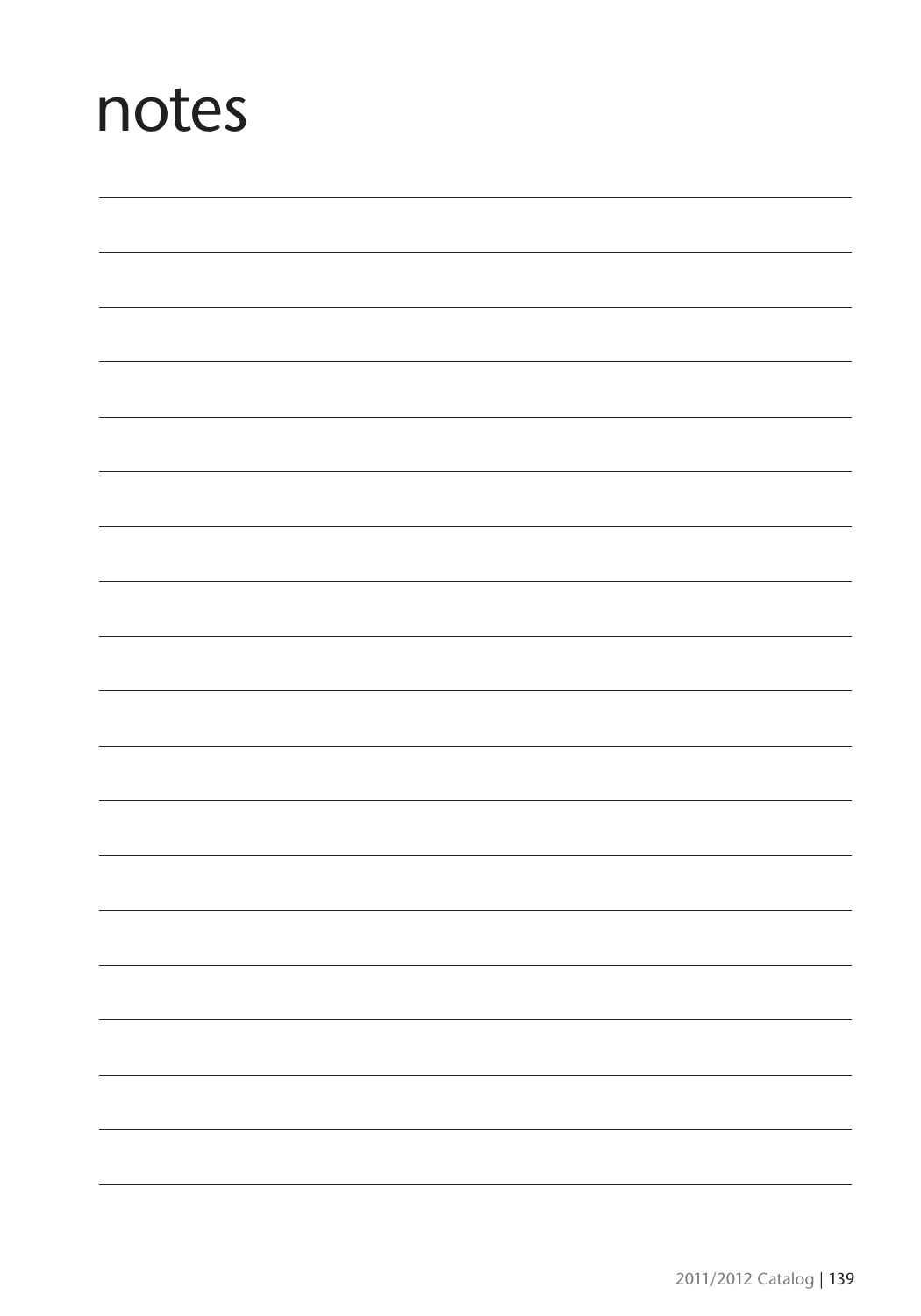## notes